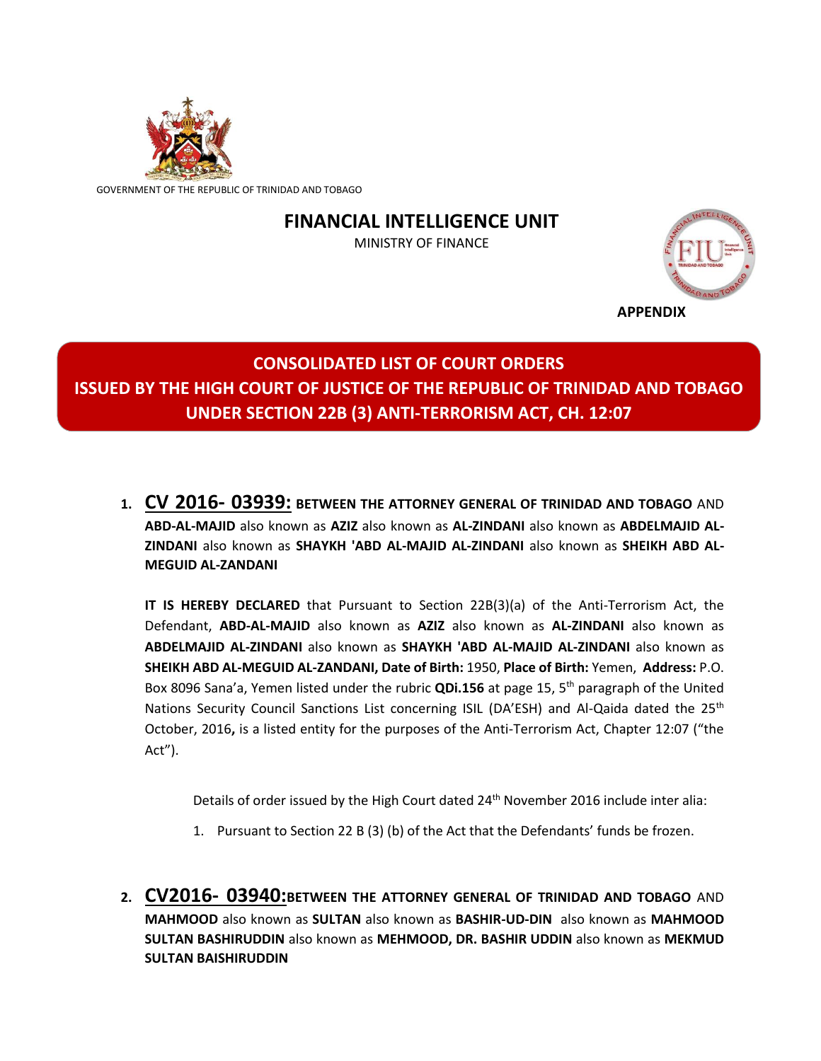

GOVERNMENT OF THE REPUBLIC OF TRINIDAD AND TOBAGO

# **FINANCIAL INTELLIGENCE UNIT**

MINISTRY OF FINANCE



**APPENDIX**

# **CONSOLIDATED LIST OF COURT ORDERS ISSUED BY THE HIGH COURT OF JUSTICE OF THE REPUBLIC OF TRINIDAD AND TOBAGO UNDER SECTION 22B (3) ANTI-TERRORISM ACT, CH. 12:07**

**1. CV 2016- 03939: BETWEEN THE ATTORNEY GENERAL OF TRINIDAD AND TOBAGO** AND **ABD-AL-MAJID** also known as **AZIZ** also known as **AL-ZINDANI** also known as **ABDELMAJID AL-ZINDANI** also known as **SHAYKH 'ABD AL-MAJID AL-ZINDANI** also known as **SHEIKH ABD AL-MEGUID AL-ZANDANI**

**IT IS HEREBY DECLARED** that Pursuant to Section 22B(3)(a) of the Anti-Terrorism Act, the Defendant, **ABD-AL-MAJID** also known as **AZIZ** also known as **AL-ZINDANI** also known as **ABDELMAJID AL-ZINDANI** also known as **SHAYKH 'ABD AL-MAJID AL-ZINDANI** also known as **SHEIKH ABD AL-MEGUID AL-ZANDANI, Date of Birth:** 1950, **Place of Birth:** Yemen, **Address:** P.O. Box 8096 Sana'a, Yemen listed under the rubric **QDi.156** at page 15, 5th paragraph of the United Nations Security Council Sanctions List concerning ISIL (DA'ESH) and Al-Qaida dated the 25<sup>th</sup> October, 2016**,** is a listed entity for the purposes of the Anti-Terrorism Act, Chapter 12:07 ("the Act").

Details of order issued by the High Court dated 24<sup>th</sup> November 2016 include inter alia:

- 1. Pursuant to Section 22 B (3) (b) of the Act that the Defendants' funds be frozen.
- **2. CV2016- 03940:BETWEEN THE ATTORNEY GENERAL OF TRINIDAD AND TOBAGO** AND **MAHMOOD** also known as **SULTAN** also known as **BASHIR-UD-DIN** also known as **MAHMOOD SULTAN BASHIRUDDIN** also known as **MEHMOOD, DR. BASHIR UDDIN** also known as **MEKMUD SULTAN BAISHIRUDDIN**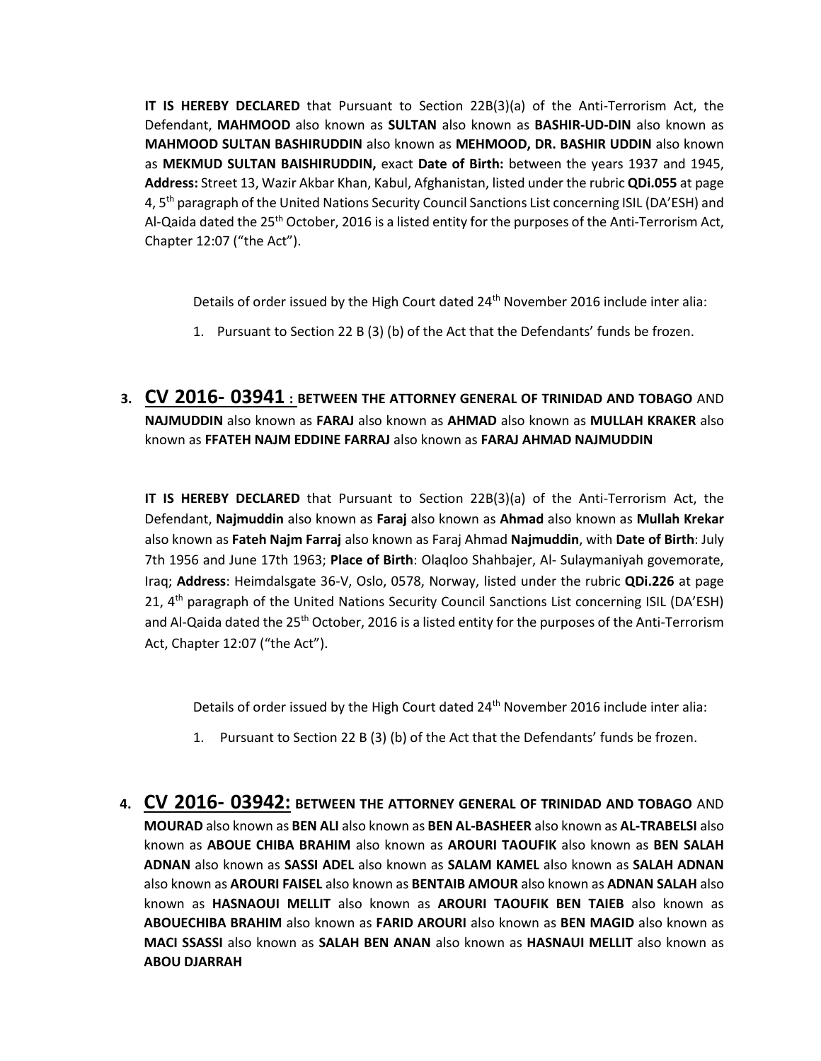**IT IS HEREBY DECLARED** that Pursuant to Section 22B(3)(a) of the Anti-Terrorism Act, the Defendant, **MAHMOOD** also known as **SULTAN** also known as **BASHIR-UD-DIN** also known as **MAHMOOD SULTAN BASHIRUDDIN** also known as **MEHMOOD, DR. BASHIR UDDIN** also known as **MEKMUD SULTAN BAISHIRUDDIN,** exact **Date of Birth:** between the years 1937 and 1945, **Address:** Street 13, Wazir Akbar Khan, Kabul, Afghanistan, listed under the rubric **QDi.055** at page 4, 5<sup>th</sup> paragraph of the United Nations Security Council Sanctions List concerning ISIL (DA'ESH) and Al-Qaida dated the 25th October, 2016 is a listed entity for the purposes of the Anti-Terrorism Act, Chapter 12:07 ("the Act").

Details of order issued by the High Court dated 24<sup>th</sup> November 2016 include inter alia:

- 1. Pursuant to Section 22 B (3) (b) of the Act that the Defendants' funds be frozen.
- **3. CV 2016- 03941 : BETWEEN THE ATTORNEY GENERAL OF TRINIDAD AND TOBAGO** AND **NAJMUDDIN** also known as **FARAJ** also known as **AHMAD** also known as **MULLAH KRAKER** also known as **FFATEH NAJM EDDINE FARRAJ** also known as **FARAJ AHMAD NAJMUDDIN**

**IT IS HEREBY DECLARED** that Pursuant to Section 22B(3)(a) of the Anti-Terrorism Act, the Defendant, **Najmuddin** also known as **Faraj** also known as **Ahmad** also known as **Mullah Krekar** also known as **Fateh Najm Farraj** also known as Faraj Ahmad **Najmuddin**, with **Date of Birth**: July 7th 1956 and June 17th 1963; **Place of Birth**: Olaqloo Shahbajer, Al- Sulaymaniyah govemorate, Iraq; **Address**: Heimdalsgate 36-V, Oslo, 0578, Norway, listed under the rubric **QDi.226** at page 21, 4<sup>th</sup> paragraph of the United Nations Security Council Sanctions List concerning ISIL (DA'ESH) and Al-Qaida dated the 25<sup>th</sup> October, 2016 is a listed entity for the purposes of the Anti-Terrorism Act, Chapter 12:07 ("the Act").

Details of order issued by the High Court dated 24<sup>th</sup> November 2016 include inter alia:

- 1. Pursuant to Section 22 B (3) (b) of the Act that the Defendants' funds be frozen.
- **4. CV 2016- 03942: BETWEEN THE ATTORNEY GENERAL OF TRINIDAD AND TOBAGO** AND **MOURAD** also known as **BEN ALI** also known as **BEN AL-BASHEER** also known as **AL-TRABELSI** also known as **ABOUE CHIBA BRAHIM** also known as **AROURI TAOUFIK** also known as **BEN SALAH ADNAN** also known as **SASSI ADEL** also known as **SALAM KAMEL** also known as **SALAH ADNAN** also known as **AROURI FAISEL** also known as **BENTAIB AMOUR** also known as **ADNAN SALAH** also known as **HASNAOUI MELLIT** also known as **AROURI TAOUFIK BEN TAIEB** also known as **ABOUECHIBA BRAHIM** also known as **FARID AROURI** also known as **BEN MAGID** also known as **MACI SSASSI** also known as **SALAH BEN ANAN** also known as **HASNAUI MELLIT** also known as **ABOU DJARRAH**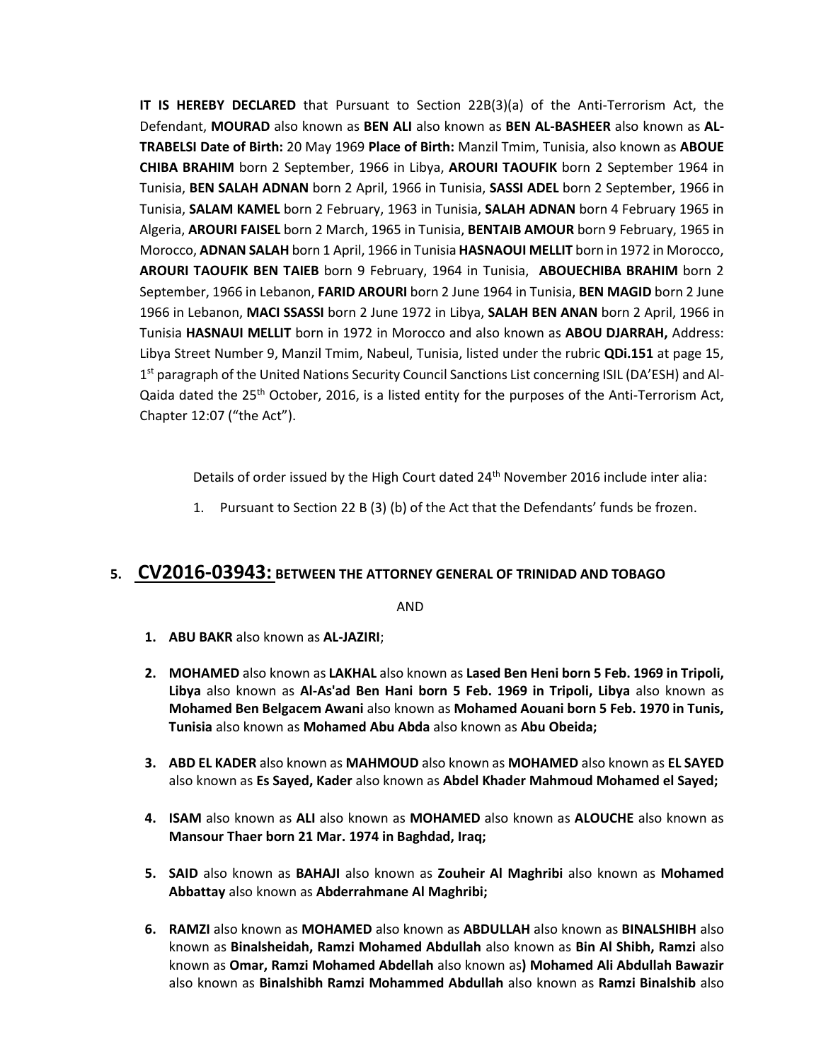**IT IS HEREBY DECLARED** that Pursuant to Section 22B(3)(a) of the Anti-Terrorism Act, the Defendant, **MOURAD** also known as **BEN ALI** also known as **BEN AL-BASHEER** also known as **AL-TRABELSI Date of Birth:** 20 May 1969 **Place of Birth:** Manzil Tmim, Tunisia, also known as **ABOUE CHIBA BRAHIM** born 2 September, 1966 in Libya, **AROURI TAOUFIK** born 2 September 1964 in Tunisia, **BEN SALAH ADNAN** born 2 April, 1966 in Tunisia, **SASSI ADEL** born 2 September, 1966 in Tunisia, **SALAM KAMEL** born 2 February, 1963 in Tunisia, **SALAH ADNAN** born 4 February 1965 in Algeria, **AROURI FAISEL** born 2 March, 1965 in Tunisia, **BENTAIB AMOUR** born 9 February, 1965 in Morocco, **ADNAN SALAH** born 1 April, 1966 in Tunisia **HASNAOUI MELLIT** born in 1972 in Morocco, **AROURI TAOUFIK BEN TAIEB** born 9 February, 1964 in Tunisia, **ABOUECHIBA BRAHIM** born 2 September, 1966 in Lebanon, **FARID AROURI** born 2 June 1964 in Tunisia, **BEN MAGID** born 2 June 1966 in Lebanon, **MACI SSASSI** born 2 June 1972 in Libya, **SALAH BEN ANAN** born 2 April, 1966 in Tunisia **HASNAUI MELLIT** born in 1972 in Morocco and also known as **ABOU DJARRAH,** Address: Libya Street Number 9, Manzil Tmim, Nabeul, Tunisia, listed under the rubric **QDi.151** at page 15, 1<sup>st</sup> paragraph of the United Nations Security Council Sanctions List concerning ISIL (DA'ESH) and Al-Qaida dated the  $25<sup>th</sup>$  October, 2016, is a listed entity for the purposes of the Anti-Terrorism Act, Chapter 12:07 ("the Act").

Details of order issued by the High Court dated  $24<sup>th</sup>$  November 2016 include inter alia:

1. Pursuant to Section 22 B (3) (b) of the Act that the Defendants' funds be frozen.

#### **5. CV2016-03943: BETWEEN THE ATTORNEY GENERAL OF TRINIDAD AND TOBAGO**

AND

- **1. ABU BAKR** also known as **AL-JAZIRI**;
- **2. MOHAMED** also known as **LAKHAL** also known as **Lased Ben Heni born 5 Feb. 1969 in Tripoli, Libya** also known as **Al-As'ad Ben Hani born 5 Feb. 1969 in Tripoli, Libya** also known as **Mohamed Ben Belgacem Awani** also known as **Mohamed Aouani born 5 Feb. 1970 in Tunis, Tunisia** also known as **Mohamed Abu Abda** also known as **Abu Obeida;**
- **3. ABD EL KADER** also known as **MAHMOUD** also known as **MOHAMED** also known as **EL SAYED** also known as **Es Sayed, Kader** also known as **Abdel Khader Mahmoud Mohamed el Sayed;**
- **4. ISAM** also known as **ALI** also known as **MOHAMED** also known as **ALOUCHE** also known as **Mansour Thaer born 21 Mar. 1974 in Baghdad, Iraq;**
- **5. SAID** also known as **BAHAJI** also known as **Zouheir Al Maghribi** also known as **Mohamed Abbattay** also known as **Abderrahmane Al Maghribi;**
- **6. RAMZI** also known as **MOHAMED** also known as **ABDULLAH** also known as **BINALSHIBH** also known as **Binalsheidah, Ramzi Mohamed Abdullah** also known as **Bin Al Shibh, Ramzi** also known as **Omar, Ramzi Mohamed Abdellah** also known as**) Mohamed Ali Abdullah Bawazir**  also known as **Binalshibh Ramzi Mohammed Abdullah** also known as **Ramzi Binalshib** also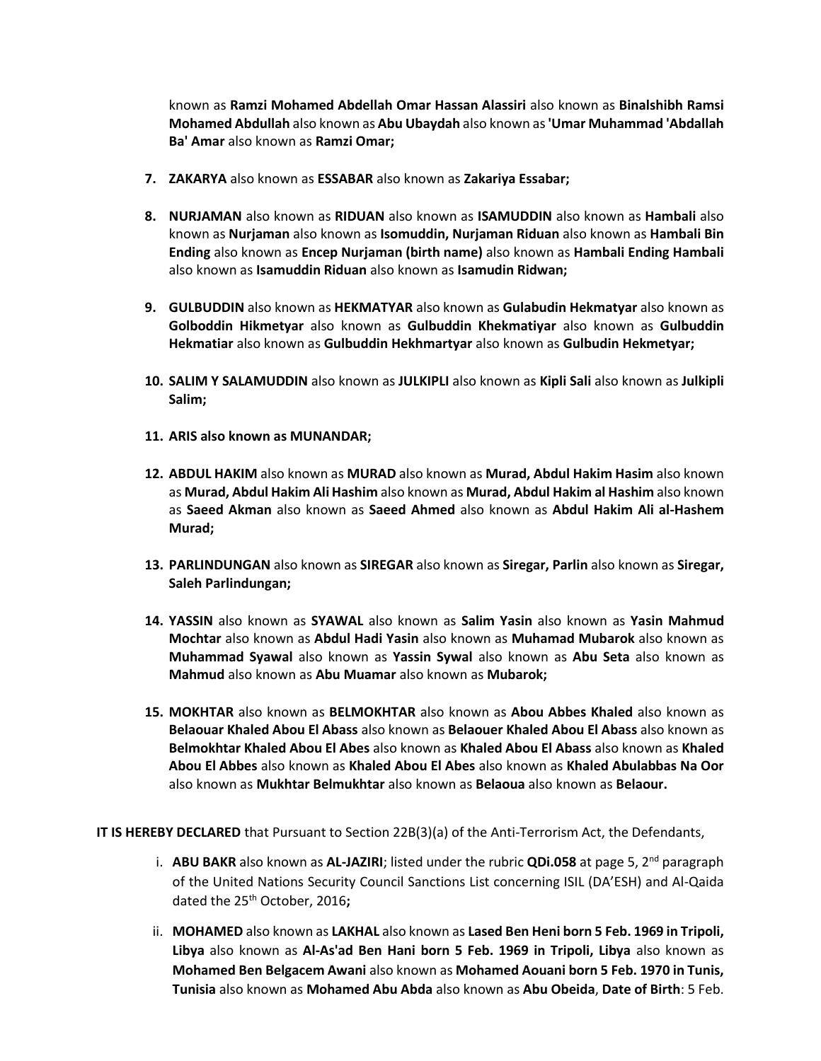known as **Ramzi Mohamed Abdellah Omar Hassan Alassiri** also known as **Binalshibh Ramsi Mohamed Abdullah** also known as **Abu Ubaydah** also known as**'Umar Muhammad 'Abdallah Ba' Amar** also known as **Ramzi Omar;**

- **7. ZAKARYA** also known as **ESSABAR** also known as **Zakariya Essabar;**
- **8. NURJAMAN** also known as **RIDUAN** also known as **ISAMUDDIN** also known as **Hambali** also known as **Nurjaman** also known as **Isomuddin, Nurjaman Riduan** also known as **Hambali Bin Ending** also known as **Encep Nurjaman (birth name)** also known as **Hambali Ending Hambali**  also known as **Isamuddin Riduan** also known as **Isamudin Ridwan;**
- **9. GULBUDDIN** also known as **HEKMATYAR** also known as **Gulabudin Hekmatyar** also known as **Golboddin Hikmetyar** also known as **Gulbuddin Khekmatiyar** also known as **Gulbuddin Hekmatiar** also known as **Gulbuddin Hekhmartyar** also known as **Gulbudin Hekmetyar;**
- **10. SALIM Y SALAMUDDIN** also known as **JULKIPLI** also known as **Kipli Sali** also known as **Julkipli Salim;**
- **11. ARIS also known as MUNANDAR;**
- **12. ABDUL HAKIM** also known as **MURAD** also known as **Murad, Abdul Hakim Hasim** also known as **Murad, Abdul Hakim Ali Hashim** also known as **Murad, Abdul Hakim al Hashim** also known as **Saeed Akman** also known as **Saeed Ahmed** also known as **Abdul Hakim Ali al-Hashem Murad;**
- **13. PARLINDUNGAN** also known as **SIREGAR** also known as **Siregar, Parlin** also known as **Siregar, Saleh Parlindungan;**
- **14. YASSIN** also known as **SYAWAL** also known as **Salim Yasin** also known as **Yasin Mahmud Mochtar** also known as **Abdul Hadi Yasin** also known as **Muhamad Mubarok** also known as **Muhammad Syawal** also known as **Yassin Sywal** also known as **Abu Seta** also known as **Mahmud** also known as **Abu Muamar** also known as **Mubarok;**
- **15. MOKHTAR** also known as **BELMOKHTAR** also known as **Abou Abbes Khaled** also known as **Belaouar Khaled Abou El Abass** also known as **Belaouer Khaled Abou El Abass** also known as **Belmokhtar Khaled Abou El Abes** also known as **Khaled Abou El Abass** also known as **Khaled Abou El Abbes** also known as **Khaled Abou El Abes** also known as **Khaled Abulabbas Na Oor**  also known as **Mukhtar Belmukhtar** also known as **Belaoua** also known as **Belaour.**

**IT IS HEREBY DECLARED** that Pursuant to Section 22B(3)(a) of the Anti-Terrorism Act, the Defendants,

- i. **ABU BAKR** also known as **AL-JAZIRI**; listed under the rubric **QDi.058** at page 5, 2<sup>nd</sup> paragraph of the United Nations Security Council Sanctions List concerning ISIL (DA'ESH) and Al-Qaida dated the 25th October, 2016**;**
- ii. **MOHAMED** also known as **LAKHAL** also known as **Lased Ben Heni born 5 Feb. 1969 in Tripoli, Libya** also known as **Al-As'ad Ben Hani born 5 Feb. 1969 in Tripoli, Libya** also known as **Mohamed Ben Belgacem Awani** also known as **Mohamed Aouani born 5 Feb. 1970 in Tunis, Tunisia** also known as **Mohamed Abu Abda** also known as **Abu Obeida**, **Date of Birth**: 5 Feb.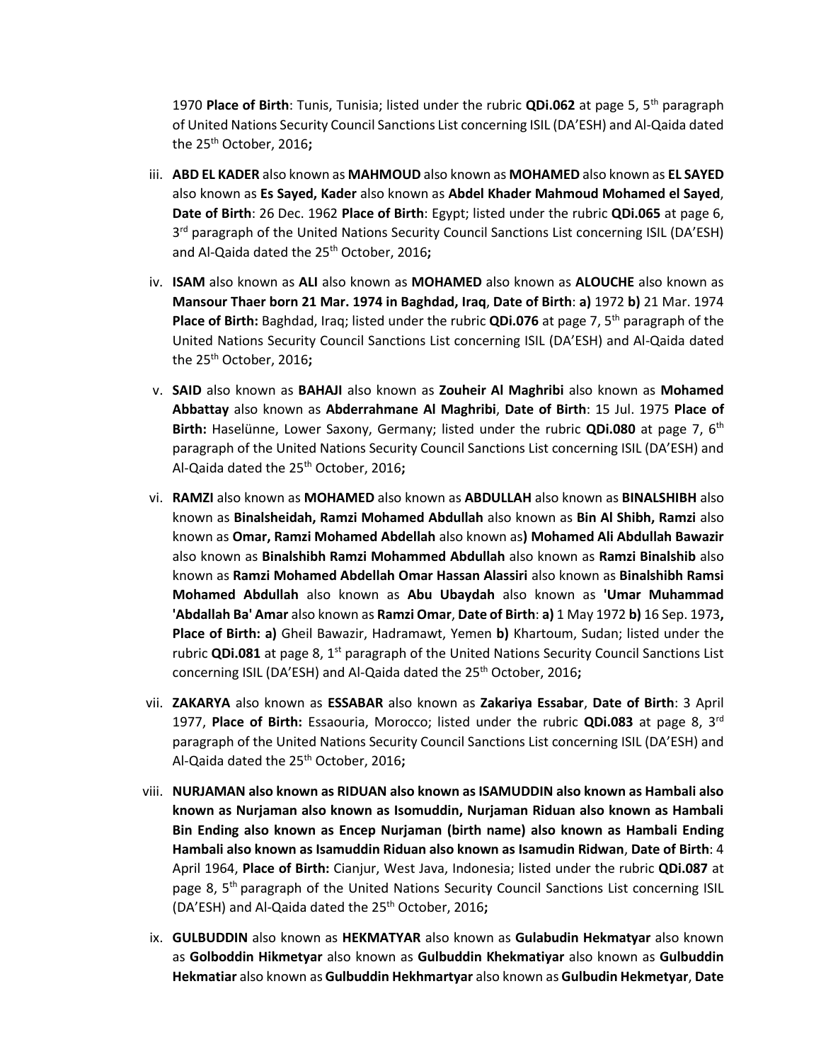1970 **Place of Birth**: Tunis, Tunisia; listed under the rubric **QDi.062** at page 5, 5th paragraph of United Nations Security Council Sanctions List concerning ISIL (DA'ESH) and Al-Qaida dated the 25th October, 2016**;** 

- iii. **ABD EL KADER** also known as **MAHMOUD** also known as **MOHAMED** also known as **EL SAYED**  also known as **Es Sayed, Kader** also known as **Abdel Khader Mahmoud Mohamed el Sayed**, **Date of Birth**: 26 Dec. 1962 **Place of Birth**: Egypt; listed under the rubric **QDi.065** at page 6, 3<sup>rd</sup> paragraph of the United Nations Security Council Sanctions List concerning ISIL (DA'ESH) and Al-Qaida dated the 25<sup>th</sup> October, 2016;
- iv. **ISAM** also known as **ALI** also known as **MOHAMED** also known as **ALOUCHE** also known as **Mansour Thaer born 21 Mar. 1974 in Baghdad, Iraq**, **Date of Birth**: **a)** 1972 **b)** 21 Mar. 1974 Place of Birth: Baghdad, Iraq; listed under the rubric QDi.076 at page 7, 5<sup>th</sup> paragraph of the United Nations Security Council Sanctions List concerning ISIL (DA'ESH) and Al-Qaida dated the 25th October, 2016**;**
- v. **SAID** also known as **BAHAJI** also known as **Zouheir Al Maghribi** also known as **Mohamed Abbattay** also known as **Abderrahmane Al Maghribi**, **Date of Birth**: 15 Jul. 1975 **Place of**  Birth: Haselünne, Lower Saxony, Germany; listed under the rubric QDi.080 at page 7, 6<sup>th</sup> paragraph of the United Nations Security Council Sanctions List concerning ISIL (DA'ESH) and Al-Qaida dated the 25th October, 2016**;**
- vi. **RAMZI** also known as **MOHAMED** also known as **ABDULLAH** also known as **BINALSHIBH** also known as **Binalsheidah, Ramzi Mohamed Abdullah** also known as **Bin Al Shibh, Ramzi** also known as **Omar, Ramzi Mohamed Abdellah** also known as**) Mohamed Ali Abdullah Bawazir**  also known as **Binalshibh Ramzi Mohammed Abdullah** also known as **Ramzi Binalshib** also known as **Ramzi Mohamed Abdellah Omar Hassan Alassiri** also known as **Binalshibh Ramsi Mohamed Abdullah** also known as **Abu Ubaydah** also known as **'Umar Muhammad 'Abdallah Ba' Amar** also known as **Ramzi Omar**, **Date of Birth**: **a)** 1 May 1972 **b)** 16 Sep. 1973**, Place of Birth: a)** Gheil Bawazir, Hadramawt, Yemen **b)** Khartoum, Sudan; listed under the rubric **QDi.081** at page 8, 1<sup>st</sup> paragraph of the United Nations Security Council Sanctions List concerning ISIL (DA'ESH) and Al-Qaida dated the 25th October, 2016**;**
- vii. **ZAKARYA** also known as **ESSABAR** also known as **Zakariya Essabar**, **Date of Birth**: 3 April 1977, **Place of Birth:** Essaouria, Morocco; listed under the rubric **QDi.083** at page 8, 3rd paragraph of the United Nations Security Council Sanctions List concerning ISIL (DA'ESH) and Al-Qaida dated the 25th October, 2016**;**
- viii. **NURJAMAN also known as RIDUAN also known as ISAMUDDIN also known as Hambali also known as Nurjaman also known as Isomuddin, Nurjaman Riduan also known as Hambali Bin Ending also known as Encep Nurjaman (birth name) also known as Hambali Ending Hambali also known as Isamuddin Riduan also known as Isamudin Ridwan**, **Date of Birth**: 4 April 1964, **Place of Birth:** Cianjur, West Java, Indonesia; listed under the rubric **QDi.087** at page 8, 5<sup>th</sup> paragraph of the United Nations Security Council Sanctions List concerning ISIL (DA'ESH) and Al-Qaida dated the 25th October, 2016**;**
- ix. **GULBUDDIN** also known as **HEKMATYAR** also known as **Gulabudin Hekmatyar** also known as **Golboddin Hikmetyar** also known as **Gulbuddin Khekmatiyar** also known as **Gulbuddin Hekmatiar** also known as **Gulbuddin Hekhmartyar** also known as **Gulbudin Hekmetyar**, **Date**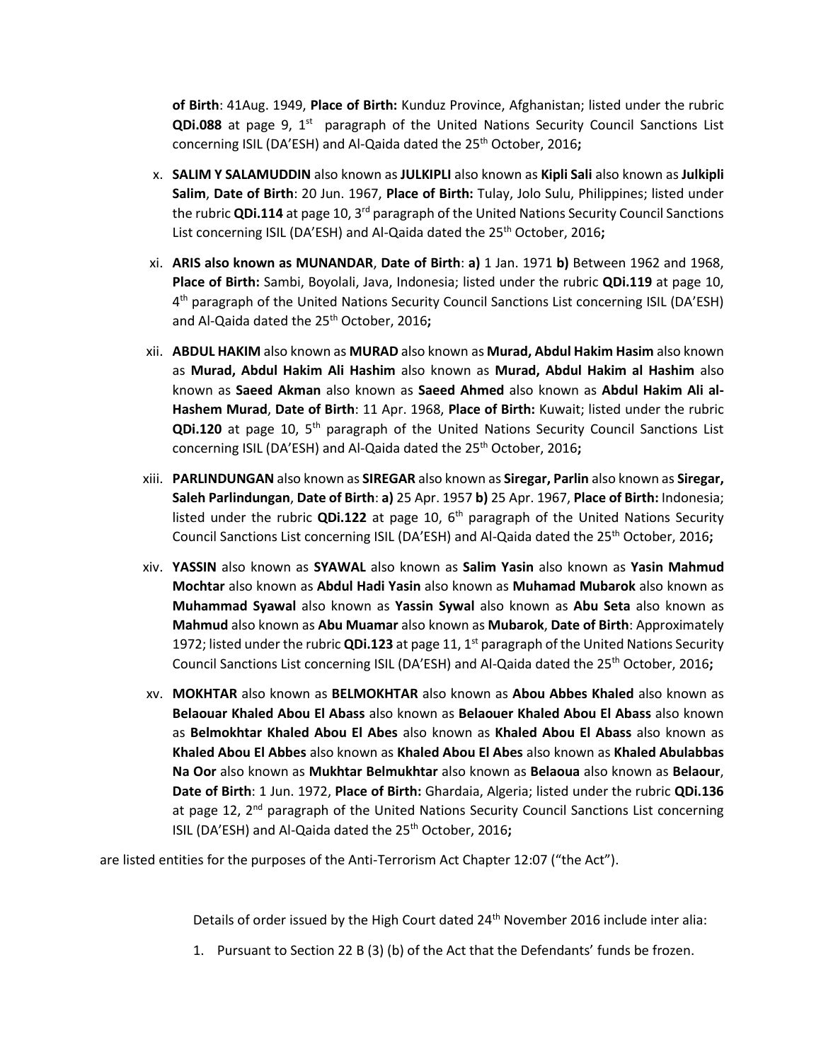**of Birth**: 41Aug. 1949, **Place of Birth:** Kunduz Province, Afghanistan; listed under the rubric **QDi.088** at page 9, 1<sup>st</sup> paragraph of the United Nations Security Council Sanctions List concerning ISIL (DA'ESH) and Al-Qaida dated the 25<sup>th</sup> October, 2016;

- x. **SALIM Y SALAMUDDIN** also known as **JULKIPLI** also known as **Kipli Sali** also known as **Julkipli Salim**, **Date of Birth**: 20 Jun. 1967, **Place of Birth:** Tulay, Jolo Sulu, Philippines; listed under the rubric QDi.114 at page 10, 3<sup>rd</sup> paragraph of the United Nations Security Council Sanctions List concerning ISIL (DA'ESH) and Al-Qaida dated the 25<sup>th</sup> October, 2016;
- xi. **ARIS also known as MUNANDAR**, **Date of Birth**: **a)** 1 Jan. 1971 **b)** Between 1962 and 1968, **Place of Birth:** Sambi, Boyolali, Java, Indonesia; listed under the rubric **QDi.119** at page 10, 4<sup>th</sup> paragraph of the United Nations Security Council Sanctions List concerning ISIL (DA'ESH) and Al-Qaida dated the 25th October, 2016**;**
- xii. **ABDUL HAKIM** also known as **MURAD** also known as **Murad, Abdul Hakim Hasim** also known as **Murad, Abdul Hakim Ali Hashim** also known as **Murad, Abdul Hakim al Hashim** also known as **Saeed Akman** also known as **Saeed Ahmed** also known as **Abdul Hakim Ali al-Hashem Murad**, **Date of Birth**: 11 Apr. 1968, **Place of Birth:** Kuwait; listed under the rubric **QDi.120** at page 10, 5th paragraph of the United Nations Security Council Sanctions List concerning ISIL (DA'ESH) and Al-Qaida dated the 25<sup>th</sup> October, 2016;
- xiii. **PARLINDUNGAN** also known as **SIREGAR** also known as **Siregar, Parlin** also known as **Siregar, Saleh Parlindungan**, **Date of Birth**: **a)** 25 Apr. 1957 **b)** 25 Apr. 1967, **Place of Birth:** Indonesia; listed under the rubric **QDi.122** at page 10, 6th paragraph of the United Nations Security Council Sanctions List concerning ISIL (DA'ESH) and Al-Qaida dated the 25th October, 2016**;**
- xiv. **YASSIN** also known as **SYAWAL** also known as **Salim Yasin** also known as **Yasin Mahmud Mochtar** also known as **Abdul Hadi Yasin** also known as **Muhamad Mubarok** also known as **Muhammad Syawal** also known as **Yassin Sywal** also known as **Abu Seta** also known as **Mahmud** also known as **Abu Muamar** also known as **Mubarok**, **Date of Birth**: Approximately 1972; listed under the rubric **QDi.123** at page 11, 1st paragraph of the United Nations Security Council Sanctions List concerning ISIL (DA'ESH) and Al-Qaida dated the 25<sup>th</sup> October, 2016;
- xv. **MOKHTAR** also known as **BELMOKHTAR** also known as **Abou Abbes Khaled** also known as **Belaouar Khaled Abou El Abass** also known as **Belaouer Khaled Abou El Abass** also known as **Belmokhtar Khaled Abou El Abes** also known as **Khaled Abou El Abass** also known as **Khaled Abou El Abbes** also known as **Khaled Abou El Abes** also known as **Khaled Abulabbas Na Oor** also known as **Mukhtar Belmukhtar** also known as **Belaoua** also known as **Belaour**, **Date of Birth**: 1 Jun. 1972, **Place of Birth:** Ghardaia, Algeria; listed under the rubric **QDi.136** at page 12, 2<sup>nd</sup> paragraph of the United Nations Security Council Sanctions List concerning ISIL (DA'ESH) and Al-Qaida dated the 25th October, 2016**;**

are listed entities for the purposes of the Anti-Terrorism Act Chapter 12:07 ("the Act").

Details of order issued by the High Court dated 24<sup>th</sup> November 2016 include inter alia:

1. Pursuant to Section 22 B (3) (b) of the Act that the Defendants' funds be frozen.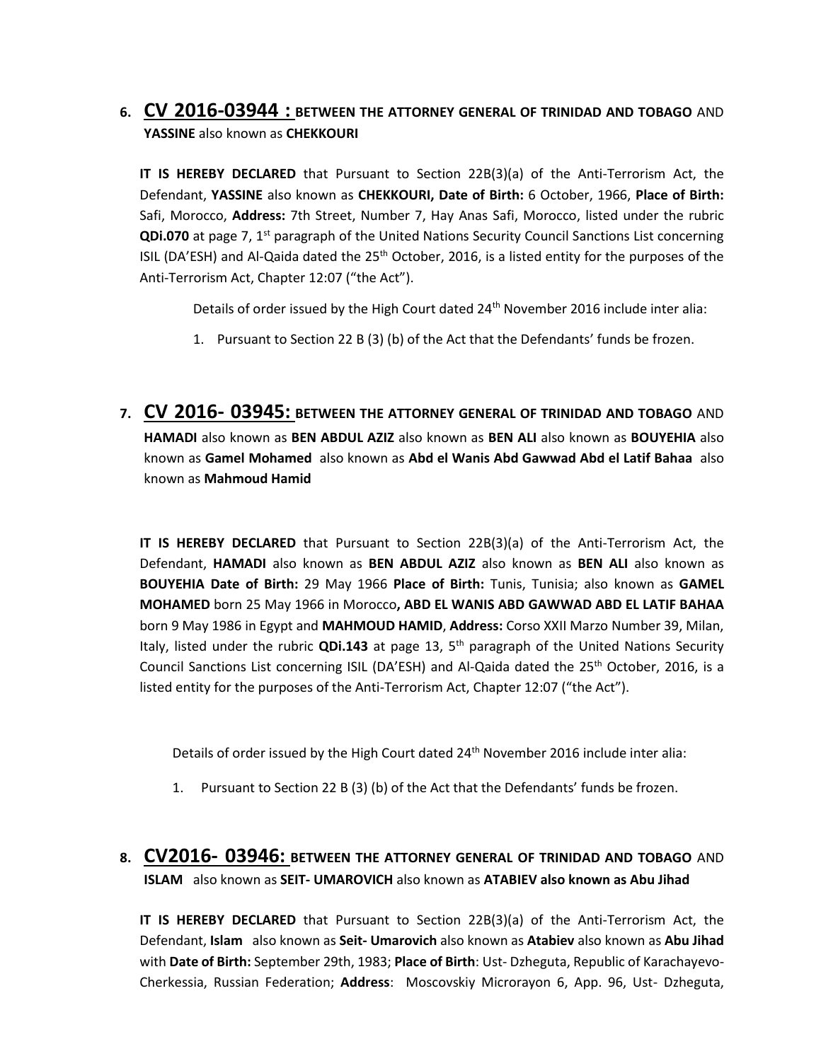# **6. CV 2016-03944 : BETWEEN THE ATTORNEY GENERAL OF TRINIDAD AND TOBAGO** AND **YASSINE** also known as **CHEKKOURI**

**IT IS HEREBY DECLARED** that Pursuant to Section 22B(3)(a) of the Anti-Terrorism Act, the Defendant, **YASSINE** also known as **CHEKKOURI, Date of Birth:** 6 October, 1966, **Place of Birth:** Safi, Morocco, **Address:** 7th Street, Number 7, Hay Anas Safi, Morocco, listed under the rubric **QDi.070** at page 7, 1<sup>st</sup> paragraph of the United Nations Security Council Sanctions List concerning ISIL (DA'ESH) and Al-Qaida dated the 25<sup>th</sup> October, 2016, is a listed entity for the purposes of the Anti-Terrorism Act, Chapter 12:07 ("the Act").

Details of order issued by the High Court dated 24<sup>th</sup> November 2016 include inter alia:

- 1. Pursuant to Section 22 B (3) (b) of the Act that the Defendants' funds be frozen.
- **7. CV 2016- 03945: BETWEEN THE ATTORNEY GENERAL OF TRINIDAD AND TOBAGO** AND **HAMADI** also known as **BEN ABDUL AZIZ** also known as **BEN ALI** also known as **BOUYEHIA** also known as **Gamel Mohamed** also known as **Abd el Wanis Abd Gawwad Abd el Latif Bahaa** also known as **Mahmoud Hamid**

**IT IS HEREBY DECLARED** that Pursuant to Section 22B(3)(a) of the Anti-Terrorism Act, the Defendant, **HAMADI** also known as **BEN ABDUL AZIZ** also known as **BEN ALI** also known as **BOUYEHIA Date of Birth:** 29 May 1966 **Place of Birth:** Tunis, Tunisia; also known as **GAMEL MOHAMED** born 25 May 1966 in Morocco**, ABD EL WANIS ABD GAWWAD ABD EL LATIF BAHAA**  born 9 May 1986 in Egypt and **MAHMOUD HAMID**, **Address:** Corso XXII Marzo Number 39, Milan, Italy, listed under the rubric **QDi.143** at page 13, 5th paragraph of the United Nations Security Council Sanctions List concerning ISIL (DA'ESH) and Al-Qaida dated the 25th October, 2016, is a listed entity for the purposes of the Anti-Terrorism Act, Chapter 12:07 ("the Act").

Details of order issued by the High Court dated 24<sup>th</sup> November 2016 include inter alia:

1. Pursuant to Section 22 B (3) (b) of the Act that the Defendants' funds be frozen.

# **8. CV2016- 03946: BETWEEN THE ATTORNEY GENERAL OF TRINIDAD AND TOBAGO** AND **ISLAM** also known as **SEIT- UMAROVICH** also known as **ATABIEV also known as Abu Jihad**

**IT IS HEREBY DECLARED** that Pursuant to Section 22B(3)(a) of the Anti-Terrorism Act, the Defendant, **Islam** also known as **Seit- Umarovich** also known as **Atabiev** also known as **Abu Jihad** with **Date of Birth:** September 29th, 1983; **Place of Birth**: Ust- Dzheguta, Republic of Karachayevo-Cherkessia, Russian Federation; **Address**: Moscovskiy Microrayon 6, App. 96, Ust- Dzheguta,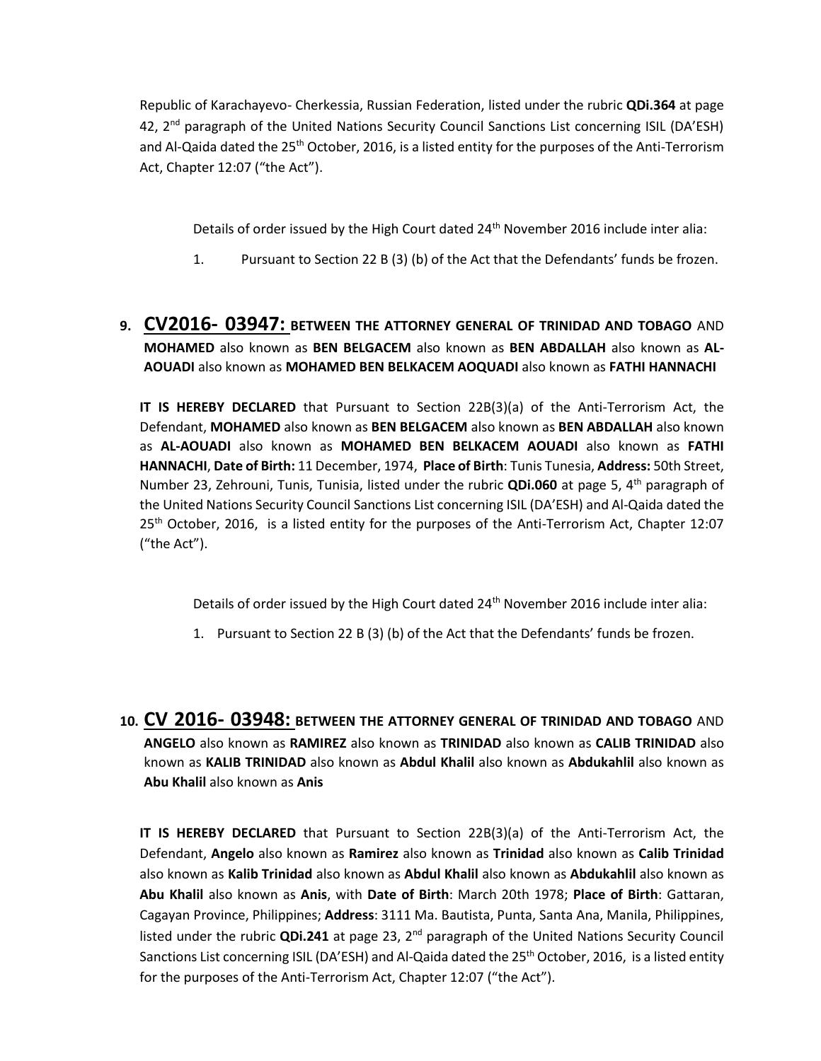Republic of Karachayevo- Cherkessia, Russian Federation, listed under the rubric **QDi.364** at page 42, 2<sup>nd</sup> paragraph of the United Nations Security Council Sanctions List concerning ISIL (DA'ESH) and Al-Qaida dated the 25<sup>th</sup> October, 2016, is a listed entity for the purposes of the Anti-Terrorism Act, Chapter 12:07 ("the Act").

Details of order issued by the High Court dated 24<sup>th</sup> November 2016 include inter alia:

1. Pursuant to Section 22 B (3) (b) of the Act that the Defendants' funds be frozen.

## **9. CV2016- 03947: BETWEEN THE ATTORNEY GENERAL OF TRINIDAD AND TOBAGO** AND **MOHAMED** also known as **BEN BELGACEM** also known as **BEN ABDALLAH** also known as **AL-AOUADI** also known as **MOHAMED BEN BELKACEM AOQUADI** also known as **FATHI HANNACHI**

**IT IS HEREBY DECLARED** that Pursuant to Section 22B(3)(a) of the Anti-Terrorism Act, the Defendant, **MOHAMED** also known as **BEN BELGACEM** also known as **BEN ABDALLAH** also known as **AL-AOUADI** also known as **MOHAMED BEN BELKACEM AOUADI** also known as **FATHI HANNACHI**, **Date of Birth:** 11 December, 1974, **Place of Birth**: Tunis Tunesia, **Address:** 50th Street, Number 23, Zehrouni, Tunis, Tunisia, listed under the rubric **QDi.060** at page 5, 4th paragraph of the United Nations Security Council Sanctions List concerning ISIL (DA'ESH) and Al-Qaida dated the 25<sup>th</sup> October, 2016, is a listed entity for the purposes of the Anti-Terrorism Act, Chapter 12:07 ("the Act").

Details of order issued by the High Court dated 24<sup>th</sup> November 2016 include inter alia:

- 1. Pursuant to Section 22 B (3) (b) of the Act that the Defendants' funds be frozen.
- **10. CV 2016- 03948: BETWEEN THE ATTORNEY GENERAL OF TRINIDAD AND TOBAGO** AND **ANGELO** also known as **RAMIREZ** also known as **TRINIDAD** also known as **CALIB TRINIDAD** also known as **KALIB TRINIDAD** also known as **Abdul Khalil** also known as **Abdukahlil** also known as **Abu Khalil** also known as **Anis**

**IT IS HEREBY DECLARED** that Pursuant to Section 22B(3)(a) of the Anti-Terrorism Act, the Defendant, **Angelo** also known as **Ramirez** also known as **Trinidad** also known as **Calib Trinidad** also known as **Kalib Trinidad** also known as **Abdul Khalil** also known as **Abdukahlil** also known as **Abu Khalil** also known as **Anis**, with **Date of Birth**: March 20th 1978; **Place of Birth**: Gattaran, Cagayan Province, Philippines; **Address**: 3111 Ma. Bautista, Punta, Santa Ana, Manila, Philippines, listed under the rubric **QDi.241** at page 23, 2nd paragraph of the United Nations Security Council Sanctions List concerning ISIL (DA'ESH) and Al-Qaida dated the 25<sup>th</sup> October, 2016, is a listed entity for the purposes of the Anti-Terrorism Act, Chapter 12:07 ("the Act").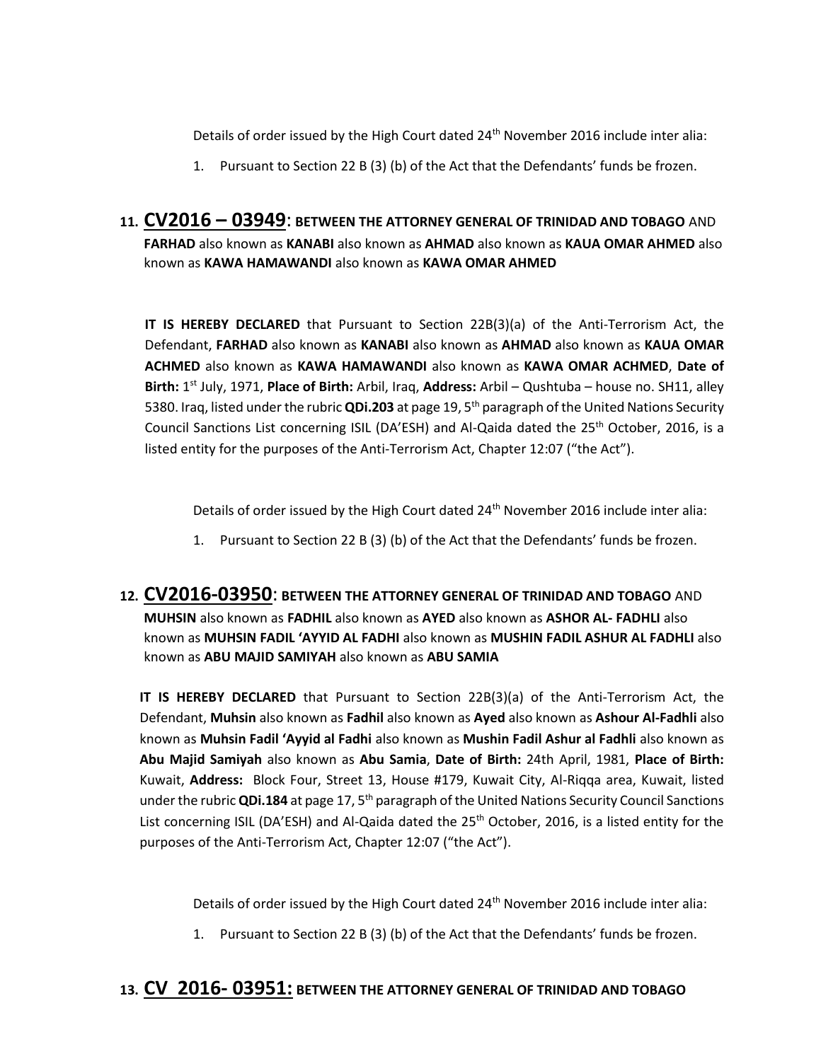Details of order issued by the High Court dated 24th November 2016 include inter alia:

1. Pursuant to Section 22 B (3) (b) of the Act that the Defendants' funds be frozen.

# **11. CV2016 – 03949**: **BETWEEN THE ATTORNEY GENERAL OF TRINIDAD AND TOBAGO** AND **FARHAD** also known as **KANABI** also known as **AHMAD** also known as **KAUA OMAR AHMED** also known as **KAWA HAMAWANDI** also known as **KAWA OMAR AHMED**

**IT IS HEREBY DECLARED** that Pursuant to Section 22B(3)(a) of the Anti-Terrorism Act, the Defendant, **FARHAD** also known as **KANABI** also known as **AHMAD** also known as **KAUA OMAR ACHMED** also known as **KAWA HAMAWANDI** also known as **KAWA OMAR ACHMED**, **Date of Birth:** 1 st July, 1971, **Place of Birth:** Arbil, Iraq, **Address:** Arbil – Qushtuba – house no. SH11, alley 5380. Iraq, listed under the rubric **QDi.203** at page 19, 5th paragraph of the United Nations Security Council Sanctions List concerning ISIL (DA'ESH) and Al-Qaida dated the  $25<sup>th</sup>$  October, 2016, is a listed entity for the purposes of the Anti-Terrorism Act, Chapter 12:07 ("the Act").

Details of order issued by the High Court dated 24<sup>th</sup> November 2016 include inter alia:

- 1. Pursuant to Section 22 B (3) (b) of the Act that the Defendants' funds be frozen.
- **12. CV2016-03950**: **BETWEEN THE ATTORNEY GENERAL OF TRINIDAD AND TOBAGO** AND **MUHSIN** also known as **FADHIL** also known as **AYED** also known as **ASHOR AL- FADHLI** also known as **MUHSIN FADIL 'AYYID AL FADHI** also known as **MUSHIN FADIL ASHUR AL FADHLI** also known as **ABU MAJID SAMIYAH** also known as **ABU SAMIA**

**IT IS HEREBY DECLARED** that Pursuant to Section 22B(3)(a) of the Anti-Terrorism Act, the Defendant, **Muhsin** also known as **Fadhil** also known as **Ayed** also known as **Ashour Al-Fadhli** also known as **Muhsin Fadil 'Ayyid al Fadhi** also known as **Mushin Fadil Ashur al Fadhli** also known as **Abu Majid Samiyah** also known as **Abu Samia**, **Date of Birth:** 24th April, 1981, **Place of Birth:** Kuwait, **Address:** Block Four, Street 13, House #179, Kuwait City, Al-Riqqa area, Kuwait, listed under the rubric **QDi.184** at page 17, 5th paragraph of the United Nations Security Council Sanctions List concerning ISIL (DA'ESH) and Al-Qaida dated the 25<sup>th</sup> October, 2016, is a listed entity for the purposes of the Anti-Terrorism Act, Chapter 12:07 ("the Act").

Details of order issued by the High Court dated 24<sup>th</sup> November 2016 include inter alia:

1. Pursuant to Section 22 B (3) (b) of the Act that the Defendants' funds be frozen.

### **13. CV 2016- 03951: BETWEEN THE ATTORNEY GENERAL OF TRINIDAD AND TOBAGO**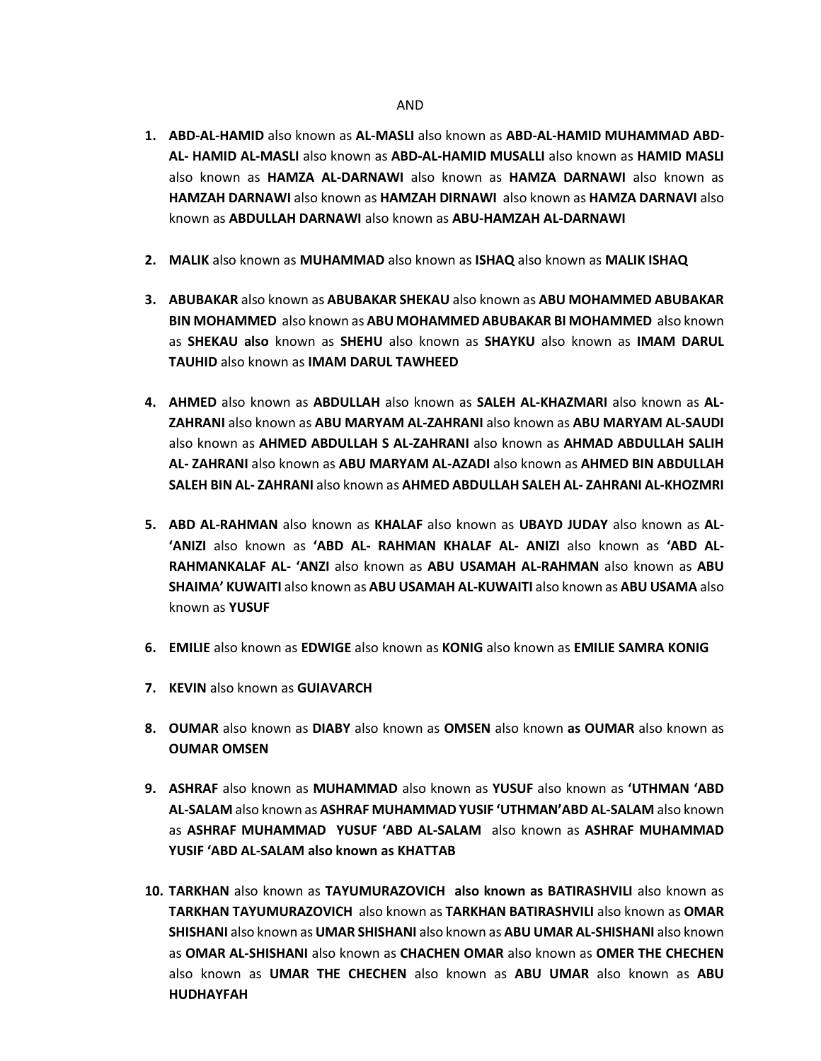- **1. ABD-AL-HAMID** also known as **AL-MASLI** also known as **ABD-AL-HAMID MUHAMMAD ABD-AL- HAMID AL-MASLI** also known as **ABD-AL-HAMID MUSALLI** also known as **HAMID MASLI**  also known as **HAMZA AL-DARNAWI** also known as **HAMZA DARNAWI** also known as **HAMZAH DARNAWI** also known as **HAMZAH DIRNAWI** also known as **HAMZA DARNAVI** also known as **ABDULLAH DARNAWI** also known as **ABU-HAMZAH AL-DARNAWI**
- **2. MALIK** also known as **MUHAMMAD** also known as **ISHAQ** also known as **MALIK ISHAQ**
- **3. ABUBAKAR** also known as **ABUBAKAR SHEKAU** also known as **ABU MOHAMMED ABUBAKAR BIN MOHAMMED** also known as **ABU MOHAMMED ABUBAKAR BI MOHAMMED** also known as **SHEKAU also** known as **SHEHU** also known as **SHAYKU** also known as **IMAM DARUL TAUHID** also known as **IMAM DARUL TAWHEED**
- **4. AHMED** also known as **ABDULLAH** also known as **SALEH AL-KHAZMARI** also known as **AL-ZAHRANI** also known as **ABU MARYAM AL-ZAHRANI** also known as **ABU MARYAM AL-SAUDI**  also known as **AHMED ABDULLAH S AL-ZAHRANI** also known as **AHMAD ABDULLAH SALIH AL- ZAHRANI** also known as **ABU MARYAM AL-AZADI** also known as **AHMED BIN ABDULLAH SALEH BIN AL- ZAHRANI** also known as **AHMED ABDULLAH SALEH AL- ZAHRANI AL-KHOZMRI**
- **5. ABD AL-RAHMAN** also known as **KHALAF** also known as **UBAYD JUDAY** also known as **AL- 'ANIZI** also known as **'ABD AL- RAHMAN KHALAF AL- ANIZI** also known as **'ABD AL-RAHMANKALAF AL- 'ANZI** also known as **ABU USAMAH AL-RAHMAN** also known as **ABU SHAIMA' KUWAITI** also known as **ABU USAMAH AL-KUWAITI** also known as **ABU USAMA** also known as **YUSUF**
- **6. EMILIE** also known as **EDWIGE** also known as **KONIG** also known as **EMILIE SAMRA KONIG**
- **7. KEVIN** also known as **GUIAVARCH**
- **8. OUMAR** also known as **DIABY** also known as **OMSEN** also known **as OUMAR** also known as **OUMAR OMSEN**
- **9. ASHRAF** also known as **MUHAMMAD** also known as **YUSUF** also known as **'UTHMAN 'ABD AL-SALAM** also known as **ASHRAF MUHAMMAD YUSIF 'UTHMAN'ABD AL-SALAM** also known as **ASHRAF MUHAMMAD YUSUF 'ABD AL-SALAM** also known as **ASHRAF MUHAMMAD YUSIF 'ABD AL-SALAM also known as KHATTAB**
- **10. TARKHAN** also known as **TAYUMURAZOVICH also known as BATIRASHVILI** also known as **TARKHAN TAYUMURAZOVICH** also known as **TARKHAN BATIRASHVILI** also known as **OMAR SHISHANI** also known as **UMAR SHISHANI** also known as **ABU UMAR AL-SHISHANI** also known as **OMAR AL-SHISHANI** also known as **CHACHEN OMAR** also known as **OMER THE CHECHEN**  also known as **UMAR THE CHECHEN** also known as **ABU UMAR** also known as **ABU HUDHAYFAH**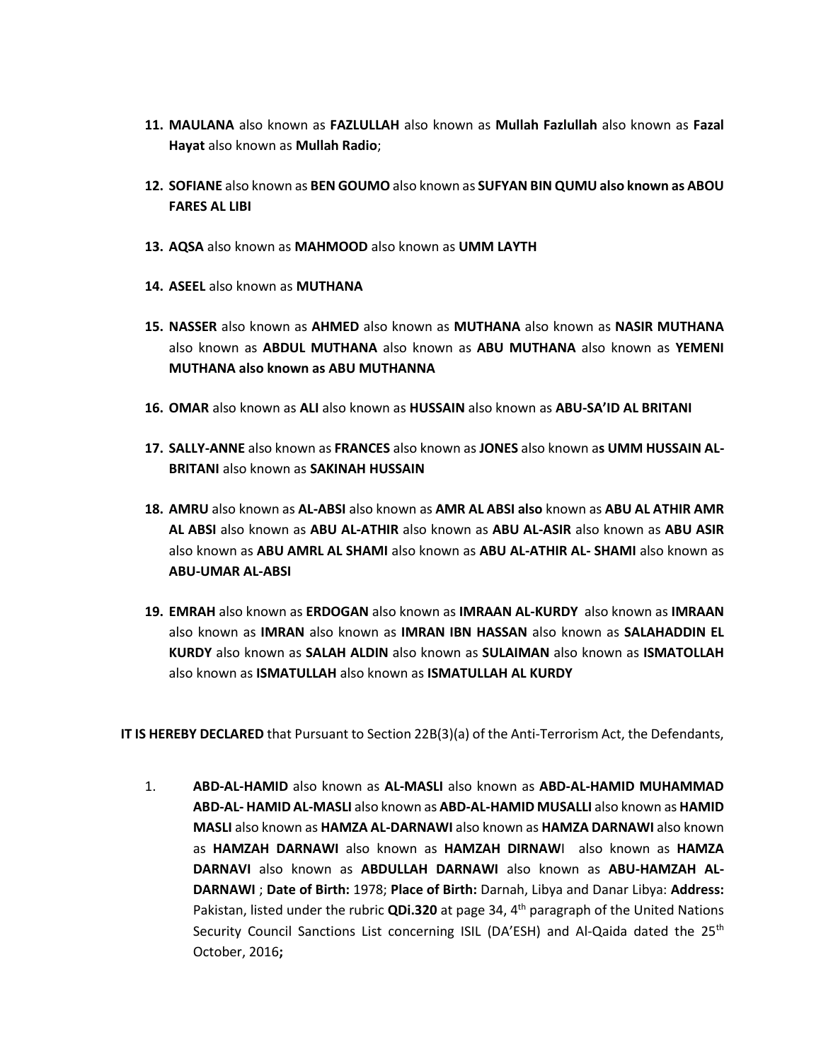- **11. MAULANA** also known as **FAZLULLAH** also known as **Mullah Fazlullah** also known as **Fazal Hayat** also known as **Mullah Radio**;
- **12. SOFIANE** also known as **BEN GOUMO** also known as **SUFYAN BIN QUMU also known as ABOU FARES AL LIBI**
- **13. AQSA** also known as **MAHMOOD** also known as **UMM LAYTH**
- **14. ASEEL** also known as **MUTHANA**
- **15. NASSER** also known as **AHMED** also known as **MUTHANA** also known as **NASIR MUTHANA**  also known as **ABDUL MUTHANA** also known as **ABU MUTHANA** also known as **YEMENI MUTHANA also known as ABU MUTHANNA**
- **16. OMAR** also known as **ALI** also known as **HUSSAIN** also known as **ABU-SA'ID AL BRITANI**
- **17. SALLY-ANNE** also known as **FRANCES** also known as **JONES** also known a**s UMM HUSSAIN AL-BRITANI** also known as **SAKINAH HUSSAIN**
- **18. AMRU** also known as **AL-ABSI** also known as **AMR AL ABSI also** known as **ABU AL ATHIR AMR AL ABSI** also known as **ABU AL-ATHIR** also known as **ABU AL-ASIR** also known as **ABU ASIR**  also known as **ABU AMRL AL SHAMI** also known as **ABU AL-ATHIR AL- SHAMI** also known as **ABU-UMAR AL-ABSI**
- **19. EMRAH** also known as **ERDOGAN** also known as **IMRAAN AL-KURDY** also known as **IMRAAN**  also known as **IMRAN** also known as **IMRAN IBN HASSAN** also known as **SALAHADDIN EL KURDY** also known as **SALAH ALDIN** also known as **SULAIMAN** also known as **ISMATOLLAH**  also known as **ISMATULLAH** also known as **ISMATULLAH AL KURDY**

**IT IS HEREBY DECLARED** that Pursuant to Section 22B(3)(a) of the Anti-Terrorism Act, the Defendants,

1. **ABD-AL-HAMID** also known as **AL-MASLI** also known as **ABD-AL-HAMID MUHAMMAD ABD-AL- HAMID AL-MASLI** also known as **ABD-AL-HAMID MUSALLI** also known as **HAMID MASLI** also known as **HAMZA AL-DARNAWI** also known as **HAMZA DARNAWI** also known as **HAMZAH DARNAWI** also known as **HAMZAH DIRNAW**I also known as **HAMZA DARNAVI** also known as **ABDULLAH DARNAWI** also known as **ABU-HAMZAH AL-DARNAWI** ; **Date of Birth:** 1978; **Place of Birth:** Darnah, Libya and Danar Libya: **Address:**  Pakistan, listed under the rubric **QDi.320** at page 34, 4th paragraph of the United Nations Security Council Sanctions List concerning ISIL (DA'ESH) and Al-Qaida dated the 25<sup>th</sup> October, 2016**;**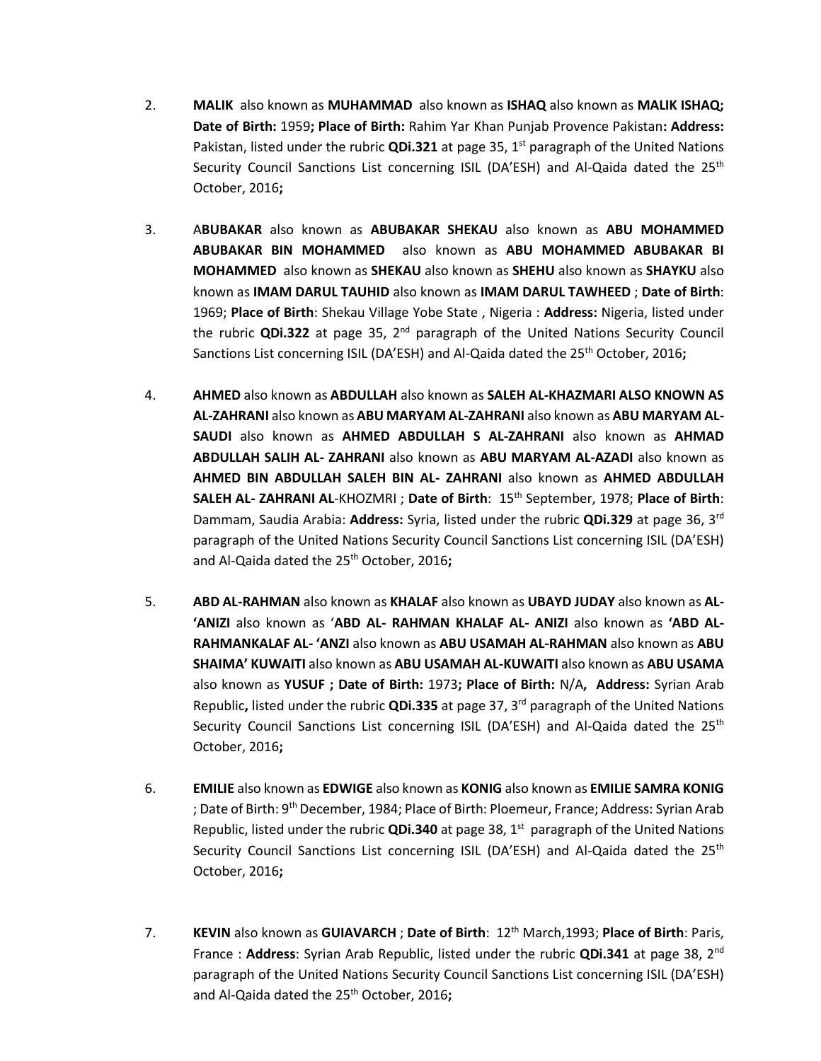- 2. **MALIK** also known as **MUHAMMAD** also known as **ISHAQ** also known as **MALIK ISHAQ; Date of Birth:** 1959**; Place of Birth:** Rahim Yar Khan Punjab Provence Pakistan**: Address:**  Pakistan, listed under the rubric QDi.321 at page 35, 1<sup>st</sup> paragraph of the United Nations Security Council Sanctions List concerning ISIL (DA'ESH) and Al-Qaida dated the 25<sup>th</sup> October, 2016**;**
- 3. A**BUBAKAR** also known as **ABUBAKAR SHEKAU** also known as **ABU MOHAMMED ABUBAKAR BIN MOHAMMED** also known as **ABU MOHAMMED ABUBAKAR BI MOHAMMED** also known as **SHEKAU** also known as **SHEHU** also known as **SHAYKU** also known as **IMAM DARUL TAUHID** also known as **IMAM DARUL TAWHEED** ; **Date of Birth**: 1969; **Place of Birth**: Shekau Village Yobe State , Nigeria : **Address:** Nigeria, listed under the rubric **QDi.322** at page 35, 2<sup>nd</sup> paragraph of the United Nations Security Council Sanctions List concerning ISIL (DA'ESH) and Al-Qaida dated the 25<sup>th</sup> October, 2016;
- 4. **AHMED** also known as **ABDULLAH** also known as **SALEH AL-KHAZMARI ALSO KNOWN AS AL-ZAHRANI** also known as **ABU MARYAM AL-ZAHRANI** also known as **ABU MARYAM AL-SAUDI** also known as **AHMED ABDULLAH S AL-ZAHRANI** also known as **AHMAD ABDULLAH SALIH AL- ZAHRANI** also known as **ABU MARYAM AL-AZADI** also known as **AHMED BIN ABDULLAH SALEH BIN AL- ZAHRANI** also known as **AHMED ABDULLAH SALEH AL- ZAHRANI AL**-KHOZMRI ; **Date of Birth**: 15th September, 1978; **Place of Birth**: Dammam, Saudia Arabia: **Address:** Syria, listed under the rubric **QDi.329** at page 36, 3rd paragraph of the United Nations Security Council Sanctions List concerning ISIL (DA'ESH) and Al-Qaida dated the 25th October, 2016**;**
- 5. **ABD AL-RAHMAN** also known as **KHALAF** also known as **UBAYD JUDAY** also known as **AL- 'ANIZI** also known as '**ABD AL- RAHMAN KHALAF AL- ANIZI** also known as **'ABD AL-RAHMANKALAF AL- 'ANZI** also known as **ABU USAMAH AL-RAHMAN** also known as **ABU SHAIMA' KUWAITI** also known as **ABU USAMAH AL-KUWAITI** also known as **ABU USAMA** also known as **YUSUF ; Date of Birth:** 1973**; Place of Birth:** N/A**, Address:** Syrian Arab Republic**,** listed under the rubric **QDi.335** at page 37, 3rd paragraph of the United Nations Security Council Sanctions List concerning ISIL (DA'ESH) and Al-Qaida dated the 25<sup>th</sup> October, 2016**;**
- 6. **EMILIE** also known as **EDWIGE** also known as **KONIG** also known as **EMILIE SAMRA KONIG** ; Date of Birth: 9<sup>th</sup> December, 1984; Place of Birth: Ploemeur, France; Address: Syrian Arab Republic, listed under the rubric QDi.340 at page 38, 1<sup>st</sup> paragraph of the United Nations Security Council Sanctions List concerning ISIL (DA'ESH) and Al-Qaida dated the 25<sup>th</sup> October, 2016**;**
- 7. **KEVIN** also known as **GUIAVARCH** ; **Date of Birth**: 12th March,1993; **Place of Birth**: Paris, France : **Address**: Syrian Arab Republic, listed under the rubric **QDi.341** at page 38, 2nd paragraph of the United Nations Security Council Sanctions List concerning ISIL (DA'ESH) and Al-Qaida dated the 25th October, 2016**;**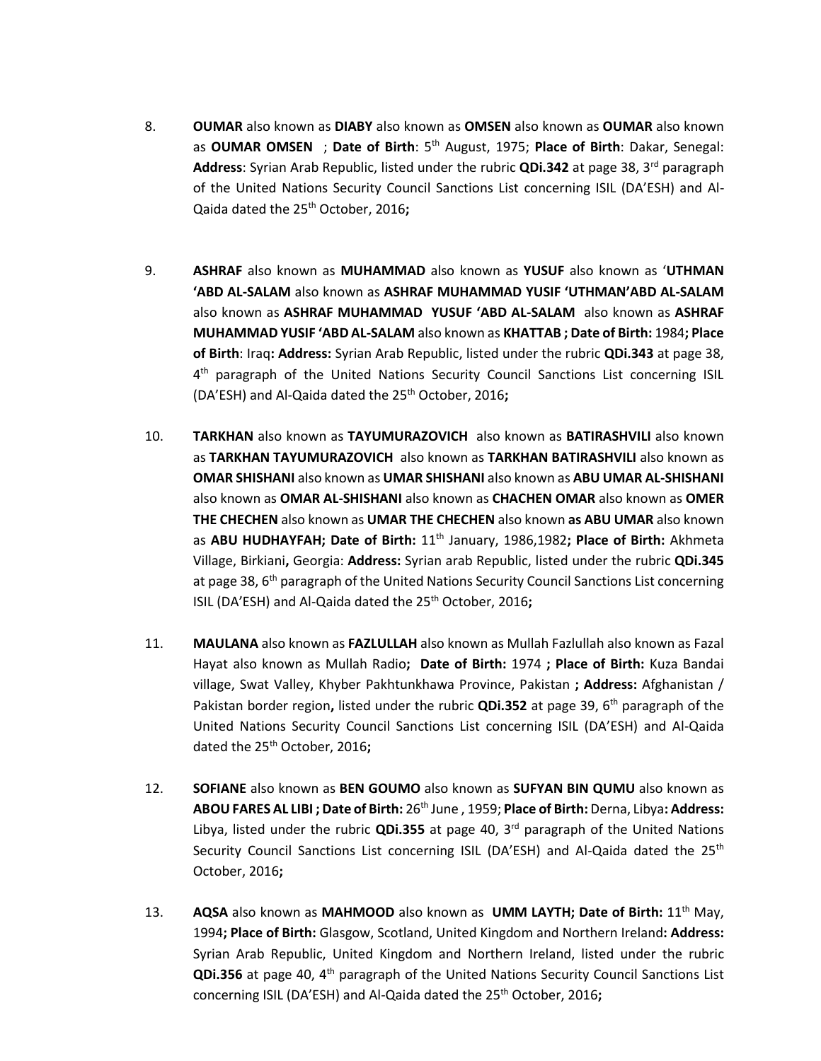- 8. **OUMAR** also known as **DIABY** also known as **OMSEN** also known as **OUMAR** also known as **OUMAR OMSEN** ; **Date of Birth**: 5th August, 1975; **Place of Birth**: Dakar, Senegal: **Address**: Syrian Arab Republic, listed under the rubric **QDi.342** at page 38, 3rd paragraph of the United Nations Security Council Sanctions List concerning ISIL (DA'ESH) and Al-Qaida dated the 25th October, 2016**;**
- 9. **ASHRAF** also known as **MUHAMMAD** also known as **YUSUF** also known as '**UTHMAN 'ABD AL-SALAM** also known as **ASHRAF MUHAMMAD YUSIF 'UTHMAN'ABD AL-SALAM** also known as **ASHRAF MUHAMMAD YUSUF 'ABD AL-SALAM** also known as **ASHRAF MUHAMMAD YUSIF 'ABD AL-SALAM** also known as **KHATTAB ; Date of Birth:** 1984**; Place of Birth**: Iraq**: Address:** Syrian Arab Republic, listed under the rubric **QDi.343** at page 38, 4<sup>th</sup> paragraph of the United Nations Security Council Sanctions List concerning ISIL (DA'ESH) and Al-Qaida dated the 25th October, 2016**;**
- 10. **TARKHAN** also known as **TAYUMURAZOVICH** also known as **BATIRASHVILI** also known as **TARKHAN TAYUMURAZOVICH** also known as **TARKHAN BATIRASHVILI** also known as **OMAR SHISHANI** also known as **UMAR SHISHANI** also known as **ABU UMAR AL-SHISHANI** also known as **OMAR AL-SHISHANI** also known as **CHACHEN OMAR** also known as **OMER THE CHECHEN** also known as **UMAR THE CHECHEN** also known **as ABU UMAR** also known as **ABU HUDHAYFAH; Date of Birth:** 11th January, 1986,1982**; Place of Birth:** Akhmeta Village, Birkiani**,** Georgia: **Address:** Syrian arab Republic, listed under the rubric **QDi.345**  at page 38,  $6<sup>th</sup>$  paragraph of the United Nations Security Council Sanctions List concerning ISIL (DA'ESH) and Al-Qaida dated the 25<sup>th</sup> October, 2016;
- 11. **MAULANA** also known as **FAZLULLAH** also known as Mullah Fazlullah also known as Fazal Hayat also known as Mullah Radio**; Date of Birth:** 1974 **; Place of Birth:** Kuza Bandai village, Swat Valley, Khyber Pakhtunkhawa Province, Pakistan **; Address:** Afghanistan / Pakistan border region, listed under the rubric **QDi.352** at page 39, 6<sup>th</sup> paragraph of the United Nations Security Council Sanctions List concerning ISIL (DA'ESH) and Al-Qaida dated the 25th October, 2016**;**
- 12. **SOFIANE** also known as **BEN GOUMO** also known as **SUFYAN BIN QUMU** also known as **ABOU FARES AL LIBI ; Date of Birth:** 26th June , 1959; **Place of Birth:** Derna, Libya**: Address:**  Libya, listed under the rubric **QDi.355** at page 40, 3rd paragraph of the United Nations Security Council Sanctions List concerning ISIL (DA'ESH) and Al-Qaida dated the 25<sup>th</sup> October, 2016**;**
- 13. **AQSA** also known as **MAHMOOD** also known as **UMM LAYTH; Date of Birth:** 11th May, 1994**; Place of Birth:** Glasgow, Scotland, United Kingdom and Northern Ireland**: Address:**  Syrian Arab Republic, United Kingdom and Northern Ireland, listed under the rubric **QDi.356** at page 40, 4<sup>th</sup> paragraph of the United Nations Security Council Sanctions List concerning ISIL (DA'ESH) and Al-Qaida dated the 25<sup>th</sup> October, 2016;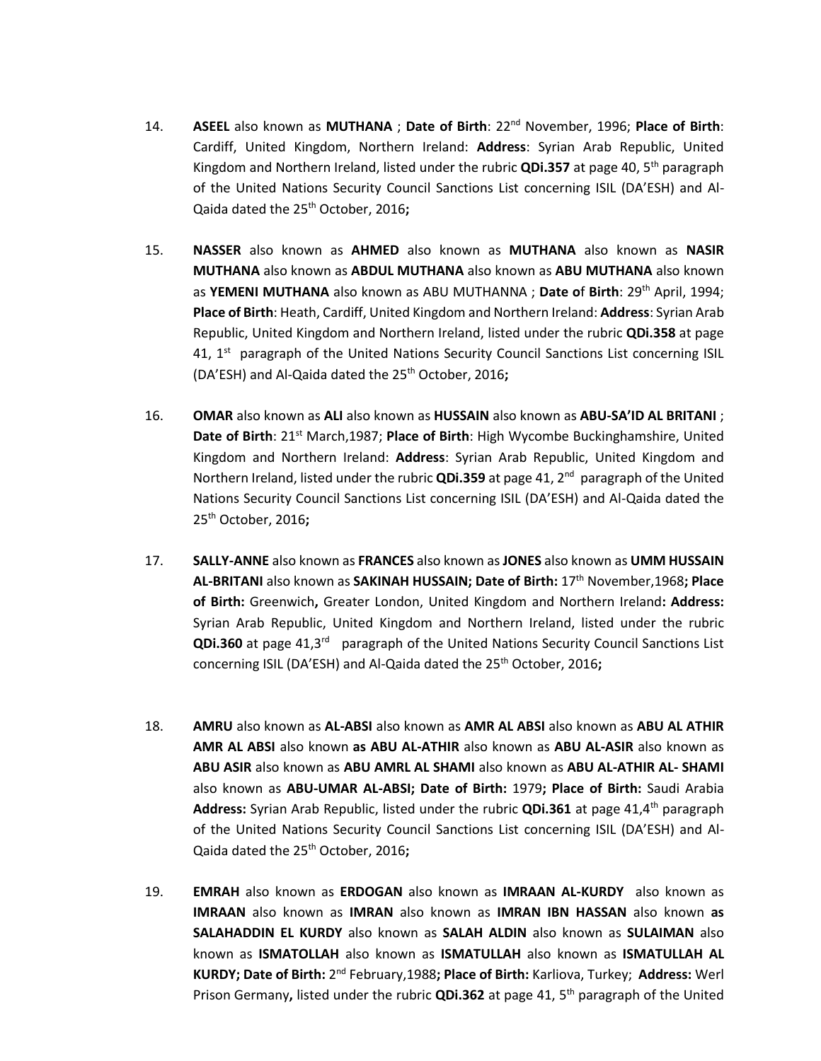- 14. **ASEEL** also known as **MUTHANA** ; **Date of Birth**: 22nd November, 1996; **Place of Birth**: Cardiff, United Kingdom, Northern Ireland: **Address**: Syrian Arab Republic, United Kingdom and Northern Ireland, listed under the rubric **QDi.357** at page 40, 5th paragraph of the United Nations Security Council Sanctions List concerning ISIL (DA'ESH) and Al-Qaida dated the 25th October, 2016**;**
- 15. **NASSER** also known as **AHMED** also known as **MUTHANA** also known as **NASIR MUTHANA** also known as **ABDUL MUTHANA** also known as **ABU MUTHANA** also known as **YEMENI MUTHANA** also known as ABU MUTHANNA ; **Date o**f **Birth**: 29th April, 1994; **Place of Birth**: Heath, Cardiff, United Kingdom and Northern Ireland: **Address**: Syrian Arab Republic, United Kingdom and Northern Ireland, listed under the rubric **QDi.358** at page 41, 1<sup>st</sup> paragraph of the United Nations Security Council Sanctions List concerning ISIL (DA'ESH) and Al-Qaida dated the 25th October, 2016**;**
- 16. **OMAR** also known as **ALI** also known as **HUSSAIN** also known as **ABU-SA'ID AL BRITANI** ; **Date of Birth**: 21<sup>st</sup> March,1987; **Place of Birth**: High Wycombe Buckinghamshire, United Kingdom and Northern Ireland: **Address**: Syrian Arab Republic, United Kingdom and Northern Ireland, listed under the rubric **QDi.359** at page 41, 2<sup>nd</sup> paragraph of the United Nations Security Council Sanctions List concerning ISIL (DA'ESH) and Al-Qaida dated the 25th October, 2016**;**
- 17. **SALLY-ANNE** also known as **FRANCES** also known as **JONES** also known as **UMM HUSSAIN AL-BRITANI** also known as **SAKINAH HUSSAIN; Date of Birth:** 17th November,1968**; Place of Birth:** Greenwich**,** Greater London, United Kingdom and Northern Ireland**: Address:**  Syrian Arab Republic, United Kingdom and Northern Ireland, listed under the rubric QDi.360 at page 41,3<sup>rd</sup> paragraph of the United Nations Security Council Sanctions List concerning ISIL (DA'ESH) and Al-Qaida dated the 25<sup>th</sup> October, 2016;
- 18. **AMRU** also known as **AL-ABSI** also known as **AMR AL ABSI** also known as **ABU AL ATHIR AMR AL ABSI** also known **as ABU AL-ATHIR** also known as **ABU AL-ASIR** also known as **ABU ASIR** also known as **ABU AMRL AL SHAMI** also known as **ABU AL-ATHIR AL- SHAMI** also known as **ABU-UMAR AL-ABSI; Date of Birth:** 1979**; Place of Birth:** Saudi Arabia **Address:** Syrian Arab Republic, listed under the rubric **QDi.361** at page 41,4<sup>th</sup> paragraph of the United Nations Security Council Sanctions List concerning ISIL (DA'ESH) and Al-Qaida dated the 25th October, 2016**;**
- 19. **EMRAH** also known as **ERDOGAN** also known as **IMRAAN AL-KURDY** also known as **IMRAAN** also known as **IMRAN** also known as **IMRAN IBN HASSAN** also known **as SALAHADDIN EL KURDY** also known as **SALAH ALDIN** also known as **SULAIMAN** also known as **ISMATOLLAH** also known as **ISMATULLAH** also known as **ISMATULLAH AL KURDY; Date of Birth: 2<sup>nd</sup> February,1988; Place of Birth: Karliova, Turkey; Address: Werl** Prison Germany**,** listed under the rubric **QDi.362** at page 41, 5th paragraph of the United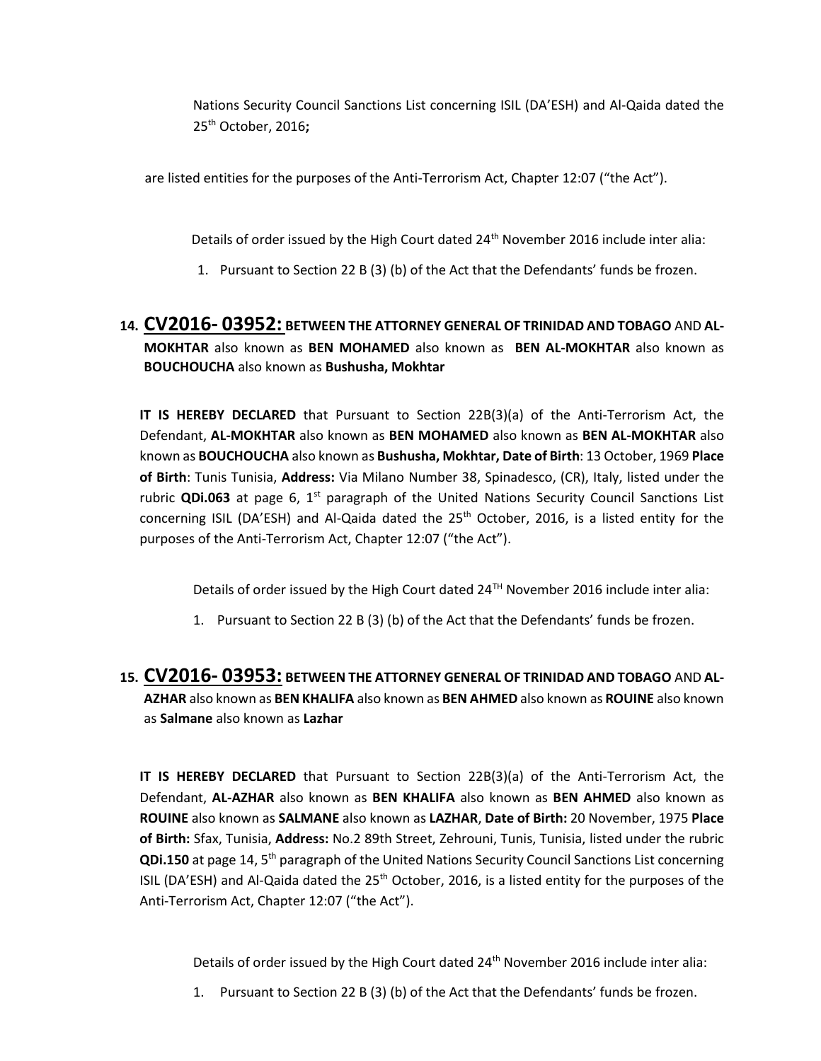Nations Security Council Sanctions List concerning ISIL (DA'ESH) and Al-Qaida dated the 25th October, 2016**;**

are listed entities for the purposes of the Anti-Terrorism Act, Chapter 12:07 ("the Act").

Details of order issued by the High Court dated 24<sup>th</sup> November 2016 include inter alia:

1. Pursuant to Section 22 B (3) (b) of the Act that the Defendants' funds be frozen.

### **14. CV2016- 03952: BETWEEN THE ATTORNEY GENERAL OF TRINIDAD AND TOBAGO** AND **AL-MOKHTAR** also known as **BEN MOHAMED** also known as **BEN AL-MOKHTAR** also known as **BOUCHOUCHA** also known as **Bushusha, Mokhtar**

**IT IS HEREBY DECLARED** that Pursuant to Section 22B(3)(a) of the Anti-Terrorism Act, the Defendant, **AL-MOKHTAR** also known as **BEN MOHAMED** also known as **BEN AL-MOKHTAR** also known as **BOUCHOUCHA** also known as **Bushusha, Mokhtar, Date of Birth**: 13 October, 1969 **Place of Birth**: Tunis Tunisia, **Address:** Via Milano Number 38, Spinadesco, (CR), Italy, listed under the rubric **QDi.063** at page 6, 1<sup>st</sup> paragraph of the United Nations Security Council Sanctions List concerning ISIL (DA'ESH) and Al-Qaida dated the 25<sup>th</sup> October, 2016, is a listed entity for the purposes of the Anti-Terrorism Act, Chapter 12:07 ("the Act").

Details of order issued by the High Court dated 24<sup>TH</sup> November 2016 include inter alia:

- 1. Pursuant to Section 22 B (3) (b) of the Act that the Defendants' funds be frozen.
- **15. CV2016- 03953: BETWEEN THE ATTORNEY GENERAL OF TRINIDAD AND TOBAGO** AND **AL-AZHAR** also known as **BEN KHALIFA** also known as **BEN AHMED** also known as **ROUINE** also known as **Salmane** also known as **Lazhar**

**IT IS HEREBY DECLARED** that Pursuant to Section 22B(3)(a) of the Anti-Terrorism Act, the Defendant, **AL-AZHAR** also known as **BEN KHALIFA** also known as **BEN AHMED** also known as **ROUINE** also known as **SALMANE** also known as **LAZHAR**, **Date of Birth:** 20 November, 1975 **Place of Birth:** Sfax, Tunisia, **Address:** No.2 89th Street, Zehrouni, Tunis, Tunisia, listed under the rubric **QDi.150** at page 14, 5th paragraph of the United Nations Security Council Sanctions List concerning ISIL (DA'ESH) and Al-Qaida dated the  $25<sup>th</sup>$  October, 2016, is a listed entity for the purposes of the Anti-Terrorism Act, Chapter 12:07 ("the Act").

Details of order issued by the High Court dated 24<sup>th</sup> November 2016 include inter alia:

1. Pursuant to Section 22 B (3) (b) of the Act that the Defendants' funds be frozen.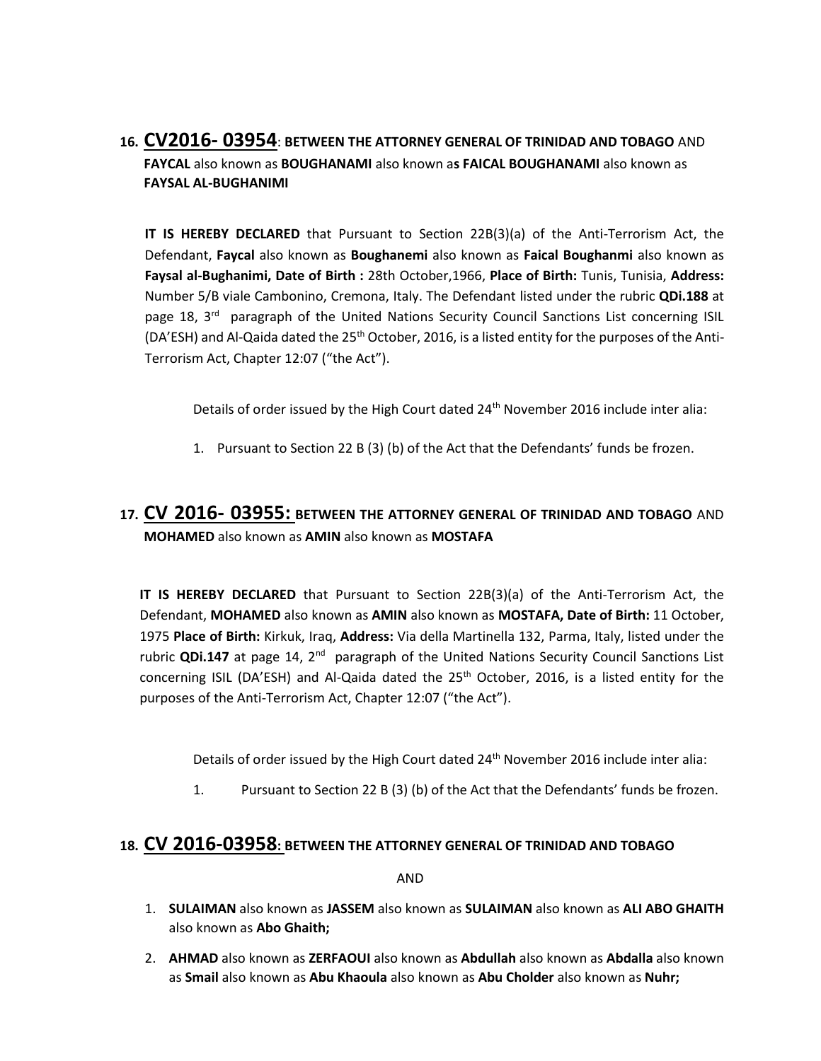# **16. CV2016- 03954**: **BETWEEN THE ATTORNEY GENERAL OF TRINIDAD AND TOBAGO** AND **FAYCAL** also known as **BOUGHANAMI** also known a**s FAICAL BOUGHANAMI** also known as **FAYSAL AL-BUGHANIMI**

**IT IS HEREBY DECLARED** that Pursuant to Section 22B(3)(a) of the Anti-Terrorism Act, the Defendant, **Faycal** also known as **Boughanemi** also known as **Faical Boughanmi** also known as **Faysal al-Bughanimi, Date of Birth :** 28th October,1966, **Place of Birth:** Tunis, Tunisia, **Address:**  Number 5/B viale Cambonino, Cremona, Italy. The Defendant listed under the rubric **QDi.188** at page 18, 3<sup>rd</sup> paragraph of the United Nations Security Council Sanctions List concerning ISIL (DA'ESH) and Al-Qaida dated the  $25<sup>th</sup>$  October, 2016, is a listed entity for the purposes of the Anti-Terrorism Act, Chapter 12:07 ("the Act").

Details of order issued by the High Court dated 24<sup>th</sup> November 2016 include inter alia:

1. Pursuant to Section 22 B (3) (b) of the Act that the Defendants' funds be frozen.

# **17. CV 2016- 03955: BETWEEN THE ATTORNEY GENERAL OF TRINIDAD AND TOBAGO** AND **MOHAMED** also known as **AMIN** also known as **MOSTAFA**

**IT IS HEREBY DECLARED** that Pursuant to Section 22B(3)(a) of the Anti-Terrorism Act, the Defendant, **MOHAMED** also known as **AMIN** also known as **MOSTAFA, Date of Birth:** 11 October, 1975 **Place of Birth:** Kirkuk, Iraq, **Address:** Via della Martinella 132, Parma, Italy, listed under the rubric **QDi.147** at page 14, 2<sup>nd</sup> paragraph of the United Nations Security Council Sanctions List concerning ISIL (DA'ESH) and Al-Qaida dated the 25<sup>th</sup> October, 2016, is a listed entity for the purposes of the Anti-Terrorism Act, Chapter 12:07 ("the Act").

Details of order issued by the High Court dated 24<sup>th</sup> November 2016 include inter alia:

1. Pursuant to Section 22 B (3) (b) of the Act that the Defendants' funds be frozen.

#### **18. CV 2016-03958: BETWEEN THE ATTORNEY GENERAL OF TRINIDAD AND TOBAGO**

AND

- 1. **SULAIMAN** also known as **JASSEM** also known as **SULAIMAN** also known as **ALI ABO GHAITH**  also known as **Abo Ghaith;**
- 2. **AHMAD** also known as **ZERFAOUI** also known as **Abdullah** also known as **Abdalla** also known as **Smail** also known as **Abu Khaoula** also known as **Abu Cholder** also known as **Nuhr;**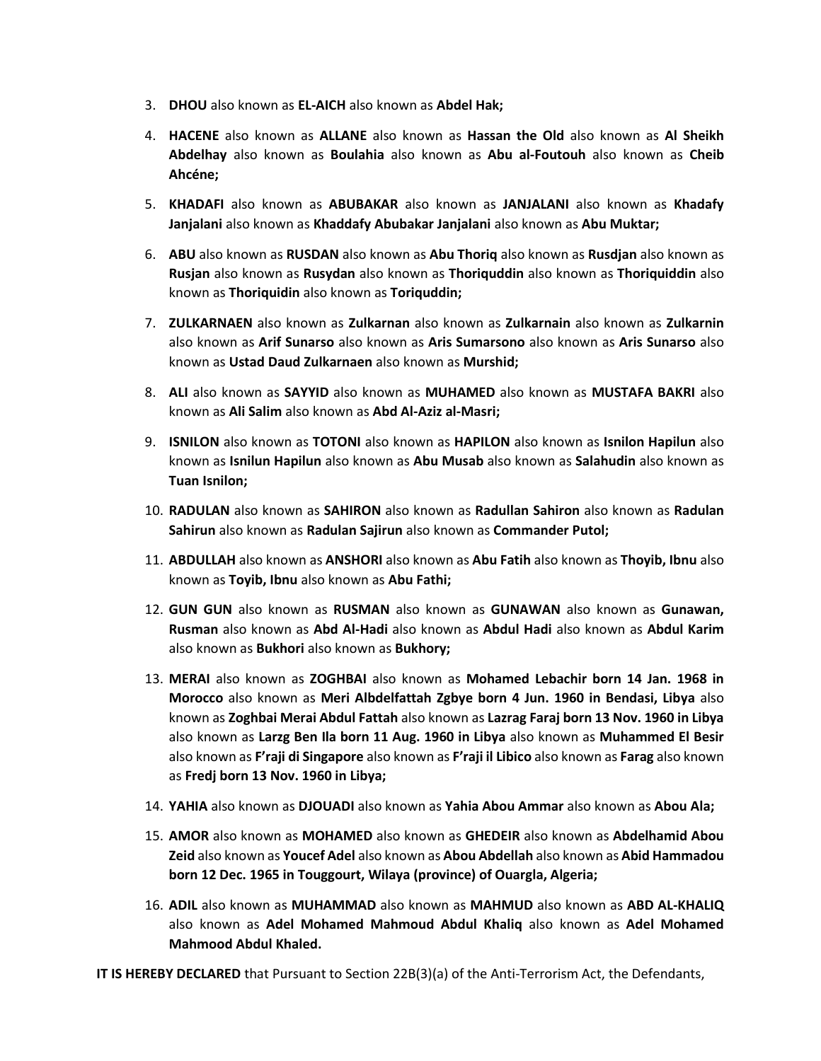- 3. **DHOU** also known as **EL-AICH** also known as **Abdel Hak;**
- 4. **HACENE** also known as **ALLANE** also known as **Hassan the Old** also known as **Al Sheikh Abdelhay** also known as **Boulahia** also known as **Abu al-Foutouh** also known as **Cheib Ahcéne;**
- 5. **KHADAFI** also known as **ABUBAKAR** also known as **JANJALANI** also known as **Khadafy Janjalani** also known as **Khaddafy Abubakar Janjalani** also known as **Abu Muktar;**
- 6. **ABU** also known as **RUSDAN** also known as **Abu Thoriq** also known as **Rusdjan** also known as **Rusjan** also known as **Rusydan** also known as **Thoriquddin** also known as **Thoriquiddin** also known as **Thoriquidin** also known as **Toriquddin;**
- 7. **ZULKARNAEN** also known as **Zulkarnan** also known as **Zulkarnain** also known as **Zulkarnin**  also known as **Arif Sunarso** also known as **Aris Sumarsono** also known as **Aris Sunarso** also known as **Ustad Daud Zulkarnaen** also known as **Murshid;**
- 8. **ALI** also known as **SAYYID** also known as **MUHAMED** also known as **MUSTAFA BAKRI** also known as **Ali Salim** also known as **Abd Al-Aziz al-Masri;**
- 9. **ISNILON** also known as **TOTONI** also known as **HAPILON** also known as **Isnilon Hapilun** also known as **Isnilun Hapilun** also known as **Abu Musab** also known as **Salahudin** also known as **Tuan Isnilon;**
- 10. **RADULAN** also known as **SAHIRON** also known as **Radullan Sahiron** also known as **Radulan Sahirun** also known as **Radulan Sajirun** also known as **Commander Putol;**
- 11. **ABDULLAH** also known as **ANSHORI** also known as **Abu Fatih** also known as **Thoyib, Ibnu** also known as **Toyib, Ibnu** also known as **Abu Fathi;**
- 12. **GUN GUN** also known as **RUSMAN** also known as **GUNAWAN** also known as **Gunawan, Rusman** also known as **Abd Al-Hadi** also known as **Abdul Hadi** also known as **Abdul Karim**  also known as **Bukhori** also known as **Bukhory;**
- 13. **MERAI** also known as **ZOGHBAI** also known as **Mohamed Lebachir born 14 Jan. 1968 in Morocco** also known as **Meri Albdelfattah Zgbye born 4 Jun. 1960 in Bendasi, Libya** also known as **Zoghbai Merai Abdul Fattah** also known as **Lazrag Faraj born 13 Nov. 1960 in Libya**  also known as **Larzg Ben Ila born 11 Aug. 1960 in Libya** also known as **Muhammed El Besir**  also known as **F'raji di Singapore** also known as **F'raji il Libico** also known as **Farag** also known as **Fredj born 13 Nov. 1960 in Libya;**
- 14. **YAHIA** also known as **DJOUADI** also known as **Yahia Abou Ammar** also known as **Abou Ala;**
- 15. **AMOR** also known as **MOHAMED** also known as **GHEDEIR** also known as **Abdelhamid Abou Zeid** also known as **Youcef Adel** also known as **Abou Abdellah** also known as **Abid Hammadou born 12 Dec. 1965 in Touggourt, Wilaya (province) of Ouargla, Algeria;**
- 16. **ADIL** also known as **MUHAMMAD** also known as **MAHMUD** also known as **ABD AL-KHALIQ**  also known as **Adel Mohamed Mahmoud Abdul Khaliq** also known as **Adel Mohamed Mahmood Abdul Khaled.**

**IT IS HEREBY DECLARED** that Pursuant to Section 22B(3)(a) of the Anti-Terrorism Act, the Defendants,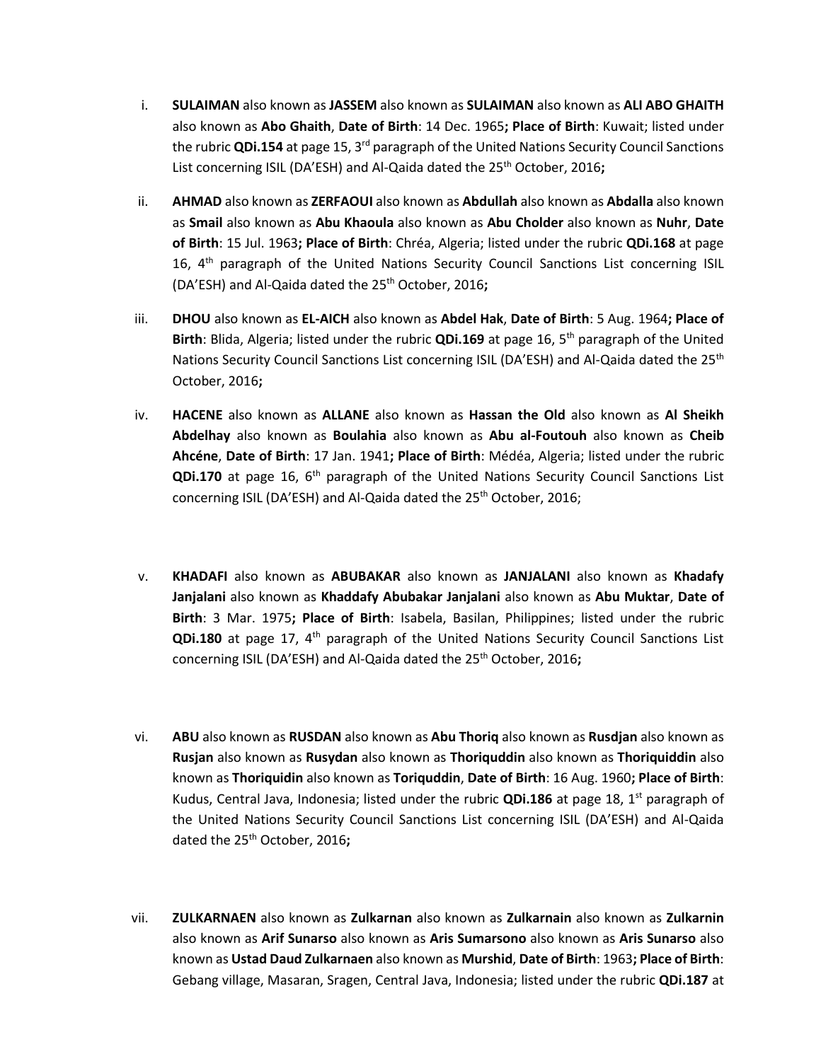- i. **SULAIMAN** also known as **JASSEM** also known as **SULAIMAN** also known as **ALI ABO GHAITH**  also known as **Abo Ghaith**, **Date of Birth**: 14 Dec. 1965**; Place of Birth**: Kuwait; listed under the rubric **QDi.154** at page 15, 3rd paragraph of the United Nations Security Council Sanctions List concerning ISIL (DA'ESH) and Al-Qaida dated the 25<sup>th</sup> October, 2016;
- ii. **AHMAD** also known as **ZERFAOUI** also known as **Abdullah** also known as **Abdalla** also known as **Smail** also known as **Abu Khaoula** also known as **Abu Cholder** also known as **Nuhr**, **Date of Birth**: 15 Jul. 1963**; Place of Birth**: Chréa, Algeria; listed under the rubric **QDi.168** at page 16,  $4<sup>th</sup>$  paragraph of the United Nations Security Council Sanctions List concerning ISIL (DA'ESH) and Al-Qaida dated the 25<sup>th</sup> October, 2016;
- iii. **DHOU** also known as **EL-AICH** also known as **Abdel Hak**, **Date of Birth**: 5 Aug. 1964**; Place of Birth**: Blida, Algeria; listed under the rubric **QDi.169** at page 16, 5th paragraph of the United Nations Security Council Sanctions List concerning ISIL (DA'ESH) and Al-Qaida dated the 25<sup>th</sup> October, 2016**;**
- iv. **HACENE** also known as **ALLANE** also known as **Hassan the Old** also known as **Al Sheikh Abdelhay** also known as **Boulahia** also known as **Abu al-Foutouh** also known as **Cheib Ahcéne**, **Date of Birth**: 17 Jan. 1941**; Place of Birth**: Médéa, Algeria; listed under the rubric **QDi.170** at page 16, 6<sup>th</sup> paragraph of the United Nations Security Council Sanctions List concerning ISIL (DA'ESH) and Al-Qaida dated the 25<sup>th</sup> October, 2016;
- v. **KHADAFI** also known as **ABUBAKAR** also known as **JANJALANI** also known as **Khadafy Janjalani** also known as **Khaddafy Abubakar Janjalani** also known as **Abu Muktar**, **Date of Birth**: 3 Mar. 1975**; Place of Birth**: Isabela, Basilan, Philippines; listed under the rubric **QDi.180** at page 17, 4th paragraph of the United Nations Security Council Sanctions List concerning ISIL (DA'ESH) and Al-Qaida dated the 25<sup>th</sup> October, 2016;
- vi. **ABU** also known as **RUSDAN** also known as **Abu Thoriq** also known as **Rusdjan** also known as **Rusjan** also known as **Rusydan** also known as **Thoriquddin** also known as **Thoriquiddin** also known as **Thoriquidin** also known as **Toriquddin**, **Date of Birth**: 16 Aug. 1960**; Place of Birth**: Kudus, Central Java, Indonesia; listed under the rubric **QDi.186** at page 18, 1<sup>st</sup> paragraph of the United Nations Security Council Sanctions List concerning ISIL (DA'ESH) and Al-Qaida dated the 25th October, 2016**;**
- vii. **ZULKARNAEN** also known as **Zulkarnan** also known as **Zulkarnain** also known as **Zulkarnin**  also known as **Arif Sunarso** also known as **Aris Sumarsono** also known as **Aris Sunarso** also known as **Ustad Daud Zulkarnaen** also known as **Murshid**, **Date of Birth**: 1963**; Place of Birth**: Gebang village, Masaran, Sragen, Central Java, Indonesia; listed under the rubric **QDi.187** at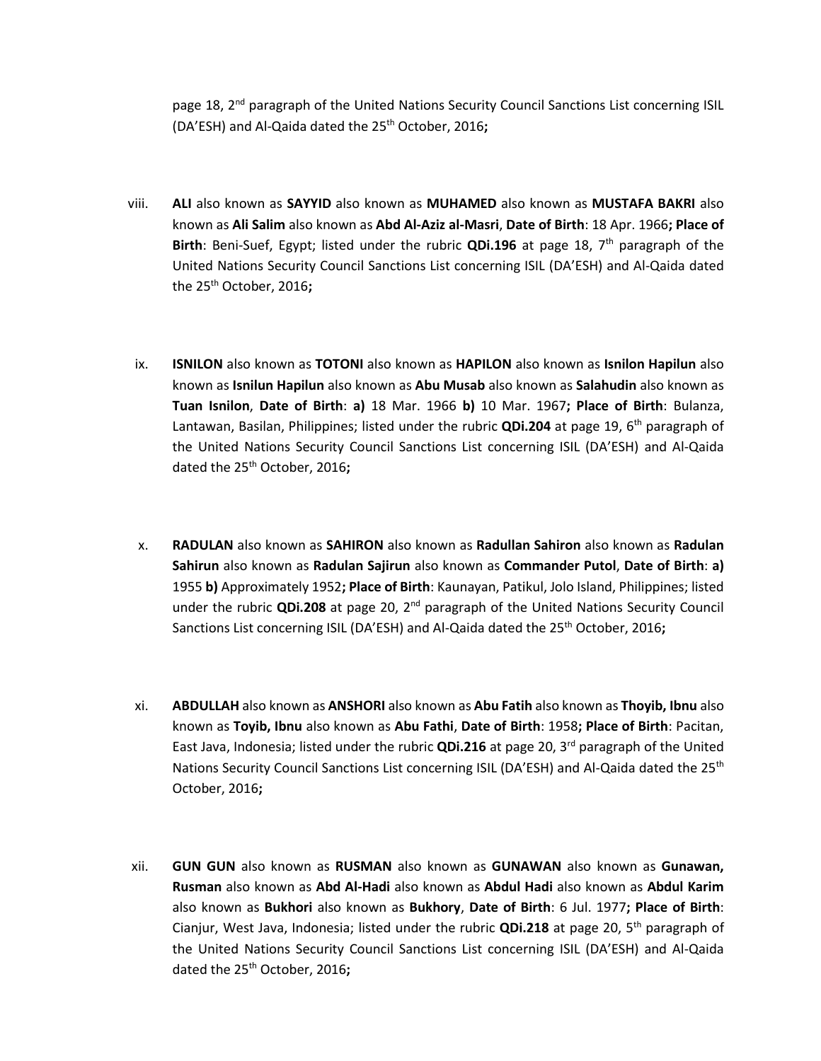page 18, 2<sup>nd</sup> paragraph of the United Nations Security Council Sanctions List concerning ISIL (DA'ESH) and Al-Qaida dated the 25th October, 2016**;**

- viii. **ALI** also known as **SAYYID** also known as **MUHAMED** also known as **MUSTAFA BAKRI** also known as **Ali Salim** also known as **Abd Al-Aziz al-Masri**, **Date of Birth**: 18 Apr. 1966**; Place of Birth**: Beni-Suef, Egypt; listed under the rubric **QDi.196** at page 18, 7<sup>th</sup> paragraph of the United Nations Security Council Sanctions List concerning ISIL (DA'ESH) and Al-Qaida dated the 25th October, 2016**;**
- ix. **ISNILON** also known as **TOTONI** also known as **HAPILON** also known as **Isnilon Hapilun** also known as **Isnilun Hapilun** also known as **Abu Musab** also known as **Salahudin** also known as **Tuan Isnilon**, **Date of Birth**: **a)** 18 Mar. 1966 **b)** 10 Mar. 1967**; Place of Birth**: Bulanza, Lantawan, Basilan, Philippines; listed under the rubric **QDi.204** at page 19, 6th paragraph of the United Nations Security Council Sanctions List concerning ISIL (DA'ESH) and Al-Qaida dated the 25th October, 2016**;**
- x. **RADULAN** also known as **SAHIRON** also known as **Radullan Sahiron** also known as **Radulan Sahirun** also known as **Radulan Sajirun** also known as **Commander Putol**, **Date of Birth**: **a)**  1955 **b)** Approximately 1952**; Place of Birth**: Kaunayan, Patikul, Jolo Island, Philippines; listed under the rubric **QDi.208** at page 20, 2nd paragraph of the United Nations Security Council Sanctions List concerning ISIL (DA'ESH) and Al-Qaida dated the 25th October, 2016**;**
- xi. **ABDULLAH** also known as **ANSHORI** also known as **Abu Fatih** also known as **Thoyib, Ibnu** also known as **Toyib, Ibnu** also known as **Abu Fathi**, **Date of Birth**: 1958**; Place of Birth**: Pacitan, East Java, Indonesia; listed under the rubric **QDi.216** at page 20, 3rd paragraph of the United Nations Security Council Sanctions List concerning ISIL (DA'ESH) and Al-Qaida dated the 25<sup>th</sup> October, 2016**;**
- xii. **GUN GUN** also known as **RUSMAN** also known as **GUNAWAN** also known as **Gunawan, Rusman** also known as **Abd Al-Hadi** also known as **Abdul Hadi** also known as **Abdul Karim**  also known as **Bukhori** also known as **Bukhory**, **Date of Birth**: 6 Jul. 1977**; Place of Birth**: Cianjur, West Java, Indonesia; listed under the rubric **QDi.218** at page 20, 5th paragraph of the United Nations Security Council Sanctions List concerning ISIL (DA'ESH) and Al-Qaida dated the 25th October, 2016**;**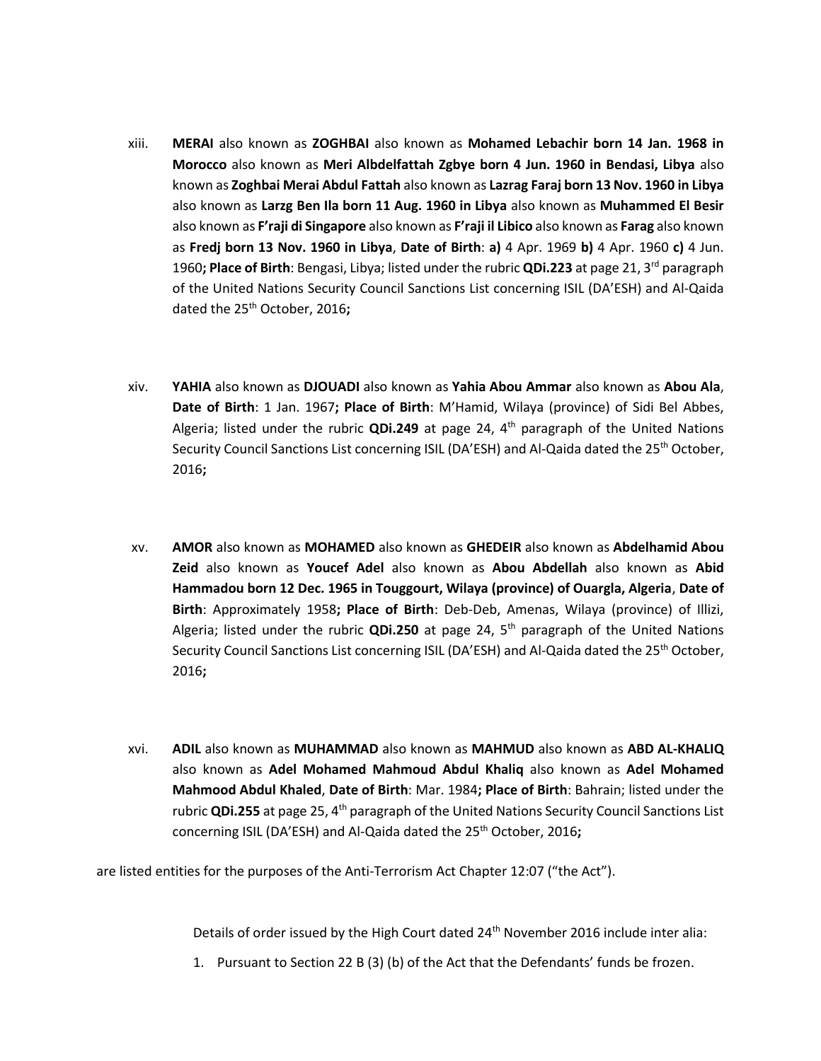- xiii. **MERAI** also known as **ZOGHBAI** also known as **Mohamed Lebachir born 14 Jan. 1968 in Morocco** also known as **Meri Albdelfattah Zgbye born 4 Jun. 1960 in Bendasi, Libya** also known as **Zoghbai Merai Abdul Fattah** also known as **Lazrag Faraj born 13 Nov. 1960 in Libya**  also known as **Larzg Ben Ila born 11 Aug. 1960 in Libya** also known as **Muhammed El Besir**  also known as **F'raji di Singapore** also known as **F'raji il Libico** also known as **Farag** also known as **Fredj born 13 Nov. 1960 in Libya**, **Date of Birth**: **a)** 4 Apr. 1969 **b)** 4 Apr. 1960 **c)** 4 Jun. 1960**; Place of Birth**: Bengasi, Libya; listed under the rubric **QDi.223** at page 21, 3rd paragraph of the United Nations Security Council Sanctions List concerning ISIL (DA'ESH) and Al-Qaida dated the 25th October, 2016**;**
- xiv. **YAHIA** also known as **DJOUADI** also known as **Yahia Abou Ammar** also known as **Abou Ala**, **Date of Birth**: 1 Jan. 1967**; Place of Birth**: M'Hamid, Wilaya (province) of Sidi Bel Abbes, Algeria; listed under the rubric **QDi.249** at page 24, 4th paragraph of the United Nations Security Council Sanctions List concerning ISIL (DA'ESH) and Al-Qaida dated the 25<sup>th</sup> October, 2016**;**
- xv. **AMOR** also known as **MOHAMED** also known as **GHEDEIR** also known as **Abdelhamid Abou Zeid** also known as **Youcef Adel** also known as **Abou Abdellah** also known as **Abid Hammadou born 12 Dec. 1965 in Touggourt, Wilaya (province) of Ouargla, Algeria**, **Date of Birth**: Approximately 1958**; Place of Birth**: Deb-Deb, Amenas, Wilaya (province) of Illizi, Algeria; listed under the rubric **QDi.250** at page 24, 5th paragraph of the United Nations Security Council Sanctions List concerning ISIL (DA'ESH) and Al-Qaida dated the 25<sup>th</sup> October, 2016**;**
- xvi. **ADIL** also known as **MUHAMMAD** also known as **MAHMUD** also known as **ABD AL-KHALIQ** also known as **Adel Mohamed Mahmoud Abdul Khaliq** also known as **Adel Mohamed Mahmood Abdul Khaled**, **Date of Birth**: Mar. 1984**; Place of Birth**: Bahrain; listed under the rubric **QDi.255** at page 25, 4<sup>th</sup> paragraph of the United Nations Security Council Sanctions List concerning ISIL (DA'ESH) and Al-Qaida dated the 25<sup>th</sup> October, 2016;

are listed entities for the purposes of the Anti-Terrorism Act Chapter 12:07 ("the Act").

Details of order issued by the High Court dated 24<sup>th</sup> November 2016 include inter alia:

1. Pursuant to Section 22 B (3) (b) of the Act that the Defendants' funds be frozen.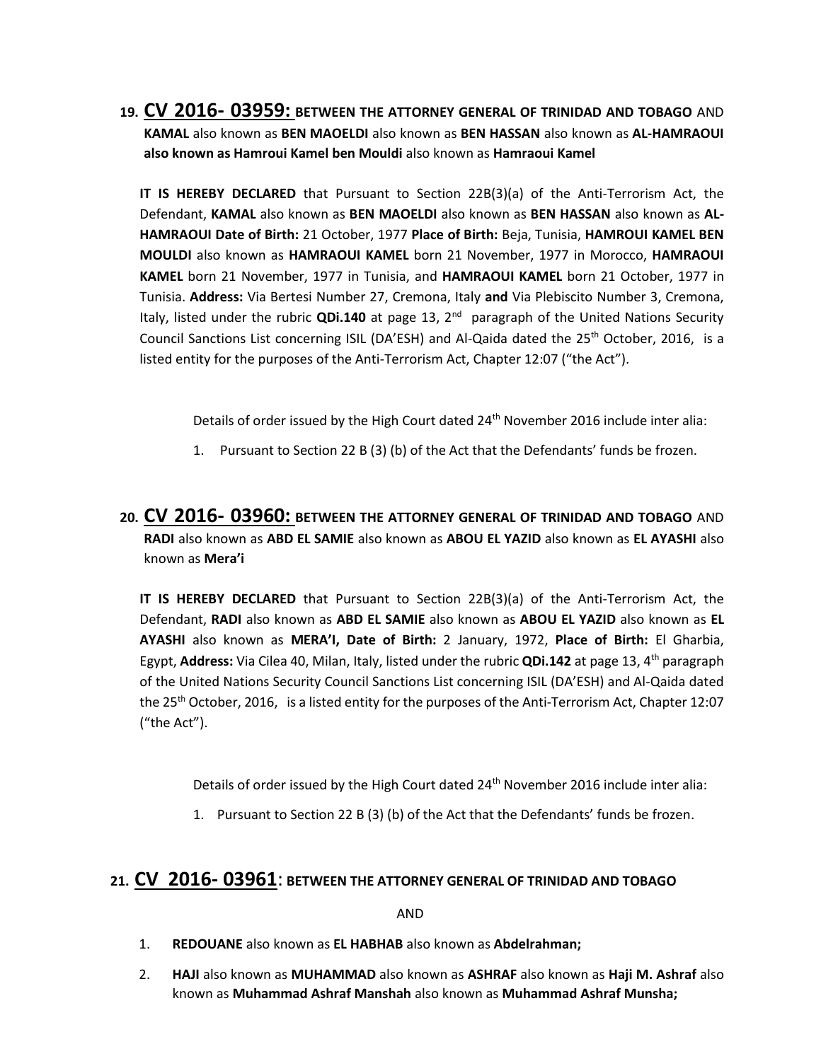**19. CV 2016- 03959: BETWEEN THE ATTORNEY GENERAL OF TRINIDAD AND TOBAGO** AND **KAMAL** also known as **BEN MAOELDI** also known as **BEN HASSAN** also known as **AL-HAMRAOUI also known as Hamroui Kamel ben Mouldi** also known as **Hamraoui Kamel**

**IT IS HEREBY DECLARED** that Pursuant to Section 22B(3)(a) of the Anti-Terrorism Act, the Defendant, **KAMAL** also known as **BEN MAOELDI** also known as **BEN HASSAN** also known as **AL-HAMRAOUI Date of Birth:** 21 October, 1977 **Place of Birth:** Beja, Tunisia, **HAMROUI KAMEL BEN MOULDI** also known as **HAMRAOUI KAMEL** born 21 November, 1977 in Morocco, **HAMRAOUI KAMEL** born 21 November, 1977 in Tunisia, and **HAMRAOUI KAMEL** born 21 October, 1977 in Tunisia. **Address:** Via Bertesi Number 27, Cremona, Italy **and** Via Plebiscito Number 3, Cremona, Italy, listed under the rubric **QDi.140** at page 13, 2nd paragraph of the United Nations Security Council Sanctions List concerning ISIL (DA'ESH) and Al-Qaida dated the  $25<sup>th</sup>$  October, 2016, is a listed entity for the purposes of the Anti-Terrorism Act, Chapter 12:07 ("the Act").

Details of order issued by the High Court dated 24<sup>th</sup> November 2016 include inter alia:

- 1. Pursuant to Section 22 B (3) (b) of the Act that the Defendants' funds be frozen.
- **20. CV 2016- 03960: BETWEEN THE ATTORNEY GENERAL OF TRINIDAD AND TOBAGO** AND **RADI** also known as **ABD EL SAMIE** also known as **ABOU EL YAZID** also known as **EL AYASHI** also known as **Mera'i**

**IT IS HEREBY DECLARED** that Pursuant to Section 22B(3)(a) of the Anti-Terrorism Act, the Defendant, **RADI** also known as **ABD EL SAMIE** also known as **ABOU EL YAZID** also known as **EL AYASHI** also known as **MERA'I, Date of Birth:** 2 January, 1972, **Place of Birth:** El Gharbia, Egypt, **Address:** Via Cilea 40, Milan, Italy, listed under the rubric **QDi.142** at page 13, 4th paragraph of the United Nations Security Council Sanctions List concerning ISIL (DA'ESH) and Al-Qaida dated the 25<sup>th</sup> October, 2016, is a listed entity for the purposes of the Anti-Terrorism Act, Chapter 12:07 ("the Act").

Details of order issued by the High Court dated 24<sup>th</sup> November 2016 include inter alia:

1. Pursuant to Section 22 B (3) (b) of the Act that the Defendants' funds be frozen.

#### **21. CV 2016- 03961**: **BETWEEN THE ATTORNEY GENERAL OF TRINIDAD AND TOBAGO**

AND

- 1. **REDOUANE** also known as **EL HABHAB** also known as **Abdelrahman;**
- 2. **HAJI** also known as **MUHAMMAD** also known as **ASHRAF** also known as **Haji M. Ashraf** also known as **Muhammad Ashraf Manshah** also known as **Muhammad Ashraf Munsha;**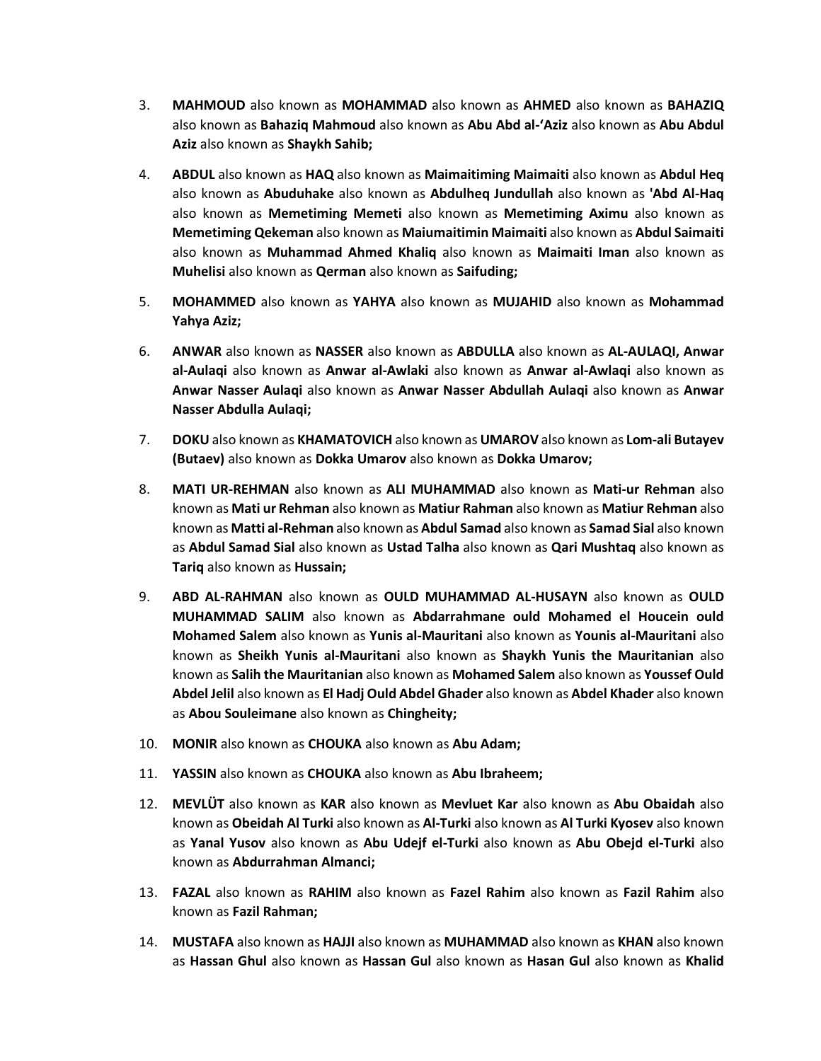- 3. **MAHMOUD** also known as **MOHAMMAD** also known as **AHMED** also known as **BAHAZIQ**  also known as **Bahaziq Mahmoud** also known as **Abu Abd al-'Aziz** also known as **Abu Abdul Aziz** also known as **Shaykh Sahib;**
- 4. **ABDUL** also known as **HAQ** also known as **Maimaitiming Maimaiti** also known as **Abdul Heq**  also known as **Abuduhake** also known as **Abdulheq Jundullah** also known as **'Abd Al-Haq**  also known as **Memetiming Memeti** also known as **Memetiming Aximu** also known as **Memetiming Qekeman** also known as **Maiumaitimin Maimaiti** also known as **Abdul Saimaiti**  also known as **Muhammad Ahmed Khaliq** also known as **Maimaiti Iman** also known as **Muhelisi** also known as **Qerman** also known as **Saifuding;**
- 5. **MOHAMMED** also known as **YAHYA** also known as **MUJAHID** also known as **Mohammad Yahya Aziz;**
- 6. **ANWAR** also known as **NASSER** also known as **ABDULLA** also known as **AL-AULAQI, Anwar al-Aulaqi** also known as **Anwar al-Awlaki** also known as **Anwar al-Awlaqi** also known as **Anwar Nasser Aulaqi** also known as **Anwar Nasser Abdullah Aulaqi** also known as **Anwar Nasser Abdulla Aulaqi;**
- 7. **DOKU** also known as **KHAMATOVICH** also known as **UMAROV** also known as **Lom-ali Butayev (Butaev)** also known as **Dokka Umarov** also known as **Dokka Umarov;**
- 8. **MATI UR-REHMAN** also known as **ALI MUHAMMAD** also known as **Mati-ur Rehman** also known as **Mati ur Rehman** also known as **Matiur Rahman** also known as **Matiur Rehman** also known as **Matti al-Rehman** also known as **Abdul Samad** also known as **Samad Sial** also known as **Abdul Samad Sial** also known as **Ustad Talha** also known as **Qari Mushtaq** also known as **Tariq** also known as **Hussain;**
- 9. **ABD AL-RAHMAN** also known as **OULD MUHAMMAD AL-HUSAYN** also known as **OULD MUHAMMAD SALIM** also known as **Abdarrahmane ould Mohamed el Houcein ould Mohamed Salem** also known as **Yunis al-Mauritani** also known as **Younis al-Mauritani** also known as **Sheikh Yunis al-Mauritani** also known as **Shaykh Yunis the Mauritanian** also known as **Salih the Mauritanian** also known as **Mohamed Salem** also known as **Youssef Ould Abdel Jelil** also known as **El Hadj Ould Abdel Ghader** also known as **Abdel Khader** also known as **Abou Souleimane** also known as **Chingheity;**
- 10. **MONIR** also known as **CHOUKA** also known as **Abu Adam;**
- 11. **YASSIN** also known as **CHOUKA** also known as **Abu Ibraheem;**
- 12. **MEVLÜT** also known as **KAR** also known as **Mevluet Kar** also known as **Abu Obaidah** also known as **Obeidah Al Turki** also known as **Al-Turki** also known as **Al Turki Kyosev** also known as **Yanal Yusov** also known as **Abu Udejf el-Turki** also known as **Abu Obejd el-Turki** also known as **Abdurrahman Almanci;**
- 13. **FAZAL** also known as **RAHIM** also known as **Fazel Rahim** also known as **Fazil Rahim** also known as **Fazil Rahman;**
- 14. **MUSTAFA** also known as **HAJJI** also known as **MUHAMMAD** also known as **KHAN** also known as **Hassan Ghul** also known as **Hassan Gul** also known as **Hasan Gul** also known as **Khalid**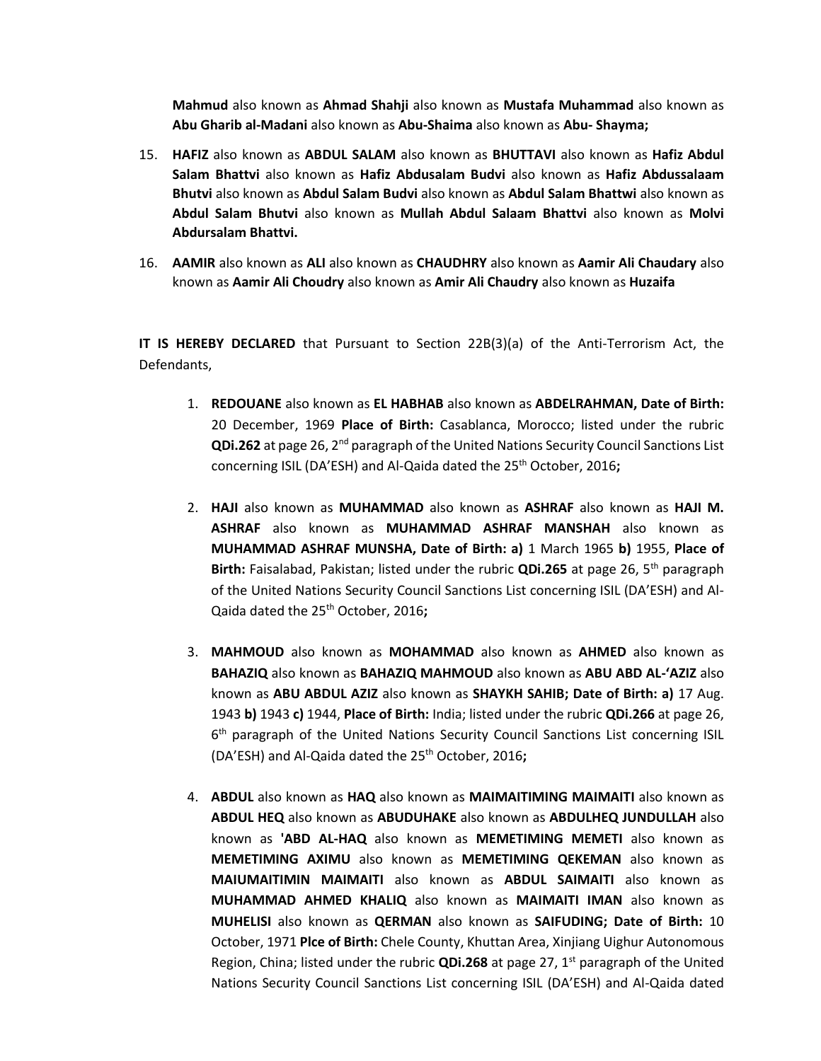**Mahmud** also known as **Ahmad Shahji** also known as **Mustafa Muhammad** also known as **Abu Gharib al-Madani** also known as **Abu-Shaima** also known as **Abu- Shayma;** 

- 15. **HAFIZ** also known as **ABDUL SALAM** also known as **BHUTTAVI** also known as **Hafiz Abdul Salam Bhattvi** also known as **Hafiz Abdusalam Budvi** also known as **Hafiz Abdussalaam Bhutvi** also known as **Abdul Salam Budvi** also known as **Abdul Salam Bhattwi** also known as **Abdul Salam Bhutvi** also known as **Mullah Abdul Salaam Bhattvi** also known as **Molvi Abdursalam Bhattvi.**
- 16. **AAMIR** also known as **ALI** also known as **CHAUDHRY** also known as **Aamir Ali Chaudary** also known as **Aamir Ali Choudry** also known as **Amir Ali Chaudry** also known as **Huzaifa**

**IT IS HEREBY DECLARED** that Pursuant to Section 22B(3)(a) of the Anti-Terrorism Act, the Defendants,

- 1. **REDOUANE** also known as **EL HABHAB** also known as **ABDELRAHMAN, Date of Birth:**  20 December, 1969 **Place of Birth:** Casablanca, Morocco; listed under the rubric **QDi.262** at page 26, 2nd paragraph of the United Nations Security Council Sanctions List concerning ISIL (DA'ESH) and Al-Qaida dated the 25<sup>th</sup> October, 2016;
- 2. **HAJI** also known as **MUHAMMAD** also known as **ASHRAF** also known as **HAJI M. ASHRAF** also known as **MUHAMMAD ASHRAF MANSHAH** also known as **MUHAMMAD ASHRAF MUNSHA, Date of Birth: a)** 1 March 1965 **b)** 1955, **Place of Birth:** Faisalabad, Pakistan; listed under the rubric **QDi.265** at page 26, 5th paragraph of the United Nations Security Council Sanctions List concerning ISIL (DA'ESH) and Al-Qaida dated the 25th October, 2016**;**
- 3. **MAHMOUD** also known as **MOHAMMAD** also known as **AHMED** also known as **BAHAZIQ** also known as **BAHAZIQ MAHMOUD** also known as **ABU ABD AL-'AZIZ** also known as **ABU ABDUL AZIZ** also known as **SHAYKH SAHIB; Date of Birth: a)** 17 Aug. 1943 **b)** 1943 **c)** 1944, **Place of Birth:** India; listed under the rubric **QDi.266** at page 26, 6<sup>th</sup> paragraph of the United Nations Security Council Sanctions List concerning ISIL (DA'ESH) and Al-Qaida dated the 25<sup>th</sup> October, 2016;
- 4. **ABDUL** also known as **HAQ** also known as **MAIMAITIMING MAIMAITI** also known as **ABDUL HEQ** also known as **ABUDUHAKE** also known as **ABDULHEQ JUNDULLAH** also known as **'ABD AL-HAQ** also known as **MEMETIMING MEMETI** also known as **MEMETIMING AXIMU** also known as **MEMETIMING QEKEMAN** also known as **MAIUMAITIMIN MAIMAITI** also known as **ABDUL SAIMAITI** also known as **MUHAMMAD AHMED KHALIQ** also known as **MAIMAITI IMAN** also known as **MUHELISI** also known as **QERMAN** also known as **SAIFUDING; Date of Birth:** 10 October, 1971 **Plce of Birth:** Chele County, Khuttan Area, Xinjiang Uighur Autonomous Region, China; listed under the rubric **QDi.268** at page 27, 1st paragraph of the United Nations Security Council Sanctions List concerning ISIL (DA'ESH) and Al-Qaida dated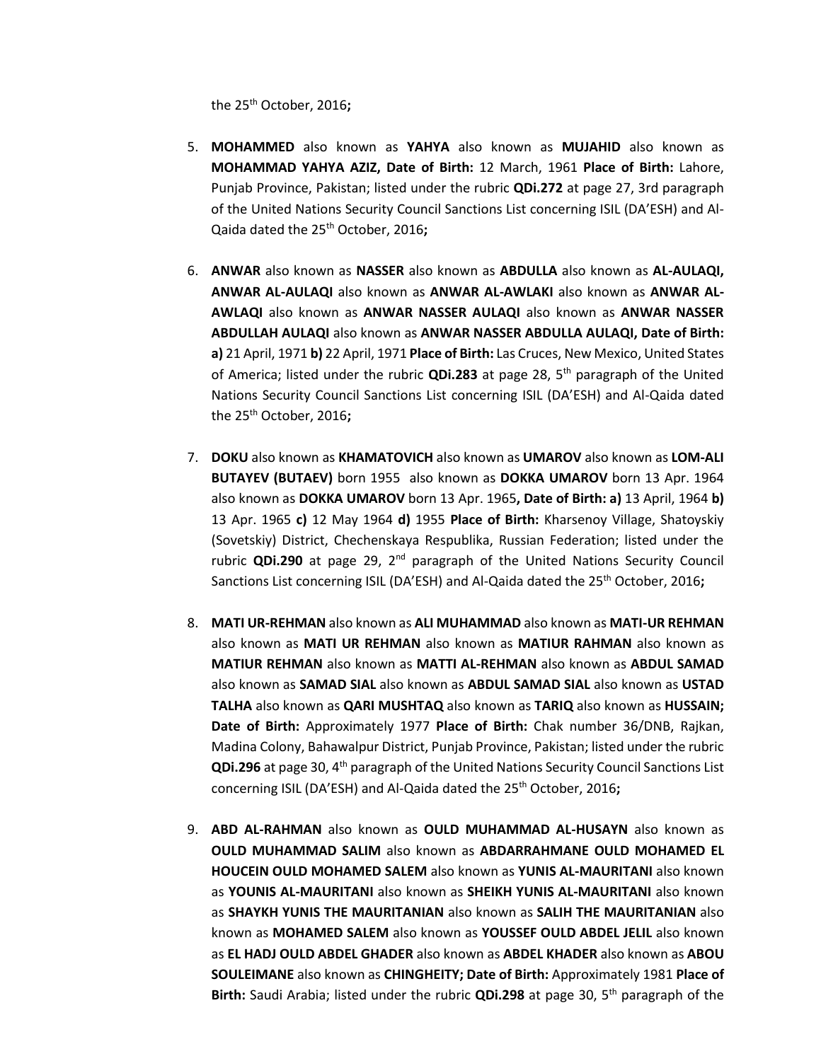the 25th October, 2016**;**

- 5. **MOHAMMED** also known as **YAHYA** also known as **MUJAHID** also known as **MOHAMMAD YAHYA AZIZ, Date of Birth:** 12 March, 1961 **Place of Birth:** Lahore, Punjab Province, Pakistan; listed under the rubric **QDi.272** at page 27, 3rd paragraph of the United Nations Security Council Sanctions List concerning ISIL (DA'ESH) and Al-Qaida dated the 25th October, 2016**;**
- 6. **ANWAR** also known as **NASSER** also known as **ABDULLA** also known as **AL-AULAQI, ANWAR AL-AULAQI** also known as **ANWAR AL-AWLAKI** also known as **ANWAR AL-AWLAQI** also known as **ANWAR NASSER AULAQI** also known as **ANWAR NASSER ABDULLAH AULAQI** also known as **ANWAR NASSER ABDULLA AULAQI, Date of Birth: a)** 21 April, 1971 **b)** 22 April, 1971 **Place of Birth:** Las Cruces, New Mexico, United States of America; listed under the rubric **QDi.283** at page 28, 5th paragraph of the United Nations Security Council Sanctions List concerning ISIL (DA'ESH) and Al-Qaida dated the 25th October, 2016**;**
- 7. **DOKU** also known as **KHAMATOVICH** also known as **UMAROV** also known as **LOM-ALI BUTAYEV (BUTAEV)** born 1955 also known as **DOKKA UMAROV** born 13 Apr. 1964 also known as **DOKKA UMAROV** born 13 Apr. 1965**, Date of Birth: a)** 13 April, 1964 **b)**  13 Apr. 1965 **c)** 12 May 1964 **d)** 1955 **Place of Birth:** Kharsenoy Village, Shatoyskiy (Sovetskiy) District, Chechenskaya Respublika, Russian Federation; listed under the rubric **QDi.290** at page 29,  $2<sup>nd</sup>$  paragraph of the United Nations Security Council Sanctions List concerning ISIL (DA'ESH) and Al-Qaida dated the 25<sup>th</sup> October, 2016**;**
- 8. **MATI UR-REHMAN** also known as **ALI MUHAMMAD** also known as **MATI-UR REHMAN**  also known as **MATI UR REHMAN** also known as **MATIUR RAHMAN** also known as **MATIUR REHMAN** also known as **MATTI AL-REHMAN** also known as **ABDUL SAMAD**  also known as **SAMAD SIAL** also known as **ABDUL SAMAD SIAL** also known as **USTAD TALHA** also known as **QARI MUSHTAQ** also known as **TARIQ** also known as **HUSSAIN; Date of Birth:** Approximately 1977 **Place of Birth:** Chak number 36/DNB, Rajkan, Madina Colony, Bahawalpur District, Punjab Province, Pakistan; listed under the rubric **QDi.296** at page 30, 4th paragraph of the United Nations Security Council Sanctions List concerning ISIL (DA'ESH) and Al-Qaida dated the 25<sup>th</sup> October, 2016;
- 9. **ABD AL-RAHMAN** also known as **OULD MUHAMMAD AL-HUSAYN** also known as **OULD MUHAMMAD SALIM** also known as **ABDARRAHMANE OULD MOHAMED EL HOUCEIN OULD MOHAMED SALEM** also known as **YUNIS AL-MAURITANI** also known as **YOUNIS AL-MAURITANI** also known as **SHEIKH YUNIS AL-MAURITANI** also known as **SHAYKH YUNIS THE MAURITANIAN** also known as **SALIH THE MAURITANIAN** also known as **MOHAMED SALEM** also known as **YOUSSEF OULD ABDEL JELIL** also known as **EL HADJ OULD ABDEL GHADER** also known as **ABDEL KHADER** also known as **ABOU SOULEIMANE** also known as **CHINGHEITY; Date of Birth:** Approximately 1981 **Place of Birth:** Saudi Arabia; listed under the rubric **QDi.298** at page 30, 5th paragraph of the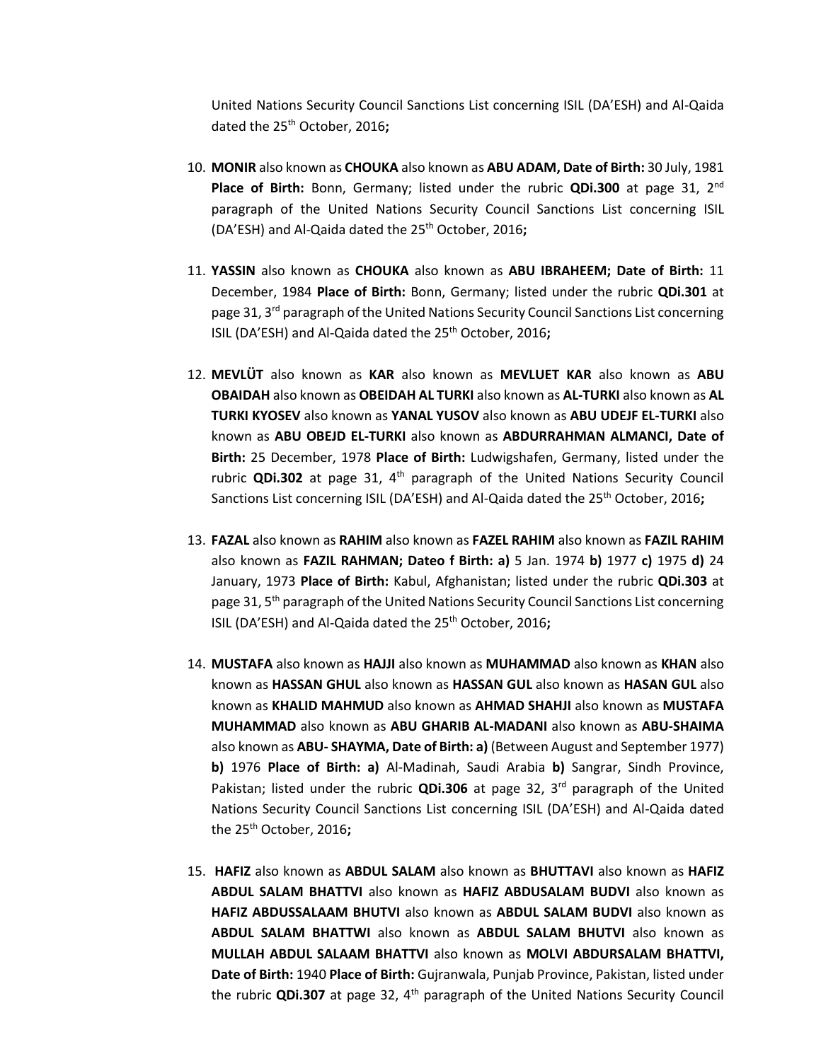United Nations Security Council Sanctions List concerning ISIL (DA'ESH) and Al-Qaida dated the 25th October, 2016**;**

- 10. **MONIR** also known as **CHOUKA** also known as **ABU ADAM, Date of Birth:** 30 July, 1981 **Place of Birth:** Bonn, Germany; listed under the rubric **QDi.300** at page 31, 2nd paragraph of the United Nations Security Council Sanctions List concerning ISIL (DA'ESH) and Al-Qaida dated the 25th October, 2016**;**
- 11. **YASSIN** also known as **CHOUKA** also known as **ABU IBRAHEEM; Date of Birth:** 11 December, 1984 **Place of Birth:** Bonn, Germany; listed under the rubric **QDi.301** at page 31,  $3^{rd}$  paragraph of the United Nations Security Council Sanctions List concerning ISIL (DA'ESH) and Al-Qaida dated the 25th October, 2016**;**
- 12. **MEVLÜT** also known as **KAR** also known as **MEVLUET KAR** also known as **ABU OBAIDAH** also known as **OBEIDAH AL TURKI** also known as **AL-TURKI** also known as **AL TURKI KYOSEV** also known as **YANAL YUSOV** also known as **ABU UDEJF EL-TURKI** also known as **ABU OBEJD EL-TURKI** also known as **ABDURRAHMAN ALMANCI, Date of Birth:** 25 December, 1978 **Place of Birth:** Ludwigshafen, Germany, listed under the rubric **QDi.302** at page 31,  $4<sup>th</sup>$  paragraph of the United Nations Security Council Sanctions List concerning ISIL (DA'ESH) and Al-Qaida dated the 25th October, 2016**;**
- 13. **FAZAL** also known as **RAHIM** also known as **FAZEL RAHIM** also known as **FAZIL RAHIM**  also known as **FAZIL RAHMAN; Dateo f Birth: a)** 5 Jan. 1974 **b)** 1977 **c)** 1975 **d)** 24 January, 1973 **Place of Birth:** Kabul, Afghanistan; listed under the rubric **QDi.303** at page 31, 5<sup>th</sup> paragraph of the United Nations Security Council Sanctions List concerning ISIL (DA'ESH) and Al-Qaida dated the 25th October, 2016**;**
- 14. **MUSTAFA** also known as **HAJJI** also known as **MUHAMMAD** also known as **KHAN** also known as **HASSAN GHUL** also known as **HASSAN GUL** also known as **HASAN GUL** also known as **KHALID MAHMUD** also known as **AHMAD SHAHJI** also known as **MUSTAFA MUHAMMAD** also known as **ABU GHARIB AL-MADANI** also known as **ABU-SHAIMA**  also known as **ABU- SHAYMA, Date of Birth: a)** (Between August and September 1977) **b)** 1976 **Place of Birth: a)** Al-Madinah, Saudi Arabia **b)** Sangrar, Sindh Province, Pakistan; listed under the rubric **QDi.306** at page 32, 3rd paragraph of the United Nations Security Council Sanctions List concerning ISIL (DA'ESH) and Al-Qaida dated the 25th October, 2016**;**
- 15. **HAFIZ** also known as **ABDUL SALAM** also known as **BHUTTAVI** also known as **HAFIZ ABDUL SALAM BHATTVI** also known as **HAFIZ ABDUSALAM BUDVI** also known as **HAFIZ ABDUSSALAAM BHUTVI** also known as **ABDUL SALAM BUDVI** also known as **ABDUL SALAM BHATTWI** also known as **ABDUL SALAM BHUTVI** also known as **MULLAH ABDUL SALAAM BHATTVI** also known as **MOLVI ABDURSALAM BHATTVI, Date of Birth:** 1940 **Place of Birth:** Gujranwala, Punjab Province, Pakistan, listed under the rubric **QDi.307** at page 32, 4<sup>th</sup> paragraph of the United Nations Security Council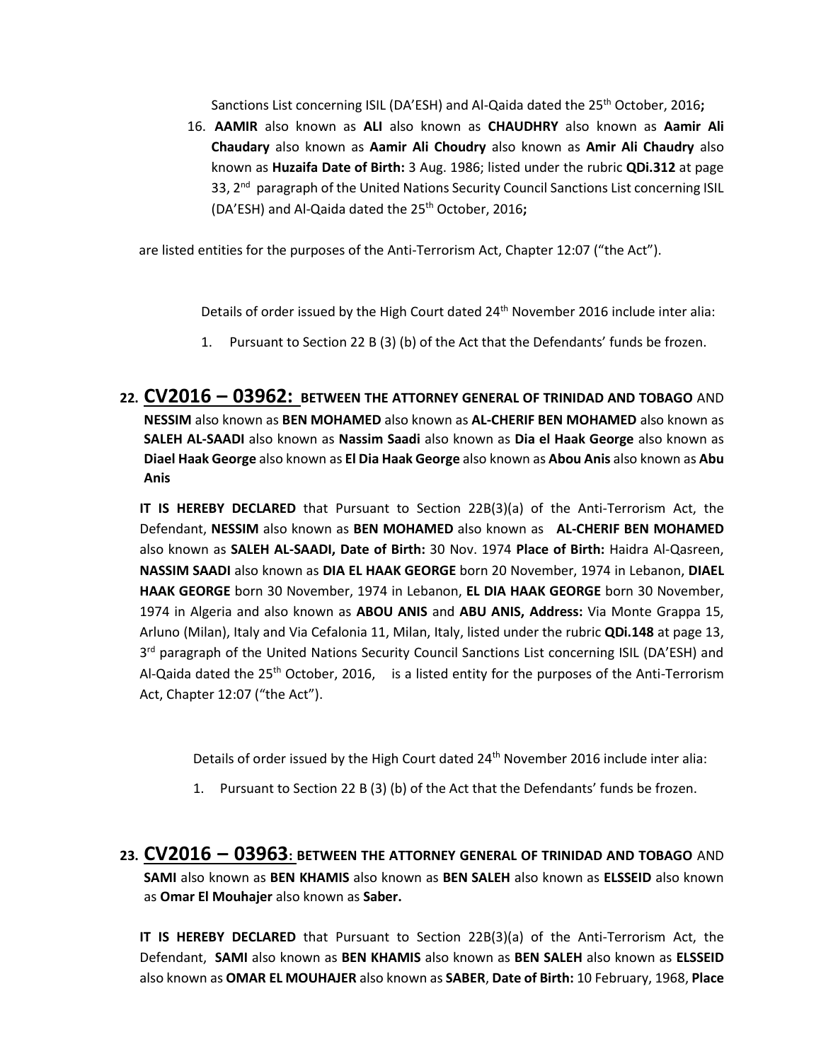Sanctions List concerning ISIL (DA'ESH) and Al-Qaida dated the 25th October, 2016**;**

16. **AAMIR** also known as **ALI** also known as **CHAUDHRY** also known as **Aamir Ali Chaudary** also known as **Aamir Ali Choudry** also known as **Amir Ali Chaudry** also known as **Huzaifa Date of Birth:** 3 Aug. 1986; listed under the rubric **QDi.312** at page 33, 2<sup>nd</sup> paragraph of the United Nations Security Council Sanctions List concerning ISIL (DA'ESH) and Al-Qaida dated the 25th October, 2016**;**

are listed entities for the purposes of the Anti-Terrorism Act, Chapter 12:07 ("the Act").

Details of order issued by the High Court dated 24<sup>th</sup> November 2016 include inter alia:

- 1. Pursuant to Section 22 B (3) (b) of the Act that the Defendants' funds be frozen.
- **22. CV2016 – 03962: BETWEEN THE ATTORNEY GENERAL OF TRINIDAD AND TOBAGO** AND **NESSIM** also known as **BEN MOHAMED** also known as **AL-CHERIF BEN MOHAMED** also known as **SALEH AL-SAADI** also known as **Nassim Saadi** also known as **Dia el Haak George** also known as **Diael Haak George** also known as **El Dia Haak George** also known as **Abou Anis** also known as **Abu Anis**

**IT IS HEREBY DECLARED** that Pursuant to Section 22B(3)(a) of the Anti-Terrorism Act, the Defendant, **NESSIM** also known as **BEN MOHAMED** also known as **AL-CHERIF BEN MOHAMED**  also known as **SALEH AL-SAADI, Date of Birth:** 30 Nov. 1974 **Place of Birth:** Haidra Al-Qasreen, **NASSIM SAADI** also known as **DIA EL HAAK GEORGE** born 20 November, 1974 in Lebanon, **DIAEL HAAK GEORGE** born 30 November, 1974 in Lebanon, **EL DIA HAAK GEORGE** born 30 November, 1974 in Algeria and also known as **ABOU ANIS** and **ABU ANIS, Address:** Via Monte Grappa 15, Arluno (Milan), Italy and Via Cefalonia 11, Milan, Italy, listed under the rubric **QDi.148** at page 13, 3<sup>rd</sup> paragraph of the United Nations Security Council Sanctions List concerning ISIL (DA'ESH) and Al-Qaida dated the  $25<sup>th</sup>$  October, 2016, is a listed entity for the purposes of the Anti-Terrorism Act, Chapter 12:07 ("the Act").

Details of order issued by the High Court dated 24<sup>th</sup> November 2016 include inter alia:

- 1. Pursuant to Section 22 B (3) (b) of the Act that the Defendants' funds be frozen.
- **23. CV2016 – 03963: BETWEEN THE ATTORNEY GENERAL OF TRINIDAD AND TOBAGO** AND **SAMI** also known as **BEN KHAMIS** also known as **BEN SALEH** also known as **ELSSEID** also known as **Omar El Mouhajer** also known as **Saber.**

**IT IS HEREBY DECLARED** that Pursuant to Section 22B(3)(a) of the Anti-Terrorism Act, the Defendant, **SAMI** also known as **BEN KHAMIS** also known as **BEN SALEH** also known as **ELSSEID**  also known as **OMAR EL MOUHAJER** also known as **SABER**, **Date of Birth:** 10 February, 1968, **Place**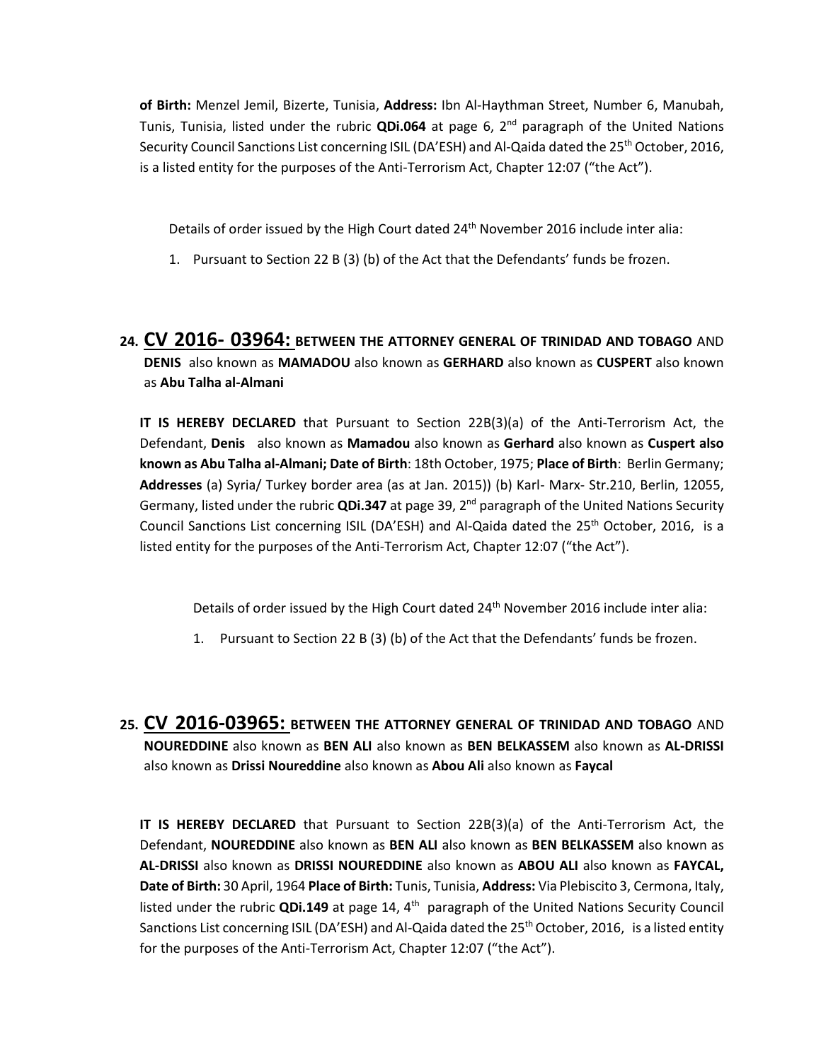**of Birth:** Menzel Jemil, Bizerte, Tunisia, **Address:** Ibn Al-Haythman Street, Number 6, Manubah, Tunis, Tunisia, listed under the rubric **QDi.064** at page 6, 2nd paragraph of the United Nations Security Council Sanctions List concerning ISIL (DA'ESH) and Al-Qaida dated the 25<sup>th</sup> October, 2016, is a listed entity for the purposes of the Anti-Terrorism Act, Chapter 12:07 ("the Act").

Details of order issued by the High Court dated 24<sup>th</sup> November 2016 include inter alia:

1. Pursuant to Section 22 B (3) (b) of the Act that the Defendants' funds be frozen.

# **24. CV 2016- 03964: BETWEEN THE ATTORNEY GENERAL OF TRINIDAD AND TOBAGO** AND **DENIS** also known as **MAMADOU** also known as **GERHARD** also known as **CUSPERT** also known as **Abu Talha al-Almani**

**IT IS HEREBY DECLARED** that Pursuant to Section 22B(3)(a) of the Anti-Terrorism Act, the Defendant, **Denis** also known as **Mamadou** also known as **Gerhard** also known as **Cuspert also known as Abu Talha al-Almani; Date of Birth**: 18th October, 1975; **Place of Birth**: Berlin Germany; **Addresses** (a) Syria/ Turkey border area (as at Jan. 2015)) (b) Karl- Marx- Str.210, Berlin, 12055, Germany, listed under the rubric **QDi.347** at page 39, 2nd paragraph of the United Nations Security Council Sanctions List concerning ISIL (DA'ESH) and Al-Qaida dated the  $25<sup>th</sup>$  October, 2016, is a listed entity for the purposes of the Anti-Terrorism Act, Chapter 12:07 ("the Act").

Details of order issued by the High Court dated 24<sup>th</sup> November 2016 include inter alia:

- 1. Pursuant to Section 22 B (3) (b) of the Act that the Defendants' funds be frozen.
- **25. CV 2016-03965: BETWEEN THE ATTORNEY GENERAL OF TRINIDAD AND TOBAGO** AND **NOUREDDINE** also known as **BEN ALI** also known as **BEN BELKASSEM** also known as **AL-DRISSI**  also known as **Drissi Noureddine** also known as **Abou Ali** also known as **Faycal**

**IT IS HEREBY DECLARED** that Pursuant to Section 22B(3)(a) of the Anti-Terrorism Act, the Defendant, **NOUREDDINE** also known as **BEN ALI** also known as **BEN BELKASSEM** also known as **AL-DRISSI** also known as **DRISSI NOUREDDINE** also known as **ABOU ALI** also known as **FAYCAL, Date of Birth:** 30 April, 1964 **Place of Birth:** Tunis, Tunisia, **Address:** Via Plebiscito 3, Cermona, Italy, listed under the rubric QDi.149 at page 14, 4<sup>th</sup> paragraph of the United Nations Security Council Sanctions List concerning ISIL (DA'ESH) and Al-Qaida dated the 25<sup>th</sup> October, 2016, is a listed entity for the purposes of the Anti-Terrorism Act, Chapter 12:07 ("the Act").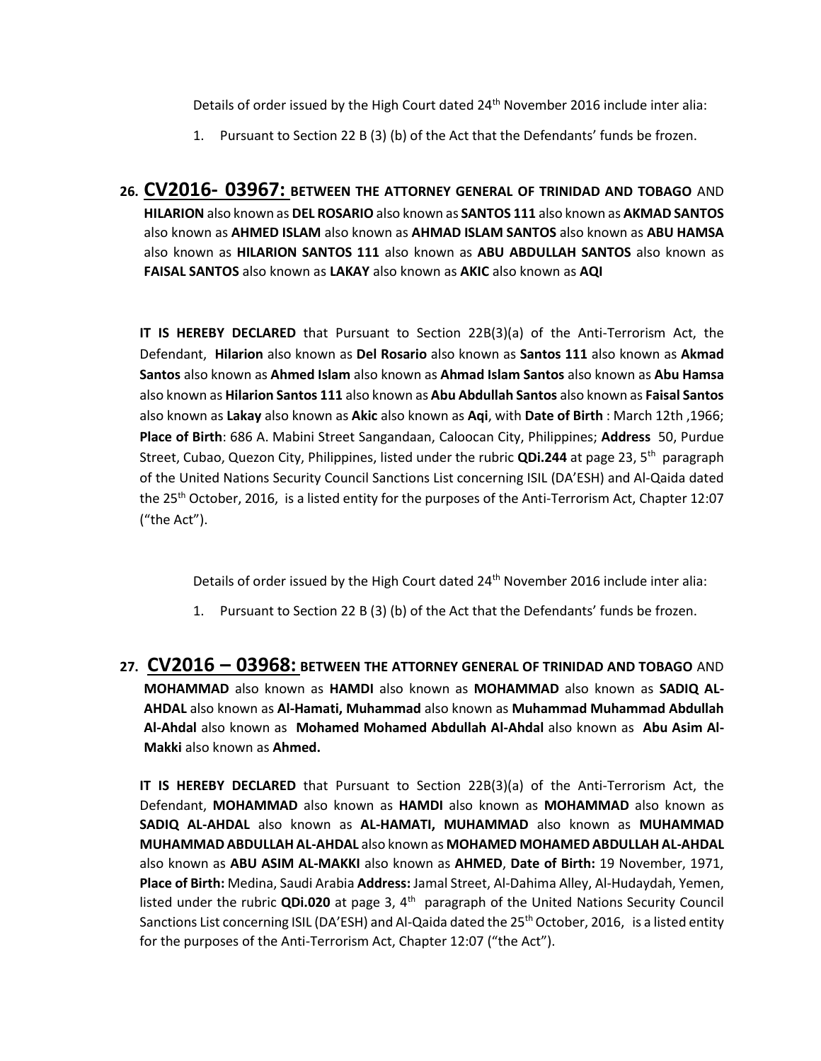Details of order issued by the High Court dated 24<sup>th</sup> November 2016 include inter alia:

- 1. Pursuant to Section 22 B (3) (b) of the Act that the Defendants' funds be frozen.
- **26. CV2016- 03967: BETWEEN THE ATTORNEY GENERAL OF TRINIDAD AND TOBAGO** AND **HILARION** also known as **DEL ROSARIO** also known as **SANTOS 111** also known as **AKMAD SANTOS**  also known as **AHMED ISLAM** also known as **AHMAD ISLAM SANTOS** also known as **ABU HAMSA**  also known as **HILARION SANTOS 111** also known as **ABU ABDULLAH SANTOS** also known as **FAISAL SANTOS** also known as **LAKAY** also known as **AKIC** also known as **AQI**

**IT IS HEREBY DECLARED** that Pursuant to Section 22B(3)(a) of the Anti-Terrorism Act, the Defendant, **Hilarion** also known as **Del Rosario** also known as **Santos 111** also known as **Akmad Santos** also known as **Ahmed Islam** also known as **Ahmad Islam Santos** also known as **Abu Hamsa** also known as **Hilarion Santos 111** also known as **Abu Abdullah Santos** also known as **Faisal Santos**  also known as **Lakay** also known as **Akic** also known as **Aqi**, with **Date of Birth** : March 12th ,1966; **Place of Birth**: 686 A. Mabini Street Sangandaan, Caloocan City, Philippines; **Address** 50, Purdue Street, Cubao, Quezon City, Philippines, listed under the rubric QDi.244 at page 23, 5<sup>th</sup> paragraph of the United Nations Security Council Sanctions List concerning ISIL (DA'ESH) and Al-Qaida dated the 25th October, 2016, is a listed entity for the purposes of the Anti-Terrorism Act, Chapter 12:07 ("the Act").

Details of order issued by the High Court dated 24<sup>th</sup> November 2016 include inter alia:

- 1. Pursuant to Section 22 B (3) (b) of the Act that the Defendants' funds be frozen.
- **27. CV2016 – 03968: BETWEEN THE ATTORNEY GENERAL OF TRINIDAD AND TOBAGO** AND **MOHAMMAD** also known as **HAMDI** also known as **MOHAMMAD** also known as **SADIQ AL-AHDAL** also known as **Al-Hamati, Muhammad** also known as **Muhammad Muhammad Abdullah Al-Ahdal** also known as **Mohamed Mohamed Abdullah Al-Ahdal** also known as **Abu Asim Al-Makki** also known as **Ahmed.**

**IT IS HEREBY DECLARED** that Pursuant to Section 22B(3)(a) of the Anti-Terrorism Act, the Defendant, **MOHAMMAD** also known as **HAMDI** also known as **MOHAMMAD** also known as **SADIQ AL-AHDAL** also known as **AL-HAMATI, MUHAMMAD** also known as **MUHAMMAD MUHAMMAD ABDULLAH AL-AHDAL** also known as **MOHAMED MOHAMED ABDULLAH AL-AHDAL** also known as **ABU ASIM AL-MAKKI** also known as **AHMED**, **Date of Birth:** 19 November, 1971, **Place of Birth:** Medina, Saudi Arabia **Address:** Jamal Street, Al-Dahima Alley, Al-Hudaydah, Yemen, listed under the rubric QDi.020 at page 3, 4<sup>th</sup> paragraph of the United Nations Security Council Sanctions List concerning ISIL (DA'ESH) and Al-Qaida dated the  $25<sup>th</sup>$  October, 2016, is a listed entity for the purposes of the Anti-Terrorism Act, Chapter 12:07 ("the Act").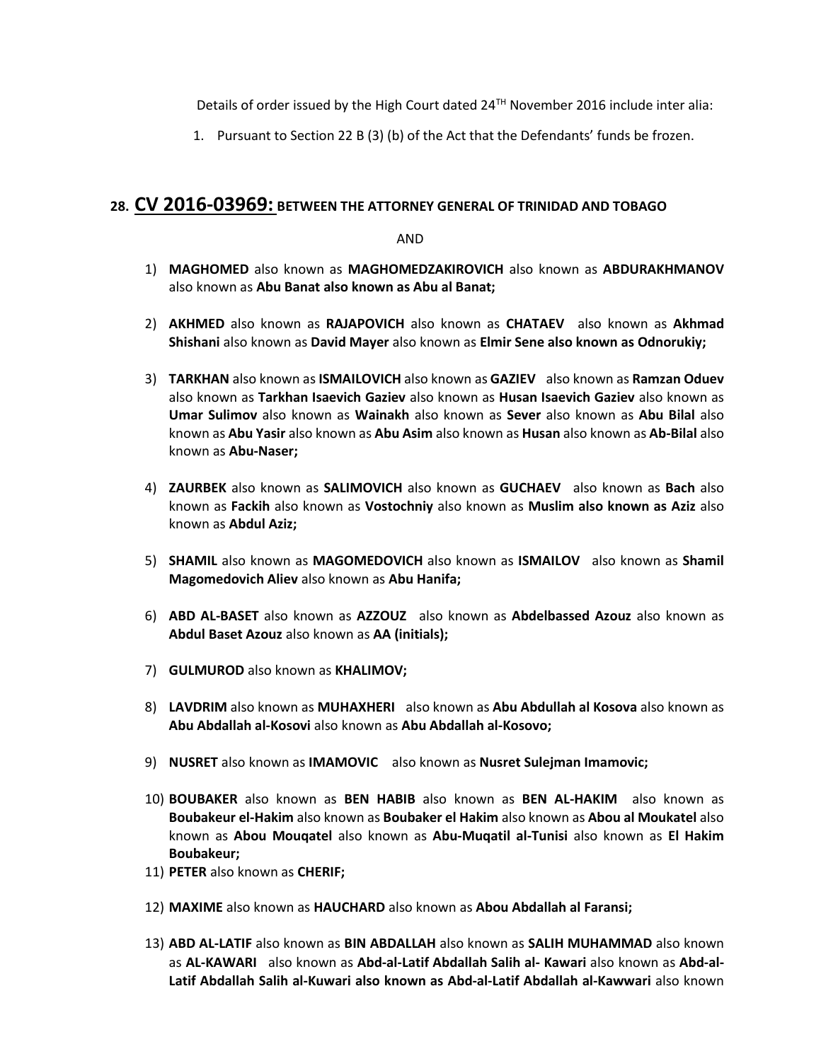Details of order issued by the High Court dated  $24<sup>TH</sup>$  November 2016 include inter alia:

1. Pursuant to Section 22 B (3) (b) of the Act that the Defendants' funds be frozen.

### **28. CV 2016-03969: BETWEEN THE ATTORNEY GENERAL OF TRINIDAD AND TOBAGO**

AND

- 1) **MAGHOMED** also known as **MAGHOMEDZAKIROVICH** also known as **ABDURAKHMANOV**  also known as **Abu Banat also known as Abu al Banat;**
- 2) **AKHMED** also known as **RAJAPOVICH** also known as **CHATAEV** also known as **Akhmad Shishani** also known as **David Mayer** also known as **Elmir Sene also known as Odnorukiy;**
- 3) **TARKHAN** also known as **ISMAILOVICH** also known as **GAZIEV** also known as **Ramzan Oduev**  also known as **Tarkhan Isaevich Gaziev** also known as **Husan Isaevich Gaziev** also known as **Umar Sulimov** also known as **Wainakh** also known as **Sever** also known as **Abu Bilal** also known as **Abu Yasir** also known as **Abu Asim** also known as **Husan** also known as **Ab-Bilal** also known as **Abu-Naser;**
- 4) **ZAURBEK** also known as **SALIMOVICH** also known as **GUCHAEV** also known as **Bach** also known as **Fackih** also known as **Vostochniy** also known as **Muslim also known as Aziz** also known as **Abdul Aziz;**
- 5) **SHAMIL** also known as **MAGOMEDOVICH** also known as **ISMAILOV** also known as **Shamil Magomedovich Aliev** also known as **Abu Hanifa;**
- 6) **ABD AL-BASET** also known as **AZZOUZ** also known as **Abdelbassed Azouz** also known as **Abdul Baset Azouz** also known as **AA (initials);**
- 7) **GULMUROD** also known as **KHALIMOV;**
- 8) **LAVDRIM** also known as **MUHAXHERI** also known as **Abu Abdullah al Kosova** also known as **Abu Abdallah al-Kosovi** also known as **Abu Abdallah al-Kosovo;**
- 9) **NUSRET** also known as **IMAMOVIC** also known as **Nusret Sulejman Imamovic;**
- 10) **BOUBAKER** also known as **BEN HABIB** also known as **BEN AL-HAKIM** also known as **Boubakeur el-Hakim** also known as **Boubaker el Hakim** also known as **Abou al Moukatel** also known as **Abou Mouqatel** also known as **Abu-Muqatil al-Tunisi** also known as **El Hakim Boubakeur;**
- 11) **PETER** also known as **CHERIF;**
- 12) **MAXIME** also known as **HAUCHARD** also known as **Abou Abdallah al Faransi;**
- 13) **ABD AL-LATIF** also known as **BIN ABDALLAH** also known as **SALIH MUHAMMAD** also known as AL-KAWARI also known as Abd-al-Latif Abdallah Salih al- Kawari also known as Abd-al-**Latif Abdallah Salih al-Kuwari also known as Abd-al-Latif Abdallah al-Kawwari** also known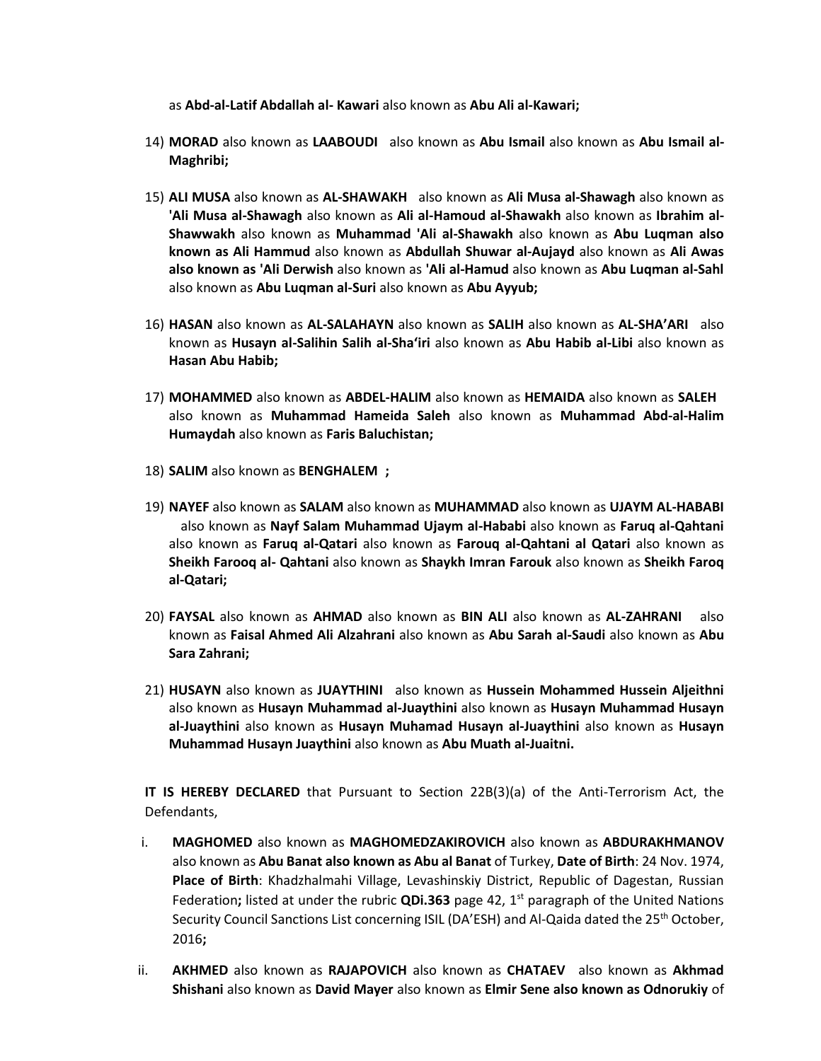as **Abd-al-Latif Abdallah al- Kawari** also known as **Abu Ali al-Kawari;**

- 14) MORAD also known as LAABOUDI also known as Abu Ismail also known as Abu Ismail al-**Maghribi;**
- 15) **ALI MUSA** also known as **AL-SHAWAKH** also known as **Ali Musa al-Shawagh** also known as **'Ali Musa al-Shawagh** also known as **Ali al-Hamoud al-Shawakh** also known as **Ibrahim al-Shawwakh** also known as **Muhammad 'Ali al-Shawakh** also known as **Abu Luqman also known as Ali Hammud** also known as **Abdullah Shuwar al-Aujayd** also known as **Ali Awas also known as 'Ali Derwish** also known as **'Ali al-Hamud** also known as **Abu Luqman al-Sahl**  also known as **Abu Luqman al-Suri** also known as **Abu Ayyub;**
- 16) **HASAN** also known as **AL-SALAHAYN** also known as **SALIH** also known as **AL-SHA'ARI** also known as **Husayn al-Salihin Salih al-Sha'iri** also known as **Abu Habib al-Libi** also known as **Hasan Abu Habib;**
- 17) **MOHAMMED** also known as **ABDEL-HALIM** also known as **HEMAIDA** also known as **SALEH** also known as **Muhammad Hameida Saleh** also known as **Muhammad Abd-al-Halim Humaydah** also known as **Faris Baluchistan;**
- 18) **SALIM** also known as **BENGHALEM ;**
- 19) **NAYEF** also known as **SALAM** also known as **MUHAMMAD** also known as **UJAYM AL-HABABI** also known as **Nayf Salam Muhammad Ujaym al-Hababi** also known as **Faruq al-Qahtani**  also known as **Faruq al-Qatari** also known as **Farouq al-Qahtani al Qatari** also known as **Sheikh Farooq al- Qahtani** also known as **Shaykh Imran Farouk** also known as **Sheikh Faroq al-Qatari;**
- 20) **FAYSAL** also known as **AHMAD** also known as **BIN ALI** also known as **AL-ZAHRANI** also known as **Faisal Ahmed Ali Alzahrani** also known as **Abu Sarah al-Saudi** also known as **Abu Sara Zahrani;**
- 21) **HUSAYN** also known as **JUAYTHINI** also known as Hussein Mohammed Hussein Aljeithni also known as **Husayn Muhammad al-Juaythini** also known as **Husayn Muhammad Husayn al-Juaythini** also known as **Husayn Muhamad Husayn al-Juaythini** also known as **Husayn Muhammad Husayn Juaythini** also known as **Abu Muath al-Juaitni.**

**IT IS HEREBY DECLARED** that Pursuant to Section 22B(3)(a) of the Anti-Terrorism Act, the Defendants,

- i. **MAGHOMED** also known as **MAGHOMEDZAKIROVICH** also known as **ABDURAKHMANOV**  also known as **Abu Banat also known as Abu al Banat** of Turkey, **Date of Birth**: 24 Nov. 1974, **Place of Birth**: Khadzhalmahi Village, Levashinskiy District, Republic of Dagestan, Russian Federation; listed at under the rubric **QDi.363** page 42, 1<sup>st</sup> paragraph of the United Nations Security Council Sanctions List concerning ISIL (DA'ESH) and Al-Qaida dated the 25<sup>th</sup> October, 2016**;**
- ii. **AKHMED** also known as **RAJAPOVICH** also known as **CHATAEV** also known as **Akhmad Shishani** also known as **David Mayer** also known as **Elmir Sene also known as Odnorukiy** of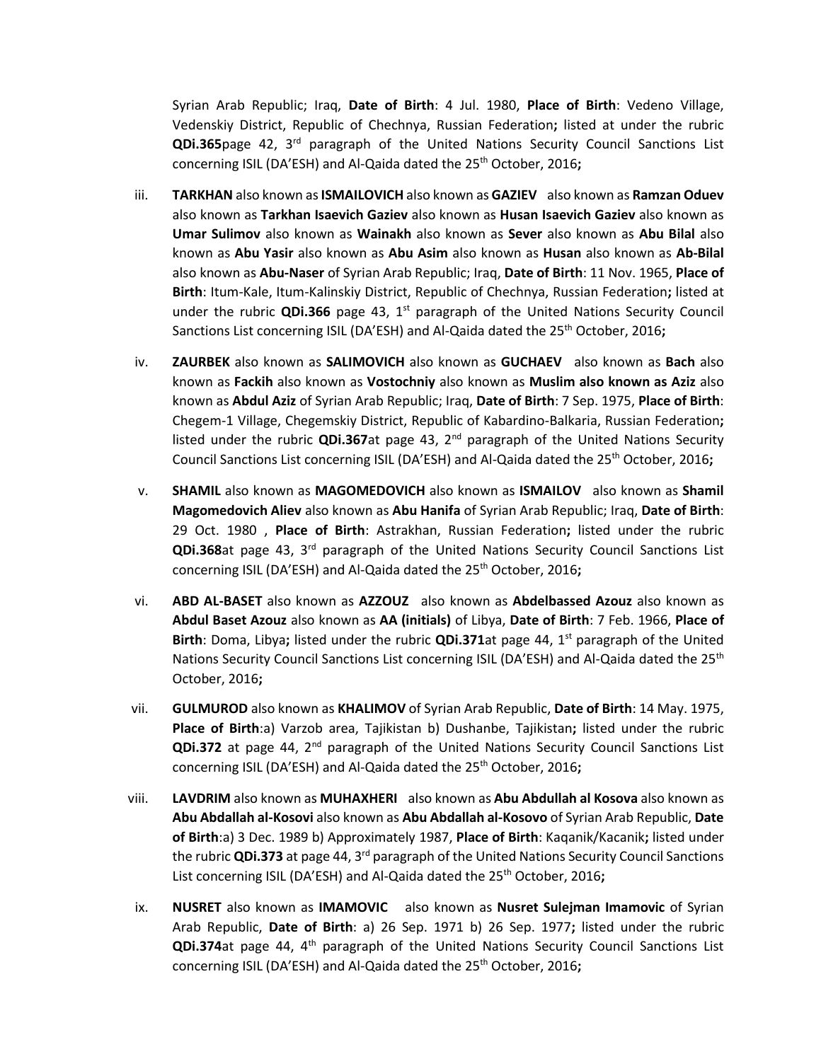Syrian Arab Republic; Iraq, **Date of Birth**: 4 Jul. 1980, **Place of Birth**: Vedeno Village, Vedenskiy District, Republic of Chechnya, Russian Federation**;** listed at under the rubric **QDi.365**page 42, 3rd paragraph of the United Nations Security Council Sanctions List concerning ISIL (DA'ESH) and Al-Qaida dated the 25<sup>th</sup> October, 2016;

- iii. **TARKHAN** also known as **ISMAILOVICH** also known as **GAZIEV** also known as **Ramzan Oduev**  also known as **Tarkhan Isaevich Gaziev** also known as **Husan Isaevich Gaziev** also known as **Umar Sulimov** also known as **Wainakh** also known as **Sever** also known as **Abu Bilal** also known as **Abu Yasir** also known as **Abu Asim** also known as **Husan** also known as **Ab-Bilal**  also known as **Abu-Naser** of Syrian Arab Republic; Iraq, **Date of Birth**: 11 Nov. 1965, **Place of Birth**: Itum-Kale, Itum-Kalinskiy District, Republic of Chechnya, Russian Federation**;** listed at under the rubric **QDi.366** page 43,  $1<sup>st</sup>$  paragraph of the United Nations Security Council Sanctions List concerning ISIL (DA'ESH) and Al-Qaida dated the 25<sup>th</sup> October, 2016;
- iv. **ZAURBEK** also known as **SALIMOVICH** also known as **GUCHAEV** also known as **Bach** also known as **Fackih** also known as **Vostochniy** also known as **Muslim also known as Aziz** also known as **Abdul Aziz** of Syrian Arab Republic; Iraq, **Date of Birth**: 7 Sep. 1975, **Place of Birth**: Chegem-1 Village, Chegemskiy District, Republic of Kabardino-Balkaria, Russian Federation**;**  listed under the rubric QDi.367at page 43, 2<sup>nd</sup> paragraph of the United Nations Security Council Sanctions List concerning ISIL (DA'ESH) and Al-Qaida dated the 25<sup>th</sup> October, 2016**;**
- v. **SHAMIL** also known as **MAGOMEDOVICH** also known as **ISMAILOV** also known as **Shamil Magomedovich Aliev** also known as **Abu Hanifa** of Syrian Arab Republic; Iraq, **Date of Birth**: 29 Oct. 1980 , **Place of Birth**: Astrakhan, Russian Federation**;** listed under the rubric **QDi.368**at page 43, 3rd paragraph of the United Nations Security Council Sanctions List concerning ISIL (DA'ESH) and Al-Qaida dated the 25<sup>th</sup> October, 2016;
- vi. **ABD AL-BASET** also known as **AZZOUZ** also known as **Abdelbassed Azouz** also known as **Abdul Baset Azouz** also known as **AA (initials)** of Libya, **Date of Birth**: 7 Feb. 1966, **Place of Birth**: Doma, Libya; listed under the rubric **QDi.371**at page 44, 1<sup>st</sup> paragraph of the United Nations Security Council Sanctions List concerning ISIL (DA'ESH) and Al-Qaida dated the 25<sup>th</sup> October, 2016**;**
- vii. **GULMUROD** also known as **KHALIMOV** of Syrian Arab Republic, **Date of Birth**: 14 May. 1975, **Place of Birth**:a) Varzob area, Tajikistan b) Dushanbe, Tajikistan**;** listed under the rubric **QDi.372** at page 44, 2<sup>nd</sup> paragraph of the United Nations Security Council Sanctions List concerning ISIL (DA'ESH) and Al-Qaida dated the 25<sup>th</sup> October, 2016;
- viii. **LAVDRIM** also known as **MUHAXHERI** also known as **Abu Abdullah al Kosova** also known as **Abu Abdallah al-Kosovi** also known as **Abu Abdallah al-Kosovo** of Syrian Arab Republic, **Date of Birth**:a) 3 Dec. 1989 b) Approximately 1987, **Place of Birth**: Kaqanik/Kacanik**;** listed under the rubric **QDi.373** at page 44, 3rd paragraph of the United Nations Security Council Sanctions List concerning ISIL (DA'ESH) and Al-Qaida dated the 25<sup>th</sup> October, 2016;
- ix. **NUSRET** also known as **IMAMOVIC** also known as **Nusret Sulejman Imamovic** of Syrian Arab Republic, **Date of Birth**: a) 26 Sep. 1971 b) 26 Sep. 1977**;** listed under the rubric **QDi.374**at page 44, 4th paragraph of the United Nations Security Council Sanctions List concerning ISIL (DA'ESH) and Al-Qaida dated the 25<sup>th</sup> October, 2016;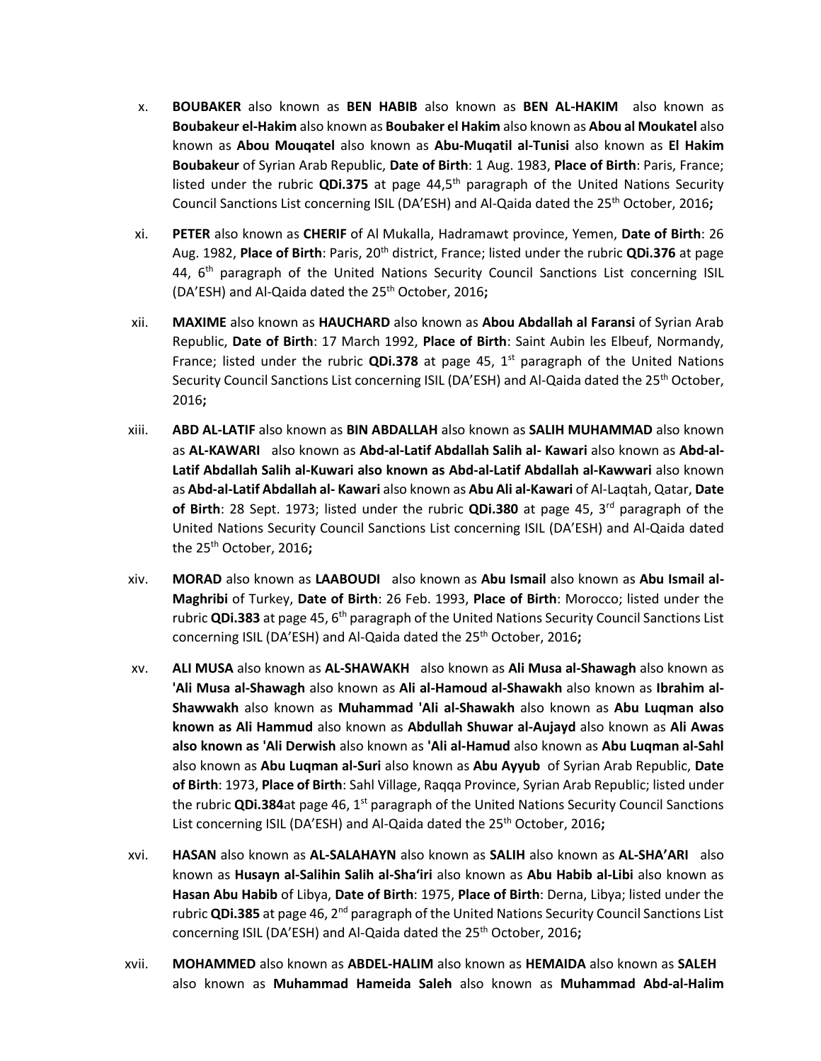- x. **BOUBAKER** also known as **BEN HABIB** also known as **BEN AL-HAKIM** also known as **Boubakeur el-Hakim** also known as **Boubaker el Hakim** also known as **Abou al Moukatel** also known as **Abou Mouqatel** also known as **Abu-Muqatil al-Tunisi** also known as **El Hakim Boubakeur** of Syrian Arab Republic, **Date of Birth**: 1 Aug. 1983, **Place of Birth**: Paris, France; listed under the rubric **QDi.375** at page 44,5<sup>th</sup> paragraph of the United Nations Security Council Sanctions List concerning ISIL (DA'ESH) and Al-Qaida dated the 25<sup>th</sup> October, 2016;
- xi. **PETER** also known as **CHERIF** of Al Mukalla, Hadramawt province, Yemen, **Date of Birth**: 26 Aug. 1982, **Place of Birth**: Paris, 20th district, France; listed under the rubric **QDi.376** at page 44, 6<sup>th</sup> paragraph of the United Nations Security Council Sanctions List concerning ISIL (DA'ESH) and Al-Qaida dated the 25th October, 2016**;**
- xii. **MAXIME** also known as **HAUCHARD** also known as **Abou Abdallah al Faransi** of Syrian Arab Republic, **Date of Birth**: 17 March 1992, **Place of Birth**: Saint Aubin les Elbeuf, Normandy, France; listed under the rubric **QDi.378** at page 45,  $1<sup>st</sup>$  paragraph of the United Nations Security Council Sanctions List concerning ISIL (DA'ESH) and Al-Qaida dated the 25<sup>th</sup> October, 2016**;**
- xiii. **ABD AL-LATIF** also known as **BIN ABDALLAH** also known as **SALIH MUHAMMAD** also known as AL-KAWARI also known as Abd-al-Latif Abdallah Salih al- Kawari also known as Abd-al-**Latif Abdallah Salih al-Kuwari also known as Abd-al-Latif Abdallah al-Kawwari** also known as **Abd-al-Latif Abdallah al- Kawari** also known as **Abu Ali al-Kawari** of Al-Laqtah, Qatar, **Date of Birth**: 28 Sept. 1973; listed under the rubric **QDi.380** at page 45, 3<sup>rd</sup> paragraph of the United Nations Security Council Sanctions List concerning ISIL (DA'ESH) and Al-Qaida dated the 25th October, 2016**;**
- xiv. **MORAD** also known as **LAABOUDI** also known as **Abu Ismail** also known as **Abu Ismail al-Maghribi** of Turkey, **Date of Birth**: 26 Feb. 1993, **Place of Birth**: Morocco; listed under the rubric **QDi.383** at page 45, 6<sup>th</sup> paragraph of the United Nations Security Council Sanctions List concerning ISIL (DA'ESH) and Al-Qaida dated the 25<sup>th</sup> October, 2016;
- xv. **ALI MUSA** also known as **AL-SHAWAKH** also known as **Ali Musa al-Shawagh** also known as **'Ali Musa al-Shawagh** also known as **Ali al-Hamoud al-Shawakh** also known as **Ibrahim al-Shawwakh** also known as **Muhammad 'Ali al-Shawakh** also known as **Abu Luqman also known as Ali Hammud** also known as **Abdullah Shuwar al-Aujayd** also known as **Ali Awas also known as 'Ali Derwish** also known as **'Ali al-Hamud** also known as **Abu Luqman al-Sahl**  also known as **Abu Luqman al-Suri** also known as **Abu Ayyub** of Syrian Arab Republic, **Date of Birth**: 1973, **Place of Birth**: Sahl Village, Raqqa Province, Syrian Arab Republic; listed under the rubric **QDi.384**at page 46, 1<sup>st</sup> paragraph of the United Nations Security Council Sanctions List concerning ISIL (DA'ESH) and Al-Qaida dated the 25<sup>th</sup> October, 2016**:**
- xvi. **HASAN** also known as **AL-SALAHAYN** also known as **SALIH** also known as **AL-SHA'ARI** also known as **Husayn al-Salihin Salih al-Sha'iri** also known as **Abu Habib al-Libi** also known as **Hasan Abu Habib** of Libya, **Date of Birth**: 1975, **Place of Birth**: Derna, Libya; listed under the rubric **QDi.385** at page 46, 2nd paragraph of the United Nations Security Council Sanctions List concerning ISIL (DA'ESH) and Al-Qaida dated the 25<sup>th</sup> October, 2016;
- xvii. **MOHAMMED** also known as **ABDEL-HALIM** also known as **HEMAIDA** also known as **SALEH** also known as **Muhammad Hameida Saleh** also known as **Muhammad Abd-al-Halim**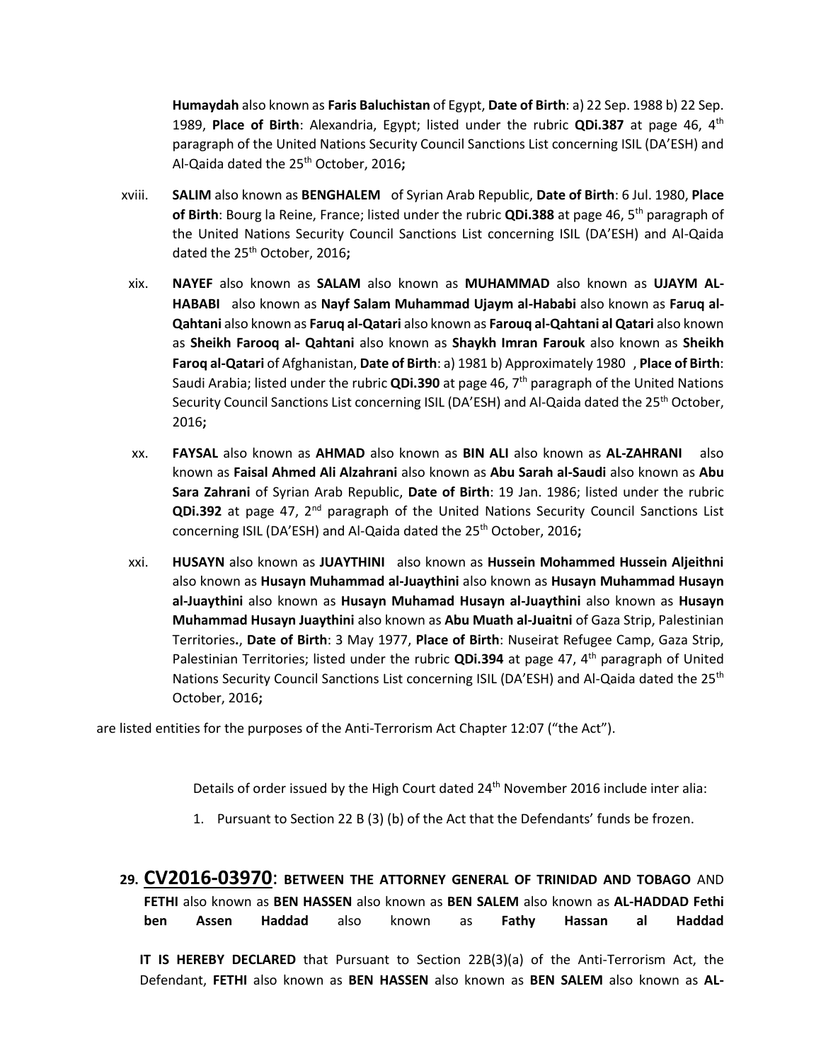**Humaydah** also known as **Faris Baluchistan** of Egypt, **Date of Birth**: a) 22 Sep. 1988 b) 22 Sep. 1989, **Place of Birth**: Alexandria, Egypt; listed under the rubric **QDi.387** at page 46, 4th paragraph of the United Nations Security Council Sanctions List concerning ISIL (DA'ESH) and Al-Qaida dated the 25th October, 2016**;** 

- xviii. **SALIM** also known as **BENGHALEM** of Syrian Arab Republic, **Date of Birth**: 6 Jul. 1980, **Place of Birth**: Bourg la Reine, France; listed under the rubric **QDi.388** at page 46, 5th paragraph of the United Nations Security Council Sanctions List concerning ISIL (DA'ESH) and Al-Qaida dated the 25th October, 2016**;**
- xix. **NAYEF** also known as **SALAM** also known as **MUHAMMAD** also known as **UJAYM AL-HABABI** also known as **Nayf Salam Muhammad Ujaym al-Hababi** also known as **Faruq al-Qahtani** also known as **Faruq al-Qatari** also known as **Farouq al-Qahtani al Qatari** also known as **Sheikh Farooq al- Qahtani** also known as **Shaykh Imran Farouk** also known as **Sheikh Faroq al-Qatari** of Afghanistan, **Date of Birth**: a) 1981 b) Approximately 1980 , **Place of Birth**: Saudi Arabia; listed under the rubric **QDi.390** at page 46, 7th paragraph of the United Nations Security Council Sanctions List concerning ISIL (DA'ESH) and Al-Qaida dated the 25<sup>th</sup> October, 2016**;**
- xx. **FAYSAL** also known as **AHMAD** also known as **BIN ALI** also known as **AL-ZAHRANI**  also known as **Faisal Ahmed Ali Alzahrani** also known as **Abu Sarah al-Saudi** also known as **Abu Sara Zahrani** of Syrian Arab Republic, **Date of Birth**: 19 Jan. 1986; listed under the rubric **QDi.392** at page 47, 2nd paragraph of the United Nations Security Council Sanctions List concerning ISIL (DA'ESH) and Al-Qaida dated the 25<sup>th</sup> October, 2016;
- xxi. **HUSAYN** also known as **JUAYTHINI** also known as **Hussein Mohammed Hussein Aljeithni**  also known as **Husayn Muhammad al-Juaythini** also known as **Husayn Muhammad Husayn al-Juaythini** also known as **Husayn Muhamad Husayn al-Juaythini** also known as **Husayn Muhammad Husayn Juaythini** also known as **Abu Muath al-Juaitni** of Gaza Strip, Palestinian Territories**.**, **Date of Birth**: 3 May 1977, **Place of Birth**: Nuseirat Refugee Camp, Gaza Strip, Palestinian Territories; listed under the rubric **QDi.394** at page 47, 4th paragraph of United Nations Security Council Sanctions List concerning ISIL (DA'ESH) and Al-Qaida dated the 25<sup>th</sup> October, 2016**;**

are listed entities for the purposes of the Anti-Terrorism Act Chapter 12:07 ("the Act").

Details of order issued by the High Court dated 24<sup>th</sup> November 2016 include inter alia:

- 1. Pursuant to Section 22 B (3) (b) of the Act that the Defendants' funds be frozen.
- **29. CV2016-03970**: **BETWEEN THE ATTORNEY GENERAL OF TRINIDAD AND TOBAGO** AND **FETHI** also known as **BEN HASSEN** also known as **BEN SALEM** also known as **AL-HADDAD Fethi ben Assen Haddad** also known as **Fathy Hassan al Haddad**

**IT IS HEREBY DECLARED** that Pursuant to Section 22B(3)(a) of the Anti-Terrorism Act, the Defendant, **FETHI** also known as **BEN HASSEN** also known as **BEN SALEM** also known as **AL-**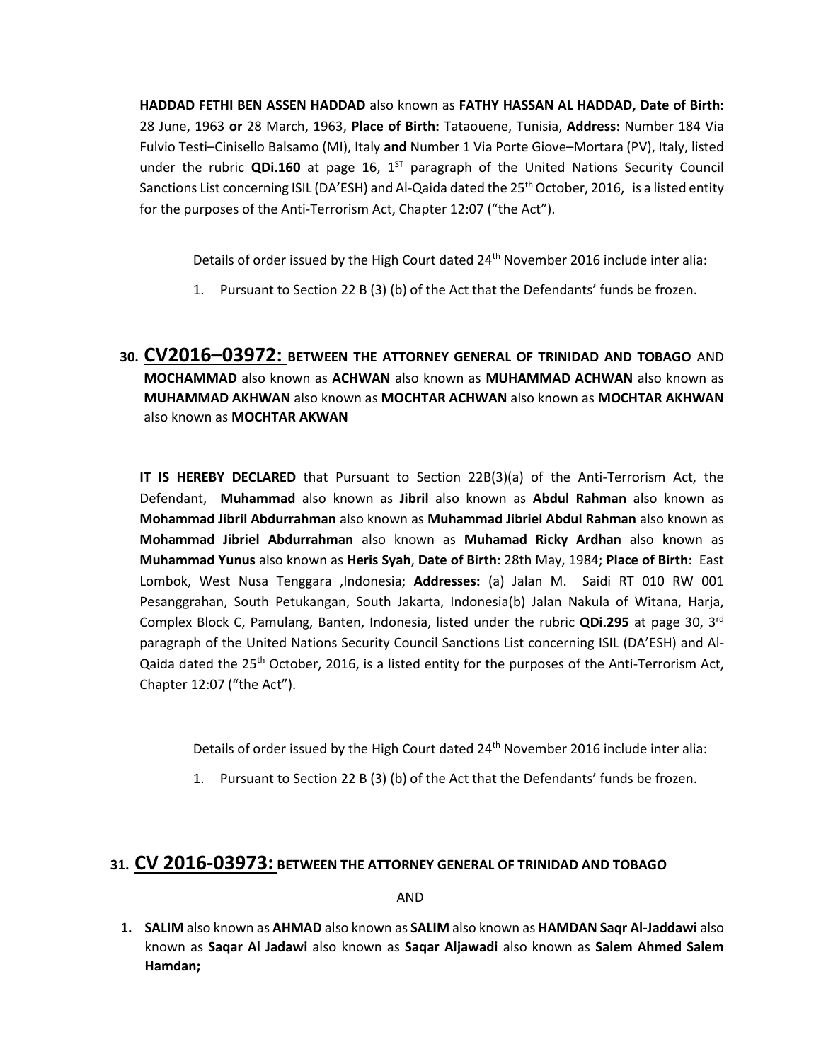**HADDAD FETHI BEN ASSEN HADDAD** also known as **FATHY HASSAN AL HADDAD, Date of Birth:**  28 June, 1963 **or** 28 March, 1963, **Place of Birth:** Tataouene, Tunisia, **Address:** Number 184 Via Fulvio Testi–Cinisello Balsamo (MI), Italy **and** Number 1 Via Porte Giove–Mortara (PV), Italy, listed under the rubric QDi.160 at page 16, 1<sup>ST</sup> paragraph of the United Nations Security Council Sanctions List concerning ISIL (DA'ESH) and Al-Qaida dated the  $25<sup>th</sup>$  October, 2016, is a listed entity for the purposes of the Anti-Terrorism Act, Chapter 12:07 ("the Act").

Details of order issued by the High Court dated 24<sup>th</sup> November 2016 include inter alia:

- 1. Pursuant to Section 22 B (3) (b) of the Act that the Defendants' funds be frozen.
- **30. CV2016–03972: BETWEEN THE ATTORNEY GENERAL OF TRINIDAD AND TOBAGO** AND **MOCHAMMAD** also known as **ACHWAN** also known as **MUHAMMAD ACHWAN** also known as **MUHAMMAD AKHWAN** also known as **MOCHTAR ACHWAN** also known as **MOCHTAR AKHWAN**  also known as **MOCHTAR AKWAN**

**IT IS HEREBY DECLARED** that Pursuant to Section 22B(3)(a) of the Anti-Terrorism Act, the Defendant, **Muhammad** also known as **Jibril** also known as **Abdul Rahman** also known as **Mohammad Jibril Abdurrahman** also known as **Muhammad Jibriel Abdul Rahman** also known as **Mohammad Jibriel Abdurrahman** also known as **Muhamad Ricky Ardhan** also known as **Muhammad Yunus** also known as **Heris Syah**, **Date of Birth**: 28th May, 1984; **Place of Birth**: East Lombok, West Nusa Tenggara ,Indonesia; **Addresses:** (a) Jalan M. Saidi RT 010 RW 001 Pesanggrahan, South Petukangan, South Jakarta, Indonesia(b) Jalan Nakula of Witana, Harja, Complex Block C, Pamulang, Banten, Indonesia, listed under the rubric **QDi.295** at page 30, 3rd paragraph of the United Nations Security Council Sanctions List concerning ISIL (DA'ESH) and Al-Qaida dated the 25<sup>th</sup> October, 2016, is a listed entity for the purposes of the Anti-Terrorism Act, Chapter 12:07 ("the Act").

Details of order issued by the High Court dated  $24<sup>th</sup>$  November 2016 include inter alia:

1. Pursuant to Section 22 B (3) (b) of the Act that the Defendants' funds be frozen.

### **31. CV 2016-03973: BETWEEN THE ATTORNEY GENERAL OF TRINIDAD AND TOBAGO**

AND

**1. SALIM** also known as **AHMAD** also known as **SALIM** also known as **HAMDAN Saqr Al-Jaddawi** also known as **Saqar Al Jadawi** also known as **Saqar Aljawadi** also known as **Salem Ahmed Salem Hamdan;**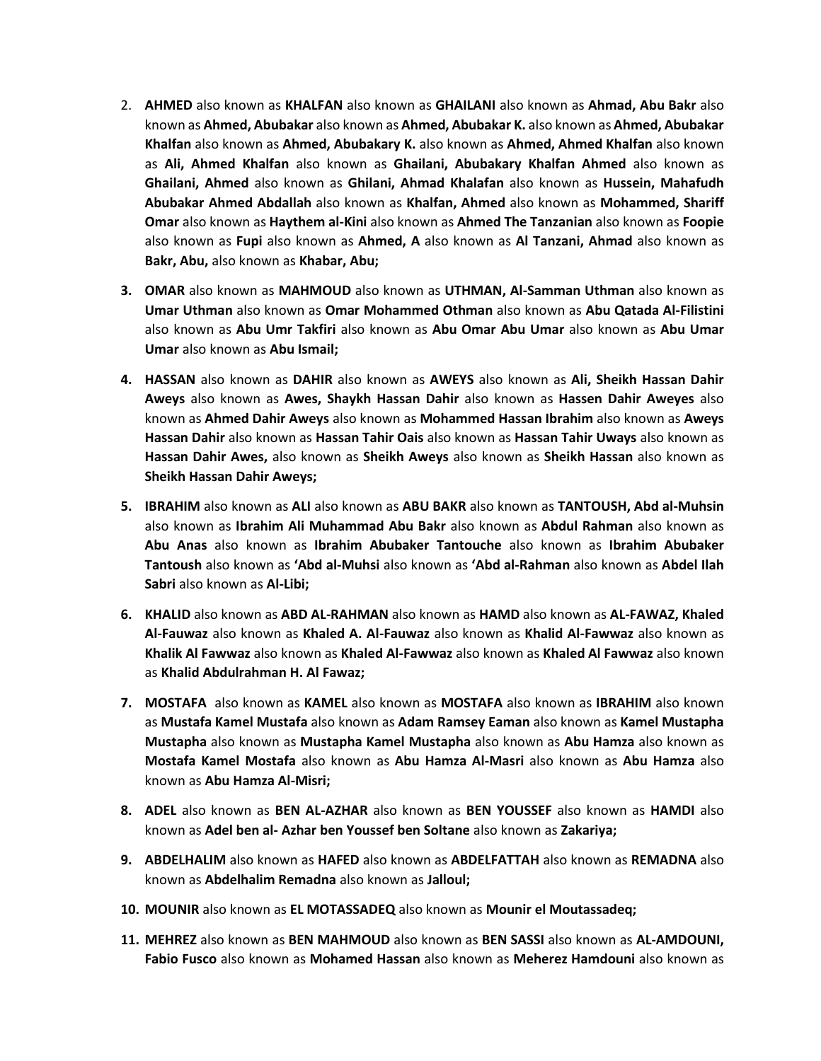- 2. **AHMED** also known as **KHALFAN** also known as **GHAILANI** also known as **Ahmad, Abu Bakr** also known as **Ahmed, Abubakar** also known as **Ahmed, Abubakar K.** also known as **Ahmed, Abubakar Khalfan** also known as **Ahmed, Abubakary K.** also known as **Ahmed, Ahmed Khalfan** also known as **Ali, Ahmed Khalfan** also known as **Ghailani, Abubakary Khalfan Ahmed** also known as **Ghailani, Ahmed** also known as **Ghilani, Ahmad Khalafan** also known as **Hussein, Mahafudh Abubakar Ahmed Abdallah** also known as **Khalfan, Ahmed** also known as **Mohammed, Shariff Omar** also known as **Haythem al-Kini** also known as **Ahmed The Tanzanian** also known as **Foopie**  also known as **Fupi** also known as **Ahmed, A** also known as **Al Tanzani, Ahmad** also known as **Bakr, Abu,** also known as **Khabar, Abu;**
- **3. OMAR** also known as **MAHMOUD** also known as **UTHMAN, Al-Samman Uthman** also known as **Umar Uthman** also known as **Omar Mohammed Othman** also known as **Abu Qatada Al-Filistini**  also known as **Abu Umr Takfiri** also known as **Abu Omar Abu Umar** also known as **Abu Umar Umar** also known as **Abu Ismail;**
- **4. HASSAN** also known as **DAHIR** also known as **AWEYS** also known as **Ali, Sheikh Hassan Dahir Aweys** also known as **Awes, Shaykh Hassan Dahir** also known as **Hassen Dahir Aweyes** also known as **Ahmed Dahir Aweys** also known as **Mohammed Hassan Ibrahim** also known as **Aweys Hassan Dahir** also known as **Hassan Tahir Oais** also known as **Hassan Tahir Uways** also known as **Hassan Dahir Awes,** also known as **Sheikh Aweys** also known as **Sheikh Hassan** also known as **Sheikh Hassan Dahir Aweys;**
- **5. IBRAHIM** also known as **ALI** also known as **ABU BAKR** also known as **TANTOUSH, Abd al-Muhsin**  also known as **Ibrahim Ali Muhammad Abu Bakr** also known as **Abdul Rahman** also known as **Abu Anas** also known as **Ibrahim Abubaker Tantouche** also known as **Ibrahim Abubaker Tantoush** also known as **'Abd al-Muhsi** also known as **'Abd al-Rahman** also known as **Abdel Ilah Sabri** also known as **Al-Libi;**
- **6. KHALID** also known as **ABD AL-RAHMAN** also known as **HAMD** also known as **AL-FAWAZ, Khaled Al-Fauwaz** also known as **Khaled A. Al-Fauwaz** also known as **Khalid Al-Fawwaz** also known as **Khalik Al Fawwaz** also known as **Khaled Al-Fawwaz** also known as **Khaled Al Fawwaz** also known as **Khalid Abdulrahman H. Al Fawaz;**
- **7. MOSTAFA** also known as **KAMEL** also known as **MOSTAFA** also known as **IBRAHIM** also known as **Mustafa Kamel Mustafa** also known as **Adam Ramsey Eaman** also known as **Kamel Mustapha Mustapha** also known as **Mustapha Kamel Mustapha** also known as **Abu Hamza** also known as **Mostafa Kamel Mostafa** also known as **Abu Hamza Al-Masri** also known as **Abu Hamza** also known as **Abu Hamza Al-Misri;**
- **8. ADEL** also known as **BEN AL-AZHAR** also known as **BEN YOUSSEF** also known as **HAMDI** also known as **Adel ben al- Azhar ben Youssef ben Soltane** also known as **Zakariya;**
- **9. ABDELHALIM** also known as **HAFED** also known as **ABDELFATTAH** also known as **REMADNA** also known as **Abdelhalim Remadna** also known as **Jalloul;**
- **10. MOUNIR** also known as **EL MOTASSADEQ** also known as **Mounir el Moutassadeq;**
- **11. MEHREZ** also known as **BEN MAHMOUD** also known as **BEN SASSI** also known as **AL-AMDOUNI, Fabio Fusco** also known as **Mohamed Hassan** also known as **Meherez Hamdouni** also known as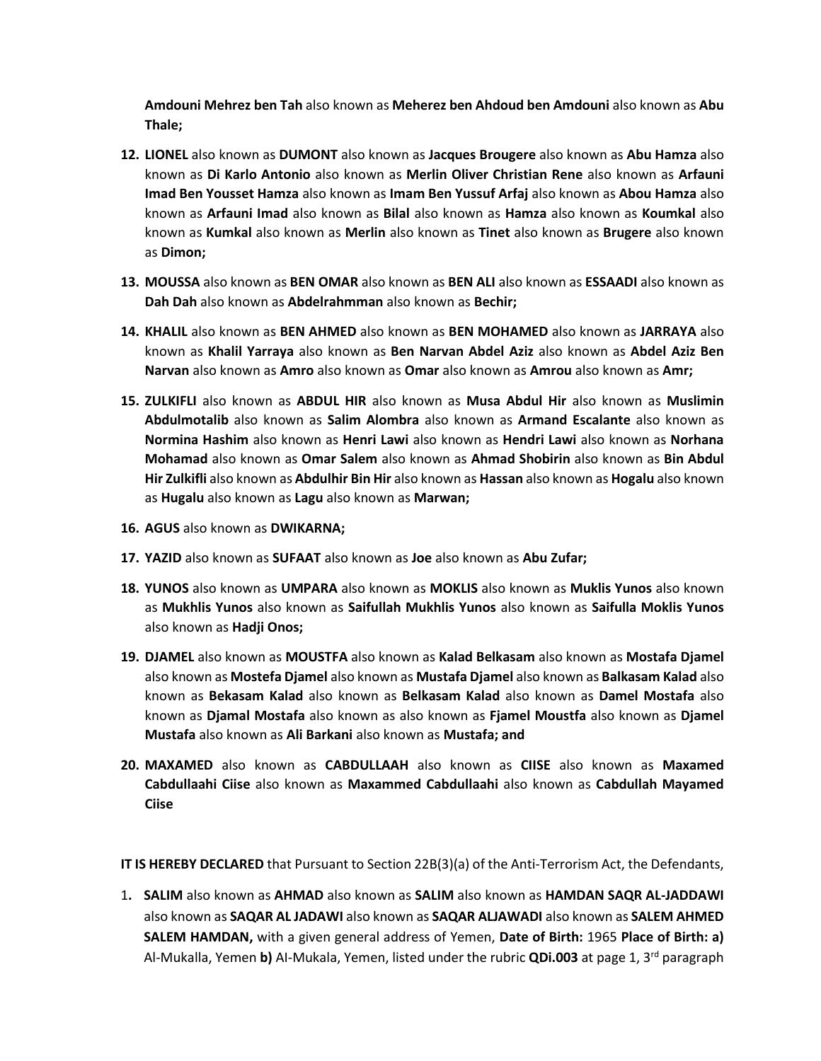**Amdouni Mehrez ben Tah** also known as **Meherez ben Ahdoud ben Amdouni** also known as **Abu Thale;**

- **12. LIONEL** also known as **DUMONT** also known as **Jacques Brougere** also known as **Abu Hamza** also known as **Di Karlo Antonio** also known as **Merlin Oliver Christian Rene** also known as **Arfauni Imad Ben Yousset Hamza** also known as **Imam Ben Yussuf Arfaj** also known as **Abou Hamza** also known as **Arfauni Imad** also known as **Bilal** also known as **Hamza** also known as **Koumkal** also known as **Kumkal** also known as **Merlin** also known as **Tinet** also known as **Brugere** also known as **Dimon;**
- **13. MOUSSA** also known as **BEN OMAR** also known as **BEN ALI** also known as **ESSAADI** also known as **Dah Dah** also known as **Abdelrahmman** also known as **Bechir;**
- **14. KHALIL** also known as **BEN AHMED** also known as **BEN MOHAMED** also known as **JARRAYA** also known as **Khalil Yarraya** also known as **Ben Narvan Abdel Aziz** also known as **Abdel Aziz Ben Narvan** also known as **Amro** also known as **Omar** also known as **Amrou** also known as **Amr;**
- **15. ZULKIFLI** also known as **ABDUL HIR** also known as **Musa Abdul Hir** also known as **Muslimin Abdulmotalib** also known as **Salim Alombra** also known as **Armand Escalante** also known as **Normina Hashim** also known as **Henri Lawi** also known as **Hendri Lawi** also known as **Norhana Mohamad** also known as **Omar Salem** also known as **Ahmad Shobirin** also known as **Bin Abdul Hir Zulkifli** also known as **Abdulhir Bin Hir** also known as **Hassan** also known as **Hogalu** also known as **Hugalu** also known as **Lagu** also known as **Marwan;**
- **16. AGUS** also known as **DWIKARNA;**
- **17. YAZID** also known as **SUFAAT** also known as **Joe** also known as **Abu Zufar;**
- **18. YUNOS** also known as **UMPARA** also known as **MOKLIS** also known as **Muklis Yunos** also known as **Mukhlis Yunos** also known as **Saifullah Mukhlis Yunos** also known as **Saifulla Moklis Yunos**  also known as **Hadji Onos;**
- **19. DJAMEL** also known as **MOUSTFA** also known as **Kalad Belkasam** also known as **Mostafa Djamel**  also known as **Mostefa Djamel** also known as **Mustafa Djamel** also known as **Balkasam Kalad** also known as **Bekasam Kalad** also known as **Belkasam Kalad** also known as **Damel Mostafa** also known as **Djamal Mostafa** also known as also known as **Fjamel Moustfa** also known as **Djamel Mustafa** also known as **Ali Barkani** also known as **Mustafa; and**
- **20. MAXAMED** also known as **CABDULLAAH** also known as **CIISE** also known as **Maxamed Cabdullaahi Ciise** also known as **Maxammed Cabdullaahi** also known as **Cabdullah Mayamed Ciise**

**IT IS HEREBY DECLARED** that Pursuant to Section 22B(3)(a) of the Anti-Terrorism Act, the Defendants,

1**. SALIM** also known as **AHMAD** also known as **SALIM** also known as **HAMDAN SAQR AL-JADDAWI** also known as **SAQAR AL JADAWI** also known as **SAQAR ALJAWADI** also known as **SALEM AHMED SALEM HAMDAN,** with a given general address of Yemen, **Date of Birth:** 1965 **Place of Birth: a)**  Al-Mukalla, Yemen **b)** AI-Mukala, Yemen, listed under the rubric **QDi.003** at page 1, 3rd paragraph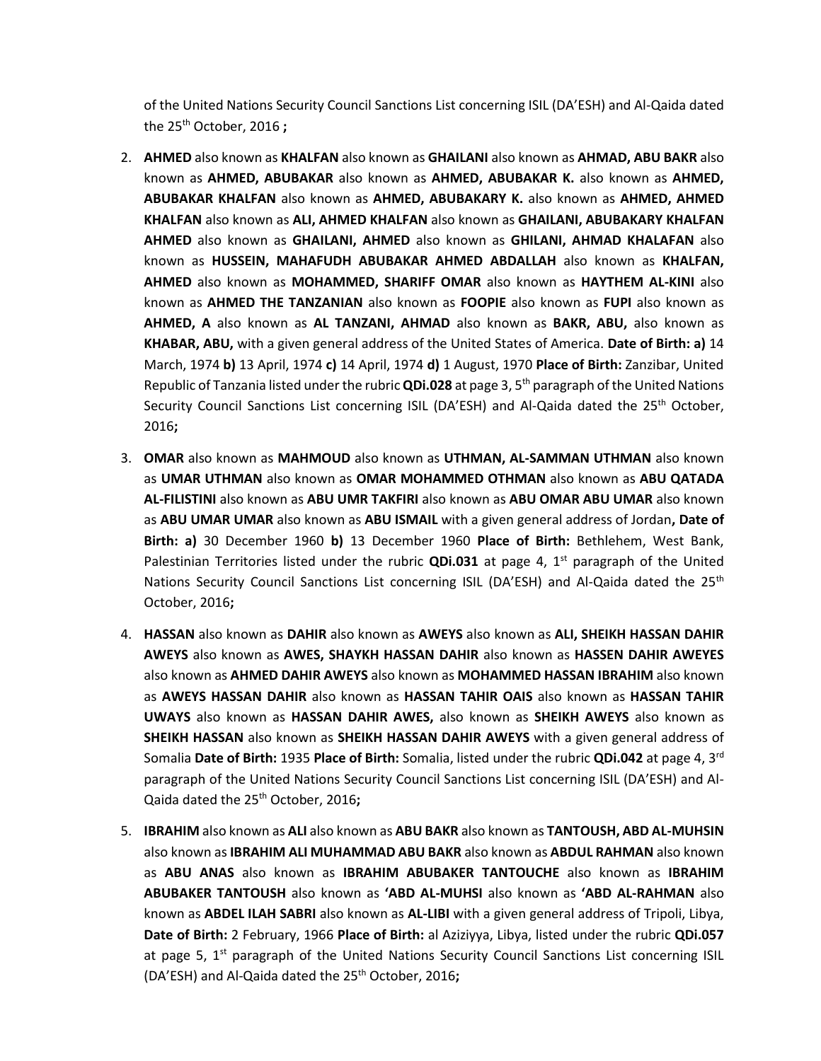of the United Nations Security Council Sanctions List concerning ISIL (DA'ESH) and Al-Qaida dated the 25th October, 2016 **;**

- 2. **AHMED** also known as **KHALFAN** also known as **GHAILANI** also known as **AHMAD, ABU BAKR** also known as **AHMED, ABUBAKAR** also known as **AHMED, ABUBAKAR K.** also known as **AHMED, ABUBAKAR KHALFAN** also known as **AHMED, ABUBAKARY K.** also known as **AHMED, AHMED KHALFAN** also known as **ALI, AHMED KHALFAN** also known as **GHAILANI, ABUBAKARY KHALFAN AHMED** also known as **GHAILANI, AHMED** also known as **GHILANI, AHMAD KHALAFAN** also known as **HUSSEIN, MAHAFUDH ABUBAKAR AHMED ABDALLAH** also known as **KHALFAN, AHMED** also known as **MOHAMMED, SHARIFF OMAR** also known as **HAYTHEM AL-KINI** also known as **AHMED THE TANZANIAN** also known as **FOOPIE** also known as **FUPI** also known as **AHMED, A** also known as **AL TANZANI, AHMAD** also known as **BAKR, ABU,** also known as **KHABAR, ABU,** with a given general address of the United States of America. **Date of Birth: a)** 14 March, 1974 **b)** 13 April, 1974 **c)** 14 April, 1974 **d)** 1 August, 1970 **Place of Birth:** Zanzibar, United Republic of Tanzania listed under the rubric **QDi.028** at page 3, 5th paragraph of the United Nations Security Council Sanctions List concerning ISIL (DA'ESH) and Al-Qaida dated the  $25<sup>th</sup>$  October, 2016**;**
- 3. **OMAR** also known as **MAHMOUD** also known as **UTHMAN, AL-SAMMAN UTHMAN** also known as **UMAR UTHMAN** also known as **OMAR MOHAMMED OTHMAN** also known as **ABU QATADA AL-FILISTINI** also known as **ABU UMR TAKFIRI** also known as **ABU OMAR ABU UMAR** also known as **ABU UMAR UMAR** also known as **ABU ISMAIL** with a given general address of Jordan**, Date of Birth: a)** 30 December 1960 **b)** 13 December 1960 **Place of Birth:** Bethlehem, West Bank, Palestinian Territories listed under the rubric **QDi.031** at page 4, 1<sup>st</sup> paragraph of the United Nations Security Council Sanctions List concerning ISIL (DA'ESH) and Al-Qaida dated the 25<sup>th</sup> October, 2016**;**
- 4. **HASSAN** also known as **DAHIR** also known as **AWEYS** also known as **ALI, SHEIKH HASSAN DAHIR AWEYS** also known as **AWES, SHAYKH HASSAN DAHIR** also known as **HASSEN DAHIR AWEYES**  also known as **AHMED DAHIR AWEYS** also known as **MOHAMMED HASSAN IBRAHIM** also known as **AWEYS HASSAN DAHIR** also known as **HASSAN TAHIR OAIS** also known as **HASSAN TAHIR UWAYS** also known as **HASSAN DAHIR AWES,** also known as **SHEIKH AWEYS** also known as **SHEIKH HASSAN** also known as **SHEIKH HASSAN DAHIR AWEYS** with a given general address of Somalia **Date of Birth:** 1935 **Place of Birth:** Somalia, listed under the rubric **QDi.042** at page 4, 3rd paragraph of the United Nations Security Council Sanctions List concerning ISIL (DA'ESH) and Al-Qaida dated the 25th October, 2016**;**
- 5. **IBRAHIM** also known as **ALI** also known as **ABU BAKR** also known as **TANTOUSH, ABD AL-MUHSIN**  also known as**IBRAHIM ALI MUHAMMAD ABU BAKR** also known as **ABDUL RAHMAN** also known as **ABU ANAS** also known as **IBRAHIM ABUBAKER TANTOUCHE** also known as **IBRAHIM ABUBAKER TANTOUSH** also known as **'ABD AL-MUHSI** also known as **'ABD AL-RAHMAN** also known as **ABDEL ILAH SABRI** also known as **AL-LIBI** with a given general address of Tripoli, Libya, **Date of Birth:** 2 February, 1966 **Place of Birth:** al Aziziyya, Libya, listed under the rubric **QDi.057**  at page 5,  $1<sup>st</sup>$  paragraph of the United Nations Security Council Sanctions List concerning ISIL (DA'ESH) and Al-Qaida dated the 25th October, 2016**;**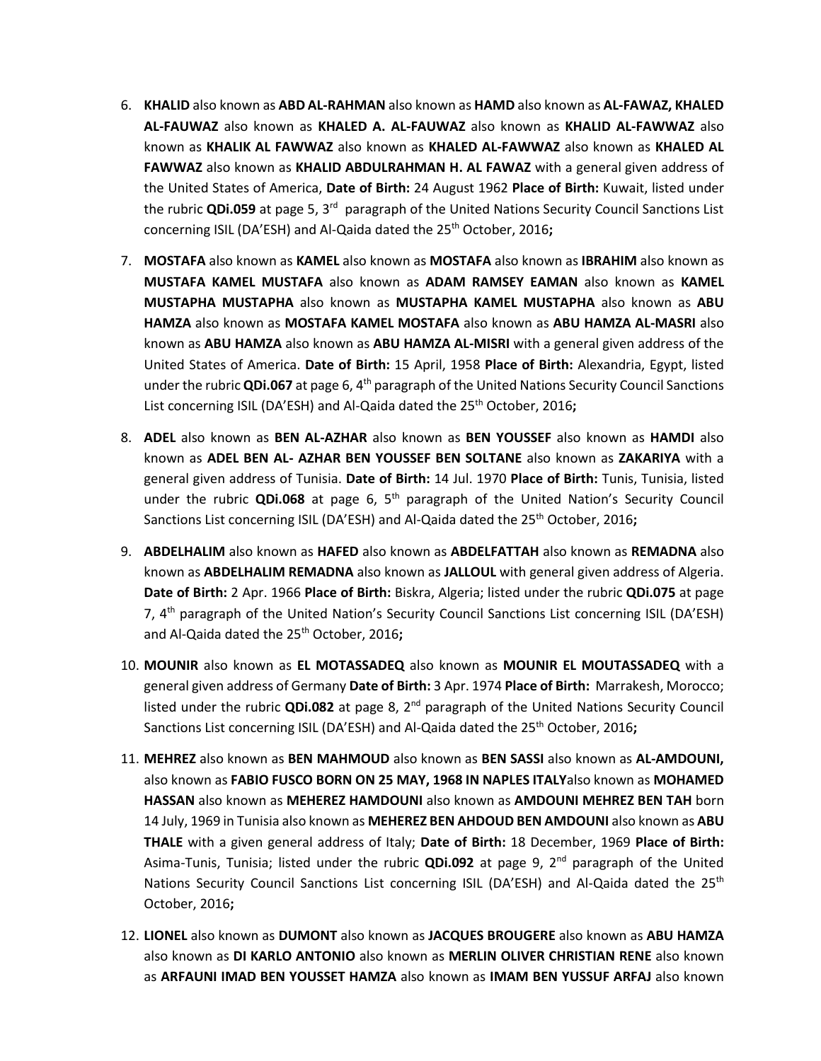- 6. **KHALID** also known as **ABD AL-RAHMAN** also known as **HAMD** also known as **AL-FAWAZ, KHALED AL-FAUWAZ** also known as **KHALED A. AL-FAUWAZ** also known as **KHALID AL-FAWWAZ** also known as **KHALIK AL FAWWAZ** also known as **KHALED AL-FAWWAZ** also known as **KHALED AL FAWWAZ** also known as **KHALID ABDULRAHMAN H. AL FAWAZ** with a general given address of the United States of America, **Date of Birth:** 24 August 1962 **Place of Birth:** Kuwait, listed under the rubric QDi.059 at page 5, 3<sup>rd</sup> paragraph of the United Nations Security Council Sanctions List concerning ISIL (DA'ESH) and Al-Qaida dated the 25<sup>th</sup> October, 2016;
- 7. **MOSTAFA** also known as **KAMEL** also known as **MOSTAFA** also known as **IBRAHIM** also known as **MUSTAFA KAMEL MUSTAFA** also known as **ADAM RAMSEY EAMAN** also known as **KAMEL MUSTAPHA MUSTAPHA** also known as **MUSTAPHA KAMEL MUSTAPHA** also known as **ABU HAMZA** also known as **MOSTAFA KAMEL MOSTAFA** also known as **ABU HAMZA AL-MASRI** also known as **ABU HAMZA** also known as **ABU HAMZA AL-MISRI** with a general given address of the United States of America. **Date of Birth:** 15 April, 1958 **Place of Birth:** Alexandria, Egypt, listed under the rubric **QDi.067** at page 6, 4th paragraph of the United Nations Security Council Sanctions List concerning ISIL (DA'ESH) and Al-Qaida dated the 25<sup>th</sup> October, 2016;
- 8. **ADEL** also known as **BEN AL-AZHAR** also known as **BEN YOUSSEF** also known as **HAMDI** also known as **ADEL BEN AL- AZHAR BEN YOUSSEF BEN SOLTANE** also known as **ZAKARIYA** with a general given address of Tunisia. **Date of Birth:** 14 Jul. 1970 **Place of Birth:** Tunis, Tunisia, listed under the rubric **QDi.068** at page 6, 5th paragraph of the United Nation's Security Council Sanctions List concerning ISIL (DA'ESH) and Al-Qaida dated the 25th October, 2016**;**
- 9. **ABDELHALIM** also known as **HAFED** also known as **ABDELFATTAH** also known as **REMADNA** also known as **ABDELHALIM REMADNA** also known as **JALLOUL** with general given address of Algeria. **Date of Birth:** 2 Apr. 1966 **Place of Birth:** Biskra, Algeria; listed under the rubric **QDi.075** at page 7, 4<sup>th</sup> paragraph of the United Nation's Security Council Sanctions List concerning ISIL (DA'ESH) and Al-Qaida dated the 25th October, 2016**;**
- 10. **MOUNIR** also known as **EL MOTASSADEQ** also known as **MOUNIR EL MOUTASSADEQ** with a general given address of Germany **Date of Birth:** 3 Apr. 1974 **Place of Birth:** Marrakesh, Morocco; listed under the rubric QDi.082 at page 8, 2<sup>nd</sup> paragraph of the United Nations Security Council Sanctions List concerning ISIL (DA'ESH) and Al-Qaida dated the 25th October, 2016**;**
- 11. **MEHREZ** also known as **BEN MAHMOUD** also known as **BEN SASSI** also known as **AL-AMDOUNI,**  also known as **FABIO FUSCO BORN ON 25 MAY, 1968 IN NAPLES ITALY**also known as **MOHAMED HASSAN** also known as **MEHEREZ HAMDOUNI** also known as **AMDOUNI MEHREZ BEN TAH** born 14 July, 1969 in Tunisia also known as **MEHEREZ BEN AHDOUD BEN AMDOUNI** also known as **ABU THALE** with a given general address of Italy; **Date of Birth:** 18 December, 1969 **Place of Birth:**  Asima-Tunis, Tunisia; listed under the rubric **QDi.092** at page 9, 2nd paragraph of the United Nations Security Council Sanctions List concerning ISIL (DA'ESH) and Al-Qaida dated the 25<sup>th</sup> October, 2016**;**
- 12. **LIONEL** also known as **DUMONT** also known as **JACQUES BROUGERE** also known as **ABU HAMZA** also known as **DI KARLO ANTONIO** also known as **MERLIN OLIVER CHRISTIAN RENE** also known as **ARFAUNI IMAD BEN YOUSSET HAMZA** also known as **IMAM BEN YUSSUF ARFAJ** also known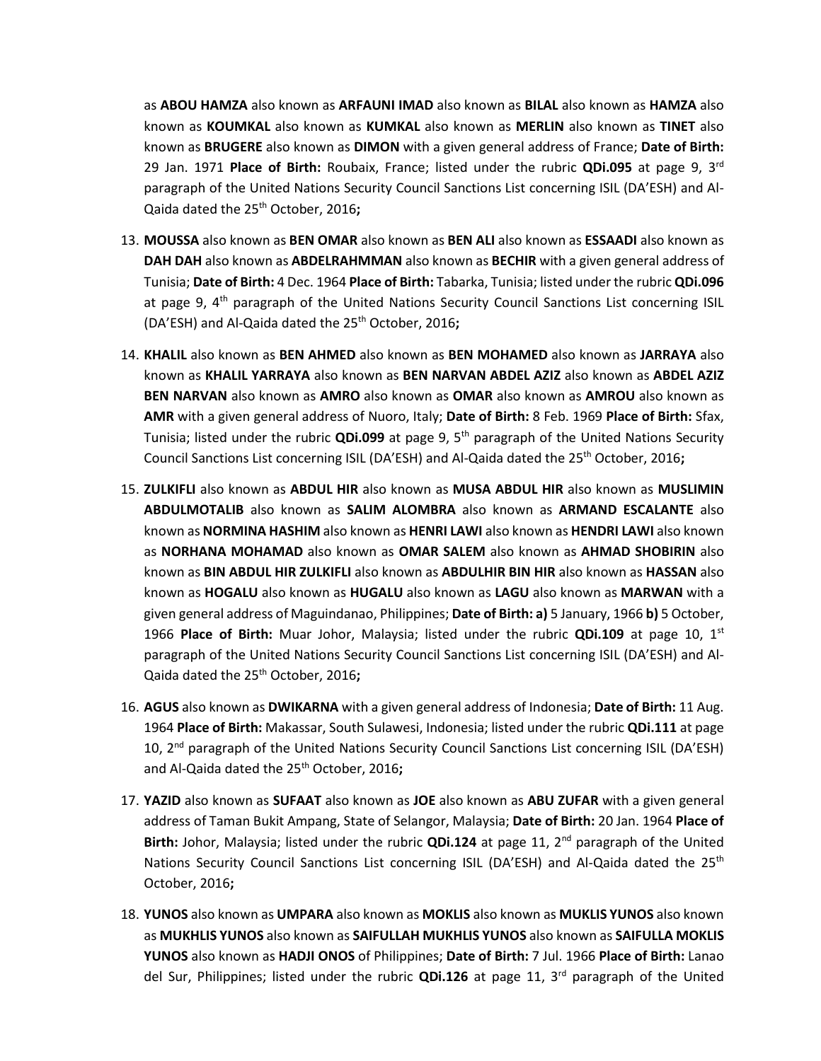as **ABOU HAMZA** also known as **ARFAUNI IMAD** also known as **BILAL** also known as **HAMZA** also known as **KOUMKAL** also known as **KUMKAL** also known as **MERLIN** also known as **TINET** also known as **BRUGERE** also known as **DIMON** with a given general address of France; **Date of Birth:**  29 Jan. 1971 **Place of Birth:** Roubaix, France; listed under the rubric **QDi.095** at page 9, 3rd paragraph of the United Nations Security Council Sanctions List concerning ISIL (DA'ESH) and Al-Qaida dated the 25th October, 2016**;** 

- 13. **MOUSSA** also known as **BEN OMAR** also known as **BEN ALI** also known as **ESSAADI** also known as **DAH DAH** also known as **ABDELRAHMMAN** also known as **BECHIR** with a given general address of Tunisia; **Date of Birth:** 4 Dec. 1964 **Place of Birth:** Tabarka, Tunisia; listed under the rubric **QDi.096**  at page 9,  $4<sup>th</sup>$  paragraph of the United Nations Security Council Sanctions List concerning ISIL (DA'ESH) and Al-Qaida dated the 25<sup>th</sup> October, 2016:
- 14. **KHALIL** also known as **BEN AHMED** also known as **BEN MOHAMED** also known as **JARRAYA** also known as **KHALIL YARRAYA** also known as **BEN NARVAN ABDEL AZIZ** also known as **ABDEL AZIZ BEN NARVAN** also known as **AMRO** also known as **OMAR** also known as **AMROU** also known as **AMR** with a given general address of Nuoro, Italy; **Date of Birth:** 8 Feb. 1969 **Place of Birth:** Sfax, Tunisia; listed under the rubric **QDi.099** at page 9, 5th paragraph of the United Nations Security Council Sanctions List concerning ISIL (DA'ESH) and Al-Qaida dated the 25th October, 2016**;**
- 15. **ZULKIFLI** also known as **ABDUL HIR** also known as **MUSA ABDUL HIR** also known as **MUSLIMIN ABDULMOTALIB** also known as **SALIM ALOMBRA** also known as **ARMAND ESCALANTE** also known as **NORMINA HASHIM** also known as **HENRI LAWI** also known as **HENDRI LAWI** also known as **NORHANA MOHAMAD** also known as **OMAR SALEM** also known as **AHMAD SHOBIRIN** also known as **BIN ABDUL HIR ZULKIFLI** also known as **ABDULHIR BIN HIR** also known as **HASSAN** also known as **HOGALU** also known as **HUGALU** also known as **LAGU** also known as **MARWAN** with a given general address of Maguindanao, Philippines; **Date of Birth: a)** 5 January, 1966 **b)** 5 October, 1966 **Place of Birth:** Muar Johor, Malaysia; listed under the rubric **QDi.109** at page 10, 1st paragraph of the United Nations Security Council Sanctions List concerning ISIL (DA'ESH) and Al-Qaida dated the 25th October, 2016**;**
- 16. **AGUS** also known as **DWIKARNA** with a given general address of Indonesia; **Date of Birth:** 11 Aug. 1964 **Place of Birth:** Makassar, South Sulawesi, Indonesia; listed under the rubric **QDi.111** at page 10, 2<sup>nd</sup> paragraph of the United Nations Security Council Sanctions List concerning ISIL (DA'ESH) and Al-Qaida dated the 25th October, 2016**;**
- 17. **YAZID** also known as **SUFAAT** also known as **JOE** also known as **ABU ZUFAR** with a given general address of Taman Bukit Ampang, State of Selangor, Malaysia; **Date of Birth:** 20 Jan. 1964 **Place of Birth:** Johor, Malaysia; listed under the rubric **QDi.124** at page 11, 2nd paragraph of the United Nations Security Council Sanctions List concerning ISIL (DA'ESH) and Al-Qaida dated the 25<sup>th</sup> October, 2016**;**
- 18. **YUNOS** also known as **UMPARA** also known as **MOKLIS** also known as **MUKLIS YUNOS** also known as **MUKHLIS YUNOS** also known as **SAIFULLAH MUKHLIS YUNOS** also known as **SAIFULLA MOKLIS YUNOS** also known as **HADJI ONOS** of Philippines; **Date of Birth:** 7 Jul. 1966 **Place of Birth:** Lanao del Sur, Philippines; listed under the rubric **QDi.126** at page 11, 3rd paragraph of the United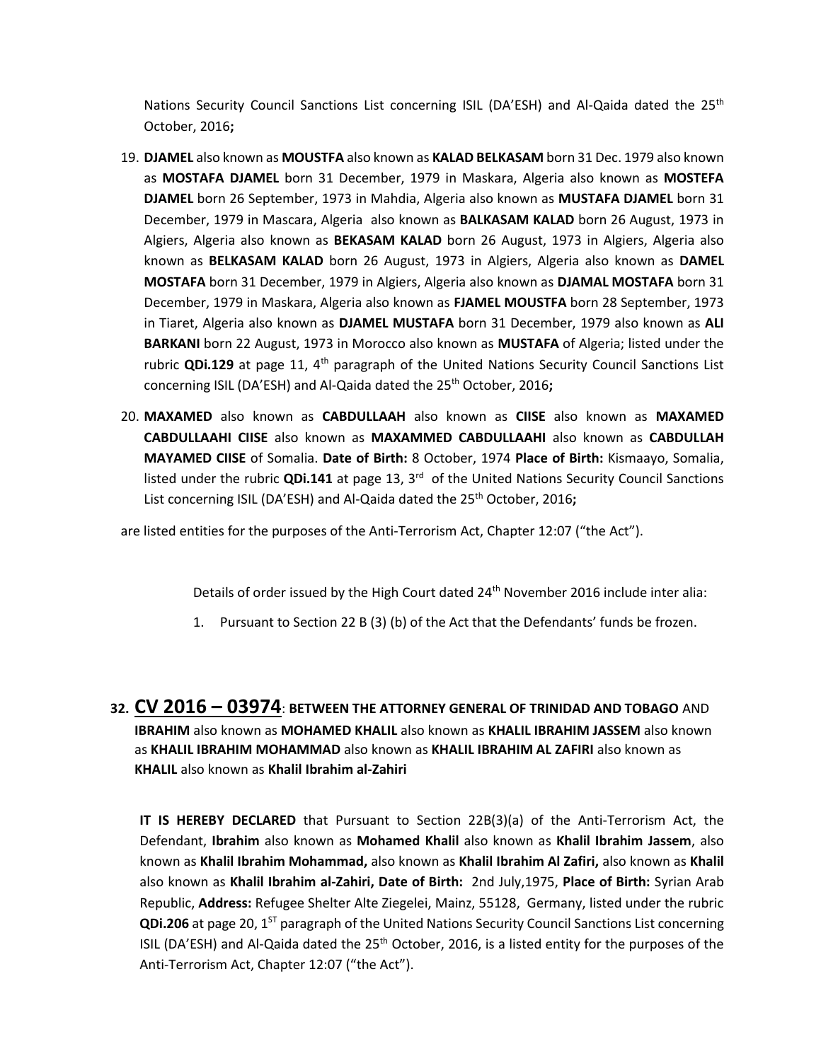Nations Security Council Sanctions List concerning ISIL (DA'ESH) and Al-Qaida dated the 25<sup>th</sup> October, 2016**;**

- 19. **DJAMEL** also known as **MOUSTFA** also known as **KALAD BELKASAM** born 31 Dec. 1979 also known as **MOSTAFA DJAMEL** born 31 December, 1979 in Maskara, Algeria also known as **MOSTEFA DJAMEL** born 26 September, 1973 in Mahdia, Algeria also known as **MUSTAFA DJAMEL** born 31 December, 1979 in Mascara, Algeria also known as **BALKASAM KALAD** born 26 August, 1973 in Algiers, Algeria also known as **BEKASAM KALAD** born 26 August, 1973 in Algiers, Algeria also known as **BELKASAM KALAD** born 26 August, 1973 in Algiers, Algeria also known as **DAMEL MOSTAFA** born 31 December, 1979 in Algiers, Algeria also known as **DJAMAL MOSTAFA** born 31 December, 1979 in Maskara, Algeria also known as **FJAMEL MOUSTFA** born 28 September, 1973 in Tiaret, Algeria also known as **DJAMEL MUSTAFA** born 31 December, 1979 also known as **ALI BARKANI** born 22 August, 1973 in Morocco also known as **MUSTAFA** of Algeria; listed under the rubric **QDi.129** at page 11, 4th paragraph of the United Nations Security Council Sanctions List concerning ISIL (DA'ESH) and Al-Qaida dated the 25<sup>th</sup> October, 2016;
- 20. **MAXAMED** also known as **CABDULLAAH** also known as **CIISE** also known as **MAXAMED CABDULLAAHI CIISE** also known as **MAXAMMED CABDULLAAHI** also known as **CABDULLAH MAYAMED CIISE** of Somalia. **Date of Birth:** 8 October, 1974 **Place of Birth:** Kismaayo, Somalia, listed under the rubric QDi.141 at page 13, 3<sup>rd</sup> of the United Nations Security Council Sanctions List concerning ISIL (DA'ESH) and Al-Qaida dated the 25<sup>th</sup> October, 2016;

are listed entities for the purposes of the Anti-Terrorism Act, Chapter 12:07 ("the Act").

Details of order issued by the High Court dated 24<sup>th</sup> November 2016 include inter alia:

- 1. Pursuant to Section 22 B (3) (b) of the Act that the Defendants' funds be frozen.
- **32. CV 2016 – 03974**: **BETWEEN THE ATTORNEY GENERAL OF TRINIDAD AND TOBAGO** AND **IBRAHIM** also known as **MOHAMED KHALIL** also known as **KHALIL IBRAHIM JASSEM** also known as **KHALIL IBRAHIM MOHAMMAD** also known as **KHALIL IBRAHIM AL ZAFIRI** also known as **KHALIL** also known as **Khalil Ibrahim al-Zahiri**

**IT IS HEREBY DECLARED** that Pursuant to Section 22B(3)(a) of the Anti-Terrorism Act, the Defendant, **Ibrahim** also known as **Mohamed Khalil** also known as **Khalil Ibrahim Jassem**, also known as **Khalil Ibrahim Mohammad,** also known as **Khalil Ibrahim Al Zafiri,** also known as **Khalil** also known as **Khalil Ibrahim al-Zahiri, Date of Birth:** 2nd July,1975, **Place of Birth:** Syrian Arab Republic, **Address:** Refugee Shelter Alte Ziegelei, Mainz, 55128, Germany, listed under the rubric **QDi.206** at page 20, 1<sup>ST</sup> paragraph of the United Nations Security Council Sanctions List concerning ISIL (DA'ESH) and Al-Qaida dated the  $25<sup>th</sup>$  October, 2016, is a listed entity for the purposes of the Anti-Terrorism Act, Chapter 12:07 ("the Act").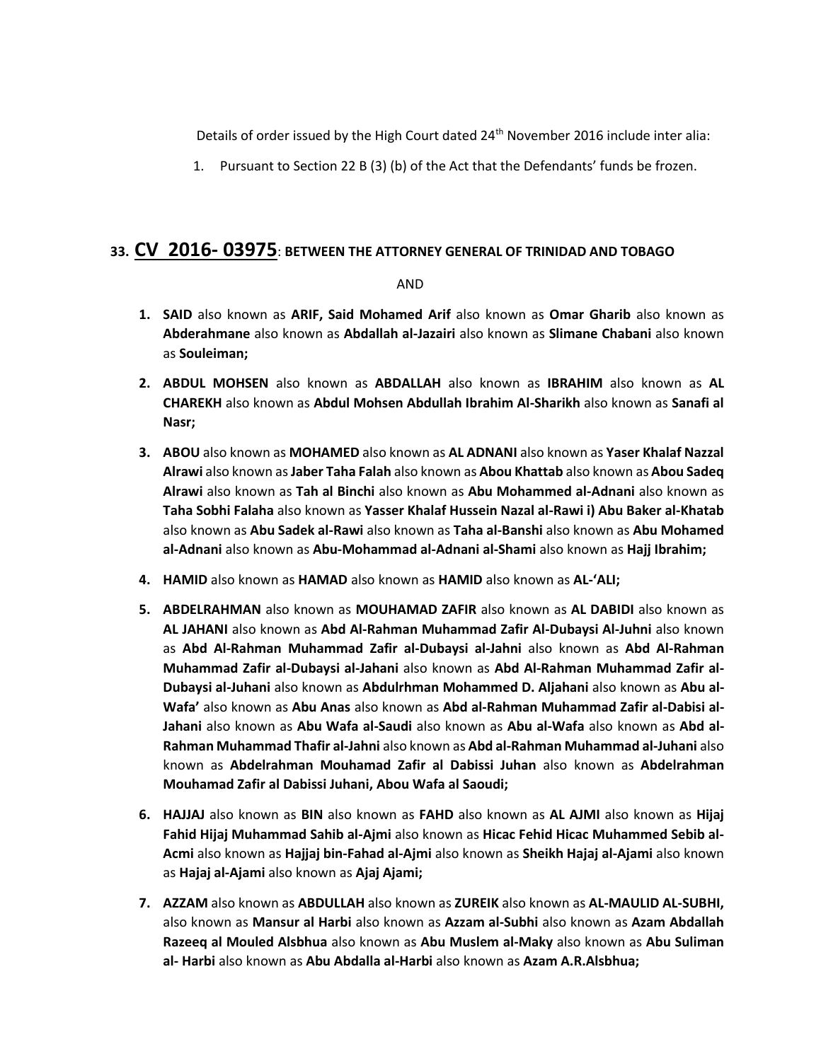Details of order issued by the High Court dated 24th November 2016 include inter alia:

1. Pursuant to Section 22 B (3) (b) of the Act that the Defendants' funds be frozen.

### **33. CV 2016- 03975**: **BETWEEN THE ATTORNEY GENERAL OF TRINIDAD AND TOBAGO**

#### AND

- **1. SAID** also known as **ARIF, Said Mohamed Arif** also known as **Omar Gharib** also known as **Abderahmane** also known as **Abdallah al-Jazairi** also known as **Slimane Chabani** also known as **Souleiman;**
- **2. ABDUL MOHSEN** also known as **ABDALLAH** also known as **IBRAHIM** also known as **AL CHAREKH** also known as **Abdul Mohsen Abdullah Ibrahim Al-Sharikh** also known as **Sanafi al Nasr;**
- **3. ABOU** also known as **MOHAMED** also known as **AL ADNANI** also known as **Yaser Khalaf Nazzal Alrawi** also known as**Jaber Taha Falah** also known as **Abou Khattab** also known as **Abou Sadeq Alrawi** also known as **Tah al Binchi** also known as **Abu Mohammed al-Adnani** also known as **Taha Sobhi Falaha** also known as **Yasser Khalaf Hussein Nazal al-Rawi i) Abu Baker al-Khatab**  also known as **Abu Sadek al-Rawi** also known as **Taha al-Banshi** also known as **Abu Mohamed al-Adnani** also known as **Abu-Mohammad al-Adnani al-Shami** also known as **Hajj Ibrahim;**
- **4. HAMID** also known as **HAMAD** also known as **HAMID** also known as **AL-'ALI;**
- **5. ABDELRAHMAN** also known as **MOUHAMAD ZAFIR** also known as **AL DABIDI** also known as **AL JAHANI** also known as **Abd Al-Rahman Muhammad Zafir Al-Dubaysi Al-Juhni** also known as **Abd Al-Rahman Muhammad Zafir al-Dubaysi al-Jahni** also known as **Abd Al-Rahman Muhammad Zafir al-Dubaysi al-Jahani** also known as **Abd Al-Rahman Muhammad Zafir al-Dubaysi al-Juhani** also known as **Abdulrhman Mohammed D. Aljahani** also known as **Abu al-Wafa'** also known as **Abu Anas** also known as **Abd al-Rahman Muhammad Zafir al-Dabisi al-Jahani** also known as **Abu Wafa al-Saudi** also known as **Abu al-Wafa** also known as **Abd al-Rahman Muhammad Thafir al-Jahni** also known as **Abd al-Rahman Muhammad al-Juhani** also known as **Abdelrahman Mouhamad Zafir al Dabissi Juhan** also known as **Abdelrahman Mouhamad Zafir al Dabissi Juhani, Abou Wafa al Saoudi;**
- **6. HAJJAJ** also known as **BIN** also known as **FAHD** also known as **AL AJMI** also known as **Hijaj Fahid Hijaj Muhammad Sahib al-Ajmi** also known as **Hicac Fehid Hicac Muhammed Sebib al-Acmi** also known as **Hajjaj bin-Fahad al-Ajmi** also known as **Sheikh Hajaj al-Ajami** also known as **Hajaj al-Ajami** also known as **Ajaj Ajami;**
- **7. AZZAM** also known as **ABDULLAH** also known as **ZUREIK** also known as **AL-MAULID AL-SUBHI,**  also known as **Mansur al Harbi** also known as **Azzam al-Subhi** also known as **Azam Abdallah Razeeq al Mouled Alsbhua** also known as **Abu Muslem al-Maky** also known as **Abu Suliman al- Harbi** also known as **Abu Abdalla al-Harbi** also known as **Azam A.R.Alsbhua;**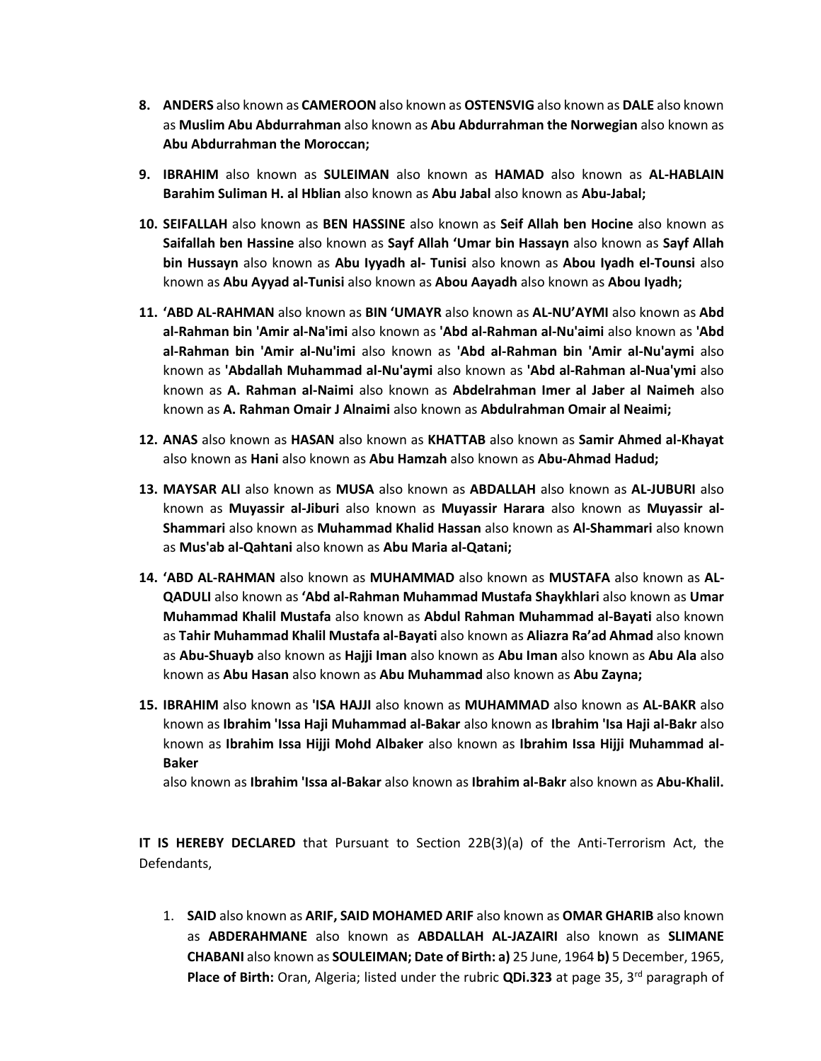- **8. ANDERS** also known as **CAMEROON** also known as **OSTENSVIG** also known as **DALE** also known as **Muslim Abu Abdurrahman** also known as **Abu Abdurrahman the Norwegian** also known as **Abu Abdurrahman the Moroccan;**
- **9. IBRAHIM** also known as **SULEIMAN** also known as **HAMAD** also known as **AL-HABLAIN Barahim Suliman H. al Hblian** also known as **Abu Jabal** also known as **Abu-Jabal;**
- **10. SEIFALLAH** also known as **BEN HASSINE** also known as **Seif Allah ben Hocine** also known as **Saifallah ben Hassine** also known as **Sayf Allah 'Umar bin Hassayn** also known as **Sayf Allah bin Hussayn** also known as **Abu Iyyadh al- Tunisi** also known as **Abou Iyadh el-Tounsi** also known as **Abu Ayyad al-Tunisi** also known as **Abou Aayadh** also known as **Abou Iyadh;**
- **11. 'ABD AL-RAHMAN** also known as **BIN 'UMAYR** also known as **AL-NU'AYMI** also known as **Abd al-Rahman bin 'Amir al-Na'imi** also known as **'Abd al-Rahman al-Nu'aimi** also known as **'Abd al-Rahman bin 'Amir al-Nu'imi** also known as **'Abd al-Rahman bin 'Amir al-Nu'aymi** also known as **'Abdallah Muhammad al-Nu'aymi** also known as **'Abd al-Rahman al-Nua'ymi** also known as **A. Rahman al-Naimi** also known as **Abdelrahman Imer al Jaber al Naimeh** also known as **A. Rahman Omair J Alnaimi** also known as **Abdulrahman Omair al Neaimi;**
- **12. ANAS** also known as **HASAN** also known as **KHATTAB** also known as **Samir Ahmed al-Khayat**  also known as **Hani** also known as **Abu Hamzah** also known as **Abu-Ahmad Hadud;**
- **13. MAYSAR ALI** also known as **MUSA** also known as **ABDALLAH** also known as **AL-JUBURI** also known as **Muyassir al-Jiburi** also known as **Muyassir Harara** also known as **Muyassir al-Shammari** also known as **Muhammad Khalid Hassan** also known as **Al-Shammari** also known as **Mus'ab al-Qahtani** also known as **Abu Maria al-Qatani;**
- **14. 'ABD AL-RAHMAN** also known as **MUHAMMAD** also known as **MUSTAFA** also known as **AL-QADULI** also known as **'Abd al-Rahman Muhammad Mustafa Shaykhlari** also known as **Umar Muhammad Khalil Mustafa** also known as **Abdul Rahman Muhammad al-Bayati** also known as **Tahir Muhammad Khalil Mustafa al-Bayati** also known as **Aliazra Ra'ad Ahmad** also known as **Abu-Shuayb** also known as **Hajji Iman** also known as **Abu Iman** also known as **Abu Ala** also known as **Abu Hasan** also known as **Abu Muhammad** also known as **Abu Zayna;**
- **15. IBRAHIM** also known as **'ISA HAJJI** also known as **MUHAMMAD** also known as **AL-BAKR** also known as **Ibrahim 'Issa Haji Muhammad al-Bakar** also known as **Ibrahim 'Isa Haji al-Bakr** also known as **Ibrahim Issa Hijji Mohd Albaker** also known as **Ibrahim Issa Hijji Muhammad al-Baker**

also known as **Ibrahim 'Issa al-Bakar** also known as **Ibrahim al-Bakr** also known as **Abu-Khalil.**

**IT IS HEREBY DECLARED** that Pursuant to Section 22B(3)(a) of the Anti-Terrorism Act, the Defendants,

1. **SAID** also known as **ARIF, SAID MOHAMED ARIF** also known as **OMAR GHARIB** also known as **ABDERAHMANE** also known as **ABDALLAH AL-JAZAIRI** also known as **SLIMANE CHABANI** also known as **SOULEIMAN; Date of Birth: a)** 25 June, 1964 **b)** 5 December, 1965, Place of Birth: Oran, Algeria; listed under the rubric QDi.323 at page 35, 3<sup>rd</sup> paragraph of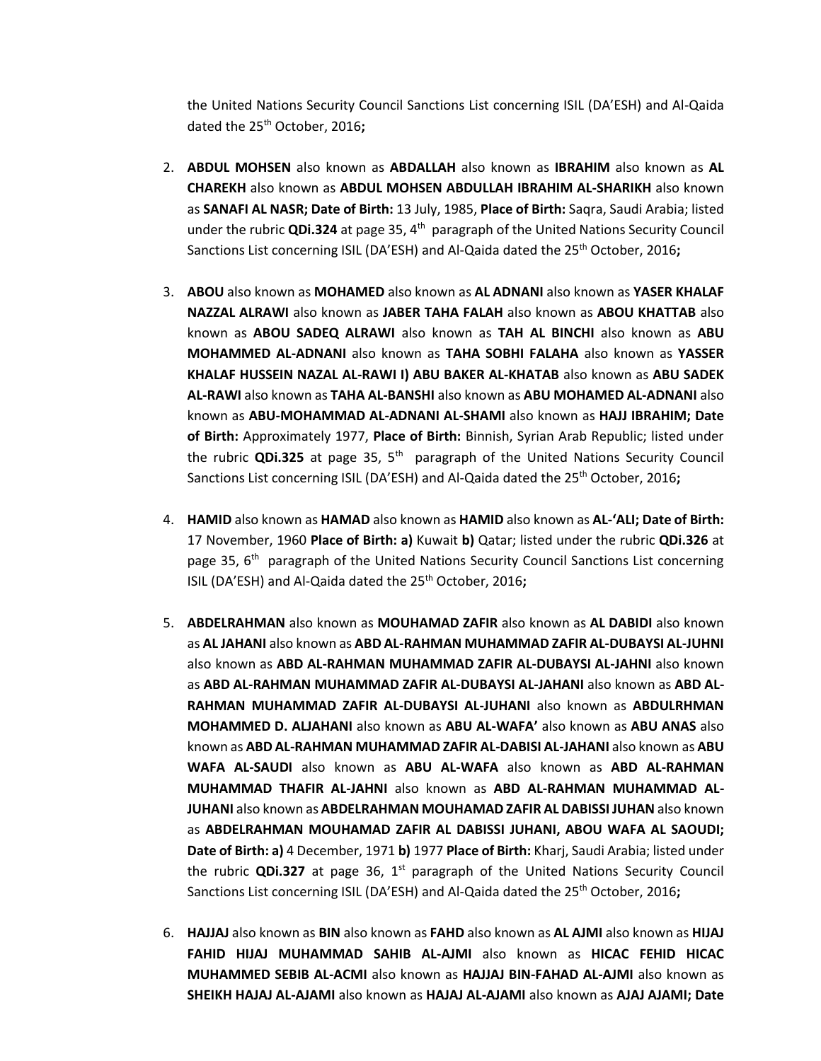the United Nations Security Council Sanctions List concerning ISIL (DA'ESH) and Al-Qaida dated the 25<sup>th</sup> October, 2016;

- 2. **ABDUL MOHSEN** also known as **ABDALLAH** also known as **IBRAHIM** also known as **AL CHAREKH** also known as **ABDUL MOHSEN ABDULLAH IBRAHIM AL-SHARIKH** also known as **SANAFI AL NASR; Date of Birth:** 13 July, 1985, **Place of Birth:** Saqra, Saudi Arabia; listed under the rubric **QDi.324** at page 35, 4<sup>th</sup> paragraph of the United Nations Security Council Sanctions List concerning ISIL (DA'ESH) and Al-Qaida dated the 25th October, 2016**;**
- 3. **ABOU** also known as **MOHAMED** also known as **AL ADNANI** also known as **YASER KHALAF NAZZAL ALRAWI** also known as **JABER TAHA FALAH** also known as **ABOU KHATTAB** also known as **ABOU SADEQ ALRAWI** also known as **TAH AL BINCHI** also known as **ABU MOHAMMED AL-ADNANI** also known as **TAHA SOBHI FALAHA** also known as **YASSER KHALAF HUSSEIN NAZAL AL-RAWI I) ABU BAKER AL-KHATAB** also known as **ABU SADEK AL-RAWI** also known as **TAHA AL-BANSHI** also known as **ABU MOHAMED AL-ADNANI** also known as **ABU-MOHAMMAD AL-ADNANI AL-SHAMI** also known as **HAJJ IBRAHIM; Date of Birth:** Approximately 1977, **Place of Birth:** Binnish, Syrian Arab Republic; listed under the rubric **QDi.325** at page 35, 5<sup>th</sup> paragraph of the United Nations Security Council Sanctions List concerning ISIL (DA'ESH) and Al-Qaida dated the 25th October, 2016**;**
- 4. **HAMID** also known as **HAMAD** also known as **HAMID** also known as **AL-'ALI; Date of Birth:**  17 November, 1960 **Place of Birth: a)** Kuwait **b)** Qatar; listed under the rubric **QDi.326** at page 35, 6<sup>th</sup> paragraph of the United Nations Security Council Sanctions List concerning ISIL (DA'ESH) and Al-Qaida dated the 25<sup>th</sup> October, 2016;
- 5. **ABDELRAHMAN** also known as **MOUHAMAD ZAFIR** also known as **AL DABIDI** also known as **AL JAHANI** also known as **ABD AL-RAHMAN MUHAMMAD ZAFIR AL-DUBAYSI AL-JUHNI**  also known as **ABD AL-RAHMAN MUHAMMAD ZAFIR AL-DUBAYSI AL-JAHNI** also known as **ABD AL-RAHMAN MUHAMMAD ZAFIR AL-DUBAYSI AL-JAHANI** also known as **ABD AL-RAHMAN MUHAMMAD ZAFIR AL-DUBAYSI AL-JUHANI** also known as **ABDULRHMAN MOHAMMED D. ALJAHANI** also known as **ABU AL-WAFA'** also known as **ABU ANAS** also known as **ABD AL-RAHMAN MUHAMMAD ZAFIR AL-DABISI AL-JAHANI** also known as **ABU WAFA AL-SAUDI** also known as **ABU AL-WAFA** also known as **ABD AL-RAHMAN MUHAMMAD THAFIR AL-JAHNI** also known as **ABD AL-RAHMAN MUHAMMAD AL-JUHANI** also known as **ABDELRAHMAN MOUHAMAD ZAFIR AL DABISSI JUHAN** also known as **ABDELRAHMAN MOUHAMAD ZAFIR AL DABISSI JUHANI, ABOU WAFA AL SAOUDI; Date of Birth: a)** 4 December, 1971 **b)** 1977 **Place of Birth:** Kharj, Saudi Arabia; listed under the rubric **QDi.327** at page 36, 1<sup>st</sup> paragraph of the United Nations Security Council Sanctions List concerning ISIL (DA'ESH) and Al-Qaida dated the 25<sup>th</sup> October, 2016**;**
- 6. **HAJJAJ** also known as **BIN** also known as **FAHD** also known as **AL AJMI** also known as **HIJAJ FAHID HIJAJ MUHAMMAD SAHIB AL-AJMI** also known as **HICAC FEHID HICAC MUHAMMED SEBIB AL-ACMI** also known as **HAJJAJ BIN-FAHAD AL-AJMI** also known as **SHEIKH HAJAJ AL-AJAMI** also known as **HAJAJ AL-AJAMI** also known as **AJAJ AJAMI; Date**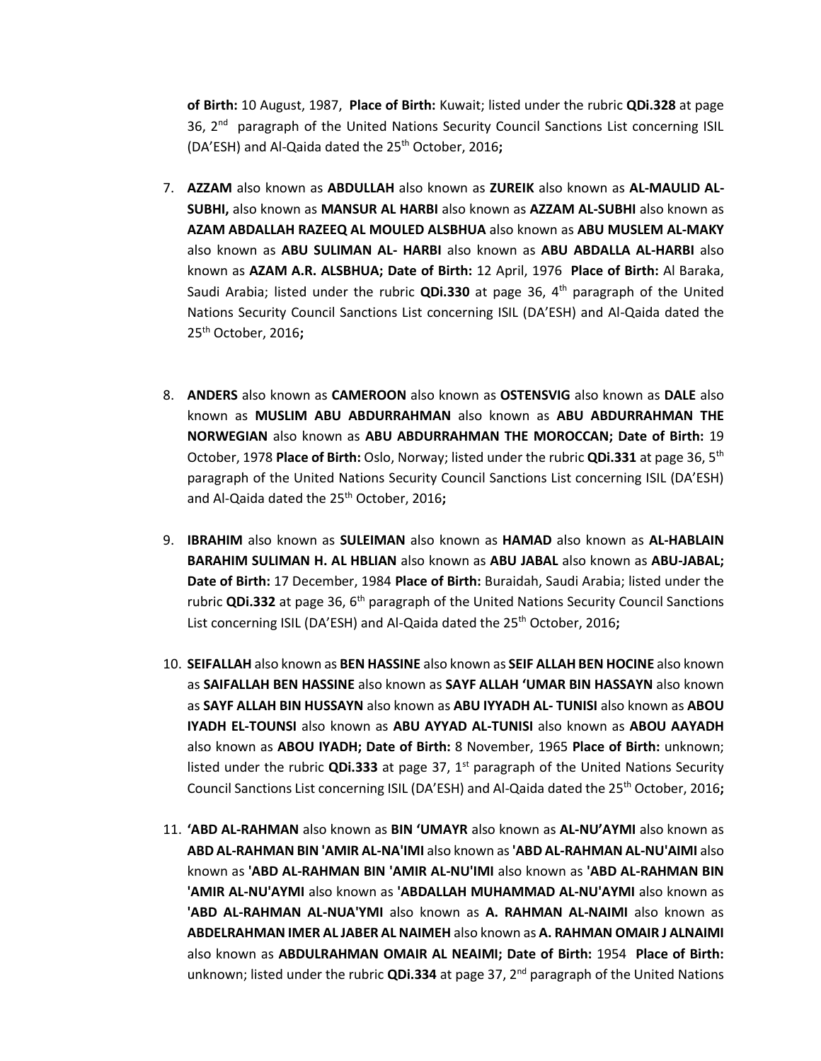**of Birth:** 10 August, 1987, **Place of Birth:** Kuwait; listed under the rubric **QDi.328** at page 36, 2<sup>nd</sup> paragraph of the United Nations Security Council Sanctions List concerning ISIL (DA'ESH) and Al-Qaida dated the 25th October, 2016**;**

- 7. **AZZAM** also known as **ABDULLAH** also known as **ZUREIK** also known as **AL-MAULID AL-SUBHI,** also known as **MANSUR AL HARBI** also known as **AZZAM AL-SUBHI** also known as **AZAM ABDALLAH RAZEEQ AL MOULED ALSBHUA** also known as **ABU MUSLEM AL-MAKY**  also known as **ABU SULIMAN AL- HARBI** also known as **ABU ABDALLA AL-HARBI** also known as **AZAM A.R. ALSBHUA; Date of Birth:** 12 April, 1976 **Place of Birth:** Al Baraka, Saudi Arabia; listed under the rubric **QDi.330** at page 36, 4th paragraph of the United Nations Security Council Sanctions List concerning ISIL (DA'ESH) and Al-Qaida dated the 25th October, 2016**;**
- 8. **ANDERS** also known as **CAMEROON** also known as **OSTENSVIG** also known as **DALE** also known as **MUSLIM ABU ABDURRAHMAN** also known as **ABU ABDURRAHMAN THE NORWEGIAN** also known as **ABU ABDURRAHMAN THE MOROCCAN; Date of Birth:** 19 October, 1978 **Place of Birth:** Oslo, Norway; listed under the rubric **QDi.331** at page 36, 5th paragraph of the United Nations Security Council Sanctions List concerning ISIL (DA'ESH) and Al-Qaida dated the 25th October, 2016**;**
- 9. **IBRAHIM** also known as **SULEIMAN** also known as **HAMAD** also known as **AL-HABLAIN BARAHIM SULIMAN H. AL HBLIAN** also known as **ABU JABAL** also known as **ABU-JABAL; Date of Birth:** 17 December, 1984 **Place of Birth:** Buraidah, Saudi Arabia; listed under the rubric **QDi.332** at page 36, 6<sup>th</sup> paragraph of the United Nations Security Council Sanctions List concerning ISIL (DA'ESH) and Al-Qaida dated the 25<sup>th</sup> October, 2016;
- 10. **SEIFALLAH** also known as **BEN HASSINE** also known as **SEIF ALLAH BEN HOCINE** also known as **SAIFALLAH BEN HASSINE** also known as **SAYF ALLAH 'UMAR BIN HASSAYN** also known as **SAYF ALLAH BIN HUSSAYN** also known as **ABU IYYADH AL- TUNISI** also known as **ABOU IYADH EL-TOUNSI** also known as **ABU AYYAD AL-TUNISI** also known as **ABOU AAYADH**  also known as **ABOU IYADH; Date of Birth:** 8 November, 1965 **Place of Birth:** unknown; listed under the rubric **QDi.333** at page 37, 1<sup>st</sup> paragraph of the United Nations Security Council Sanctions List concerning ISIL (DA'ESH) and Al-Qaida dated the 25th October, 2016**;**
- 11. **'ABD AL-RAHMAN** also known as **BIN 'UMAYR** also known as **AL-NU'AYMI** also known as **ABD AL-RAHMAN BIN 'AMIR AL-NA'IMI** also known as**'ABD AL-RAHMAN AL-NU'AIMI** also known as **'ABD AL-RAHMAN BIN 'AMIR AL-NU'IMI** also known as **'ABD AL-RAHMAN BIN 'AMIR AL-NU'AYMI** also known as **'ABDALLAH MUHAMMAD AL-NU'AYMI** also known as **'ABD AL-RAHMAN AL-NUA'YMI** also known as **A. RAHMAN AL-NAIMI** also known as **ABDELRAHMAN IMER AL JABER AL NAIMEH** also known as **A. RAHMAN OMAIR J ALNAIMI**  also known as **ABDULRAHMAN OMAIR AL NEAIMI; Date of Birth:** 1954 **Place of Birth:**  unknown; listed under the rubric **QDi.334** at page 37, 2nd paragraph of the United Nations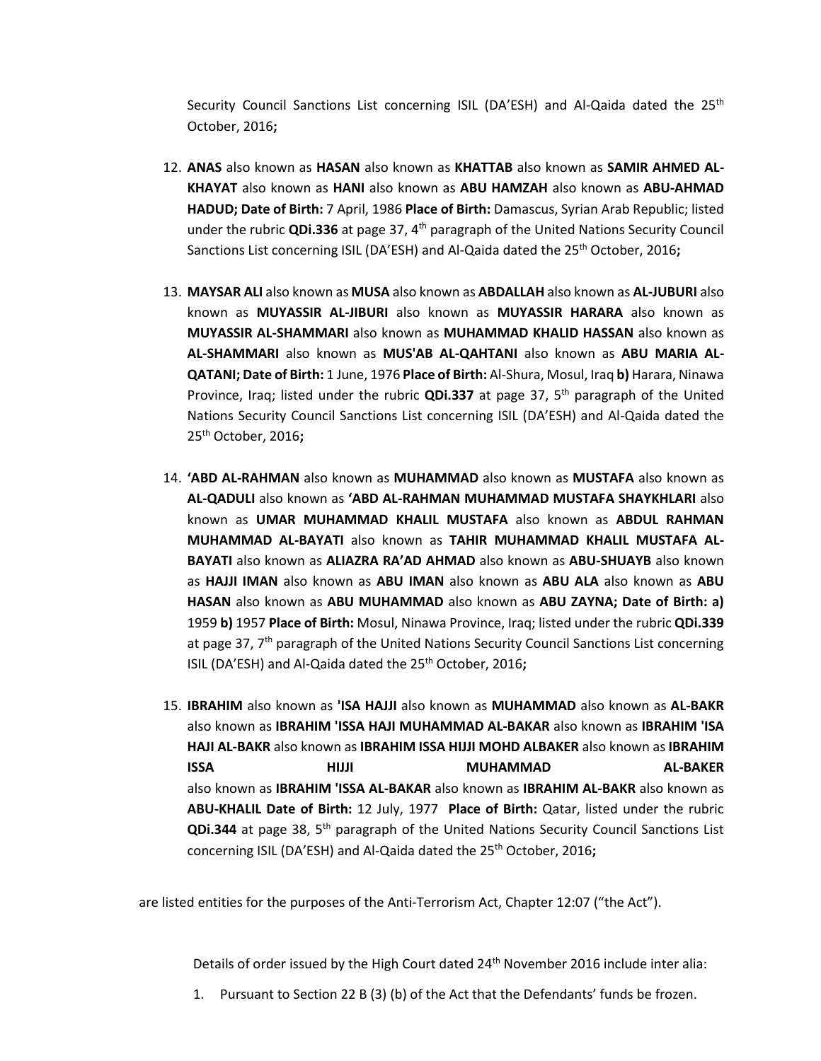Security Council Sanctions List concerning ISIL (DA'ESH) and Al-Qaida dated the 25<sup>th</sup> October, 2016**;**

- 12. **ANAS** also known as **HASAN** also known as **KHATTAB** also known as **SAMIR AHMED AL-KHAYAT** also known as **HANI** also known as **ABU HAMZAH** also known as **ABU-AHMAD HADUD; Date of Birth:** 7 April, 1986 **Place of Birth:** Damascus, Syrian Arab Republic; listed under the rubric **QDi.336** at page 37, 4th paragraph of the United Nations Security Council Sanctions List concerning ISIL (DA'ESH) and Al-Qaida dated the 25th October, 2016**;**
- 13. **MAYSAR ALI** also known as **MUSA** also known as **ABDALLAH** also known as **AL-JUBURI** also known as **MUYASSIR AL-JIBURI** also known as **MUYASSIR HARARA** also known as **MUYASSIR AL-SHAMMARI** also known as **MUHAMMAD KHALID HASSAN** also known as **AL-SHAMMARI** also known as **MUS'AB AL-QAHTANI** also known as **ABU MARIA AL-QATANI; Date of Birth:** 1 June, 1976 **Place of Birth:** Al-Shura, Mosul, Iraq **b)** Harara, Ninawa Province, Iraq; listed under the rubric **QDi.337** at page 37, 5th paragraph of the United Nations Security Council Sanctions List concerning ISIL (DA'ESH) and Al-Qaida dated the 25th October, 2016**;**
- 14. **'ABD AL-RAHMAN** also known as **MUHAMMAD** also known as **MUSTAFA** also known as **AL-QADULI** also known as **'ABD AL-RAHMAN MUHAMMAD MUSTAFA SHAYKHLARI** also known as **UMAR MUHAMMAD KHALIL MUSTAFA** also known as **ABDUL RAHMAN MUHAMMAD AL-BAYATI** also known as **TAHIR MUHAMMAD KHALIL MUSTAFA AL-BAYATI** also known as **ALIAZRA RA'AD AHMAD** also known as **ABU-SHUAYB** also known as **HAJJI IMAN** also known as **ABU IMAN** also known as **ABU ALA** also known as **ABU HASAN** also known as **ABU MUHAMMAD** also known as **ABU ZAYNA; Date of Birth: a)**  1959 **b)** 1957 **Place of Birth:** Mosul, Ninawa Province, Iraq; listed under the rubric **QDi.339**  at page 37, 7th paragraph of the United Nations Security Council Sanctions List concerning ISIL (DA'ESH) and Al-Qaida dated the 25<sup>th</sup> October, 2016;
- 15. **IBRAHIM** also known as **'ISA HAJJI** also known as **MUHAMMAD** also known as **AL-BAKR**  also known as **IBRAHIM 'ISSA HAJI MUHAMMAD AL-BAKAR** also known as **IBRAHIM 'ISA HAJI AL-BAKR** also known as **IBRAHIM ISSA HIJJI MOHD ALBAKER** also known as **IBRAHIM ISSA HIJJI MUHAMMAD AL-BAKER** also known as **IBRAHIM 'ISSA AL-BAKAR** also known as **IBRAHIM AL-BAKR** also known as **ABU-KHALIL Date of Birth:** 12 July, 1977 **Place of Birth:** Qatar, listed under the rubric **QDi.344** at page 38, 5<sup>th</sup> paragraph of the United Nations Security Council Sanctions List concerning ISIL (DA'ESH) and Al-Qaida dated the 25<sup>th</sup> October, 2016;

are listed entities for the purposes of the Anti-Terrorism Act, Chapter 12:07 ("the Act").

Details of order issued by the High Court dated 24<sup>th</sup> November 2016 include inter alia:

1. Pursuant to Section 22 B (3) (b) of the Act that the Defendants' funds be frozen.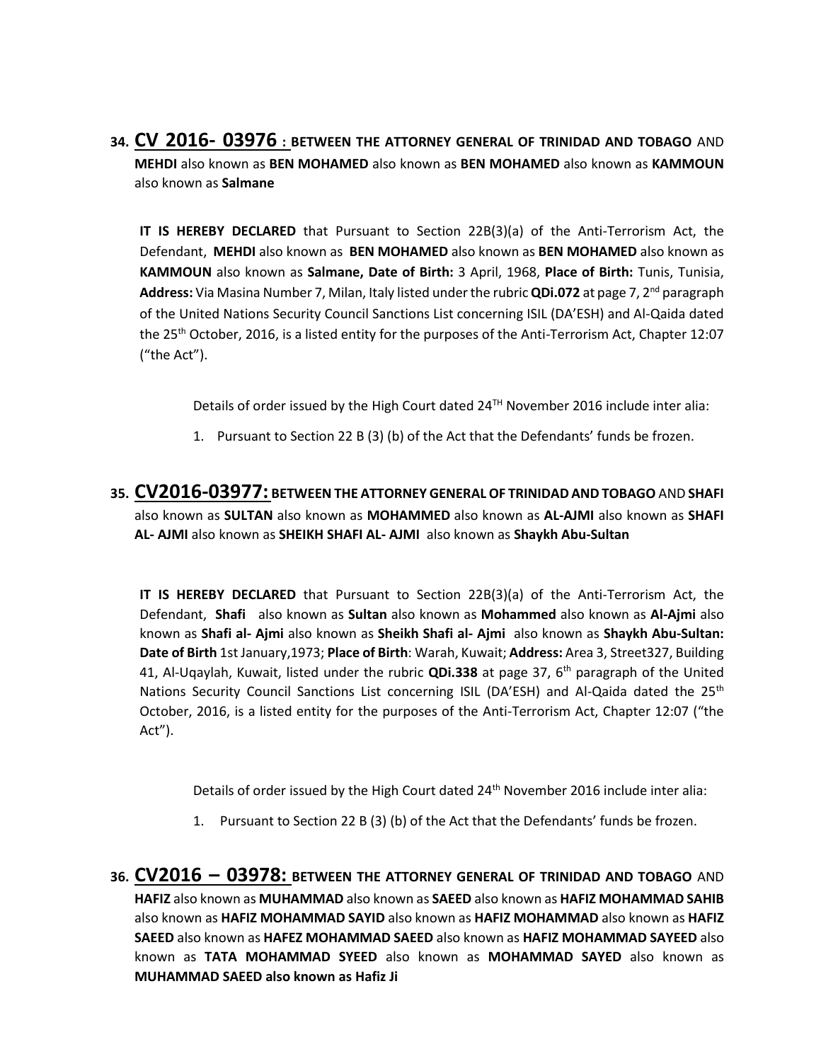**34. CV 2016- 03976 : BETWEEN THE ATTORNEY GENERAL OF TRINIDAD AND TOBAGO** AND **MEHDI** also known as **BEN MOHAMED** also known as **BEN MOHAMED** also known as **KAMMOUN** also known as **Salmane**

**IT IS HEREBY DECLARED** that Pursuant to Section 22B(3)(a) of the Anti-Terrorism Act, the Defendant, **MEHDI** also known as **BEN MOHAMED** also known as **BEN MOHAMED** also known as **KAMMOUN** also known as **Salmane, Date of Birth:** 3 April, 1968, **Place of Birth:** Tunis, Tunisia, **Address:** Via Masina Number 7, Milan, Italy listed under the rubric **QDi.072** at page 7, 2nd paragraph of the United Nations Security Council Sanctions List concerning ISIL (DA'ESH) and Al-Qaida dated the 25th October, 2016, is a listed entity for the purposes of the Anti-Terrorism Act, Chapter 12:07 ("the Act").

Details of order issued by the High Court dated 24TH November 2016 include inter alia:

- 1. Pursuant to Section 22 B (3) (b) of the Act that the Defendants' funds be frozen.
- **35. CV2016-03977: BETWEEN THE ATTORNEY GENERAL OF TRINIDAD AND TOBAGO** AND **SHAFI**  also known as **SULTAN** also known as **MOHAMMED** also known as **AL-AJMI** also known as **SHAFI AL- AJMI** also known as **SHEIKH SHAFI AL- AJMI** also known as **Shaykh Abu-Sultan**

**IT IS HEREBY DECLARED** that Pursuant to Section 22B(3)(a) of the Anti-Terrorism Act, the Defendant, **Shafi** also known as **Sultan** also known as **Mohammed** also known as **Al-Ajmi** also known as **Shafi al- Ajmi** also known as **Sheikh Shafi al- Ajmi** also known as **Shaykh Abu-Sultan: Date of Birth** 1st January,1973; **Place of Birth**: Warah, Kuwait; **Address:** Area 3, Street327, Building 41, Al-Uqaylah, Kuwait, listed under the rubric **QDi.338** at page 37, 6th paragraph of the United Nations Security Council Sanctions List concerning ISIL (DA'ESH) and Al-Qaida dated the 25<sup>th</sup> October, 2016, is a listed entity for the purposes of the Anti-Terrorism Act, Chapter 12:07 ("the Act").

Details of order issued by the High Court dated 24<sup>th</sup> November 2016 include inter alia:

- 1. Pursuant to Section 22 B (3) (b) of the Act that the Defendants' funds be frozen.
- **36. CV2016 – 03978: BETWEEN THE ATTORNEY GENERAL OF TRINIDAD AND TOBAGO** AND **HAFIZ** also known as **MUHAMMAD** also known as **SAEED** also known as **HAFIZ MOHAMMAD SAHIB**  also known as **HAFIZ MOHAMMAD SAYID** also known as **HAFIZ MOHAMMAD** also known as **HAFIZ SAEED** also known as **HAFEZ MOHAMMAD SAEED** also known as **HAFIZ MOHAMMAD SAYEED** also known as **TATA MOHAMMAD SYEED** also known as **MOHAMMAD SAYED** also known as **MUHAMMAD SAEED also known as Hafiz Ji**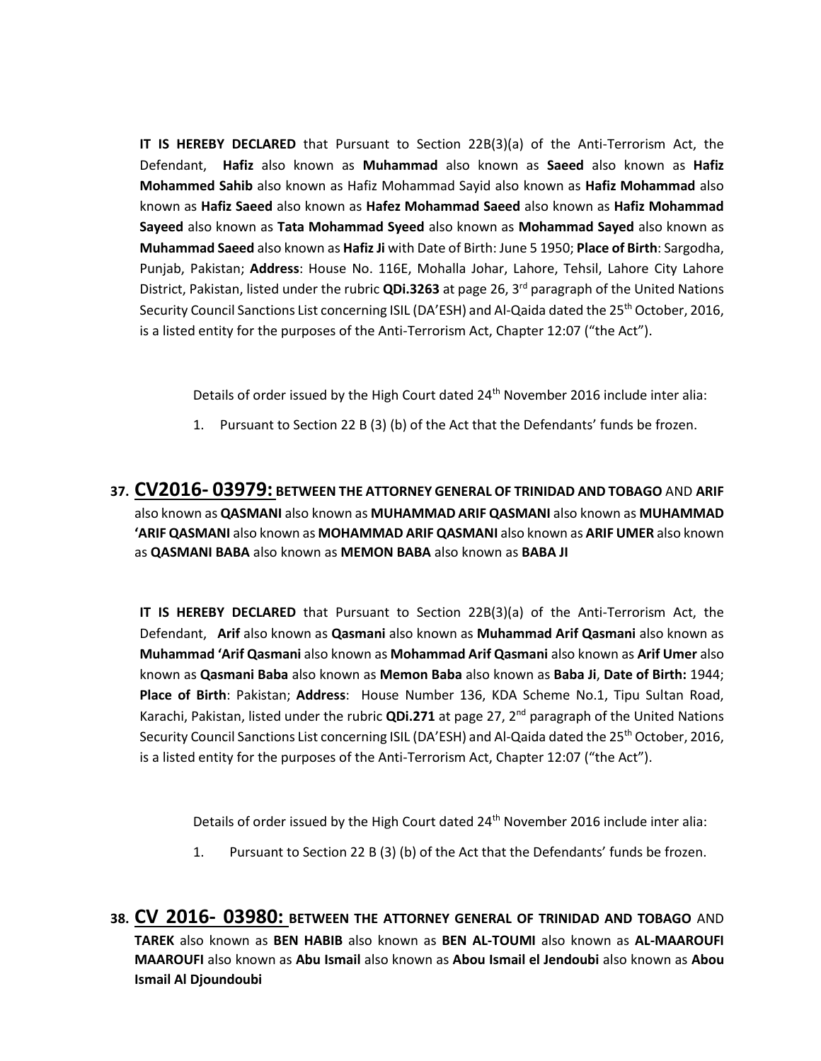**IT IS HEREBY DECLARED** that Pursuant to Section 22B(3)(a) of the Anti-Terrorism Act, the Defendant, **Hafiz** also known as **Muhammad** also known as **Saeed** also known as **Hafiz Mohammed Sahib** also known as Hafiz Mohammad Sayid also known as **Hafiz Mohammad** also known as **Hafiz Saeed** also known as **Hafez Mohammad Saeed** also known as **Hafiz Mohammad Sayeed** also known as **Tata Mohammad Syeed** also known as **Mohammad Sayed** also known as **Muhammad Saeed** also known as **Hafiz Ji** with Date of Birth: June 5 1950; **Place of Birth**: Sargodha, Punjab, Pakistan; **Address**: House No. 116E, Mohalla Johar, Lahore, Tehsil, Lahore City Lahore District, Pakistan, listed under the rubric **QDi.3263** at page 26, 3rd paragraph of the United Nations Security Council Sanctions List concerning ISIL (DA'ESH) and Al-Qaida dated the 25<sup>th</sup> October, 2016, is a listed entity for the purposes of the Anti-Terrorism Act, Chapter 12:07 ("the Act").

Details of order issued by the High Court dated 24<sup>th</sup> November 2016 include inter alia:

1. Pursuant to Section 22 B (3) (b) of the Act that the Defendants' funds be frozen.

**37. CV2016- 03979: BETWEEN THE ATTORNEY GENERAL OF TRINIDAD AND TOBAGO** AND **ARIF**  also known as **QASMANI** also known as **MUHAMMAD ARIF QASMANI** also known as **MUHAMMAD 'ARIF QASMANI** also known as **MOHAMMAD ARIF QASMANI** also known as **ARIF UMER** also known as **QASMANI BABA** also known as **MEMON BABA** also known as **BABA JI**

**IT IS HEREBY DECLARED** that Pursuant to Section 22B(3)(a) of the Anti-Terrorism Act, the Defendant, **Arif** also known as **Qasmani** also known as **Muhammad Arif Qasmani** also known as **Muhammad 'Arif Qasmani** also known as **Mohammad Arif Qasmani** also known as **Arif Umer** also known as **Qasmani Baba** also known as **Memon Baba** also known as **Baba Ji**, **Date of Birth:** 1944; **Place of Birth**: Pakistan; **Address**: House Number 136, KDA Scheme No.1, Tipu Sultan Road, Karachi, Pakistan, listed under the rubric **QDi.271** at page 27, 2nd paragraph of the United Nations Security Council Sanctions List concerning ISIL (DA'ESH) and Al-Qaida dated the 25<sup>th</sup> October, 2016, is a listed entity for the purposes of the Anti-Terrorism Act, Chapter 12:07 ("the Act").

Details of order issued by the High Court dated 24<sup>th</sup> November 2016 include inter alia:

- 1. Pursuant to Section 22 B (3) (b) of the Act that the Defendants' funds be frozen.
- **38. CV 2016- 03980: BETWEEN THE ATTORNEY GENERAL OF TRINIDAD AND TOBAGO** AND **TAREK** also known as **BEN HABIB** also known as **BEN AL-TOUMI** also known as **AL-MAAROUFI MAAROUFI** also known as **Abu Ismail** also known as **Abou Ismail el Jendoubi** also known as **Abou Ismail Al Djoundoubi**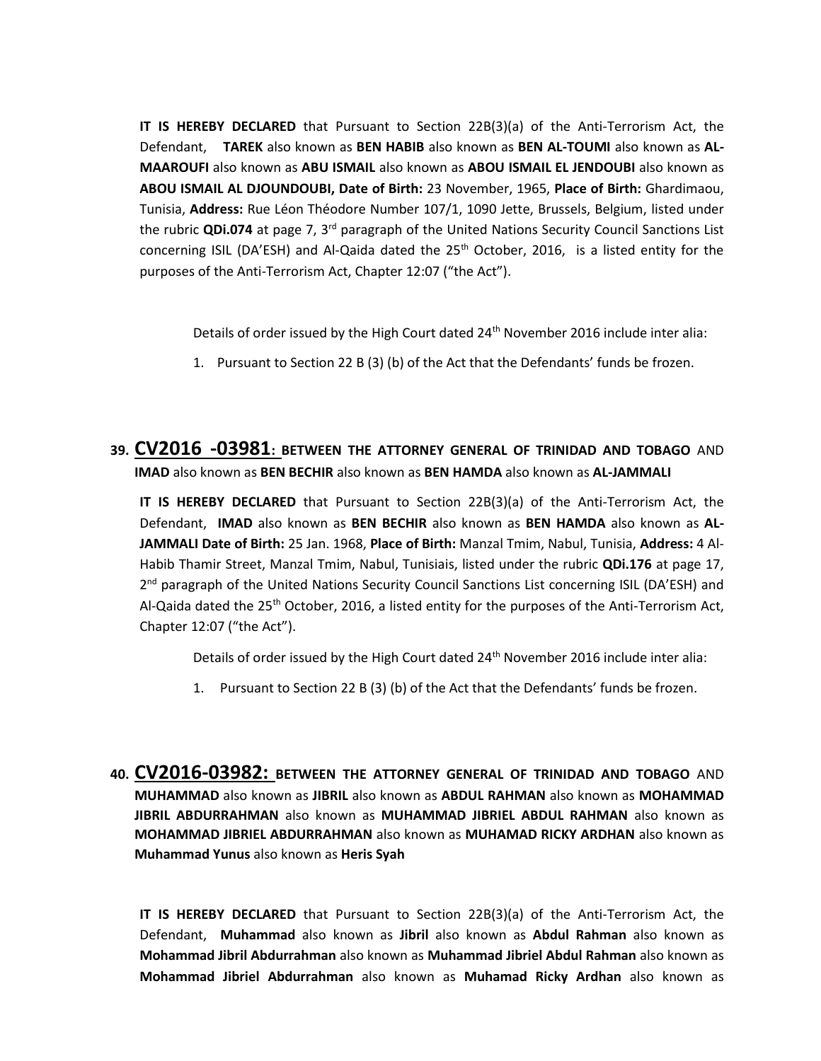**IT IS HEREBY DECLARED** that Pursuant to Section 22B(3)(a) of the Anti-Terrorism Act, the Defendant, **TAREK** also known as **BEN HABIB** also known as **BEN AL-TOUMI** also known as **AL-MAAROUFI** also known as **ABU ISMAIL** also known as **ABOU ISMAIL EL JENDOUBI** also known as **ABOU ISMAIL AL DJOUNDOUBI, Date of Birth:** 23 November, 1965, **Place of Birth:** Ghardimaou, Tunisia, **Address:** Rue Léon Théodore Number 107/1, 1090 Jette, Brussels, Belgium, listed under the rubric **QDi.074** at page 7, 3rd paragraph of the United Nations Security Council Sanctions List concerning ISIL (DA'ESH) and Al-Qaida dated the 25<sup>th</sup> October, 2016, is a listed entity for the purposes of the Anti-Terrorism Act, Chapter 12:07 ("the Act").

Details of order issued by the High Court dated  $24<sup>th</sup>$  November 2016 include inter alia:

- 1. Pursuant to Section 22 B (3) (b) of the Act that the Defendants' funds be frozen.
- **39. CV2016 -03981: BETWEEN THE ATTORNEY GENERAL OF TRINIDAD AND TOBAGO** AND **IMAD** also known as **BEN BECHIR** also known as **BEN HAMDA** also known as **AL-JAMMALI**

**IT IS HEREBY DECLARED** that Pursuant to Section 22B(3)(a) of the Anti-Terrorism Act, the Defendant, **IMAD** also known as **BEN BECHIR** also known as **BEN HAMDA** also known as **AL-JAMMALI Date of Birth:** 25 Jan. 1968, **Place of Birth:** Manzal Tmim, Nabul, Tunisia, **Address:** 4 Al-Habib Thamir Street, Manzal Tmim, Nabul, Tunisiais, listed under the rubric **QDi.176** at page 17, 2<sup>nd</sup> paragraph of the United Nations Security Council Sanctions List concerning ISIL (DA'ESH) and Al-Qaida dated the 25<sup>th</sup> October, 2016, a listed entity for the purposes of the Anti-Terrorism Act, Chapter 12:07 ("the Act").

Details of order issued by the High Court dated 24<sup>th</sup> November 2016 include inter alia:

- 1. Pursuant to Section 22 B (3) (b) of the Act that the Defendants' funds be frozen.
- **40. CV2016-03982: BETWEEN THE ATTORNEY GENERAL OF TRINIDAD AND TOBAGO** AND **MUHAMMAD** also known as **JIBRIL** also known as **ABDUL RAHMAN** also known as **MOHAMMAD JIBRIL ABDURRAHMAN** also known as **MUHAMMAD JIBRIEL ABDUL RAHMAN** also known as **MOHAMMAD JIBRIEL ABDURRAHMAN** also known as **MUHAMAD RICKY ARDHAN** also known as **Muhammad Yunus** also known as **Heris Syah**

**IT IS HEREBY DECLARED** that Pursuant to Section 22B(3)(a) of the Anti-Terrorism Act, the Defendant, **Muhammad** also known as **Jibril** also known as **Abdul Rahman** also known as **Mohammad Jibril Abdurrahman** also known as **Muhammad Jibriel Abdul Rahman** also known as **Mohammad Jibriel Abdurrahman** also known as **Muhamad Ricky Ardhan** also known as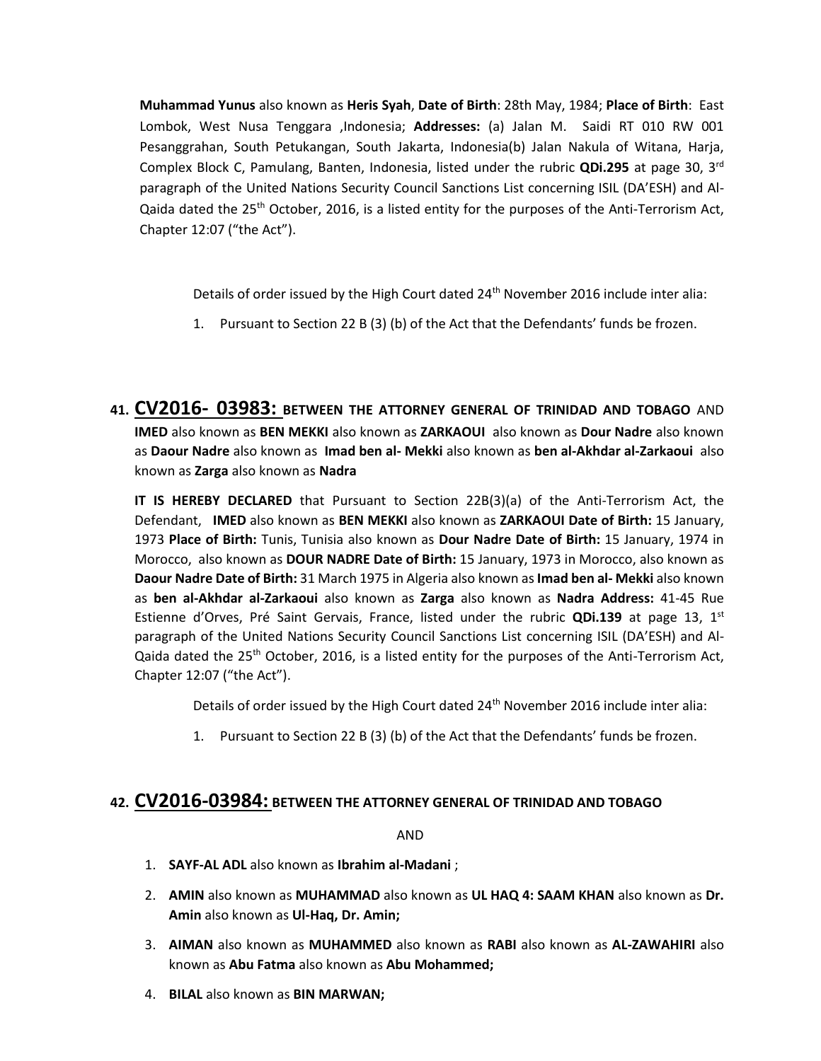**Muhammad Yunus** also known as **Heris Syah**, **Date of Birth**: 28th May, 1984; **Place of Birth**: East Lombok, West Nusa Tenggara ,Indonesia; **Addresses:** (a) Jalan M. Saidi RT 010 RW 001 Pesanggrahan, South Petukangan, South Jakarta, Indonesia(b) Jalan Nakula of Witana, Harja, Complex Block C, Pamulang, Banten, Indonesia, listed under the rubric **QDi.295** at page 30, 3rd paragraph of the United Nations Security Council Sanctions List concerning ISIL (DA'ESH) and Al-Qaida dated the 25<sup>th</sup> October, 2016, is a listed entity for the purposes of the Anti-Terrorism Act, Chapter 12:07 ("the Act").

Details of order issued by the High Court dated 24<sup>th</sup> November 2016 include inter alia:

- 1. Pursuant to Section 22 B (3) (b) of the Act that the Defendants' funds be frozen.
- **41. CV2016- 03983: BETWEEN THE ATTORNEY GENERAL OF TRINIDAD AND TOBAGO** AND **IMED** also known as **BEN MEKKI** also known as **ZARKAOUI** also known as **Dour Nadre** also known as **Daour Nadre** also known as **Imad ben al- Mekki** also known as **ben al-Akhdar al-Zarkaoui** also known as **Zarga** also known as **Nadra**

**IT IS HEREBY DECLARED** that Pursuant to Section 22B(3)(a) of the Anti-Terrorism Act, the Defendant, **IMED** also known as **BEN MEKKI** also known as **ZARKAOUI Date of Birth:** 15 January, 1973 **Place of Birth:** Tunis, Tunisia also known as **Dour Nadre Date of Birth:** 15 January, 1974 in Morocco, also known as **DOUR NADRE Date of Birth:** 15 January, 1973 in Morocco, also known as **Daour Nadre Date of Birth:** 31 March 1975 in Algeria also known as **Imad ben al- Mekki** also known as **ben al-Akhdar al-Zarkaoui** also known as **Zarga** also known as **Nadra Address:** 41-45 Rue Estienne d'Orves, Pré Saint Gervais, France, listed under the rubric **QDi.139** at page 13, 1st paragraph of the United Nations Security Council Sanctions List concerning ISIL (DA'ESH) and Al-Qaida dated the 25<sup>th</sup> October, 2016, is a listed entity for the purposes of the Anti-Terrorism Act, Chapter 12:07 ("the Act").

Details of order issued by the High Court dated 24<sup>th</sup> November 2016 include inter alia:

1. Pursuant to Section 22 B (3) (b) of the Act that the Defendants' funds be frozen.

#### **42. CV2016-03984: BETWEEN THE ATTORNEY GENERAL OF TRINIDAD AND TOBAGO**

AND

- 1. **SAYF-AL ADL** also known as **Ibrahim al-Madani** ;
- 2. **AMIN** also known as **MUHAMMAD** also known as **UL HAQ 4: SAAM KHAN** also known as **Dr. Amin** also known as **Ul-Haq, Dr. Amin;**
- 3. **AIMAN** also known as **MUHAMMED** also known as **RABI** also known as **AL-ZAWAHIRI** also known as **Abu Fatma** also known as **Abu Mohammed;**
- 4. **BILAL** also known as **BIN MARWAN;**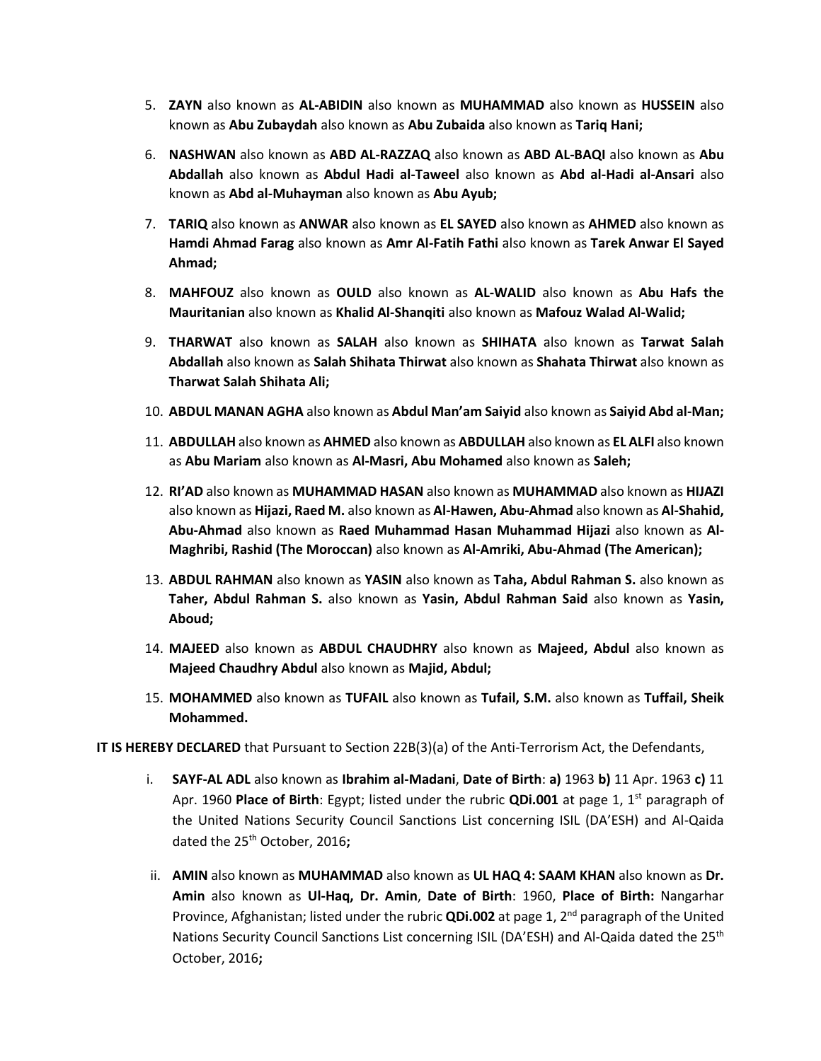- 5. **ZAYN** also known as **AL-ABIDIN** also known as **MUHAMMAD** also known as **HUSSEIN** also known as **Abu Zubaydah** also known as **Abu Zubaida** also known as **Tariq Hani;**
- 6. **NASHWAN** also known as **ABD AL-RAZZAQ** also known as **ABD AL-BAQI** also known as **Abu Abdallah** also known as **Abdul Hadi al-Taweel** also known as **Abd al-Hadi al-Ansari** also known as **Abd al-Muhayman** also known as **Abu Ayub;**
- 7. **TARIQ** also known as **ANWAR** also known as **EL SAYED** also known as **AHMED** also known as **Hamdi Ahmad Farag** also known as **Amr Al-Fatih Fathi** also known as **Tarek Anwar El Sayed Ahmad;**
- 8. **MAHFOUZ** also known as **OULD** also known as **AL-WALID** also known as **Abu Hafs the Mauritanian** also known as **Khalid Al-Shanqiti** also known as **Mafouz Walad Al-Walid;**
- 9. **THARWAT** also known as **SALAH** also known as **SHIHATA** also known as **Tarwat Salah Abdallah** also known as **Salah Shihata Thirwat** also known as **Shahata Thirwat** also known as **Tharwat Salah Shihata Ali;**
- 10. **ABDUL MANAN AGHA** also known as **Abdul Man'am Saiyid** also known as **Saiyid Abd al-Man;**
- 11. **ABDULLAH** also known as **AHMED** also known as **ABDULLAH** also known as **EL ALFI** also known as **Abu Mariam** also known as **Al-Masri, Abu Mohamed** also known as **Saleh;**
- 12. **RI'AD** also known as **MUHAMMAD HASAN** also known as **MUHAMMAD** also known as **HIJAZI**  also known as **Hijazi, Raed M.** also known as **Al-Hawen, Abu-Ahmad** also known as **Al-Shahid, Abu-Ahmad** also known as **Raed Muhammad Hasan Muhammad Hijazi** also known as **Al-Maghribi, Rashid (The Moroccan)** also known as **Al-Amriki, Abu-Ahmad (The American);**
- 13. **ABDUL RAHMAN** also known as **YASIN** also known as **Taha, Abdul Rahman S.** also known as **Taher, Abdul Rahman S.** also known as **Yasin, Abdul Rahman Said** also known as **Yasin, Aboud;**
- 14. **MAJEED** also known as **ABDUL CHAUDHRY** also known as **Majeed, Abdul** also known as **Majeed Chaudhry Abdul** also known as **Majid, Abdul;**
- 15. **MOHAMMED** also known as **TUFAIL** also known as **Tufail, S.M.** also known as **Tuffail, Sheik Mohammed.**

**IT IS HEREBY DECLARED** that Pursuant to Section 22B(3)(a) of the Anti-Terrorism Act, the Defendants,

- i. **SAYF-AL ADL** also known as **Ibrahim al-Madani**, **Date of Birth**: **a)** 1963 **b)** 11 Apr. 1963 **c)** 11 Apr. 1960 **Place of Birth**: Egypt; listed under the rubric **QDi.001** at page 1, 1<sup>st</sup> paragraph of the United Nations Security Council Sanctions List concerning ISIL (DA'ESH) and Al-Qaida dated the 25th October, 2016**;**
- ii. **AMIN** also known as **MUHAMMAD** also known as **UL HAQ 4: SAAM KHAN** also known as **Dr. Amin** also known as **Ul-Haq, Dr. Amin**, **Date of Birth**: 1960, **Place of Birth:** Nangarhar Province, Afghanistan; listed under the rubric **QDi.002** at page 1, 2nd paragraph of the United Nations Security Council Sanctions List concerning ISIL (DA'ESH) and Al-Qaida dated the 25<sup>th</sup> October, 2016**;**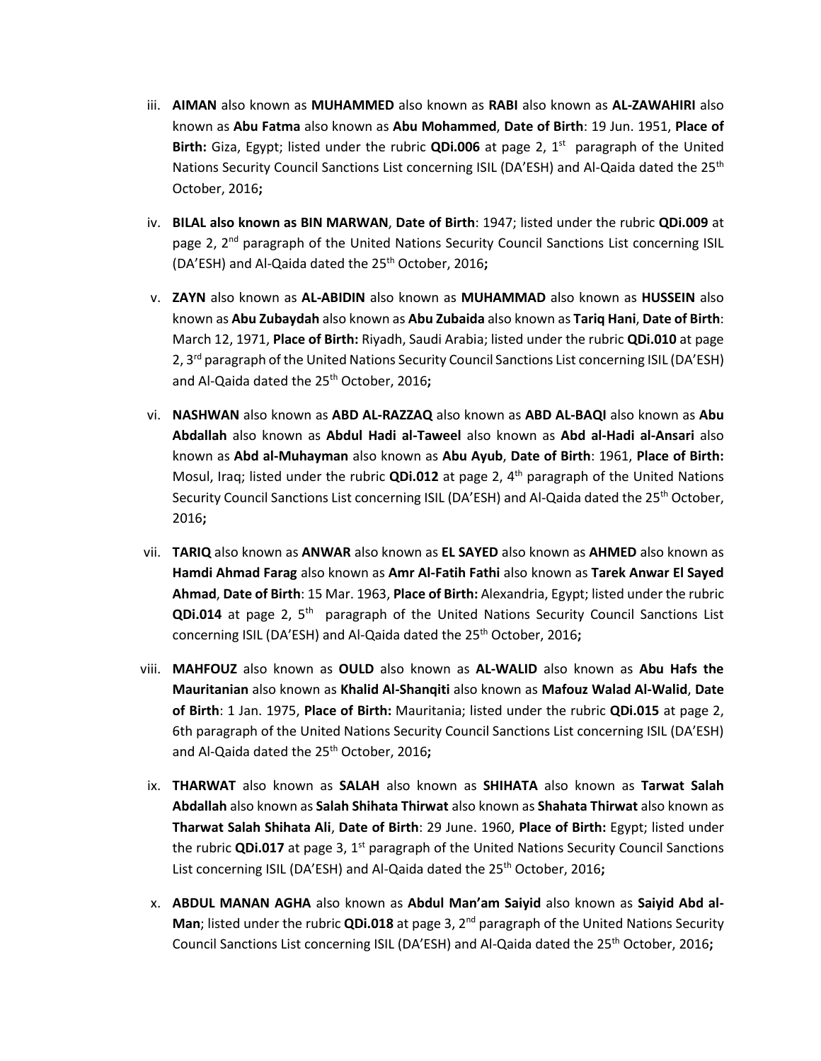- iii. **AIMAN** also known as **MUHAMMED** also known as **RABI** also known as **AL-ZAWAHIRI** also known as **Abu Fatma** also known as **Abu Mohammed**, **Date of Birth**: 19 Jun. 1951, **Place of**  Birth: Giza, Egypt; listed under the rubric QDi.006 at page 2, 1<sup>st</sup> paragraph of the United Nations Security Council Sanctions List concerning ISIL (DA'ESH) and Al-Qaida dated the 25<sup>th</sup> October, 2016**;**
- iv. **BILAL also known as BIN MARWAN**, **Date of Birth**: 1947; listed under the rubric **QDi.009** at page 2, 2<sup>nd</sup> paragraph of the United Nations Security Council Sanctions List concerning ISIL (DA'ESH) and Al-Qaida dated the 25th October, 2016**;**
- v. **ZAYN** also known as **AL-ABIDIN** also known as **MUHAMMAD** also known as **HUSSEIN** also known as **Abu Zubaydah** also known as **Abu Zubaida** also known as **Tariq Hani**, **Date of Birth**: March 12, 1971, **Place of Birth:** Riyadh, Saudi Arabia; listed under the rubric **QDi.010** at page 2, 3<sup>rd</sup> paragraph of the United Nations Security Council Sanctions List concerning ISIL (DA'ESH) and Al-Qaida dated the 25<sup>th</sup> October, 2016;
- vi. **NASHWAN** also known as **ABD AL-RAZZAQ** also known as **ABD AL-BAQI** also known as **Abu Abdallah** also known as **Abdul Hadi al-Taweel** also known as **Abd al-Hadi al-Ansari** also known as **Abd al-Muhayman** also known as **Abu Ayub**, **Date of Birth**: 1961, **Place of Birth:**  Mosul, Iraq; listed under the rubric **QDi.012** at page 2, 4th paragraph of the United Nations Security Council Sanctions List concerning ISIL (DA'ESH) and Al-Qaida dated the 25<sup>th</sup> October, 2016**;**
- vii. **TARIQ** also known as **ANWAR** also known as **EL SAYED** also known as **AHMED** also known as **Hamdi Ahmad Farag** also known as **Amr Al-Fatih Fathi** also known as **Tarek Anwar El Sayed Ahmad**, **Date of Birth**: 15 Mar. 1963, **Place of Birth:** Alexandria, Egypt; listed under the rubric **QDi.014** at page 2, 5<sup>th</sup> paragraph of the United Nations Security Council Sanctions List concerning ISIL (DA'ESH) and Al-Qaida dated the 25<sup>th</sup> October, 2016;
- viii. **MAHFOUZ** also known as **OULD** also known as **AL-WALID** also known as **Abu Hafs the Mauritanian** also known as **Khalid Al-Shanqiti** also known as **Mafouz Walad Al-Walid**, **Date of Birth**: 1 Jan. 1975, **Place of Birth:** Mauritania; listed under the rubric **QDi.015** at page 2, 6th paragraph of the United Nations Security Council Sanctions List concerning ISIL (DA'ESH) and Al-Qaida dated the 25<sup>th</sup> October, 2016;
- ix. **THARWAT** also known as **SALAH** also known as **SHIHATA** also known as **Tarwat Salah Abdallah** also known as **Salah Shihata Thirwat** also known as **Shahata Thirwat** also known as **Tharwat Salah Shihata Ali**, **Date of Birth**: 29 June. 1960, **Place of Birth:** Egypt; listed under the rubric **QDi.017** at page 3, 1<sup>st</sup> paragraph of the United Nations Security Council Sanctions List concerning ISIL (DA'ESH) and Al-Qaida dated the 25<sup>th</sup> October, 2016;
- x. **ABDUL MANAN AGHA** also known as **Abdul Man'am Saiyid** also known as **Saiyid Abd al-Man**; listed under the rubric **QDi.018** at page 3, 2<sup>nd</sup> paragraph of the United Nations Security Council Sanctions List concerning ISIL (DA'ESH) and Al-Qaida dated the 25th October, 2016**;**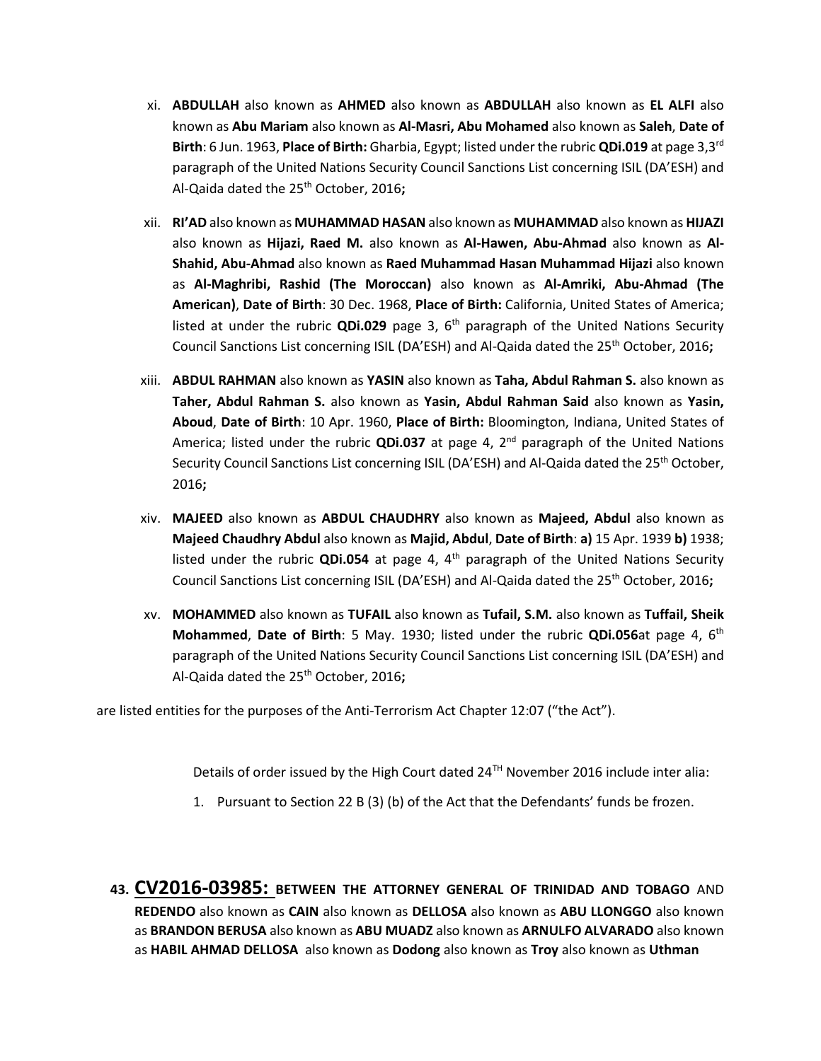- xi. **ABDULLAH** also known as **AHMED** also known as **ABDULLAH** also known as **EL ALFI** also known as **Abu Mariam** also known as **Al-Masri, Abu Mohamed** also known as **Saleh**, **Date of Birth**: 6 Jun. 1963, **Place of Birth:** Gharbia, Egypt; listed under the rubric **QDi.019** at page 3,3rd paragraph of the United Nations Security Council Sanctions List concerning ISIL (DA'ESH) and Al-Qaida dated the 25th October, 2016**;**
- xii. **RI'AD** also known as **MUHAMMAD HASAN** also known as **MUHAMMAD** also known as **HIJAZI** also known as **Hijazi, Raed M.** also known as **Al-Hawen, Abu-Ahmad** also known as **Al-Shahid, Abu-Ahmad** also known as **Raed Muhammad Hasan Muhammad Hijazi** also known as **Al-Maghribi, Rashid (The Moroccan)** also known as **Al-Amriki, Abu-Ahmad (The American)**, **Date of Birth**: 30 Dec. 1968, **Place of Birth:** California, United States of America; listed at under the rubric QDi.029 page 3, 6<sup>th</sup> paragraph of the United Nations Security Council Sanctions List concerning ISIL (DA'ESH) and Al-Qaida dated the 25<sup>th</sup> October, 2016;
- xiii. **ABDUL RAHMAN** also known as **YASIN** also known as **Taha, Abdul Rahman S.** also known as **Taher, Abdul Rahman S.** also known as **Yasin, Abdul Rahman Said** also known as **Yasin, Aboud**, **Date of Birth**: 10 Apr. 1960, **Place of Birth:** Bloomington, Indiana, United States of America; listed under the rubric **QDi.037** at page 4, 2<sup>nd</sup> paragraph of the United Nations Security Council Sanctions List concerning ISIL (DA'ESH) and Al-Qaida dated the 25<sup>th</sup> October, 2016**;**
- xiv. **MAJEED** also known as **ABDUL CHAUDHRY** also known as **Majeed, Abdul** also known as **Majeed Chaudhry Abdul** also known as **Majid, Abdul**, **Date of Birth**: **a)** 15 Apr. 1939 **b)** 1938; listed under the rubric QDi.054 at page 4, 4<sup>th</sup> paragraph of the United Nations Security Council Sanctions List concerning ISIL (DA'ESH) and Al-Qaida dated the 25th October, 2016**;**
- xv. **MOHAMMED** also known as **TUFAIL** also known as **Tufail, S.M.** also known as **Tuffail, Sheik Mohammed**, **Date of Birth**: 5 May. 1930; listed under the rubric **QDi.056**at page 4, 6th paragraph of the United Nations Security Council Sanctions List concerning ISIL (DA'ESH) and Al-Qaida dated the 25th October, 2016**;**

are listed entities for the purposes of the Anti-Terrorism Act Chapter 12:07 ("the Act").

Details of order issued by the High Court dated 24TH November 2016 include inter alia:

- 1. Pursuant to Section 22 B (3) (b) of the Act that the Defendants' funds be frozen.
- **43. CV2016-03985: BETWEEN THE ATTORNEY GENERAL OF TRINIDAD AND TOBAGO** AND **REDENDO** also known as **CAIN** also known as **DELLOSA** also known as **ABU LLONGGO** also known as **BRANDON BERUSA** also known as **ABU MUADZ** also known as **ARNULFO ALVARADO** also known as **HABIL AHMAD DELLOSA** also known as **Dodong** also known as **Troy** also known as **Uthman**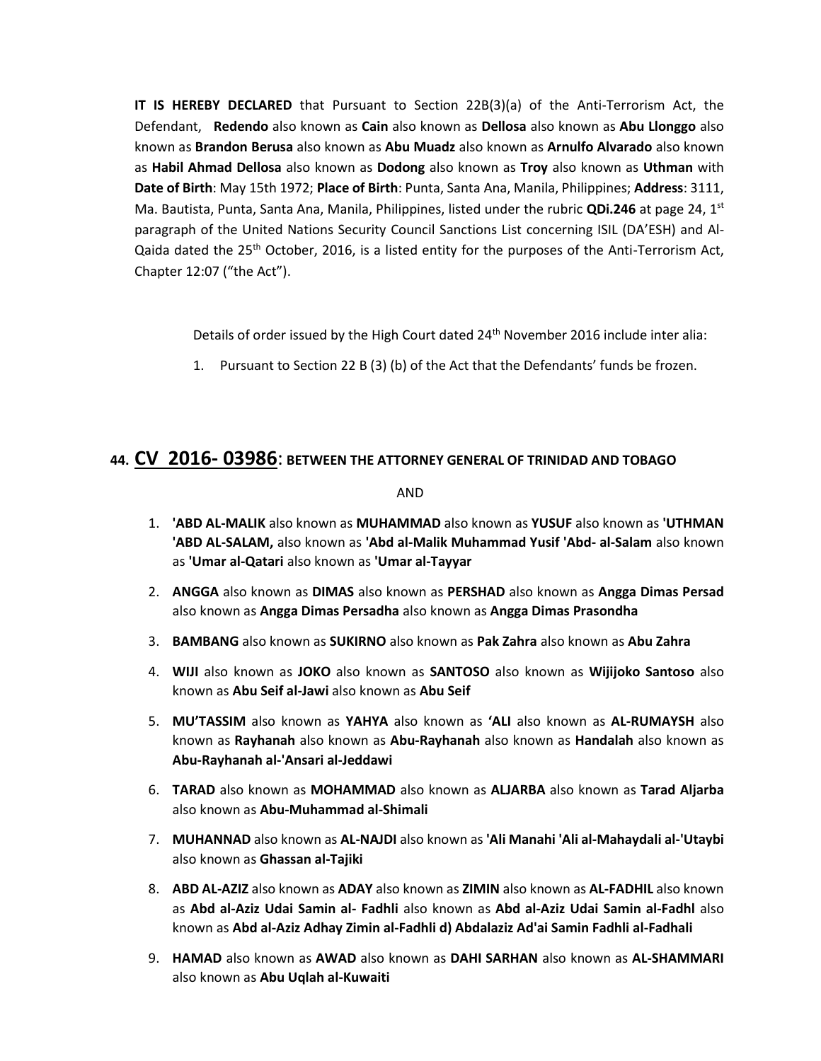**IT IS HEREBY DECLARED** that Pursuant to Section 22B(3)(a) of the Anti-Terrorism Act, the Defendant, **Redendo** also known as **Cain** also known as **Dellosa** also known as **Abu Llonggo** also known as **Brandon Berusa** also known as **Abu Muadz** also known as **Arnulfo Alvarado** also known as **Habil Ahmad Dellosa** also known as **Dodong** also known as **Troy** also known as **Uthman** with **Date of Birth**: May 15th 1972; **Place of Birth**: Punta, Santa Ana, Manila, Philippines; **Address**: 3111, Ma. Bautista, Punta, Santa Ana, Manila, Philippines, listed under the rubric **QDi.246** at page 24, 1st paragraph of the United Nations Security Council Sanctions List concerning ISIL (DA'ESH) and Al-Qaida dated the 25<sup>th</sup> October, 2016, is a listed entity for the purposes of the Anti-Terrorism Act, Chapter 12:07 ("the Act").

Details of order issued by the High Court dated  $24<sup>th</sup>$  November 2016 include inter alia:

1. Pursuant to Section 22 B (3) (b) of the Act that the Defendants' funds be frozen.

## **44. CV 2016- 03986**: **BETWEEN THE ATTORNEY GENERAL OF TRINIDAD AND TOBAGO**

AND

- 1. **'ABD AL-MALIK** also known as **MUHAMMAD** also known as **YUSUF** also known as **'UTHMAN 'ABD AL-SALAM,** also known as **'Abd al-Malik Muhammad Yusif 'Abd- al-Salam** also known as **'Umar al-Qatari** also known as **'Umar al-Tayyar**
- 2. **ANGGA** also known as **DIMAS** also known as **PERSHAD** also known as **Angga Dimas Persad** also known as **Angga Dimas Persadha** also known as **Angga Dimas Prasondha**
- 3. **BAMBANG** also known as **SUKIRNO** also known as **Pak Zahra** also known as **Abu Zahra**
- 4. **WIJI** also known as **JOKO** also known as **SANTOSO** also known as **Wijijoko Santoso** also known as **Abu Seif al-Jawi** also known as **Abu Seif**
- 5. **MU'TASSIM** also known as **YAHYA** also known as **'ALI** also known as **AL-RUMAYSH** also known as **Rayhanah** also known as **Abu-Rayhanah** also known as **Handalah** also known as **Abu-Rayhanah al-'Ansari al-Jeddawi**
- 6. **TARAD** also known as **MOHAMMAD** also known as **ALJARBA** also known as **Tarad Aljarba** also known as **Abu-Muhammad al-Shimali**
- 7. **MUHANNAD** also known as **AL-NAJDI** also known as **'Ali Manahi 'Ali al-Mahaydali al-'Utaybi**  also known as **Ghassan al-Tajiki**
- 8. **ABD AL-AZIZ** also known as **ADAY** also known as **ZIMIN** also known as **AL-FADHIL** also known as **Abd al-Aziz Udai Samin al- Fadhli** also known as **Abd al-Aziz Udai Samin al-Fadhl** also known as **Abd al-Aziz Adhay Zimin al-Fadhli d) Abdalaziz Ad'ai Samin Fadhli al-Fadhali**
- 9. **HAMAD** also known as **AWAD** also known as **DAHI SARHAN** also known as **AL-SHAMMARI**  also known as **Abu Uqlah al-Kuwaiti**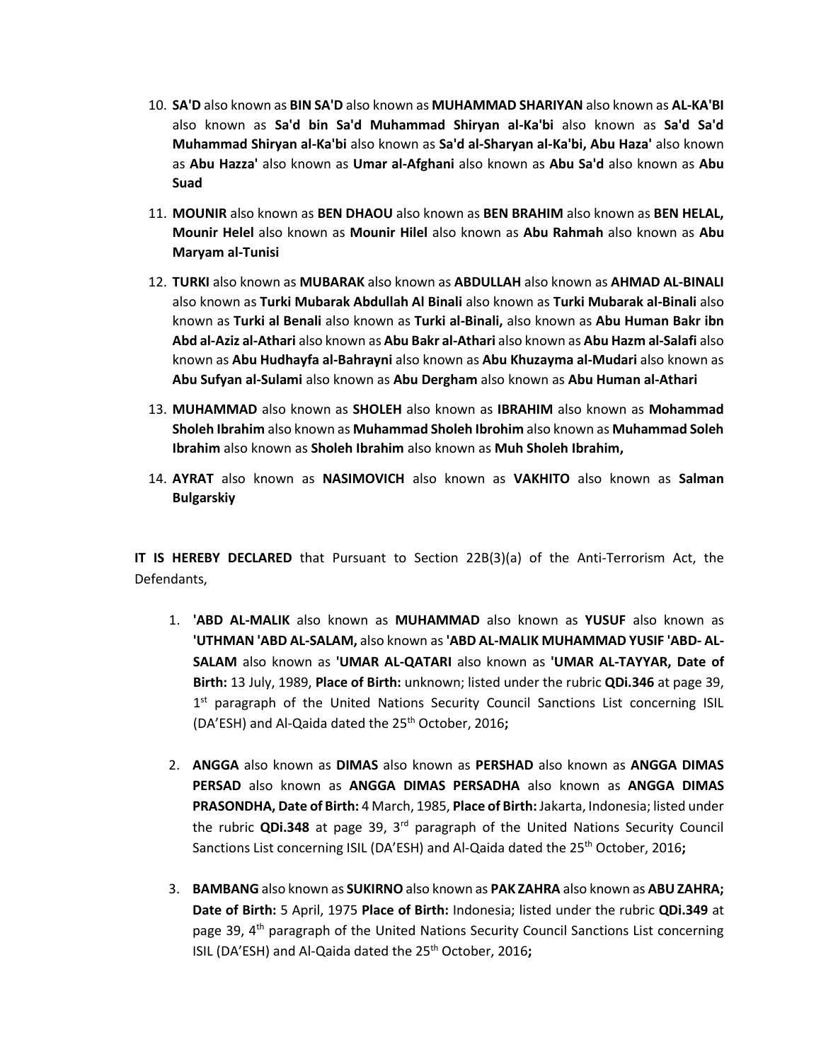- 10. **SA'D** also known as **BIN SA'D** also known as **MUHAMMAD SHARIYAN** also known as **AL-KA'BI**  also known as **Sa'd bin Sa'd Muhammad Shiryan al-Ka'bi** also known as **Sa'd Sa'd Muhammad Shiryan al-Ka'bi** also known as **Sa'd al-Sharyan al-Ka'bi, Abu Haza'** also known as **Abu Hazza'** also known as **Umar al-Afghani** also known as **Abu Sa'd** also known as **Abu Suad**
- 11. **MOUNIR** also known as **BEN DHAOU** also known as **BEN BRAHIM** also known as **BEN HELAL, Mounir Helel** also known as **Mounir Hilel** also known as **Abu Rahmah** also known as **Abu Maryam al-Tunisi**
- 12. **TURKI** also known as **MUBARAK** also known as **ABDULLAH** also known as **AHMAD AL-BINALI**  also known as **Turki Mubarak Abdullah Al Binali** also known as **Turki Mubarak al-Binali** also known as **Turki al Benali** also known as **Turki al-Binali,** also known as **Abu Human Bakr ibn Abd al-Aziz al-Athari** also known as **Abu Bakr al-Athari** also known as **Abu Hazm al-Salafi** also known as **Abu Hudhayfa al-Bahrayni** also known as **Abu Khuzayma al-Mudari** also known as **Abu Sufyan al-Sulami** also known as **Abu Dergham** also known as **Abu Human al-Athari**
- 13. **MUHAMMAD** also known as **SHOLEH** also known as **IBRAHIM** also known as **Mohammad Sholeh Ibrahim** also known as **Muhammad Sholeh Ibrohim** also known as **Muhammad Soleh Ibrahim** also known as **Sholeh Ibrahim** also known as **Muh Sholeh Ibrahim,**
- 14. **AYRAT** also known as **NASIMOVICH** also known as **VAKHITO** also known as **Salman Bulgarskiy**

**IT IS HEREBY DECLARED** that Pursuant to Section 22B(3)(a) of the Anti-Terrorism Act, the Defendants,

- 1. **'ABD AL-MALIK** also known as **MUHAMMAD** also known as **YUSUF** also known as **'UTHMAN 'ABD AL-SALAM,** also known as **'ABD AL-MALIK MUHAMMAD YUSIF 'ABD- AL-SALAM** also known as **'UMAR AL-QATARI** also known as **'UMAR AL-TAYYAR, Date of Birth:** 13 July, 1989, **Place of Birth:** unknown; listed under the rubric **QDi.346** at page 39, 1<sup>st</sup> paragraph of the United Nations Security Council Sanctions List concerning ISIL (DA'ESH) and Al-Qaida dated the 25th October, 2016**;**
- 2. **ANGGA** also known as **DIMAS** also known as **PERSHAD** also known as **ANGGA DIMAS PERSAD** also known as **ANGGA DIMAS PERSADHA** also known as **ANGGA DIMAS PRASONDHA, Date of Birth:** 4 March, 1985, **Place of Birth:** Jakarta, Indonesia; listed under the rubric **QDi.348** at page 39, 3rd paragraph of the United Nations Security Council Sanctions List concerning ISIL (DA'ESH) and Al-Qaida dated the 25<sup>th</sup> October, 2016;
- 3. **BAMBANG** also known as **SUKIRNO** also known as **PAK ZAHRA** also known as **ABU ZAHRA; Date of Birth:** 5 April, 1975 **Place of Birth:** Indonesia; listed under the rubric **QDi.349** at page 39,  $4<sup>th</sup>$  paragraph of the United Nations Security Council Sanctions List concerning ISIL (DA'ESH) and Al-Qaida dated the 25<sup>th</sup> October, 2016;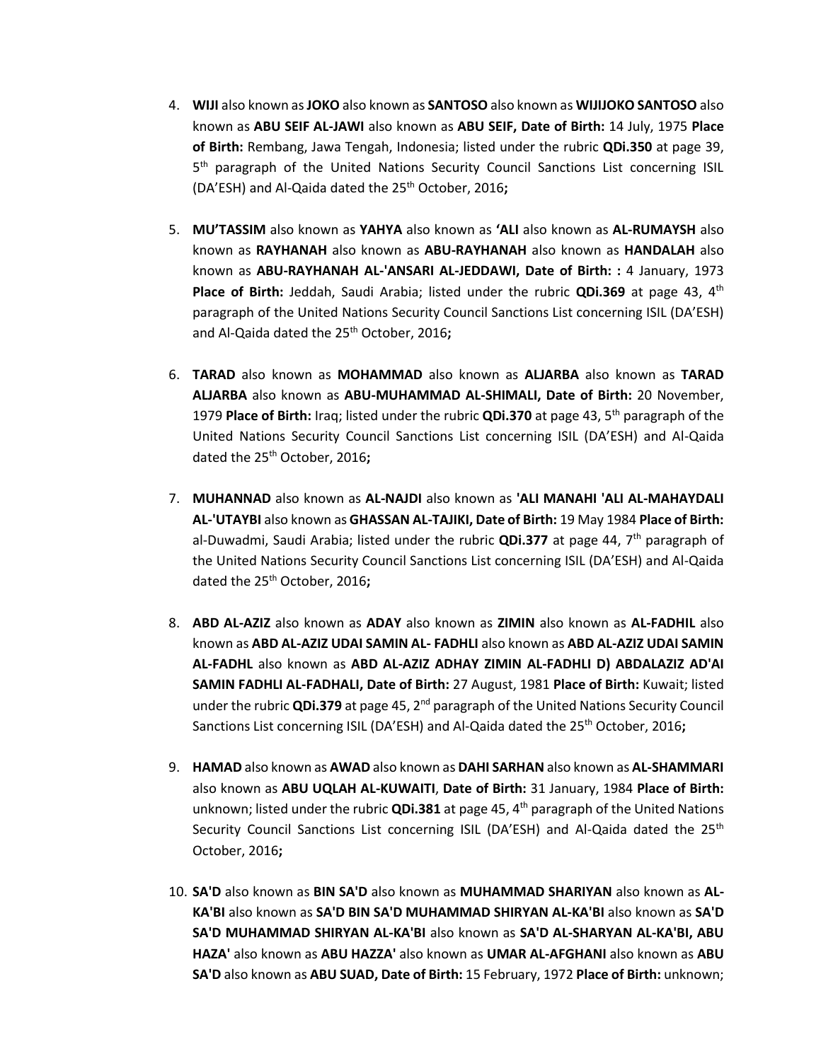- 4. **WIJI** also known as**JOKO** also known as **SANTOSO** also known as **WIJIJOKO SANTOSO** also known as **ABU SEIF AL-JAWI** also known as **ABU SEIF, Date of Birth:** 14 July, 1975 **Place of Birth:** Rembang, Jawa Tengah, Indonesia; listed under the rubric **QDi.350** at page 39, 5<sup>th</sup> paragraph of the United Nations Security Council Sanctions List concerning ISIL (DA'ESH) and Al-Qaida dated the 25<sup>th</sup> October, 2016;
- 5. **MU'TASSIM** also known as **YAHYA** also known as **'ALI** also known as **AL-RUMAYSH** also known as **RAYHANAH** also known as **ABU-RAYHANAH** also known as **HANDALAH** also known as **ABU-RAYHANAH AL-'ANSARI AL-JEDDAWI, Date of Birth: :** 4 January, 1973 **Place of Birth:** Jeddah, Saudi Arabia; listed under the rubric QDi.369 at page 43, 4<sup>th</sup> paragraph of the United Nations Security Council Sanctions List concerning ISIL (DA'ESH) and Al-Qaida dated the 25<sup>th</sup> October, 2016;
- 6. **TARAD** also known as **MOHAMMAD** also known as **ALJARBA** also known as **TARAD ALJARBA** also known as **ABU-MUHAMMAD AL-SHIMALI, Date of Birth:** 20 November, 1979 **Place of Birth:** Iraq; listed under the rubric **QDi.370** at page 43, 5th paragraph of the United Nations Security Council Sanctions List concerning ISIL (DA'ESH) and Al-Qaida dated the 25<sup>th</sup> October, 2016;
- 7. **MUHANNAD** also known as **AL-NAJDI** also known as **'ALI MANAHI 'ALI AL-MAHAYDALI AL-'UTAYBI** also known as **GHASSAN AL-TAJIKI, Date of Birth:** 19 May 1984 **Place of Birth:**  al-Duwadmi, Saudi Arabia; listed under the rubric **QDi.377** at page 44, 7th paragraph of the United Nations Security Council Sanctions List concerning ISIL (DA'ESH) and Al-Qaida dated the 25th October, 2016**;**
- 8. **ABD AL-AZIZ** also known as **ADAY** also known as **ZIMIN** also known as **AL-FADHIL** also known as **ABD AL-AZIZ UDAI SAMIN AL- FADHLI** also known as **ABD AL-AZIZ UDAI SAMIN AL-FADHL** also known as **ABD AL-AZIZ ADHAY ZIMIN AL-FADHLI D) ABDALAZIZ AD'AI SAMIN FADHLI AL-FADHALI, Date of Birth:** 27 August, 1981 **Place of Birth:** Kuwait; listed under the rubric **QDi.379** at page 45, 2<sup>nd</sup> paragraph of the United Nations Security Council Sanctions List concerning ISIL (DA'ESH) and Al-Qaida dated the 25<sup>th</sup> October, 2016**;**
- 9. **HAMAD** also known as **AWAD** also known as **DAHI SARHAN** also known as **AL-SHAMMARI**  also known as **ABU UQLAH AL-KUWAITI**, **Date of Birth:** 31 January, 1984 **Place of Birth:** unknown; listed under the rubric **QDi.381** at page 45, 4th paragraph of the United Nations Security Council Sanctions List concerning ISIL (DA'ESH) and Al-Qaida dated the 25<sup>th</sup> October, 2016**;**
- 10. **SA'D** also known as **BIN SA'D** also known as **MUHAMMAD SHARIYAN** also known as **AL-KA'BI** also known as **SA'D BIN SA'D MUHAMMAD SHIRYAN AL-KA'BI** also known as **SA'D SA'D MUHAMMAD SHIRYAN AL-KA'BI** also known as **SA'D AL-SHARYAN AL-KA'BI, ABU HAZA'** also known as **ABU HAZZA'** also known as **UMAR AL-AFGHANI** also known as **ABU SA'D** also known as **ABU SUAD, Date of Birth:** 15 February, 1972 **Place of Birth:** unknown;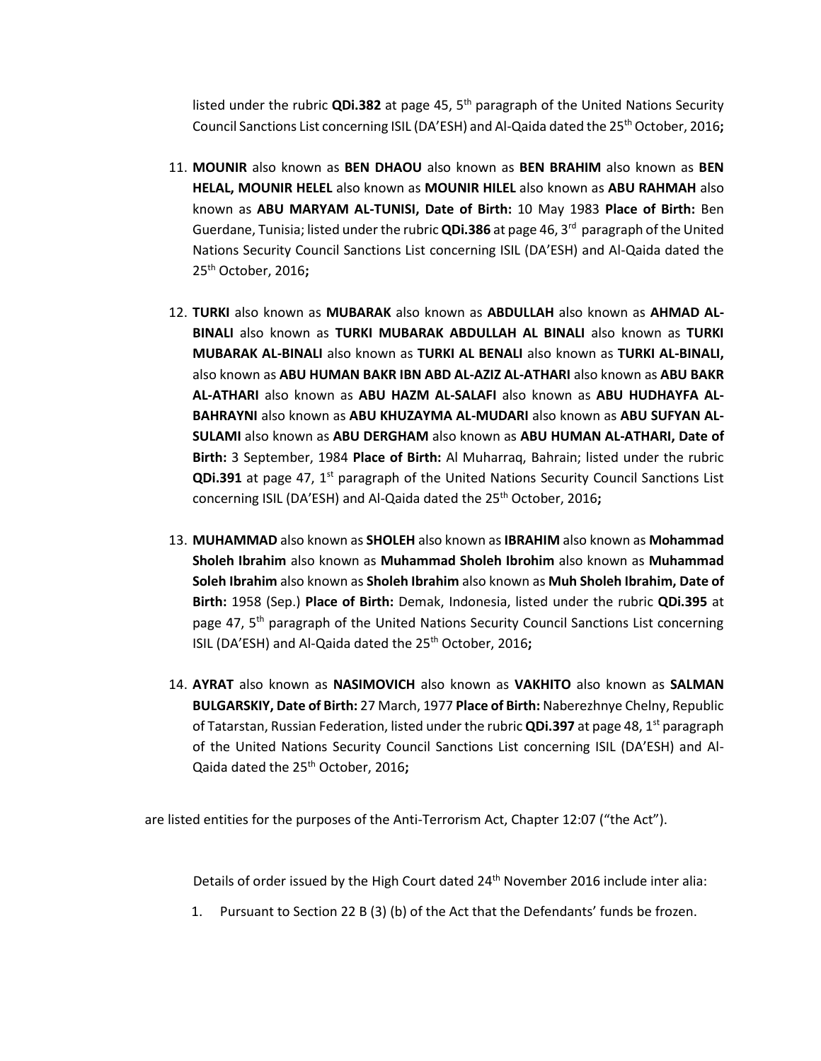listed under the rubric **QDi.382** at page 45, 5th paragraph of the United Nations Security Council Sanctions List concerning ISIL (DA'ESH) and Al-Qaida dated the 25th October, 2016**;**

- 11. **MOUNIR** also known as **BEN DHAOU** also known as **BEN BRAHIM** also known as **BEN HELAL, MOUNIR HELEL** also known as **MOUNIR HILEL** also known as **ABU RAHMAH** also known as **ABU MARYAM AL-TUNISI, Date of Birth:** 10 May 1983 **Place of Birth:** Ben Guerdane, Tunisia; listed under the rubric **QDi.386** at page 46, 3<sup>rd</sup> paragraph of the United Nations Security Council Sanctions List concerning ISIL (DA'ESH) and Al-Qaida dated the 25th October, 2016**;**
- 12. **TURKI** also known as **MUBARAK** also known as **ABDULLAH** also known as **AHMAD AL-BINALI** also known as **TURKI MUBARAK ABDULLAH AL BINALI** also known as **TURKI MUBARAK AL-BINALI** also known as **TURKI AL BENALI** also known as **TURKI AL-BINALI,**  also known as **ABU HUMAN BAKR IBN ABD AL-AZIZ AL-ATHARI** also known as **ABU BAKR AL-ATHARI** also known as **ABU HAZM AL-SALAFI** also known as **ABU HUDHAYFA AL-BAHRAYNI** also known as **ABU KHUZAYMA AL-MUDARI** also known as **ABU SUFYAN AL-SULAMI** also known as **ABU DERGHAM** also known as **ABU HUMAN AL-ATHARI, Date of Birth:** 3 September, 1984 **Place of Birth:** Al Muharraq, Bahrain; listed under the rubric **QDi.391** at page 47, 1<sup>st</sup> paragraph of the United Nations Security Council Sanctions List concerning ISIL (DA'ESH) and Al-Qaida dated the 25th October, 2016**;**
- 13. **MUHAMMAD** also known as **SHOLEH** also known as**IBRAHIM** also known as **Mohammad Sholeh Ibrahim** also known as **Muhammad Sholeh Ibrohim** also known as **Muhammad Soleh Ibrahim** also known as **Sholeh Ibrahim** also known as **Muh Sholeh Ibrahim, Date of Birth:** 1958 (Sep.) **Place of Birth:** Demak, Indonesia, listed under the rubric **QDi.395** at page 47, 5<sup>th</sup> paragraph of the United Nations Security Council Sanctions List concerning ISIL (DA'ESH) and Al-Qaida dated the 25th October, 2016**;**
- 14. **AYRAT** also known as **NASIMOVICH** also known as **VAKHITO** also known as **SALMAN BULGARSKIY, Date of Birth:** 27 March, 1977 **Place of Birth:** Naberezhnye Chelny, Republic of Tatarstan, Russian Federation, listed under the rubric **QDi.397** at page 48, 1st paragraph of the United Nations Security Council Sanctions List concerning ISIL (DA'ESH) and Al-Qaida dated the 25th October, 2016**;**

are listed entities for the purposes of the Anti-Terrorism Act, Chapter 12:07 ("the Act").

Details of order issued by the High Court dated 24<sup>th</sup> November 2016 include inter alia:

1. Pursuant to Section 22 B (3) (b) of the Act that the Defendants' funds be frozen.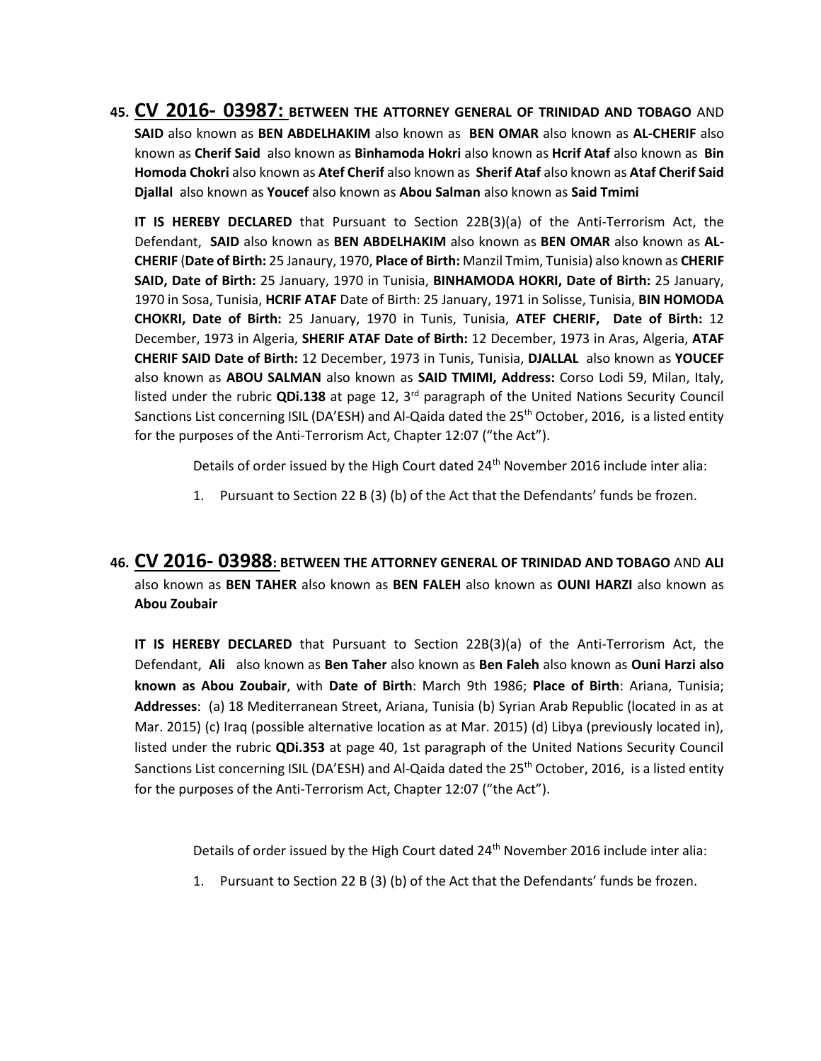**45. CV 2016- 03987: BETWEEN THE ATTORNEY GENERAL OF TRINIDAD AND TOBAGO** AND **SAID** also known as **BEN ABDELHAKIM** also known as **BEN OMAR** also known as **AL-CHERIF** also known as **Cherif Said** also known as **Binhamoda Hokri** also known as **Hcrif Ataf** also known as **Bin Homoda Chokri** also known as **Atef Cherif** also known as **Sherif Ataf** also known as **Ataf Cherif Said Djallal** also known as **Youcef** also known as **Abou Salman** also known as **Said Tmimi**

**IT IS HEREBY DECLARED** that Pursuant to Section 22B(3)(a) of the Anti-Terrorism Act, the Defendant, **SAID** also known as **BEN ABDELHAKIM** also known as **BEN OMAR** also known as **AL-CHERIF** (**Date of Birth:** 25 Janaury, 1970, **Place of Birth:** Manzil Tmim, Tunisia) also known as **CHERIF SAID, Date of Birth:** 25 January, 1970 in Tunisia, **BINHAMODA HOKRI, Date of Birth:** 25 January, 1970 in Sosa, Tunisia, **HCRIF ATAF** Date of Birth: 25 January, 1971 in Solisse, Tunisia, **BIN HOMODA CHOKRI, Date of Birth:** 25 January, 1970 in Tunis, Tunisia, **ATEF CHERIF, Date of Birth:** 12 December, 1973 in Algeria, **SHERIF ATAF Date of Birth:** 12 December, 1973 in Aras, Algeria, **ATAF CHERIF SAID Date of Birth:** 12 December, 1973 in Tunis, Tunisia, **DJALLAL** also known as **YOUCEF** also known as **ABOU SALMAN** also known as **SAID TMIMI, Address:** Corso Lodi 59, Milan, Italy, listed under the rubric **QDi.138** at page 12, 3rd paragraph of the United Nations Security Council Sanctions List concerning ISIL (DA'ESH) and Al-Qaida dated the 25<sup>th</sup> October, 2016, is a listed entity for the purposes of the Anti-Terrorism Act, Chapter 12:07 ("the Act").

Details of order issued by the High Court dated 24<sup>th</sup> November 2016 include inter alia:

- 1. Pursuant to Section 22 B (3) (b) of the Act that the Defendants' funds be frozen.
- **46. CV 2016- 03988: BETWEEN THE ATTORNEY GENERAL OF TRINIDAD AND TOBAGO** AND **ALI**  also known as **BEN TAHER** also known as **BEN FALEH** also known as **OUNI HARZI** also known as **Abou Zoubair**

**IT IS HEREBY DECLARED** that Pursuant to Section 22B(3)(a) of the Anti-Terrorism Act, the Defendant, **Ali** also known as **Ben Taher** also known as **Ben Faleh** also known as **Ouni Harzi also known as Abou Zoubair**, with **Date of Birth**: March 9th 1986; **Place of Birth**: Ariana, Tunisia; **Addresses**: (a) 18 Mediterranean Street, Ariana, Tunisia (b) Syrian Arab Republic (located in as at Mar. 2015) (c) Iraq (possible alternative location as at Mar. 2015) (d) Libya (previously located in), listed under the rubric **QDi.353** at page 40, 1st paragraph of the United Nations Security Council Sanctions List concerning ISIL (DA'ESH) and Al-Qaida dated the 25<sup>th</sup> October, 2016, is a listed entity for the purposes of the Anti-Terrorism Act, Chapter 12:07 ("the Act").

Details of order issued by the High Court dated 24<sup>th</sup> November 2016 include inter alia:

1. Pursuant to Section 22 B (3) (b) of the Act that the Defendants' funds be frozen.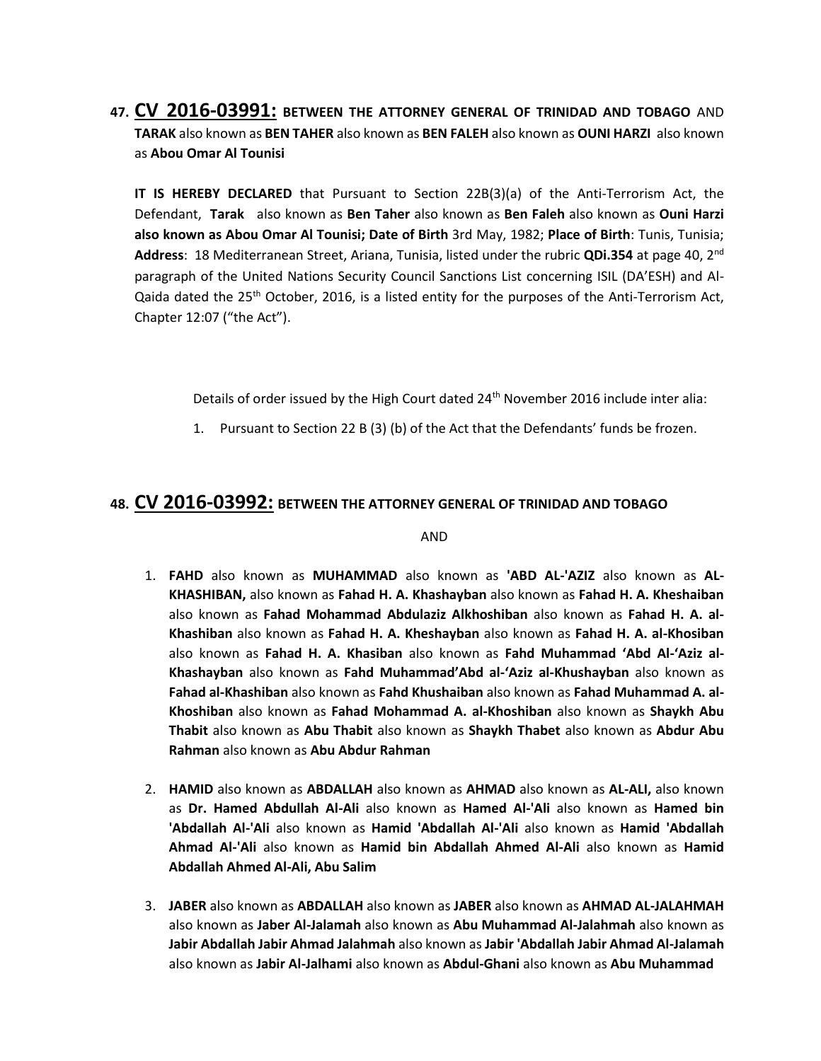**47. CV 2016-03991: BETWEEN THE ATTORNEY GENERAL OF TRINIDAD AND TOBAGO** AND **TARAK** also known as **BEN TAHER** also known as **BEN FALEH** also known as **OUNI HARZI** also known as **Abou Omar Al Tounisi**

**IT IS HEREBY DECLARED** that Pursuant to Section 22B(3)(a) of the Anti-Terrorism Act, the Defendant, **Tarak** also known as **Ben Taher** also known as **Ben Faleh** also known as **Ouni Harzi also known as Abou Omar Al Tounisi; Date of Birth** 3rd May, 1982; **Place of Birth**: Tunis, Tunisia; **Address**: 18 Mediterranean Street, Ariana, Tunisia, listed under the rubric **QDi.354** at page 40, 2nd paragraph of the United Nations Security Council Sanctions List concerning ISIL (DA'ESH) and Al-Qaida dated the 25<sup>th</sup> October, 2016, is a listed entity for the purposes of the Anti-Terrorism Act, Chapter 12:07 ("the Act").

Details of order issued by the High Court dated 24<sup>th</sup> November 2016 include inter alia:

1. Pursuant to Section 22 B (3) (b) of the Act that the Defendants' funds be frozen.

#### **48. CV 2016-03992: BETWEEN THE ATTORNEY GENERAL OF TRINIDAD AND TOBAGO**

AND

- 1. **FAHD** also known as **MUHAMMAD** also known as **'ABD AL-'AZIZ** also known as **AL-KHASHIBAN,** also known as **Fahad H. A. Khashayban** also known as **Fahad H. A. Kheshaiban** also known as **Fahad Mohammad Abdulaziz Alkhoshiban** also known as **Fahad H. A. al-Khashiban** also known as **Fahad H. A. Kheshayban** also known as **Fahad H. A. al-Khosiban** also known as **Fahad H. A. Khasiban** also known as **Fahd Muhammad 'Abd Al-'Aziz al-Khashayban** also known as **Fahd Muhammad'Abd al-'Aziz al-Khushayban** also known as **Fahad al-Khashiban** also known as **Fahd Khushaiban** also known as **Fahad Muhammad A. al-Khoshiban** also known as **Fahad Mohammad A. al-Khoshiban** also known as **Shaykh Abu Thabit** also known as **Abu Thabit** also known as **Shaykh Thabet** also known as **Abdur Abu Rahman** also known as **Abu Abdur Rahman**
- 2. **HAMID** also known as **ABDALLAH** also known as **AHMAD** also known as **AL-ALI,** also known as **Dr. Hamed Abdullah Al-Ali** also known as **Hamed Al-'Ali** also known as **Hamed bin 'Abdallah Al-'Ali** also known as **Hamid 'Abdallah Al-'Ali** also known as **Hamid 'Abdallah Ahmad Al-'Ali** also known as **Hamid bin Abdallah Ahmed Al-Ali** also known as **Hamid Abdallah Ahmed Al-Ali, Abu Salim**
- 3. **JABER** also known as **ABDALLAH** also known as **JABER** also known as **AHMAD AL-JALAHMAH** also known as **Jaber Al-Jalamah** also known as **Abu Muhammad Al-Jalahmah** also known as **Jabir Abdallah Jabir Ahmad Jalahmah** also known as **Jabir 'Abdallah Jabir Ahmad Al-Jalamah** also known as **Jabir Al-Jalhami** also known as **Abdul-Ghani** also known as **Abu Muhammad**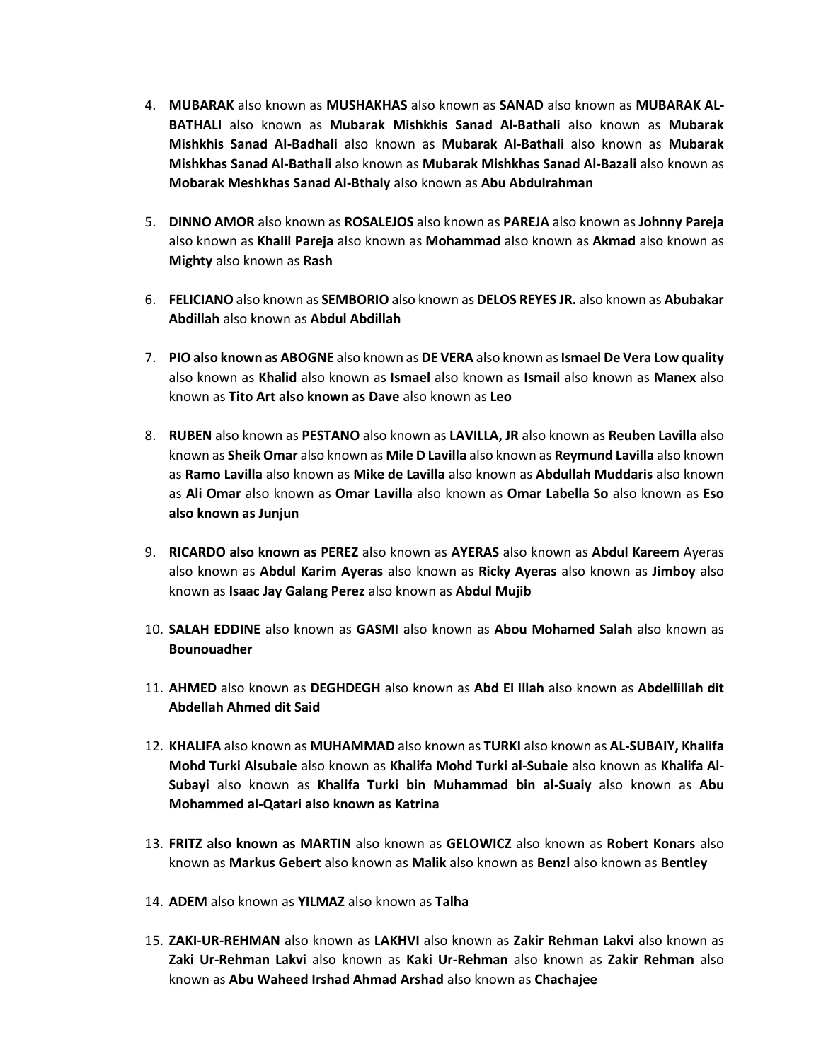- 4. **MUBARAK** also known as **MUSHAKHAS** also known as **SANAD** also known as **MUBARAK AL-BATHALI** also known as **Mubarak Mishkhis Sanad Al-Bathali** also known as **Mubarak Mishkhis Sanad Al-Badhali** also known as **Mubarak Al-Bathali** also known as **Mubarak Mishkhas Sanad Al-Bathali** also known as **Mubarak Mishkhas Sanad Al-Bazali** also known as **Mobarak Meshkhas Sanad Al-Bthaly** also known as **Abu Abdulrahman**
- 5. **DINNO AMOR** also known as **ROSALEJOS** also known as **PAREJA** also known as **Johnny Pareja**  also known as **Khalil Pareja** also known as **Mohammad** also known as **Akmad** also known as **Mighty** also known as **Rash**
- 6. **FELICIANO** also known as **SEMBORIO** also known as **DELOS REYES JR.** also known as **Abubakar Abdillah** also known as **Abdul Abdillah**
- 7. **PIO also known as ABOGNE** also known as **DE VERA** also known as**Ismael De Vera Low quality**  also known as **Khalid** also known as **Ismael** also known as **Ismail** also known as **Manex** also known as **Tito Art also known as Dave** also known as **Leo**
- 8. **RUBEN** also known as **PESTANO** also known as **LAVILLA, JR** also known as **Reuben Lavilla** also known as **Sheik Omar** also known as **Mile D Lavilla** also known as **Reymund Lavilla** also known as **Ramo Lavilla** also known as **Mike de Lavilla** also known as **Abdullah Muddaris** also known as **Ali Omar** also known as **Omar Lavilla** also known as **Omar Labella So** also known as **Eso also known as Junjun**
- 9. **RICARDO also known as PEREZ** also known as **AYERAS** also known as **Abdul Kareem** Ayeras also known as **Abdul Karim Ayeras** also known as **Ricky Ayeras** also known as **Jimboy** also known as **Isaac Jay Galang Perez** also known as **Abdul Mujib**
- 10. **SALAH EDDINE** also known as **GASMI** also known as **Abou Mohamed Salah** also known as **Bounouadher**
- 11. **AHMED** also known as **DEGHDEGH** also known as **Abd El Illah** also known as **Abdellillah dit Abdellah Ahmed dit Said**
- 12. **KHALIFA** also known as **MUHAMMAD** also known as **TURKI** also known as **AL-SUBAIY, Khalifa Mohd Turki Alsubaie** also known as **Khalifa Mohd Turki al-Subaie** also known as **Khalifa Al-Subayi** also known as **Khalifa Turki bin Muhammad bin al-Suaiy** also known as **Abu Mohammed al-Qatari also known as Katrina**
- 13. **FRITZ also known as MARTIN** also known as **GELOWICZ** also known as **Robert Konars** also known as **Markus Gebert** also known as **Malik** also known as **Benzl** also known as **Bentley**
- 14. **ADEM** also known as **YILMAZ** also known as **Talha**
- 15. **ZAKI-UR-REHMAN** also known as **LAKHVI** also known as **Zakir Rehman Lakvi** also known as **Zaki Ur-Rehman Lakvi** also known as **Kaki Ur-Rehman** also known as **Zakir Rehman** also known as **Abu Waheed Irshad Ahmad Arshad** also known as **Chachajee**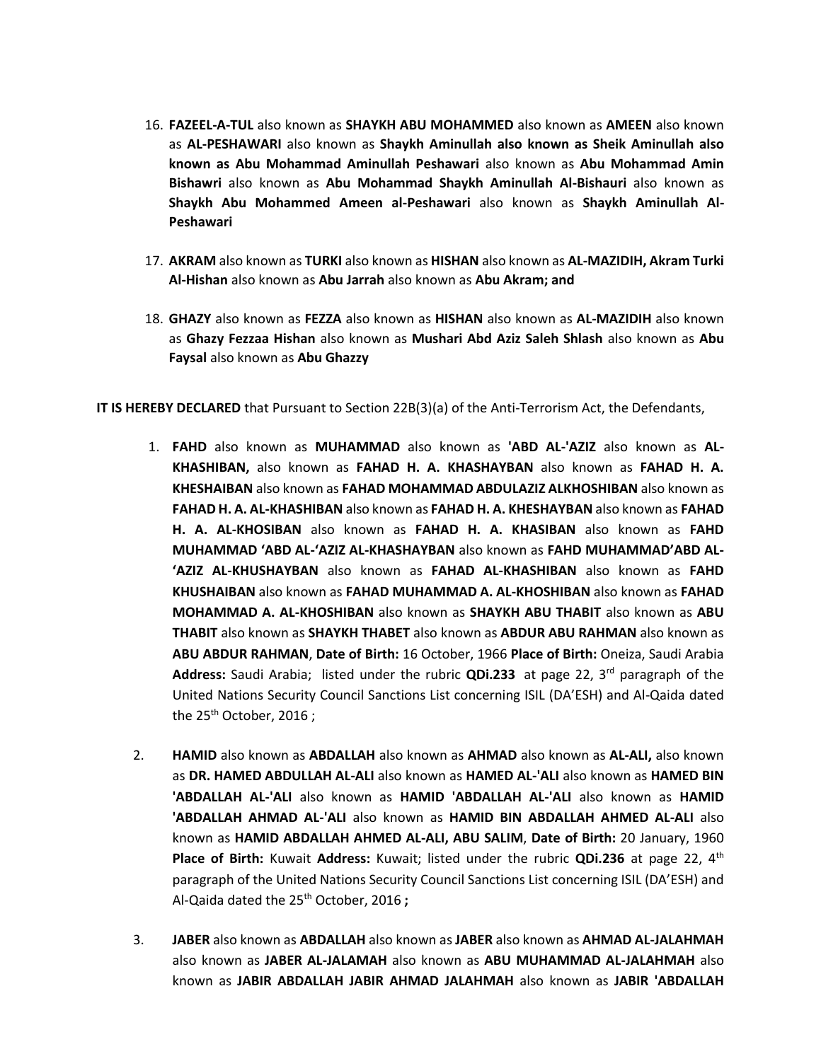- 16. **FAZEEL-A-TUL** also known as **SHAYKH ABU MOHAMMED** also known as **AMEEN** also known as **AL-PESHAWARI** also known as **Shaykh Aminullah also known as Sheik Aminullah also known as Abu Mohammad Aminullah Peshawari** also known as **Abu Mohammad Amin Bishawri** also known as **Abu Mohammad Shaykh Aminullah Al-Bishauri** also known as **Shaykh Abu Mohammed Ameen al-Peshawari** also known as **Shaykh Aminullah Al-Peshawari**
- 17. **AKRAM** also known as **TURKI** also known as **HISHAN** also known as **AL-MAZIDIH, Akram Turki Al-Hishan** also known as **Abu Jarrah** also known as **Abu Akram; and**
- 18. **GHAZY** also known as **FEZZA** also known as **HISHAN** also known as **AL-MAZIDIH** also known as **Ghazy Fezzaa Hishan** also known as **Mushari Abd Aziz Saleh Shlash** also known as **Abu Faysal** also known as **Abu Ghazzy**

**IT IS HEREBY DECLARED** that Pursuant to Section 22B(3)(a) of the Anti-Terrorism Act, the Defendants,

- 1. **FAHD** also known as **MUHAMMAD** also known as **'ABD AL-'AZIZ** also known as **AL-KHASHIBAN,** also known as **FAHAD H. A. KHASHAYBAN** also known as **FAHAD H. A. KHESHAIBAN** also known as **FAHAD MOHAMMAD ABDULAZIZ ALKHOSHIBAN** also known as **FAHAD H. A. AL-KHASHIBAN** also known as **FAHAD H. A. KHESHAYBAN** also known as **FAHAD H. A. AL-KHOSIBAN** also known as **FAHAD H. A. KHASIBAN** also known as **FAHD MUHAMMAD 'ABD AL-'AZIZ AL-KHASHAYBAN** also known as **FAHD MUHAMMAD'ABD AL- 'AZIZ AL-KHUSHAYBAN** also known as **FAHAD AL-KHASHIBAN** also known as **FAHD KHUSHAIBAN** also known as **FAHAD MUHAMMAD A. AL-KHOSHIBAN** also known as **FAHAD MOHAMMAD A. AL-KHOSHIBAN** also known as **SHAYKH ABU THABIT** also known as **ABU THABIT** also known as **SHAYKH THABET** also known as **ABDUR ABU RAHMAN** also known as **ABU ABDUR RAHMAN**, **Date of Birth:** 16 October, 1966 **Place of Birth:** Oneiza, Saudi Arabia **Address:** Saudi Arabia; listed under the rubric **QDi.233** at page 22, 3rd paragraph of the United Nations Security Council Sanctions List concerning ISIL (DA'ESH) and Al-Qaida dated the 25<sup>th</sup> October, 2016;
- 2. **HAMID** also known as **ABDALLAH** also known as **AHMAD** also known as **AL-ALI,** also known as **DR. HAMED ABDULLAH AL-ALI** also known as **HAMED AL-'ALI** also known as **HAMED BIN 'ABDALLAH AL-'ALI** also known as **HAMID 'ABDALLAH AL-'ALI** also known as **HAMID 'ABDALLAH AHMAD AL-'ALI** also known as **HAMID BIN ABDALLAH AHMED AL-ALI** also known as **HAMID ABDALLAH AHMED AL-ALI, ABU SALIM**, **Date of Birth:** 20 January, 1960 **Place of Birth:** Kuwait **Address:** Kuwait; listed under the rubric **QDi.236** at page 22, 4<sup>th</sup> paragraph of the United Nations Security Council Sanctions List concerning ISIL (DA'ESH) and Al-Qaida dated the 25th October, 2016 **;**
- 3. **JABER** also known as **ABDALLAH** also known as **JABER** also known as **AHMAD AL-JALAHMAH** also known as **JABER AL-JALAMAH** also known as **ABU MUHAMMAD AL-JALAHMAH** also known as **JABIR ABDALLAH JABIR AHMAD JALAHMAH** also known as **JABIR 'ABDALLAH**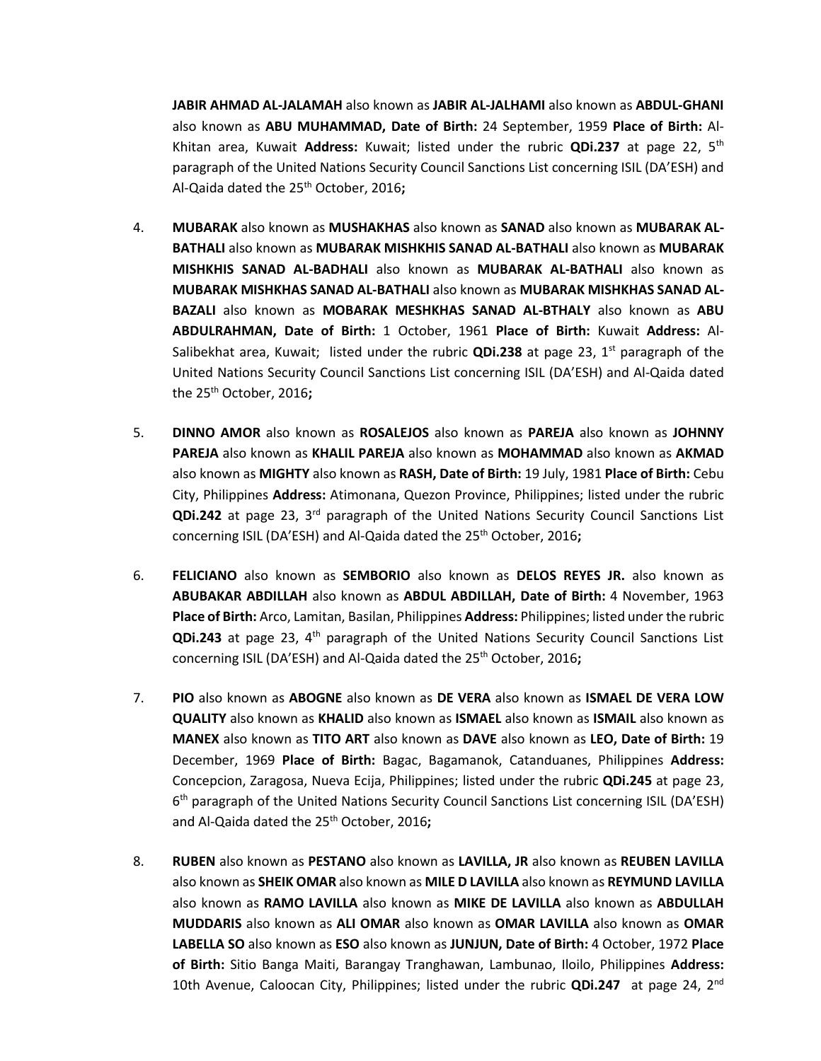**JABIR AHMAD AL-JALAMAH** also known as **JABIR AL-JALHAMI** also known as **ABDUL-GHANI** also known as **ABU MUHAMMAD, Date of Birth:** 24 September, 1959 **Place of Birth:** Al-Khitan area, Kuwait **Address:** Kuwait; listed under the rubric **QDi.237** at page 22, 5th paragraph of the United Nations Security Council Sanctions List concerning ISIL (DA'ESH) and Al-Qaida dated the 25th October, 2016**;**

- 4. **MUBARAK** also known as **MUSHAKHAS** also known as **SANAD** also known as **MUBARAK AL-BATHALI** also known as **MUBARAK MISHKHIS SANAD AL-BATHALI** also known as **MUBARAK MISHKHIS SANAD AL-BADHALI** also known as **MUBARAK AL-BATHALI** also known as **MUBARAK MISHKHAS SANAD AL-BATHALI** also known as **MUBARAK MISHKHAS SANAD AL-BAZALI** also known as **MOBARAK MESHKHAS SANAD AL-BTHALY** also known as **ABU ABDULRAHMAN, Date of Birth:** 1 October, 1961 **Place of Birth:** Kuwait **Address:** Al-Salibekhat area, Kuwait; listed under the rubric **QDi.238** at page 23, 1<sup>st</sup> paragraph of the United Nations Security Council Sanctions List concerning ISIL (DA'ESH) and Al-Qaida dated the 25th October, 2016**;**
- 5. **DINNO AMOR** also known as **ROSALEJOS** also known as **PAREJA** also known as **JOHNNY PAREJA** also known as **KHALIL PAREJA** also known as **MOHAMMAD** also known as **AKMAD**  also known as **MIGHTY** also known as **RASH, Date of Birth:** 19 July, 1981 **Place of Birth:** Cebu City, Philippines **Address:** Atimonana, Quezon Province, Philippines; listed under the rubric **QDi.242** at page 23, 3rd paragraph of the United Nations Security Council Sanctions List concerning ISIL (DA'ESH) and Al-Qaida dated the 25<sup>th</sup> October, 2016;
- 6. **FELICIANO** also known as **SEMBORIO** also known as **DELOS REYES JR.** also known as **ABUBAKAR ABDILLAH** also known as **ABDUL ABDILLAH, Date of Birth:** 4 November, 1963 **Place of Birth:** Arco, Lamitan, Basilan, Philippines **Address:** Philippines; listed under the rubric **QDi.243** at page 23, 4th paragraph of the United Nations Security Council Sanctions List concerning ISIL (DA'ESH) and Al-Qaida dated the 25<sup>th</sup> October, 2016;
- 7. **PIO** also known as **ABOGNE** also known as **DE VERA** also known as **ISMAEL DE VERA LOW QUALITY** also known as **KHALID** also known as **ISMAEL** also known as **ISMAIL** also known as **MANEX** also known as **TITO ART** also known as **DAVE** also known as **LEO, Date of Birth:** 19 December, 1969 **Place of Birth:** Bagac, Bagamanok, Catanduanes, Philippines **Address:**  Concepcion, Zaragosa, Nueva Ecija, Philippines; listed under the rubric **QDi.245** at page 23, 6<sup>th</sup> paragraph of the United Nations Security Council Sanctions List concerning ISIL (DA'ESH) and Al-Qaida dated the 25th October, 2016**;**
- 8. **RUBEN** also known as **PESTANO** also known as **LAVILLA, JR** also known as **REUBEN LAVILLA**  also known as **SHEIK OMAR** also known as **MILE D LAVILLA** also known as **REYMUND LAVILLA**  also known as **RAMO LAVILLA** also known as **MIKE DE LAVILLA** also known as **ABDULLAH MUDDARIS** also known as **ALI OMAR** also known as **OMAR LAVILLA** also known as **OMAR LABELLA SO** also known as **ESO** also known as **JUNJUN, Date of Birth:** 4 October, 1972 **Place of Birth:** Sitio Banga Maiti, Barangay Tranghawan, Lambunao, Iloilo, Philippines **Address:**  10th Avenue, Caloocan City, Philippines; listed under the rubric **QDi.247** at page 24, 2nd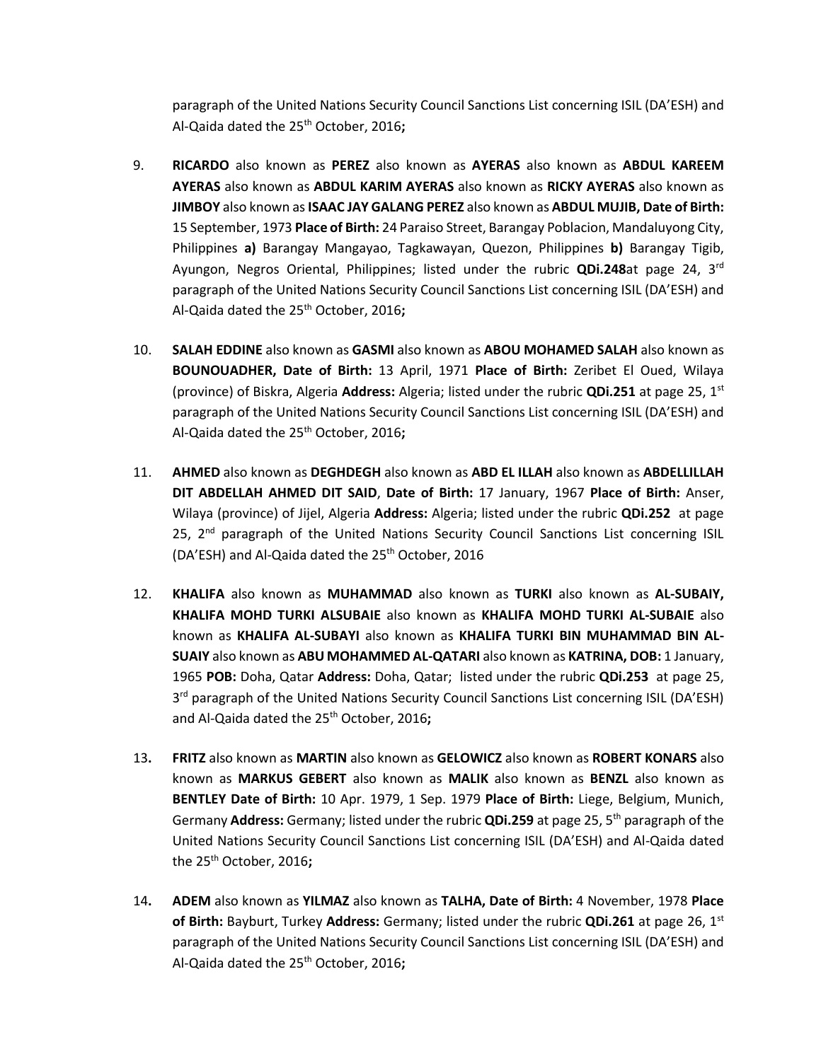paragraph of the United Nations Security Council Sanctions List concerning ISIL (DA'ESH) and Al-Qaida dated the 25th October, 2016**;**

- 9. **RICARDO** also known as **PEREZ** also known as **AYERAS** also known as **ABDUL KAREEM AYERAS** also known as **ABDUL KARIM AYERAS** also known as **RICKY AYERAS** also known as **JIMBOY** also known as**ISAAC JAY GALANG PEREZ** also known as **ABDUL MUJIB, Date of Birth:**  15 September, 1973 **Place of Birth:** 24 Paraiso Street, Barangay Poblacion, Mandaluyong City, Philippines **a)** Barangay Mangayao, Tagkawayan, Quezon, Philippines **b)** Barangay Tigib, Ayungon, Negros Oriental, Philippines; listed under the rubric **QDi.248**at page 24, 3rd paragraph of the United Nations Security Council Sanctions List concerning ISIL (DA'ESH) and Al-Qaida dated the 25th October, 2016**;**
- 10. **SALAH EDDINE** also known as **GASMI** also known as **ABOU MOHAMED SALAH** also known as **BOUNOUADHER, Date of Birth:** 13 April, 1971 **Place of Birth:** Zeribet El Oued, Wilaya (province) of Biskra, Algeria **Address:** Algeria; listed under the rubric **QDi.251** at page 25, 1st paragraph of the United Nations Security Council Sanctions List concerning ISIL (DA'ESH) and Al-Qaida dated the 25th October, 2016**;**
- 11. **AHMED** also known as **DEGHDEGH** also known as **ABD EL ILLAH** also known as **ABDELLILLAH DIT ABDELLAH AHMED DIT SAID**, **Date of Birth:** 17 January, 1967 **Place of Birth:** Anser, Wilaya (province) of Jijel, Algeria **Address:** Algeria; listed under the rubric **QDi.252** at page 25,  $2<sup>nd</sup>$  paragraph of the United Nations Security Council Sanctions List concerning ISIL (DA'ESH) and Al-Qaida dated the 25<sup>th</sup> October, 2016
- 12. **KHALIFA** also known as **MUHAMMAD** also known as **TURKI** also known as **AL-SUBAIY, KHALIFA MOHD TURKI ALSUBAIE** also known as **KHALIFA MOHD TURKI AL-SUBAIE** also known as **KHALIFA AL-SUBAYI** also known as **KHALIFA TURKI BIN MUHAMMAD BIN AL-SUAIY** also known as **ABU MOHAMMED AL-QATARI** also known as **KATRINA, DOB:** 1 January, 1965 **POB:** Doha, Qatar **Address:** Doha, Qatar; listed under the rubric **QDi.253** at page 25, 3<sup>rd</sup> paragraph of the United Nations Security Council Sanctions List concerning ISIL (DA'ESH) and Al-Qaida dated the 25th October, 2016**;**
- 13**. FRITZ** also known as **MARTIN** also known as **GELOWICZ** also known as **ROBERT KONARS** also known as **MARKUS GEBERT** also known as **MALIK** also known as **BENZL** also known as **BENTLEY Date of Birth:** 10 Apr. 1979, 1 Sep. 1979 **Place of Birth:** Liege, Belgium, Munich, Germany **Address:** Germany; listed under the rubric **QDi.259** at page 25, 5th paragraph of the United Nations Security Council Sanctions List concerning ISIL (DA'ESH) and Al-Qaida dated the 25th October, 2016**;**
- 14**. ADEM** also known as **YILMAZ** also known as **TALHA, Date of Birth:** 4 November, 1978 **Place of Birth:** Bayburt, Turkey **Address:** Germany; listed under the rubric **QDi.261** at page 26, 1st paragraph of the United Nations Security Council Sanctions List concerning ISIL (DA'ESH) and Al-Qaida dated the 25th October, 2016**;**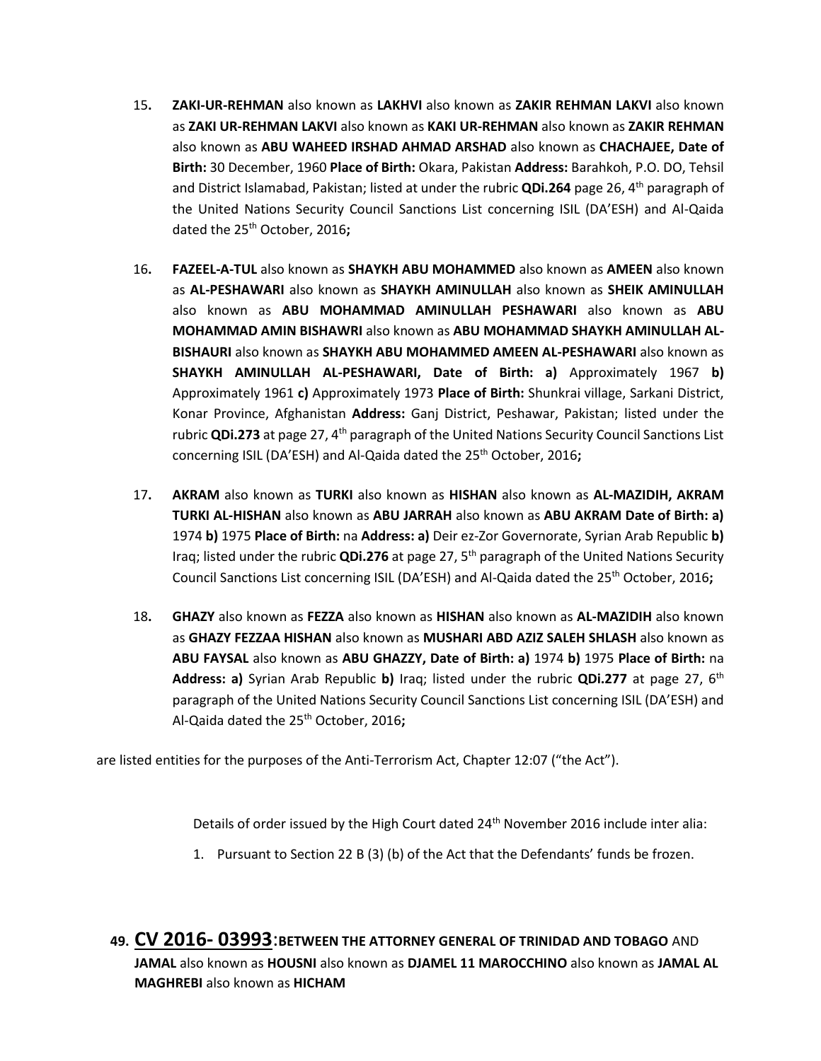- 15**. ZAKI-UR-REHMAN** also known as **LAKHVI** also known as **ZAKIR REHMAN LAKVI** also known as **ZAKI UR-REHMAN LAKVI** also known as **KAKI UR-REHMAN** also known as **ZAKIR REHMAN**  also known as **ABU WAHEED IRSHAD AHMAD ARSHAD** also known as **CHACHAJEE, Date of Birth:** 30 December, 1960 **Place of Birth:** Okara, Pakistan **Address:** Barahkoh, P.O. DO, Tehsil and District Islamabad, Pakistan; listed at under the rubric **QDi.264** page 26, 4th paragraph of the United Nations Security Council Sanctions List concerning ISIL (DA'ESH) and Al-Qaida dated the 25th October, 2016**;**
- 16**. FAZEEL-A-TUL** also known as **SHAYKH ABU MOHAMMED** also known as **AMEEN** also known as **AL-PESHAWARI** also known as **SHAYKH AMINULLAH** also known as **SHEIK AMINULLAH**  also known as **ABU MOHAMMAD AMINULLAH PESHAWARI** also known as **ABU MOHAMMAD AMIN BISHAWRI** also known as **ABU MOHAMMAD SHAYKH AMINULLAH AL-BISHAURI** also known as **SHAYKH ABU MOHAMMED AMEEN AL-PESHAWARI** also known as **SHAYKH AMINULLAH AL-PESHAWARI, Date of Birth: a)** Approximately 1967 **b)**  Approximately 1961 **c)** Approximately 1973 **Place of Birth:** Shunkrai village, Sarkani District, Konar Province, Afghanistan **Address:** Ganj District, Peshawar, Pakistan; listed under the rubric **QDi.273** at page 27, 4<sup>th</sup> paragraph of the United Nations Security Council Sanctions List concerning ISIL (DA'ESH) and Al-Qaida dated the 25th October, 2016**;**
- 17**. AKRAM** also known as **TURKI** also known as **HISHAN** also known as **AL-MAZIDIH, AKRAM TURKI AL-HISHAN** also known as **ABU JARRAH** also known as **ABU AKRAM Date of Birth: a)**  1974 **b)** 1975 **Place of Birth:** na **Address: a)** Deir ez-Zor Governorate, Syrian Arab Republic **b)**  Iraq; listed under the rubric **QDi.276** at page 27, 5th paragraph of the United Nations Security Council Sanctions List concerning ISIL (DA'ESH) and Al-Qaida dated the 25th October, 2016**;**
- 18**. GHAZY** also known as **FEZZA** also known as **HISHAN** also known as **AL-MAZIDIH** also known as **GHAZY FEZZAA HISHAN** also known as **MUSHARI ABD AZIZ SALEH SHLASH** also known as **ABU FAYSAL** also known as **ABU GHAZZY, Date of Birth: a)** 1974 **b)** 1975 **Place of Birth:** na **Address: a)** Syrian Arab Republic **b)** Iraq; listed under the rubric **QDi.277** at page 27, 6th paragraph of the United Nations Security Council Sanctions List concerning ISIL (DA'ESH) and Al-Qaida dated the 25th October, 2016**;**

are listed entities for the purposes of the Anti-Terrorism Act, Chapter 12:07 ("the Act").

Details of order issued by the High Court dated 24<sup>th</sup> November 2016 include inter alia:

- 1. Pursuant to Section 22 B (3) (b) of the Act that the Defendants' funds be frozen.
- **49. CV 2016- 03993**:**BETWEEN THE ATTORNEY GENERAL OF TRINIDAD AND TOBAGO** AND **JAMAL** also known as **HOUSNI** also known as **DJAMEL 11 MAROCCHINO** also known as **JAMAL AL MAGHREBI** also known as **HICHAM**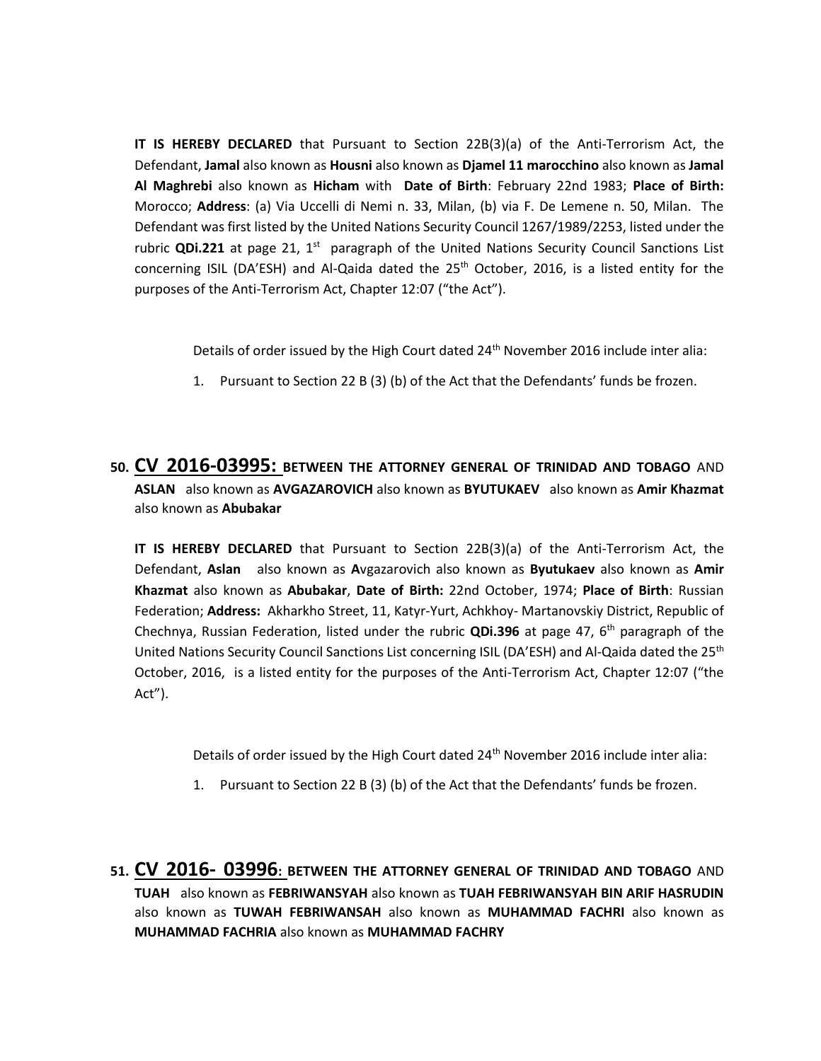**IT IS HEREBY DECLARED** that Pursuant to Section 22B(3)(a) of the Anti-Terrorism Act, the Defendant, **Jamal** also known as **Housni** also known as **Djamel 11 marocchino** also known as **Jamal Al Maghrebi** also known as **Hicham** with **Date of Birth**: February 22nd 1983; **Place of Birth:** Morocco; **Address**: (a) Via Uccelli di Nemi n. 33, Milan, (b) via F. De Lemene n. 50, Milan. The Defendant was first listed by the United Nations Security Council 1267/1989/2253, listed under the rubric **QDi.221** at page 21, 1<sup>st</sup> paragraph of the United Nations Security Council Sanctions List concerning ISIL (DA'ESH) and Al-Qaida dated the 25<sup>th</sup> October, 2016, is a listed entity for the purposes of the Anti-Terrorism Act, Chapter 12:07 ("the Act").

Details of order issued by the High Court dated 24<sup>th</sup> November 2016 include inter alia:

- 1. Pursuant to Section 22 B (3) (b) of the Act that the Defendants' funds be frozen.
- **50. CV 2016-03995: BETWEEN THE ATTORNEY GENERAL OF TRINIDAD AND TOBAGO** AND **ASLAN** also known as **AVGAZAROVICH** also known as **BYUTUKAEV** also known as **Amir Khazmat**  also known as **Abubakar**

**IT IS HEREBY DECLARED** that Pursuant to Section 22B(3)(a) of the Anti-Terrorism Act, the Defendant, **Aslan** also known as **A**vgazarovich also known as **Byutukaev** also known as **Amir Khazmat** also known as **Abubakar**, **Date of Birth:** 22nd October, 1974; **Place of Birth**: Russian Federation; **Address:** Akharkho Street, 11, Katyr-Yurt, Achkhoy- Martanovskiy District, Republic of Chechnya, Russian Federation, listed under the rubric **QDi.396** at page 47, 6th paragraph of the United Nations Security Council Sanctions List concerning ISIL (DA'ESH) and Al-Qaida dated the 25<sup>th</sup> October, 2016, is a listed entity for the purposes of the Anti-Terrorism Act, Chapter 12:07 ("the Act").

Details of order issued by the High Court dated 24<sup>th</sup> November 2016 include inter alia:

- 1. Pursuant to Section 22 B (3) (b) of the Act that the Defendants' funds be frozen.
- **51. CV 2016- 03996: BETWEEN THE ATTORNEY GENERAL OF TRINIDAD AND TOBAGO** AND **TUAH** also known as **FEBRIWANSYAH** also known as **TUAH FEBRIWANSYAH BIN ARIF HASRUDIN**  also known as **TUWAH FEBRIWANSAH** also known as **MUHAMMAD FACHRI** also known as **MUHAMMAD FACHRIA** also known as **MUHAMMAD FACHRY**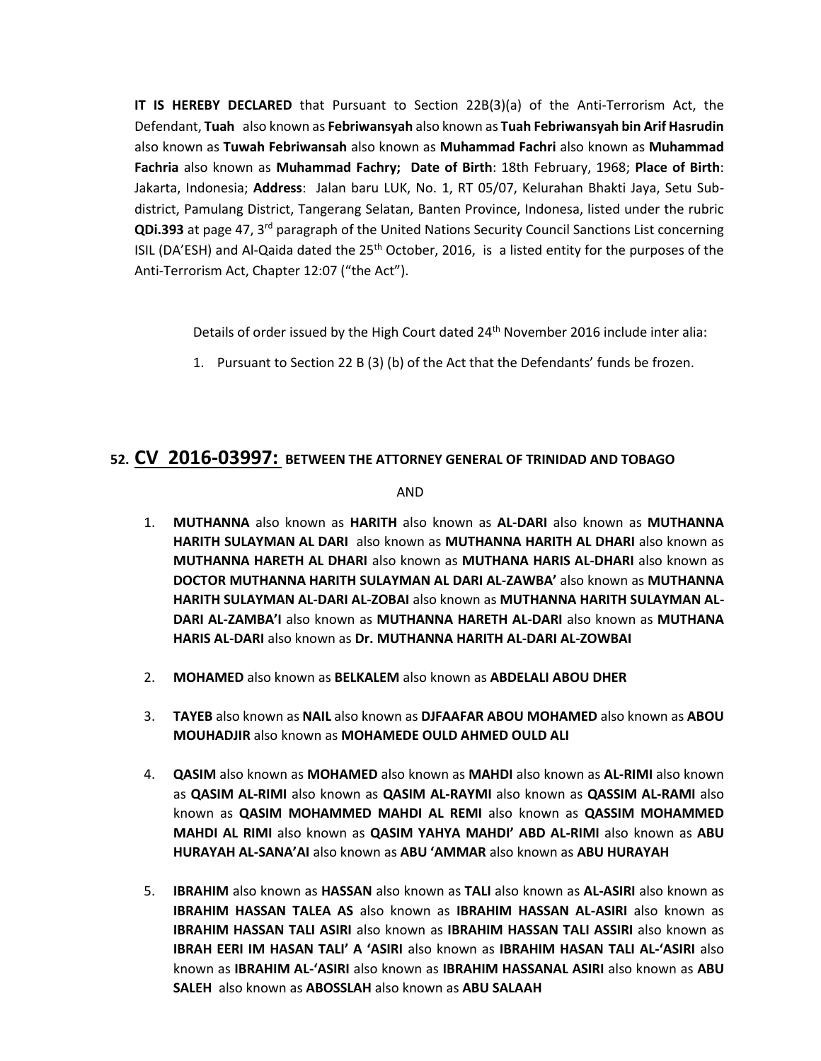**IT IS HEREBY DECLARED** that Pursuant to Section 22B(3)(a) of the Anti-Terrorism Act, the Defendant, **Tuah** also known as **Febriwansyah** also known as **Tuah Febriwansyah bin Arif Hasrudin** also known as **Tuwah Febriwansah** also known as **Muhammad Fachri** also known as **Muhammad Fachria** also known as **Muhammad Fachry; Date of Birth**: 18th February, 1968; **Place of Birth**: Jakarta, Indonesia; **Address**: Jalan baru LUK, No. 1, RT 05/07, Kelurahan Bhakti Jaya, Setu Subdistrict, Pamulang District, Tangerang Selatan, Banten Province, Indonesa, listed under the rubric **QDi.393** at page 47, 3rd paragraph of the United Nations Security Council Sanctions List concerning ISIL (DA'ESH) and Al-Qaida dated the  $25<sup>th</sup>$  October, 2016, is a listed entity for the purposes of the Anti-Terrorism Act, Chapter 12:07 ("the Act").

Details of order issued by the High Court dated 24<sup>th</sup> November 2016 include inter alia:

1. Pursuant to Section 22 B (3) (b) of the Act that the Defendants' funds be frozen.

# **52. CV 2016-03997: BETWEEN THE ATTORNEY GENERAL OF TRINIDAD AND TOBAGO**

AND

- 1. **MUTHANNA** also known as **HARITH** also known as **AL-DARI** also known as **MUTHANNA HARITH SULAYMAN AL DARI** also known as **MUTHANNA HARITH AL DHARI** also known as **MUTHANNA HARETH AL DHARI** also known as **MUTHANA HARIS AL-DHARI** also known as **DOCTOR MUTHANNA HARITH SULAYMAN AL DARI AL-ZAWBA'** also known as **MUTHANNA HARITH SULAYMAN AL-DARI AL-ZOBAI** also known as **MUTHANNA HARITH SULAYMAN AL-DARI AL-ZAMBA'I** also known as **MUTHANNA HARETH AL-DARI** also known as **MUTHANA HARIS AL-DARI** also known as **Dr. MUTHANNA HARITH AL-DARI AL-ZOWBAI**
- 2. **MOHAMED** also known as **BELKALEM** also known as **ABDELALI ABOU DHER**
- 3. **TAYEB** also known as **NAIL** also known as **DJFAAFAR ABOU MOHAMED** also known as **ABOU MOUHADJIR** also known as **MOHAMEDE OULD AHMED OULD ALI**
- 4. **QASIM** also known as **MOHAMED** also known as **MAHDI** also known as **AL-RIMI** also known as **QASIM AL-RIMI** also known as **QASIM AL-RAYMI** also known as **QASSIM AL-RAMI** also known as **QASIM MOHAMMED MAHDI AL REMI** also known as **QASSIM MOHAMMED MAHDI AL RIMI** also known as **QASIM YAHYA MAHDI' ABD AL-RIMI** also known as **ABU HURAYAH AL-SANA'AI** also known as **ABU 'AMMAR** also known as **ABU HURAYAH**
- 5. **IBRAHIM** also known as **HASSAN** also known as **TALI** also known as **AL-ASIRI** also known as **IBRAHIM HASSAN TALEA AS** also known as **IBRAHIM HASSAN AL-ASIRI** also known as **IBRAHIM HASSAN TALI ASIRI** also known as **IBRAHIM HASSAN TALI ASSIRI** also known as **IBRAH EERI IM HASAN TALI' A 'ASIRI** also known as **IBRAHIM HASAN TALI AL-'ASIRI** also known as **IBRAHIM AL-'ASIRI** also known as **IBRAHIM HASSANAL ASIRI** also known as **ABU SALEH** also known as **ABOSSLAH** also known as **ABU SALAAH**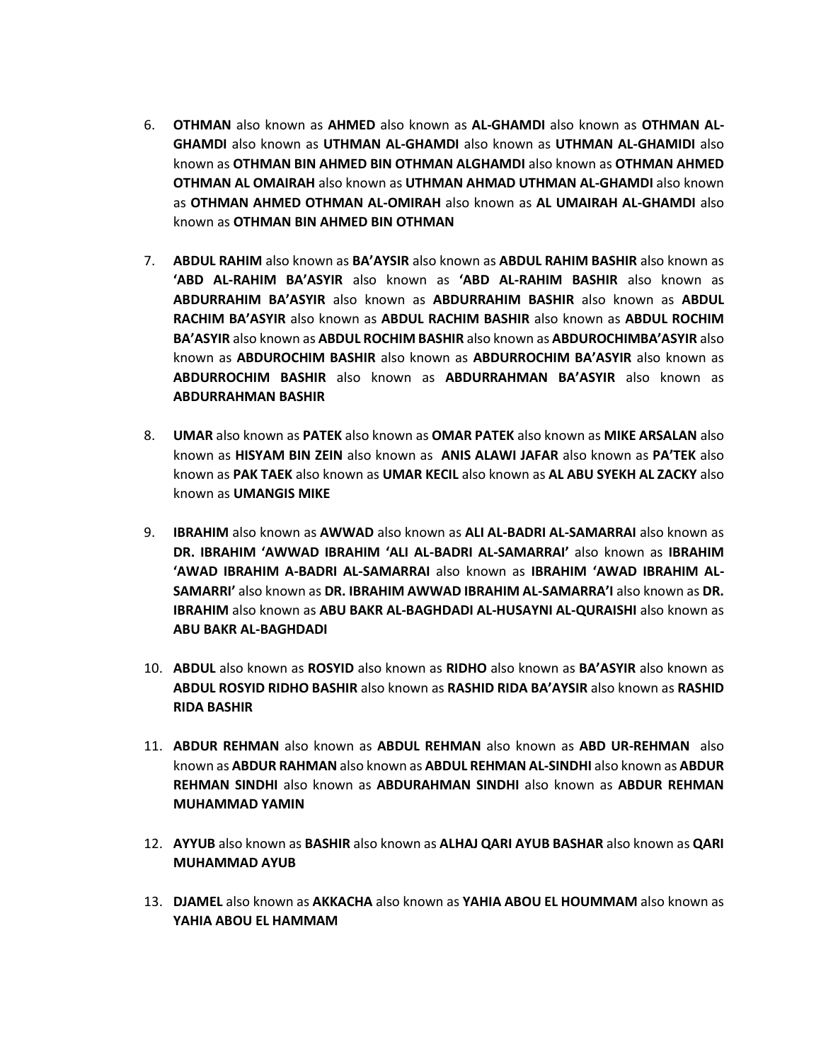- 6. **OTHMAN** also known as **AHMED** also known as **AL-GHAMDI** also known as **OTHMAN AL-GHAMDI** also known as **UTHMAN AL-GHAMDI** also known as **UTHMAN AL-GHAMIDI** also known as **OTHMAN BIN AHMED BIN OTHMAN ALGHAMDI** also known as **OTHMAN AHMED OTHMAN AL OMAIRAH** also known as **UTHMAN AHMAD UTHMAN AL-GHAMDI** also known as **OTHMAN AHMED OTHMAN AL-OMIRAH** also known as **AL UMAIRAH AL-GHAMDI** also known as **OTHMAN BIN AHMED BIN OTHMAN**
- 7. **ABDUL RAHIM** also known as **BA'AYSIR** also known as **ABDUL RAHIM BASHIR** also known as **'ABD AL-RAHIM BA'ASYIR** also known as **'ABD AL-RAHIM BASHIR** also known as **ABDURRAHIM BA'ASYIR** also known as **ABDURRAHIM BASHIR** also known as **ABDUL RACHIM BA'ASYIR** also known as **ABDUL RACHIM BASHIR** also known as **ABDUL ROCHIM BA'ASYIR** also known as **ABDUL ROCHIM BASHIR** also known as **ABDUROCHIMBA'ASYIR** also known as **ABDUROCHIM BASHIR** also known as **ABDURROCHIM BA'ASYIR** also known as **ABDURROCHIM BASHIR** also known as **ABDURRAHMAN BA'ASYIR** also known as **ABDURRAHMAN BASHIR**
- 8. **UMAR** also known as **PATEK** also known as **OMAR PATEK** also known as **MIKE ARSALAN** also known as **HISYAM BIN ZEIN** also known as **ANIS ALAWI JAFAR** also known as **PA'TEK** also known as **PAK TAEK** also known as **UMAR KECIL** also known as **AL ABU SYEKH AL ZACKY** also known as **UMANGIS MIKE**
- 9. **IBRAHIM** also known as **AWWAD** also known as **ALI AL-BADRI AL-SAMARRAI** also known as **DR. IBRAHIM 'AWWAD IBRAHIM 'ALI AL-BADRI AL-SAMARRAI'** also known as **IBRAHIM 'AWAD IBRAHIM A-BADRI AL-SAMARRAI** also known as **IBRAHIM 'AWAD IBRAHIM AL-SAMARRI'** also known as **DR. IBRAHIM AWWAD IBRAHIM AL-SAMARRA'I** also known as **DR. IBRAHIM** also known as **ABU BAKR AL-BAGHDADI AL-HUSAYNI AL-QURAISHI** also known as **ABU BAKR AL-BAGHDADI**
- 10. **ABDUL** also known as **ROSYID** also known as **RIDHO** also known as **BA'ASYIR** also known as **ABDUL ROSYID RIDHO BASHIR** also known as **RASHID RIDA BA'AYSIR** also known as **RASHID RIDA BASHIR**
- 11. **ABDUR REHMAN** also known as **ABDUL REHMAN** also known as **ABD UR-REHMAN** also known as **ABDUR RAHMAN** also known as **ABDUL REHMAN AL-SINDHI** also known as **ABDUR REHMAN SINDHI** also known as **ABDURAHMAN SINDHI** also known as **ABDUR REHMAN MUHAMMAD YAMIN**
- 12. **AYYUB** also known as **BASHIR** also known as **ALHAJ QARI AYUB BASHAR** also known as **QARI MUHAMMAD AYUB**
- 13. **DJAMEL** also known as **AKKACHA** also known as **YAHIA ABOU EL HOUMMAM** also known as **YAHIA ABOU EL HAMMAM**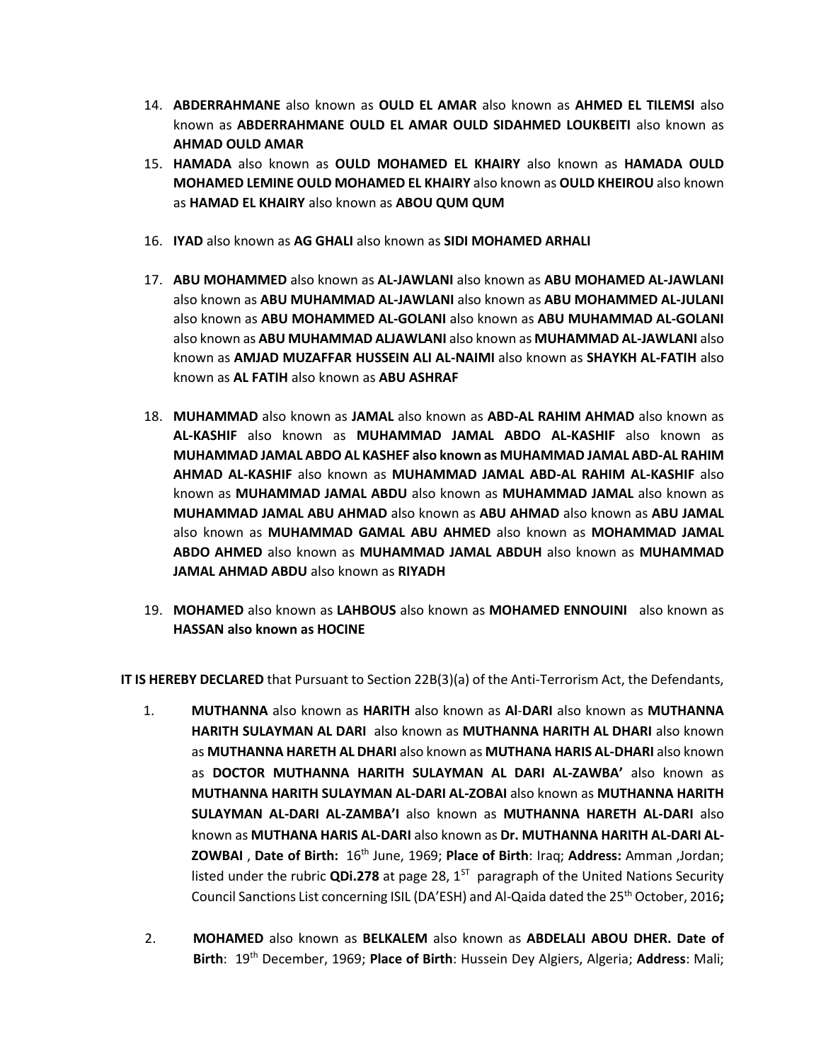- 14. **ABDERRAHMANE** also known as **OULD EL AMAR** also known as **AHMED EL TILEMSI** also known as **ABDERRAHMANE OULD EL AMAR OULD SIDAHMED LOUKBEITI** also known as **AHMAD OULD AMAR**
- 15. **HAMADA** also known as **OULD MOHAMED EL KHAIRY** also known as **HAMADA OULD MOHAMED LEMINE OULD MOHAMED EL KHAIRY** also known as **OULD KHEIROU** also known as **HAMAD EL KHAIRY** also known as **ABOU QUM QUM**
- 16. **IYAD** also known as **AG GHALI** also known as **SIDI MOHAMED ARHALI**
- 17. **ABU MOHAMMED** also known as **AL-JAWLANI** also known as **ABU MOHAMED AL-JAWLANI**  also known as **ABU MUHAMMAD AL-JAWLANI** also known as **ABU MOHAMMED AL-JULANI**  also known as **ABU MOHAMMED AL-GOLANI** also known as **ABU MUHAMMAD AL-GOLANI**  also known as **ABU MUHAMMAD ALJAWLANI** also known as **MUHAMMAD AL-JAWLANI** also known as **AMJAD MUZAFFAR HUSSEIN ALI AL-NAIMI** also known as **SHAYKH AL-FATIH** also known as **AL FATIH** also known as **ABU ASHRAF**
- 18. **MUHAMMAD** also known as **JAMAL** also known as **ABD-AL RAHIM AHMAD** also known as **AL-KASHIF** also known as **MUHAMMAD JAMAL ABDO AL-KASHIF** also known as **MUHAMMAD JAMAL ABDO AL KASHEF also known as MUHAMMAD JAMAL ABD-AL RAHIM AHMAD AL-KASHIF** also known as **MUHAMMAD JAMAL ABD-AL RAHIM AL-KASHIF** also known as **MUHAMMAD JAMAL ABDU** also known as **MUHAMMAD JAMAL** also known as **MUHAMMAD JAMAL ABU AHMAD** also known as **ABU AHMAD** also known as **ABU JAMAL**  also known as **MUHAMMAD GAMAL ABU AHMED** also known as **MOHAMMAD JAMAL ABDO AHMED** also known as **MUHAMMAD JAMAL ABDUH** also known as **MUHAMMAD JAMAL AHMAD ABDU** also known as **RIYADH**
- 19. **MOHAMED** also known as **LAHBOUS** also known as **MOHAMED ENNOUINI** also known as **HASSAN also known as HOCINE**

**IT IS HEREBY DECLARED** that Pursuant to Section 22B(3)(a) of the Anti-Terrorism Act, the Defendants,

- 1. **MUTHANNA** also known as **HARITH** also known as **Al**-**DARI** also known as **MUTHANNA HARITH SULAYMAN AL DARI** also known as **MUTHANNA HARITH AL DHARI** also known as **MUTHANNA HARETH AL DHARI** also known as **MUTHANA HARIS AL-DHARI** also known as **DOCTOR MUTHANNA HARITH SULAYMAN AL DARI AL-ZAWBA'** also known as **MUTHANNA HARITH SULAYMAN AL-DARI AL-ZOBAI** also known as **MUTHANNA HARITH SULAYMAN AL-DARI AL-ZAMBA'I** also known as **MUTHANNA HARETH AL-DARI** also known as **MUTHANA HARIS AL-DARI** also known as **Dr. MUTHANNA HARITH AL-DARI AL-ZOWBAI** , **Date of Birth:** 16th June, 1969; **Place of Birth**: Iraq; **Address:** Amman ,Jordan; listed under the rubric QDi.278 at page 28, 1<sup>ST</sup> paragraph of the United Nations Security Council Sanctions List concerning ISIL (DA'ESH) and Al-Qaida dated the 25th October, 2016**;**
- 2. **MOHAMED** also known as **BELKALEM** also known as **ABDELALI ABOU DHER. Date of Birth**: 19th December, 1969; **Place of Birth**: Hussein Dey Algiers, Algeria; **Address**: Mali;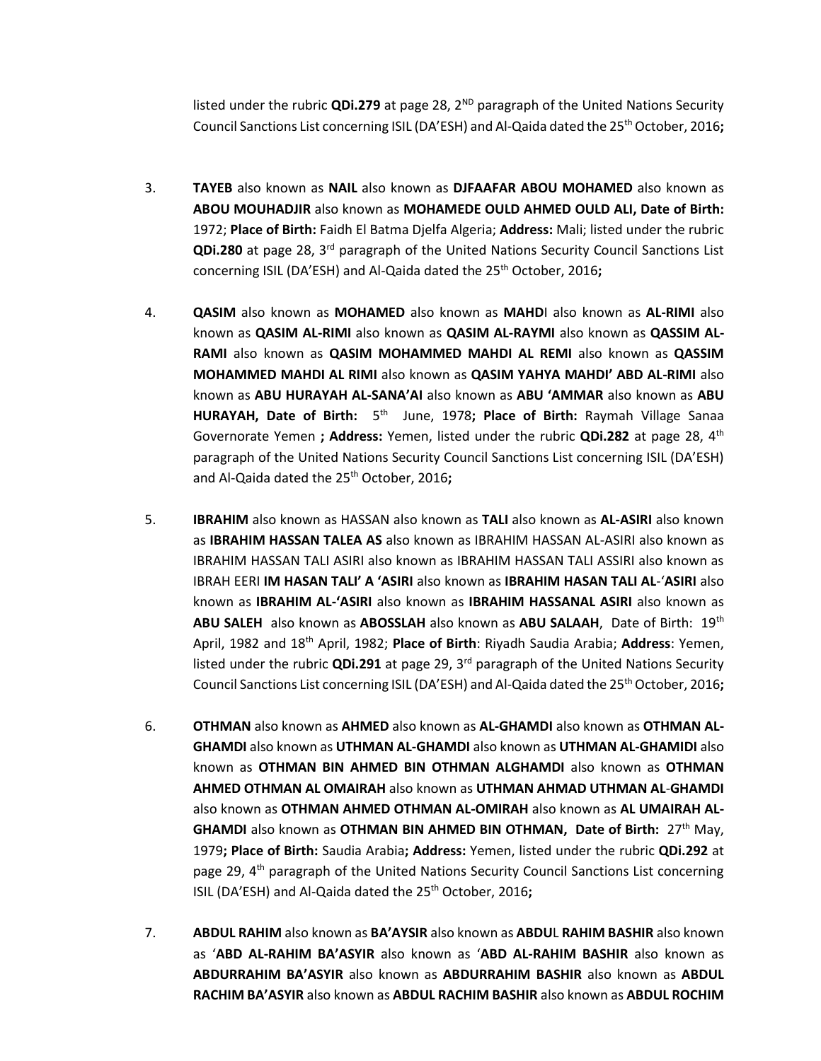listed under the rubric QDi.279 at page 28, 2<sup>ND</sup> paragraph of the United Nations Security Council Sanctions List concerning ISIL (DA'ESH) and Al-Qaida dated the 25th October, 2016**;** 

- 3. **TAYEB** also known as **NAIL** also known as **DJFAAFAR ABOU MOHAMED** also known as **ABOU MOUHADJIR** also known as **MOHAMEDE OULD AHMED OULD ALI, Date of Birth:** 1972; **Place of Birth:** Faidh El Batma Djelfa Algeria; **Address:** Mali; listed under the rubric **QDi.280** at page 28, 3rd paragraph of the United Nations Security Council Sanctions List concerning ISIL (DA'ESH) and Al-Qaida dated the 25<sup>th</sup> October, 2016;
- 4. **QASIM** also known as **MOHAMED** also known as **MAHD**I also known as **AL-RIMI** also known as **QASIM AL-RIMI** also known as **QASIM AL-RAYMI** also known as **QASSIM AL-RAMI** also known as **QASIM MOHAMMED MAHDI AL REMI** also known as **QASSIM MOHAMMED MAHDI AL RIMI** also known as **QASIM YAHYA MAHDI' ABD AL-RIMI** also known as **ABU HURAYAH AL-SANA'AI** also known as **ABU 'AMMAR** also known as **ABU**  HURAYAH, Date of Birth: 5<sup>th</sup> June, 1978; Place of Birth: Raymah Village Sanaa Governorate Yemen **; Address:** Yemen, listed under the rubric **QDi.282** at page 28, 4th paragraph of the United Nations Security Council Sanctions List concerning ISIL (DA'ESH) and Al-Qaida dated the 25th October, 2016**;**
- 5. **IBRAHIM** also known as HASSAN also known as **TALI** also known as **AL-ASIRI** also known as **IBRAHIM HASSAN TALEA AS** also known as IBRAHIM HASSAN AL-ASIRI also known as IBRAHIM HASSAN TALI ASIRI also known as IBRAHIM HASSAN TALI ASSIRI also known as IBRAH EERI **IM HASAN TALI' A 'ASIRI** also known as **IBRAHIM HASAN TALI AL**-'**ASIRI** also known as **IBRAHIM AL-'ASIRI** also known as **IBRAHIM HASSANAL ASIRI** also known as **ABU SALEH** also known as **ABOSSLAH** also known as **ABU SALAAH**, Date of Birth: 19th April, 1982 and 18th April, 1982; **Place of Birth**: Riyadh Saudia Arabia; **Address**: Yemen, listed under the rubric **QDi.291** at page 29, 3rd paragraph of the United Nations Security Council Sanctions List concerning ISIL (DA'ESH) and Al-Qaida dated the 25th October, 2016**;**
- 6. **OTHMAN** also known as **AHMED** also known as **AL-GHAMDI** also known as **OTHMAN AL-GHAMDI** also known as **UTHMAN AL-GHAMDI** also known as **UTHMAN AL-GHAMIDI** also known as **OTHMAN BIN AHMED BIN OTHMAN ALGHAMDI** also known as **OTHMAN AHMED OTHMAN AL OMAIRAH** also known as **UTHMAN AHMAD UTHMAN AL**-**GHAMDI** also known as **OTHMAN AHMED OTHMAN AL-OMIRAH** also known as **AL UMAIRAH AL-GHAMDI** also known as **OTHMAN BIN AHMED BIN OTHMAN, Date of Birth:** 27th May, 1979**; Place of Birth:** Saudia Arabia**; Address:** Yemen, listed under the rubric **QDi.292** at page 29, 4<sup>th</sup> paragraph of the United Nations Security Council Sanctions List concerning ISIL (DA'ESH) and Al-Qaida dated the 25<sup>th</sup> October, 2016;
- 7. **ABDUL RAHIM** also known as **BA'AYSIR** also known as **ABDU**L **RAHIM BASHIR** also known as '**ABD AL-RAHIM BA'ASYIR** also known as '**ABD AL-RAHIM BASHIR** also known as **ABDURRAHIM BA'ASYIR** also known as **ABDURRAHIM BASHIR** also known as **ABDUL RACHIM BA'ASYIR** also known as **ABDUL RACHIM BASHIR** also known as **ABDUL ROCHIM**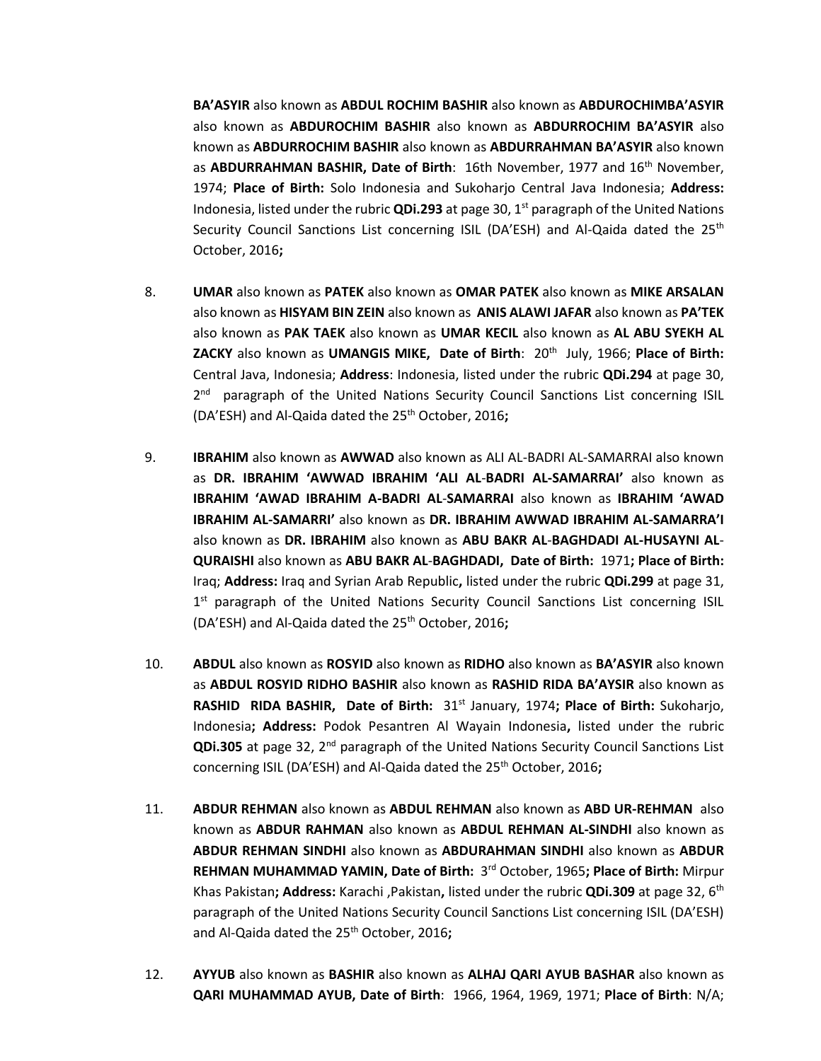**BA'ASYIR** also known as **ABDUL ROCHIM BASHIR** also known as **ABDUROCHIMBA'ASYIR** also known as **ABDUROCHIM BASHIR** also known as **ABDURROCHIM BA'ASYIR** also known as **ABDURROCHIM BASHIR** also known as **ABDURRAHMAN BA'ASYIR** also known as **ABDURRAHMAN BASHIR, Date of Birth**: 16th November, 1977 and 16th November, 1974; **Place of Birth:** Solo Indonesia and Sukoharjo Central Java Indonesia; **Address:** Indonesia, listed under the rubric **QDi.293** at page 30, 1st paragraph of the United Nations Security Council Sanctions List concerning ISIL (DA'ESH) and Al-Qaida dated the  $25<sup>th</sup>$ October, 2016**;**

- 8. **UMAR** also known as **PATEK** also known as **OMAR PATEK** also known as **MIKE ARSALAN** also known as **HISYAM BIN ZEIN** also known as **ANIS ALAWI JAFAR** also known as **PA'TEK** also known as **PAK TAEK** also known as **UMAR KECIL** also known as **AL ABU SYEKH AL ZACKY** also known as **UMANGIS MIKE, Date of Birth**: 20th July, 1966; **Place of Birth:** Central Java, Indonesia; **Address**: Indonesia, listed under the rubric **QDi.294** at page 30, 2<sup>nd</sup> paragraph of the United Nations Security Council Sanctions List concerning ISIL (DA'ESH) and Al-Qaida dated the 25th October, 2016**;**
- 9. **IBRAHIM** also known as **AWWAD** also known as ALI AL-BADRI AL-SAMARRAI also known as **DR. IBRAHIM 'AWWAD IBRAHIM 'ALI AL**-**BADRI AL-SAMARRAI'** also known as **IBRAHIM 'AWAD IBRAHIM A-BADRI AL**-**SAMARRAI** also known as **IBRAHIM 'AWAD IBRAHIM AL-SAMARRI'** also known as **DR. IBRAHIM AWWAD IBRAHIM AL-SAMARRA'I** also known as **DR. IBRAHIM** also known as **ABU BAKR AL**-**BAGHDADI AL-HUSAYNI AL**-**QURAISHI** also known as **ABU BAKR AL**-**BAGHDADI, Date of Birth:** 1971**; Place of Birth:**  Iraq; **Address:** Iraq and Syrian Arab Republic**,** listed under the rubric **QDi.299** at page 31, 1<sup>st</sup> paragraph of the United Nations Security Council Sanctions List concerning ISIL (DA'ESH) and Al-Qaida dated the 25th October, 2016**;**
- 10. **ABDUL** also known as **ROSYID** also known as **RIDHO** also known as **BA'ASYIR** also known as **ABDUL ROSYID RIDHO BASHIR** also known as **RASHID RIDA BA'AYSIR** also known as **RASHID RIDA BASHIR, Date of Birth:** 31st January, 1974**; Place of Birth:** Sukoharjo, Indonesia**; Address:** Podok Pesantren Al Wayain Indonesia**,** listed under the rubric **QDi.305** at page 32, 2nd paragraph of the United Nations Security Council Sanctions List concerning ISIL (DA'ESH) and Al-Qaida dated the 25<sup>th</sup> October, 2016;
- 11. **ABDUR REHMAN** also known as **ABDUL REHMAN** also known as **ABD UR-REHMAN** also known as **ABDUR RAHMAN** also known as **ABDUL REHMAN AL-SINDHI** also known as **ABDUR REHMAN SINDHI** also known as **ABDURAHMAN SINDHI** also known as **ABDUR REHMAN MUHAMMAD YAMIN, Date of Birth:** 3 rd October, 1965**; Place of Birth:** Mirpur Khas Pakistan**; Address:** Karachi ,Pakistan**,** listed under the rubric **QDi.309** at page 32, 6th paragraph of the United Nations Security Council Sanctions List concerning ISIL (DA'ESH) and Al-Qaida dated the 25th October, 2016**;**
- 12. **AYYUB** also known as **BASHIR** also known as **ALHAJ QARI AYUB BASHAR** also known as **QARI MUHAMMAD AYUB, Date of Birth**: 1966, 1964, 1969, 1971; **Place of Birth**: N/A;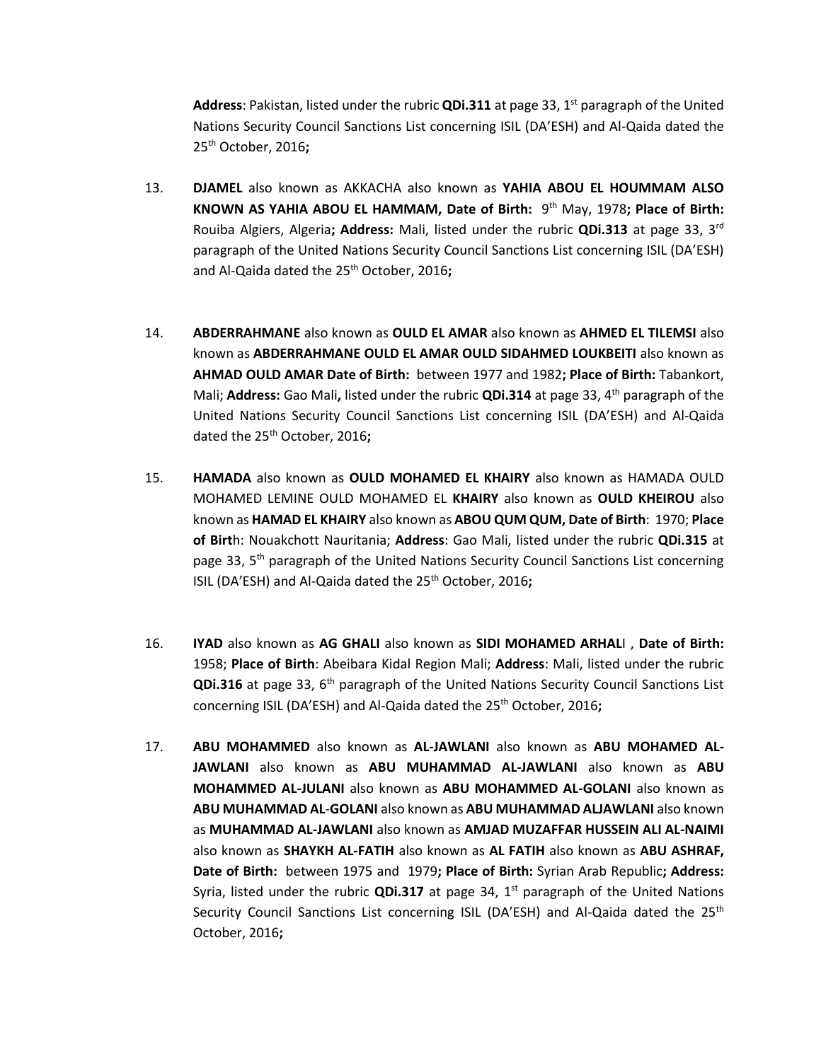Address: Pakistan, listed under the rubric **QDi.311** at page 33, 1<sup>st</sup> paragraph of the United Nations Security Council Sanctions List concerning ISIL (DA'ESH) and Al-Qaida dated the 25th October, 2016**;**

- 13. **DJAMEL** also known as AKKACHA also known as **YAHIA ABOU EL HOUMMAM ALSO KNOWN AS YAHIA ABOU EL HAMMAM, Date of Birth: 9<sup>th</sup> May, 1978; Place of Birth:** Rouiba Algiers, Algeria**; Address:** Mali, listed under the rubric **QDi.313** at page 33, 3rd paragraph of the United Nations Security Council Sanctions List concerning ISIL (DA'ESH) and Al-Qaida dated the 25th October, 2016**;**
- 14. **ABDERRAHMANE** also known as **OULD EL AMAR** also known as **AHMED EL TILEMSI** also known as **ABDERRAHMANE OULD EL AMAR OULD SIDAHMED LOUKBEITI** also known as **AHMAD OULD AMAR Date of Birth:** between 1977 and 1982**; Place of Birth:** Tabankort, Mali; **Address:** Gao Mali**,** listed under the rubric **QDi.314** at page 33, 4th paragraph of the United Nations Security Council Sanctions List concerning ISIL (DA'ESH) and Al-Qaida dated the 25th October, 2016**;**
- 15. **HAMADA** also known as **OULD MOHAMED EL KHAIRY** also known as HAMADA OULD MOHAMED LEMINE OULD MOHAMED EL **KHAIRY** also known as **OULD KHEIROU** also known as **HAMAD EL KHAIRY** also known as **ABOU QUM QUM, Date of Birth**: 1970; **Place of Birt**h: Nouakchott Nauritania; **Address**: Gao Mali, listed under the rubric **QDi.315** at page 33, 5<sup>th</sup> paragraph of the United Nations Security Council Sanctions List concerning ISIL (DA'ESH) and Al-Qaida dated the 25<sup>th</sup> October, 2016;
- 16. **IYAD** also known as **AG GHALI** also known as **SIDI MOHAMED ARHAL**I , **Date of Birth:** 1958; **Place of Birth**: Abeibara Kidal Region Mali; **Address**: Mali, listed under the rubric **QDi.316** at page 33, 6<sup>th</sup> paragraph of the United Nations Security Council Sanctions List concerning ISIL (DA'ESH) and Al-Qaida dated the 25th October, 2016**;**
- 17. **ABU MOHAMMED** also known as **AL-JAWLANI** also known as **ABU MOHAMED AL-JAWLANI** also known as **ABU MUHAMMAD AL-JAWLANI** also known as **ABU MOHAMMED AL-JULANI** also known as **ABU MOHAMMED AL-GOLANI** also known as **ABU MUHAMMAD AL**-**GOLANI** also known as **ABU MUHAMMAD ALJAWLANI** also known as **MUHAMMAD AL-JAWLANI** also known as **AMJAD MUZAFFAR HUSSEIN ALI AL-NAIMI** also known as **SHAYKH AL-FATIH** also known as **AL FATIH** also known as **ABU ASHRAF, Date of Birth:** between 1975 and1979**; Place of Birth:** Syrian Arab Republic**; Address:**  Syria, listed under the rubric **QDi.317** at page 34, 1<sup>st</sup> paragraph of the United Nations Security Council Sanctions List concerning ISIL (DA'ESH) and Al-Qaida dated the 25<sup>th</sup> October, 2016**;**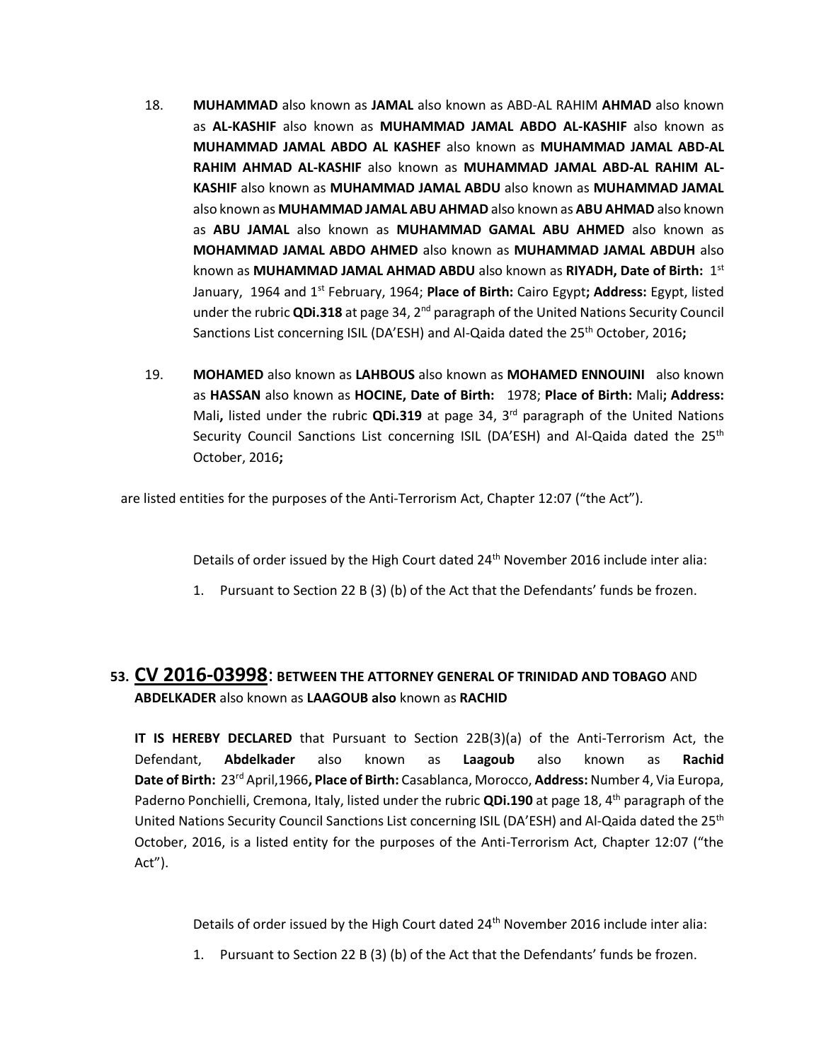- 18. **MUHAMMAD** also known as **JAMAL** also known as ABD-AL RAHIM **AHMAD** also known as **AL-KASHIF** also known as **MUHAMMAD JAMAL ABDO AL-KASHIF** also known as **MUHAMMAD JAMAL ABDO AL KASHEF** also known as **MUHAMMAD JAMAL ABD-AL RAHIM AHMAD AL-KASHIF** also known as **MUHAMMAD JAMAL ABD-AL RAHIM AL-KASHIF** also known as **MUHAMMAD JAMAL ABDU** also known as **MUHAMMAD JAMAL** also known as **MUHAMMAD JAMAL ABU AHMAD** also known as **ABU AHMAD** also known as **ABU JAMAL** also known as **MUHAMMAD GAMAL ABU AHMED** also known as **MOHAMMAD JAMAL ABDO AHMED** also known as **MUHAMMAD JAMAL ABDUH** also known as **MUHAMMAD JAMAL AHMAD ABDU** also known as **RIYADH, Date of Birth:** 1 st January, 1964 and 1<sup>st</sup> February, 1964; **Place of Birth:** Cairo Egypt; Address: Egypt, listed under the rubric **QDi.318** at page 34, 2nd paragraph of the United Nations Security Council Sanctions List concerning ISIL (DA'ESH) and Al-Qaida dated the 25<sup>th</sup> October, 2016**;**
- 19. **MOHAMED** also known as **LAHBOUS** also known as **MOHAMED ENNOUINI** also known as **HASSAN** also known as **HOCINE, Date of Birth:** 1978; **Place of Birth:** Mali**; Address:**  Mali**,** listed under the rubric **QDi.319** at page 34, 3rd paragraph of the United Nations Security Council Sanctions List concerning ISIL (DA'ESH) and Al-Qaida dated the 25<sup>th</sup> October, 2016**;**

are listed entities for the purposes of the Anti-Terrorism Act, Chapter 12:07 ("the Act").

Details of order issued by the High Court dated 24<sup>th</sup> November 2016 include inter alia:

1. Pursuant to Section 22 B (3) (b) of the Act that the Defendants' funds be frozen.

# **53. CV 2016-03998**: **BETWEEN THE ATTORNEY GENERAL OF TRINIDAD AND TOBAGO** AND **ABDELKADER** also known as **LAAGOUB also** known as **RACHID**

**IT IS HEREBY DECLARED** that Pursuant to Section 22B(3)(a) of the Anti-Terrorism Act, the Defendant, **Abdelkader** also known as **Laagoub** also known as **Rachid Date of Birth:** 23rd April,1966**, Place of Birth:** Casablanca, Morocco, **Address:** Number 4, Via Europa, Paderno Ponchielli, Cremona, Italy, listed under the rubric **QDi.190** at page 18, 4th paragraph of the United Nations Security Council Sanctions List concerning ISIL (DA'ESH) and Al-Qaida dated the 25<sup>th</sup> October, 2016, is a listed entity for the purposes of the Anti-Terrorism Act, Chapter 12:07 ("the Act").

Details of order issued by the High Court dated 24<sup>th</sup> November 2016 include inter alia:

1. Pursuant to Section 22 B (3) (b) of the Act that the Defendants' funds be frozen.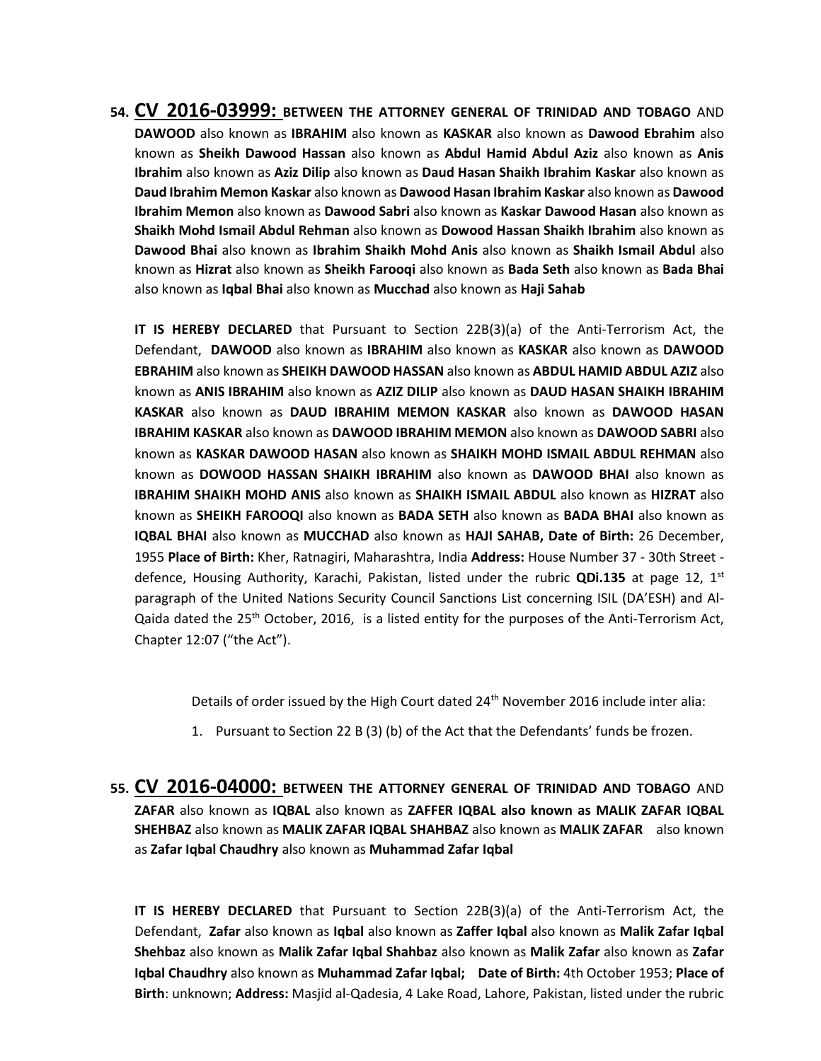**54. CV 2016-03999: BETWEEN THE ATTORNEY GENERAL OF TRINIDAD AND TOBAGO** AND **DAWOOD** also known as **IBRAHIM** also known as **KASKAR** also known as **Dawood Ebrahim** also known as **Sheikh Dawood Hassan** also known as **Abdul Hamid Abdul Aziz** also known as **Anis Ibrahim** also known as **Aziz Dilip** also known as **Daud Hasan Shaikh Ibrahim Kaskar** also known as **Daud Ibrahim Memon Kaskar** also known as **Dawood Hasan Ibrahim Kaskar** also known as **Dawood Ibrahim Memon** also known as **Dawood Sabri** also known as **Kaskar Dawood Hasan** also known as **Shaikh Mohd Ismail Abdul Rehman** also known as **Dowood Hassan Shaikh Ibrahim** also known as **Dawood Bhai** also known as **Ibrahim Shaikh Mohd Anis** also known as **Shaikh Ismail Abdul** also known as **Hizrat** also known as **Sheikh Farooqi** also known as **Bada Seth** also known as **Bada Bhai**  also known as **Iqbal Bhai** also known as **Mucchad** also known as **Haji Sahab**

**IT IS HEREBY DECLARED** that Pursuant to Section 22B(3)(a) of the Anti-Terrorism Act, the Defendant, **DAWOOD** also known as **IBRAHIM** also known as **KASKAR** also known as **DAWOOD EBRAHIM** also known as **SHEIKH DAWOOD HASSAN** also known as **ABDUL HAMID ABDUL AZIZ** also known as **ANIS IBRAHIM** also known as **AZIZ DILIP** also known as **DAUD HASAN SHAIKH IBRAHIM KASKAR** also known as **DAUD IBRAHIM MEMON KASKAR** also known as **DAWOOD HASAN IBRAHIM KASKAR** also known as **DAWOOD IBRAHIM MEMON** also known as **DAWOOD SABRI** also known as **KASKAR DAWOOD HASAN** also known as **SHAIKH MOHD ISMAIL ABDUL REHMAN** also known as **DOWOOD HASSAN SHAIKH IBRAHIM** also known as **DAWOOD BHAI** also known as **IBRAHIM SHAIKH MOHD ANIS** also known as **SHAIKH ISMAIL ABDUL** also known as **HIZRAT** also known as **SHEIKH FAROOQI** also known as **BADA SETH** also known as **BADA BHAI** also known as **IQBAL BHAI** also known as **MUCCHAD** also known as **HAJI SAHAB, Date of Birth:** 26 December, 1955 **Place of Birth:** Kher, Ratnagiri, Maharashtra, India **Address:** House Number 37 - 30th Street defence, Housing Authority, Karachi, Pakistan, listed under the rubric **QDi.135** at page 12, 1st paragraph of the United Nations Security Council Sanctions List concerning ISIL (DA'ESH) and Al-Qaida dated the 25<sup>th</sup> October, 2016, is a listed entity for the purposes of the Anti-Terrorism Act, Chapter 12:07 ("the Act").

Details of order issued by the High Court dated 24<sup>th</sup> November 2016 include inter alia:

- 1. Pursuant to Section 22 B (3) (b) of the Act that the Defendants' funds be frozen.
- **55. CV 2016-04000: BETWEEN THE ATTORNEY GENERAL OF TRINIDAD AND TOBAGO** AND **ZAFAR** also known as **IQBAL** also known as **ZAFFER IQBAL also known as MALIK ZAFAR IQBAL SHEHBAZ** also known as **MALIK ZAFAR IQBAL SHAHBAZ** also known as **MALIK ZAFAR** also known as **Zafar Iqbal Chaudhry** also known as **Muhammad Zafar Iqbal**

**IT IS HEREBY DECLARED** that Pursuant to Section 22B(3)(a) of the Anti-Terrorism Act, the Defendant, **Zafar** also known as **Iqbal** also known as **Zaffer Iqbal** also known as **Malik Zafar Iqbal Shehbaz** also known as **Malik Zafar Iqbal Shahbaz** also known as **Malik Zafar** also known as **Zafar Iqbal Chaudhry** also known as **Muhammad Zafar Iqbal; Date of Birth:** 4th October 1953; **Place of Birth**: unknown; **Address:** Masjid al-Qadesia, 4 Lake Road, Lahore, Pakistan, listed under the rubric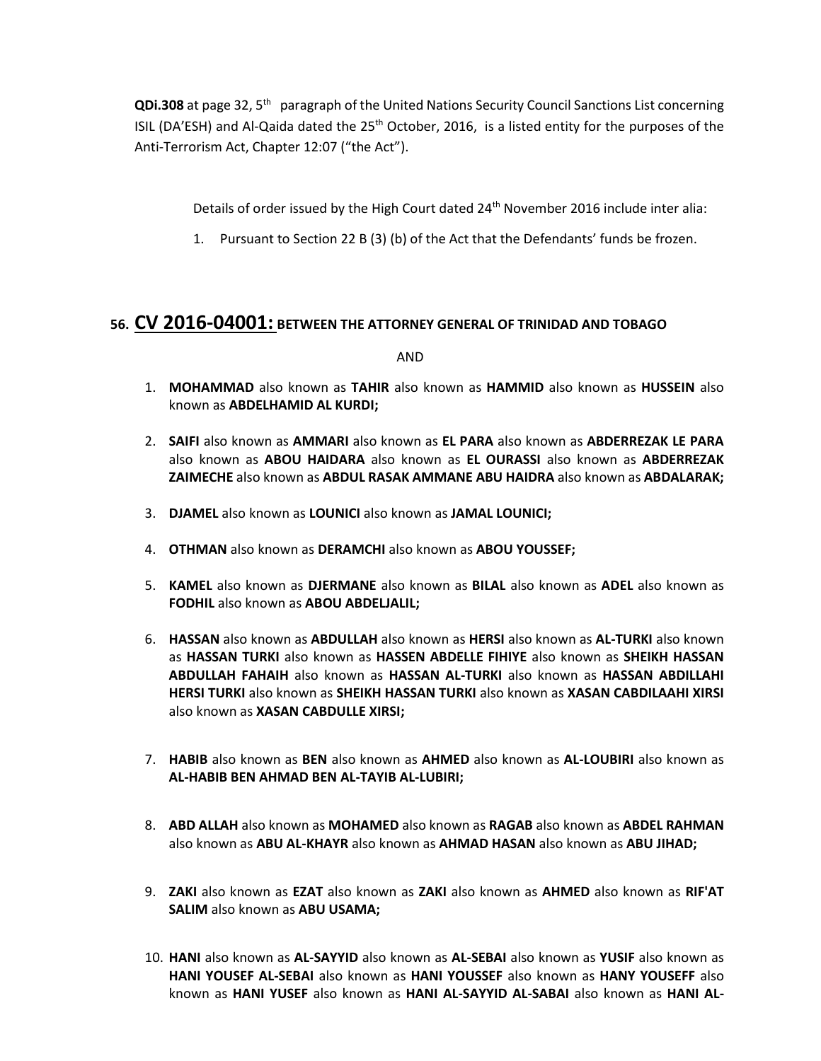QDi.308 at page 32, 5<sup>th</sup> paragraph of the United Nations Security Council Sanctions List concerning ISIL (DA'ESH) and Al-Qaida dated the  $25<sup>th</sup>$  October, 2016, is a listed entity for the purposes of the Anti-Terrorism Act, Chapter 12:07 ("the Act").

Details of order issued by the High Court dated 24<sup>th</sup> November 2016 include inter alia:

1. Pursuant to Section 22 B (3) (b) of the Act that the Defendants' funds be frozen.

## **56. CV 2016-04001: BETWEEN THE ATTORNEY GENERAL OF TRINIDAD AND TOBAGO**

AND

- 1. **MOHAMMAD** also known as **TAHIR** also known as **HAMMID** also known as **HUSSEIN** also known as **ABDELHAMID AL KURDI;**
- 2. **SAIFI** also known as **AMMARI** also known as **EL PARA** also known as **ABDERREZAK LE PARA**  also known as **ABOU HAIDARA** also known as **EL OURASSI** also known as **ABDERREZAK ZAIMECHE** also known as **ABDUL RASAK AMMANE ABU HAIDRA** also known as **ABDALARAK;**
- 3. **DJAMEL** also known as **LOUNICI** also known as **JAMAL LOUNICI;**
- 4. **OTHMAN** also known as **DERAMCHI** also known as **ABOU YOUSSEF;**
- 5. **KAMEL** also known as **DJERMANE** also known as **BILAL** also known as **ADEL** also known as **FODHIL** also known as **ABOU ABDELJALIL;**
- 6. **HASSAN** also known as **ABDULLAH** also known as **HERSI** also known as **AL-TURKI** also known as **HASSAN TURKI** also known as **HASSEN ABDELLE FIHIYE** also known as **SHEIKH HASSAN ABDULLAH FAHAIH** also known as **HASSAN AL-TURKI** also known as **HASSAN ABDILLAHI HERSI TURKI** also known as **SHEIKH HASSAN TURKI** also known as **XASAN CABDILAAHI XIRSI**  also known as **XASAN CABDULLE XIRSI;**
- 7. **HABIB** also known as **BEN** also known as **AHMED** also known as **AL-LOUBIRI** also known as **AL-HABIB BEN AHMAD BEN AL-TAYIB AL-LUBIRI;**
- 8. **ABD ALLAH** also known as **MOHAMED** also known as **RAGAB** also known as **ABDEL RAHMAN**  also known as **ABU AL-KHAYR** also known as **AHMAD HASAN** also known as **ABU JIHAD;**
- 9. **ZAKI** also known as **EZAT** also known as **ZAKI** also known as **AHMED** also known as **RIF'AT SALIM** also known as **ABU USAMA;**
- 10. **HANI** also known as **AL-SAYYID** also known as **AL-SEBAI** also known as **YUSIF** also known as **HANI YOUSEF AL-SEBAI** also known as **HANI YOUSSEF** also known as **HANY YOUSEFF** also known as **HANI YUSEF** also known as **HANI AL-SAYYID AL-SABAI** also known as **HANI AL-**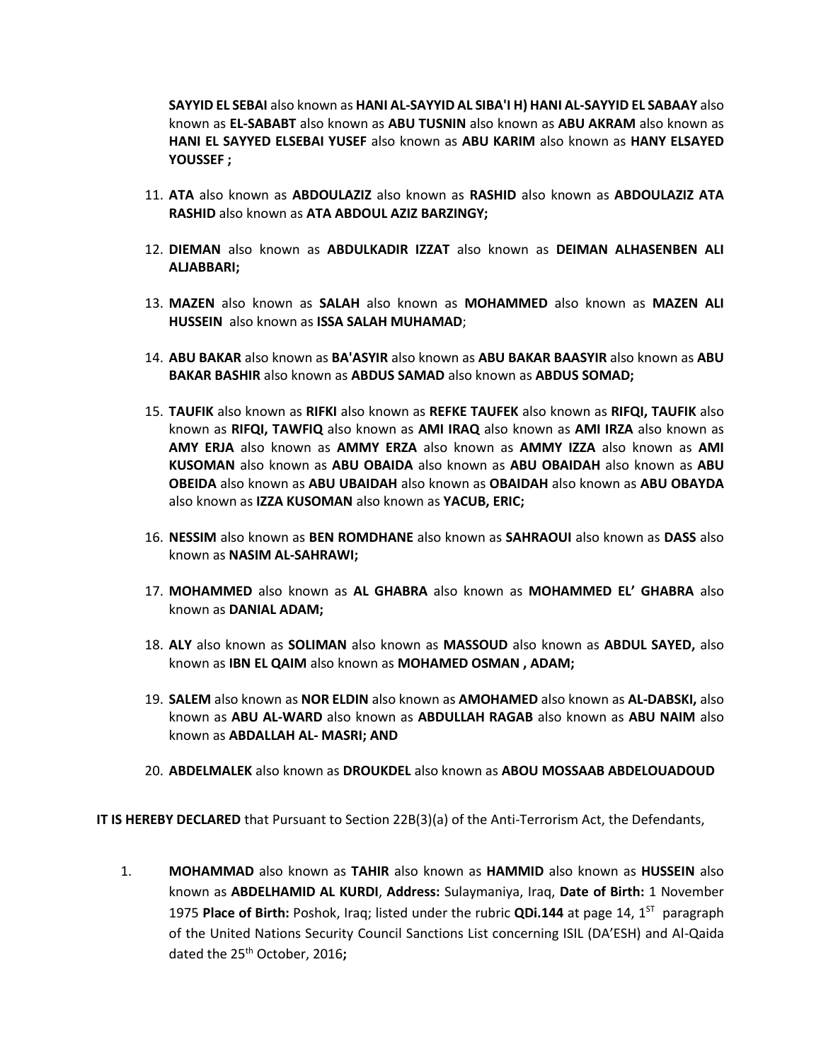**SAYYID EL SEBAI** also known as **HANI AL-SAYYID AL SIBA'I H) HANI AL-SAYYID EL SABAAY** also known as **EL-SABABT** also known as **ABU TUSNIN** also known as **ABU AKRAM** also known as **HANI EL SAYYED ELSEBAI YUSEF** also known as **ABU KARIM** also known as **HANY ELSAYED YOUSSEF ;**

- 11. **ATA** also known as **ABDOULAZIZ** also known as **RASHID** also known as **ABDOULAZIZ ATA RASHID** also known as **ATA ABDOUL AZIZ BARZINGY;**
- 12. **DIEMAN** also known as **ABDULKADIR IZZAT** also known as **DEIMAN ALHASENBEN ALI ALJABBARI;**
- 13. **MAZEN** also known as **SALAH** also known as **MOHAMMED** also known as **MAZEN ALI HUSSEIN** also known as **ISSA SALAH MUHAMAD**;
- 14. **ABU BAKAR** also known as **BA'ASYIR** also known as **ABU BAKAR BAASYIR** also known as **ABU BAKAR BASHIR** also known as **ABDUS SAMAD** also known as **ABDUS SOMAD;**
- 15. **TAUFIK** also known as **RIFKI** also known as **REFKE TAUFEK** also known as **RIFQI, TAUFIK** also known as **RIFQI, TAWFIQ** also known as **AMI IRAQ** also known as **AMI IRZA** also known as **AMY ERJA** also known as **AMMY ERZA** also known as **AMMY IZZA** also known as **AMI KUSOMAN** also known as **ABU OBAIDA** also known as **ABU OBAIDAH** also known as **ABU OBEIDA** also known as **ABU UBAIDAH** also known as **OBAIDAH** also known as **ABU OBAYDA**  also known as **IZZA KUSOMAN** also known as **YACUB, ERIC;**
- 16. **NESSIM** also known as **BEN ROMDHANE** also known as **SAHRAOUI** also known as **DASS** also known as **NASIM AL-SAHRAWI;**
- 17. **MOHAMMED** also known as **AL GHABRA** also known as **MOHAMMED EL' GHABRA** also known as **DANIAL ADAM;**
- 18. **ALY** also known as **SOLIMAN** also known as **MASSOUD** also known as **ABDUL SAYED,** also known as **IBN EL QAIM** also known as **MOHAMED OSMAN , ADAM;**
- 19. **SALEM** also known as **NOR ELDIN** also known as **AMOHAMED** also known as **AL-DABSKI,** also known as **ABU AL-WARD** also known as **ABDULLAH RAGAB** also known as **ABU NAIM** also known as **ABDALLAH AL- MASRI; AND**
- 20. **ABDELMALEK** also known as **DROUKDEL** also known as **ABOU MOSSAAB ABDELOUADOUD**

**IT IS HEREBY DECLARED** that Pursuant to Section 22B(3)(a) of the Anti-Terrorism Act, the Defendants,

1. **MOHAMMAD** also known as **TAHIR** also known as **HAMMID** also known as **HUSSEIN** also known as **ABDELHAMID AL KURDI**, **Address:** Sulaymaniya, Iraq, **Date of Birth:** 1 November 1975 Place of Birth: Poshok, Iraq; listed under the rubric QDi.144 at page 14, 1<sup>st</sup> paragraph of the United Nations Security Council Sanctions List concerning ISIL (DA'ESH) and Al-Qaida dated the 25th October, 2016**;**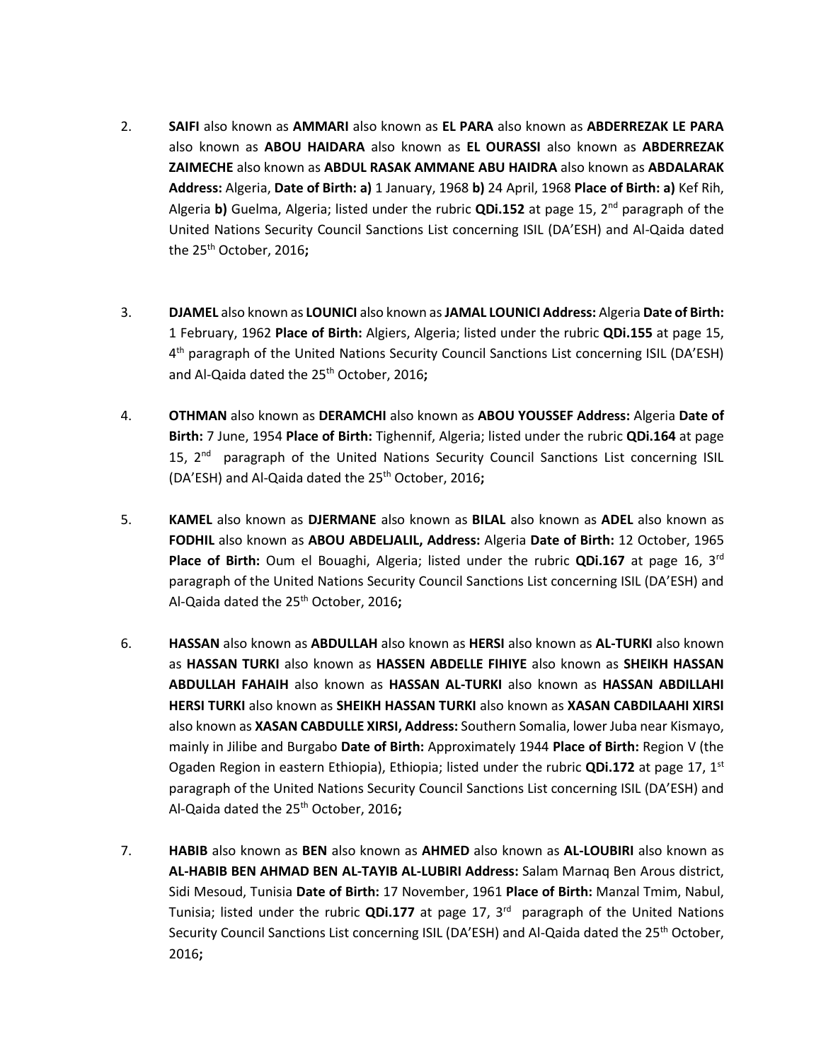- 2. **SAIFI** also known as **AMMARI** also known as **EL PARA** also known as **ABDERREZAK LE PARA**  also known as **ABOU HAIDARA** also known as **EL OURASSI** also known as **ABDERREZAK ZAIMECHE** also known as **ABDUL RASAK AMMANE ABU HAIDRA** also known as **ABDALARAK Address:** Algeria, **Date of Birth: a)** 1 January, 1968 **b)** 24 April, 1968 **Place of Birth: a)** Kef Rih, Algeria **b)** Guelma, Algeria; listed under the rubric **QDi.152** at page 15, 2nd paragraph of the United Nations Security Council Sanctions List concerning ISIL (DA'ESH) and Al-Qaida dated the 25th October, 2016**;**
- 3. **DJAMEL** also known as **LOUNICI** also known as**JAMAL LOUNICI Address:** Algeria **Date of Birth:**  1 February, 1962 **Place of Birth:** Algiers, Algeria; listed under the rubric **QDi.155** at page 15, 4<sup>th</sup> paragraph of the United Nations Security Council Sanctions List concerning ISIL (DA'ESH) and Al-Qaida dated the 25th October, 2016**;**
- 4. **OTHMAN** also known as **DERAMCHI** also known as **ABOU YOUSSEF Address:** Algeria **Date of Birth:** 7 June, 1954 **Place of Birth:** Tighennif, Algeria; listed under the rubric **QDi.164** at page 15, 2<sup>nd</sup> paragraph of the United Nations Security Council Sanctions List concerning ISIL (DA'ESH) and Al-Qaida dated the 25<sup>th</sup> October, 2016:
- 5. **KAMEL** also known as **DJERMANE** also known as **BILAL** also known as **ADEL** also known as **FODHIL** also known as **ABOU ABDELJALIL, Address:** Algeria **Date of Birth:** 12 October, 1965 **Place of Birth:** Oum el Bouaghi, Algeria; listed under the rubric **QDi.167** at page 16, 3rd paragraph of the United Nations Security Council Sanctions List concerning ISIL (DA'ESH) and Al-Qaida dated the 25th October, 2016**;**
- 6. **HASSAN** also known as **ABDULLAH** also known as **HERSI** also known as **AL-TURKI** also known as **HASSAN TURKI** also known as **HASSEN ABDELLE FIHIYE** also known as **SHEIKH HASSAN ABDULLAH FAHAIH** also known as **HASSAN AL-TURKI** also known as **HASSAN ABDILLAHI HERSI TURKI** also known as **SHEIKH HASSAN TURKI** also known as **XASAN CABDILAAHI XIRSI**  also known as **XASAN CABDULLE XIRSI, Address:** Southern Somalia, lower Juba near Kismayo, mainly in Jilibe and Burgabo **Date of Birth:** Approximately 1944 **Place of Birth:** Region V (the Ogaden Region in eastern Ethiopia), Ethiopia; listed under the rubric **QDi.172** at page 17, 1st paragraph of the United Nations Security Council Sanctions List concerning ISIL (DA'ESH) and Al-Qaida dated the 25th October, 2016**;**
- 7. **HABIB** also known as **BEN** also known as **AHMED** also known as **AL-LOUBIRI** also known as **AL-HABIB BEN AHMAD BEN AL-TAYIB AL-LUBIRI Address:** Salam Marnaq Ben Arous district, Sidi Mesoud, Tunisia **Date of Birth:** 17 November, 1961 **Place of Birth:** Manzal Tmim, Nabul, Tunisia; listed under the rubric QDi.177 at page 17, 3<sup>rd</sup> paragraph of the United Nations Security Council Sanctions List concerning ISIL (DA'ESH) and Al-Qaida dated the 25<sup>th</sup> October, 2016**;**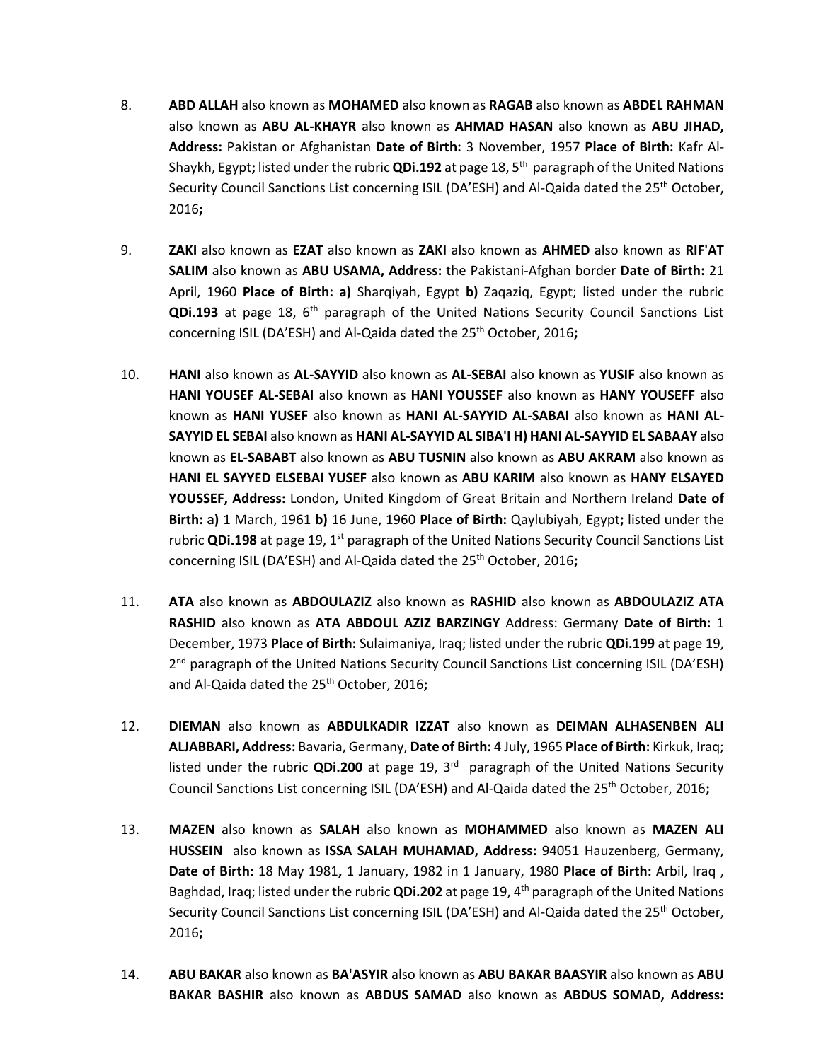- 8. **ABD ALLAH** also known as **MOHAMED** also known as **RAGAB** also known as **ABDEL RAHMAN**  also known as **ABU AL-KHAYR** also known as **AHMAD HASAN** also known as **ABU JIHAD, Address:** Pakistan or Afghanistan **Date of Birth:** 3 November, 1957 **Place of Birth:** Kafr Al-Shaykh, Egypt**;** listed under the rubric **QDi.192** at page 18, 5th paragraph of the United Nations Security Council Sanctions List concerning ISIL (DA'ESH) and Al-Qaida dated the 25<sup>th</sup> October, 2016**;**
- 9. **ZAKI** also known as **EZAT** also known as **ZAKI** also known as **AHMED** also known as **RIF'AT SALIM** also known as **ABU USAMA, Address:** the Pakistani-Afghan border **Date of Birth:** 21 April, 1960 **Place of Birth: a)** Sharqiyah, Egypt **b)** Zaqaziq, Egypt; listed under the rubric **QDi.193** at page 18, 6th paragraph of the United Nations Security Council Sanctions List concerning ISIL (DA'ESH) and Al-Qaida dated the 25th October, 2016**;**
- 10. **HANI** also known as **AL-SAYYID** also known as **AL-SEBAI** also known as **YUSIF** also known as **HANI YOUSEF AL-SEBAI** also known as **HANI YOUSSEF** also known as **HANY YOUSEFF** also known as **HANI YUSEF** also known as **HANI AL-SAYYID AL-SABAI** also known as **HANI AL-SAYYID EL SEBAI** also known as **HANI AL-SAYYID AL SIBA'I H) HANI AL-SAYYID EL SABAAY** also known as **EL-SABABT** also known as **ABU TUSNIN** also known as **ABU AKRAM** also known as **HANI EL SAYYED ELSEBAI YUSEF** also known as **ABU KARIM** also known as **HANY ELSAYED YOUSSEF, Address:** London, United Kingdom of Great Britain and Northern Ireland **Date of Birth: a)** 1 March, 1961 **b)** 16 June, 1960 **Place of Birth:** Qaylubiyah, Egypt**;** listed under the rubric **QDi.198** at page 19, 1<sup>st</sup> paragraph of the United Nations Security Council Sanctions List concerning ISIL (DA'ESH) and Al-Qaida dated the 25th October, 2016**;**
- 11. **ATA** also known as **ABDOULAZIZ** also known as **RASHID** also known as **ABDOULAZIZ ATA RASHID** also known as **ATA ABDOUL AZIZ BARZINGY** Address: Germany **Date of Birth:** 1 December, 1973 **Place of Birth:** Sulaimaniya, Iraq; listed under the rubric **QDi.199** at page 19, 2<sup>nd</sup> paragraph of the United Nations Security Council Sanctions List concerning ISIL (DA'ESH) and Al-Qaida dated the 25<sup>th</sup> October, 2016;
- 12. **DIEMAN** also known as **ABDULKADIR IZZAT** also known as **DEIMAN ALHASENBEN ALI ALJABBARI, Address:** Bavaria, Germany, **Date of Birth:** 4 July, 1965 **Place of Birth:** Kirkuk, Iraq; listed under the rubric **QDi.200** at page 19, 3rd paragraph of the United Nations Security Council Sanctions List concerning ISIL (DA'ESH) and Al-Qaida dated the 25th October, 2016**;**
- 13. **MAZEN** also known as **SALAH** also known as **MOHAMMED** also known as **MAZEN ALI HUSSEIN** also known as **ISSA SALAH MUHAMAD, Address:** 94051 Hauzenberg, Germany, **Date of Birth:** 18 May 1981**,** 1 January, 1982 in 1 January, 1980 **Place of Birth:** Arbil, Iraq , Baghdad, Iraq; listed under the rubric **QDi.202** at page 19, 4th paragraph of the United Nations Security Council Sanctions List concerning ISIL (DA'ESH) and Al-Qaida dated the 25<sup>th</sup> October, 2016**;**
- 14. **ABU BAKAR** also known as **BA'ASYIR** also known as **ABU BAKAR BAASYIR** also known as **ABU BAKAR BASHIR** also known as **ABDUS SAMAD** also known as **ABDUS SOMAD, Address:**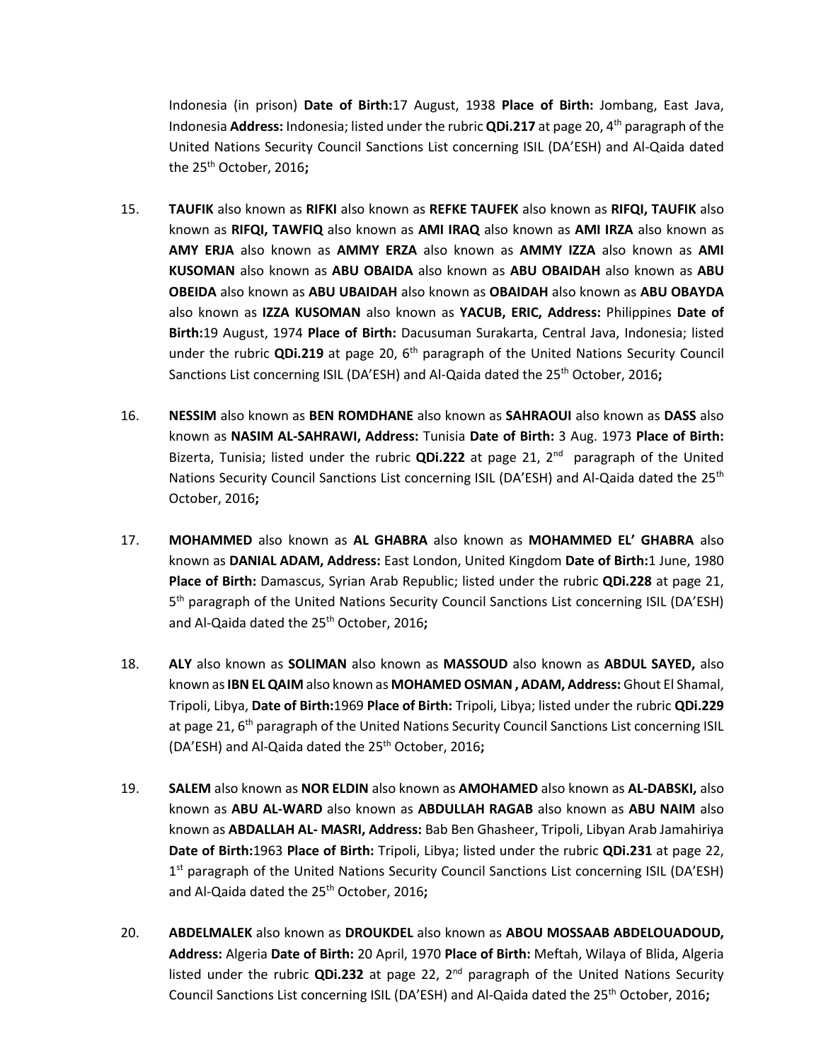Indonesia (in prison) **Date of Birth:**17 August, 1938 **Place of Birth:** Jombang, East Java, Indonesia **Address:** Indonesia; listed under the rubric **QDi.217** at page 20, 4th paragraph of the United Nations Security Council Sanctions List concerning ISIL (DA'ESH) and Al-Qaida dated the 25th October, 2016**;**

- 15. **TAUFIK** also known as **RIFKI** also known as **REFKE TAUFEK** also known as **RIFQI, TAUFIK** also known as **RIFQI, TAWFIQ** also known as **AMI IRAQ** also known as **AMI IRZA** also known as **AMY ERJA** also known as **AMMY ERZA** also known as **AMMY IZZA** also known as **AMI KUSOMAN** also known as **ABU OBAIDA** also known as **ABU OBAIDAH** also known as **ABU OBEIDA** also known as **ABU UBAIDAH** also known as **OBAIDAH** also known as **ABU OBAYDA**  also known as **IZZA KUSOMAN** also known as **YACUB, ERIC, Address:** Philippines **Date of Birth:**19 August, 1974 **Place of Birth:** Dacusuman Surakarta, Central Java, Indonesia; listed under the rubric QDi.219 at page 20, 6<sup>th</sup> paragraph of the United Nations Security Council Sanctions List concerning ISIL (DA'ESH) and Al-Qaida dated the 25<sup>th</sup> October, 2016;
- 16. **NESSIM** also known as **BEN ROMDHANE** also known as **SAHRAOUI** also known as **DASS** also known as **NASIM AL-SAHRAWI, Address:** Tunisia **Date of Birth:** 3 Aug. 1973 **Place of Birth:**  Bizerta, Tunisia; listed under the rubric **QDi.222** at page 21, 2<sup>nd</sup> paragraph of the United Nations Security Council Sanctions List concerning ISIL (DA'ESH) and Al-Qaida dated the 25<sup>th</sup> October, 2016**;**
- 17. **MOHAMMED** also known as **AL GHABRA** also known as **MOHAMMED EL' GHABRA** also known as **DANIAL ADAM, Address:** East London, United Kingdom **Date of Birth:**1 June, 1980 **Place of Birth:** Damascus, Syrian Arab Republic; listed under the rubric **QDi.228** at page 21, 5<sup>th</sup> paragraph of the United Nations Security Council Sanctions List concerning ISIL (DA'ESH) and Al-Qaida dated the 25th October, 2016**;**
- 18. **ALY** also known as **SOLIMAN** also known as **MASSOUD** also known as **ABDUL SAYED,** also known as**IBN EL QAIM** also known as **MOHAMED OSMAN , ADAM, Address:** Ghout El Shamal, Tripoli, Libya, **Date of Birth:**1969 **Place of Birth:** Tripoli, Libya; listed under the rubric **QDi.229**  at page 21,  $6<sup>th</sup>$  paragraph of the United Nations Security Council Sanctions List concerning ISIL (DA'ESH) and Al-Qaida dated the 25th October, 2016**;**
- 19. **SALEM** also known as **NOR ELDIN** also known as **AMOHAMED** also known as **AL-DABSKI,** also known as **ABU AL-WARD** also known as **ABDULLAH RAGAB** also known as **ABU NAIM** also known as **ABDALLAH AL- MASRI, Address:** Bab Ben Ghasheer, Tripoli, Libyan Arab Jamahiriya **Date of Birth:**1963 **Place of Birth:** Tripoli, Libya; listed under the rubric **QDi.231** at page 22, 1<sup>st</sup> paragraph of the United Nations Security Council Sanctions List concerning ISIL (DA'ESH) and Al-Qaida dated the 25th October, 2016**;**
- 20. **ABDELMALEK** also known as **DROUKDEL** also known as **ABOU MOSSAAB ABDELOUADOUD, Address:** Algeria **Date of Birth:** 20 April, 1970 **Place of Birth:** Meftah, Wilaya of Blida, Algeria listed under the rubric **QDi.232** at page 22, 2nd paragraph of the United Nations Security Council Sanctions List concerning ISIL (DA'ESH) and Al-Qaida dated the 25th October, 2016**;**